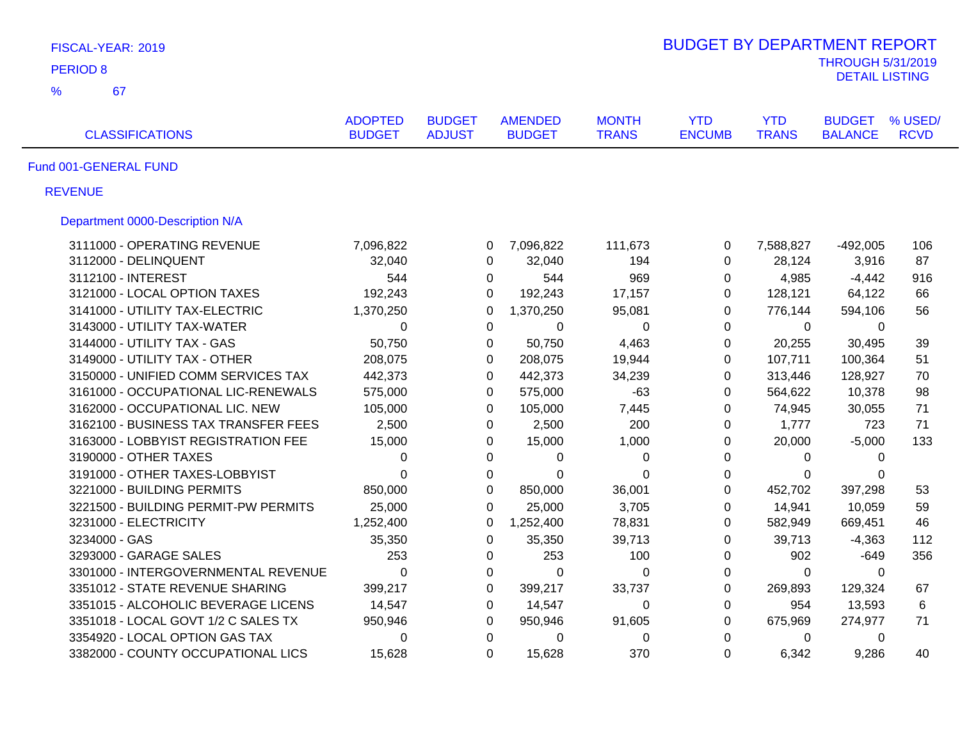| FISCAL-YEAR: 2019                    |                                 |                                |                                 |                              | <b>BUDGET BY DEPARTMENT REPORT</b> |                            |                                 |                        |
|--------------------------------------|---------------------------------|--------------------------------|---------------------------------|------------------------------|------------------------------------|----------------------------|---------------------------------|------------------------|
| <b>PERIOD 8</b>                      |                                 |                                |                                 |                              |                                    |                            | <b>THROUGH 5/31/2019</b>        |                        |
| $\frac{9}{6}$<br>67                  |                                 |                                |                                 |                              |                                    |                            | <b>DETAIL LISTING</b>           |                        |
| <b>CLASSIFICATIONS</b>               | <b>ADOPTED</b><br><b>BUDGET</b> | <b>BUDGET</b><br><b>ADJUST</b> | <b>AMENDED</b><br><b>BUDGET</b> | <b>MONTH</b><br><b>TRANS</b> | <b>YTD</b><br><b>ENCUMB</b>        | <b>YTD</b><br><b>TRANS</b> | <b>BUDGET</b><br><b>BALANCE</b> | % USED/<br><b>RCVD</b> |
| Fund 001-GENERAL FUND                |                                 |                                |                                 |                              |                                    |                            |                                 |                        |
| <b>REVENUE</b>                       |                                 |                                |                                 |                              |                                    |                            |                                 |                        |
| Department 0000-Description N/A      |                                 |                                |                                 |                              |                                    |                            |                                 |                        |
| 3111000 - OPERATING REVENUE          | 7,096,822                       | 0                              | 7,096,822                       | 111,673                      | $\pmb{0}$                          | 7,588,827                  | $-492,005$                      | 106                    |
| 3112000 - DELINQUENT                 | 32,040                          | $\Omega$                       | 32,040                          | 194                          | $\mathbf 0$                        | 28,124                     | 3,916                           | 87                     |
| 3112100 - INTEREST                   | 544                             | 0                              | 544                             | 969                          | 0                                  | 4,985                      | $-4,442$                        | 916                    |
| 3121000 - LOCAL OPTION TAXES         | 192,243                         | $\Omega$                       | 192,243                         | 17,157                       | 0                                  | 128,121                    | 64,122                          | 66                     |
| 3141000 - UTILITY TAX-ELECTRIC       | 1,370,250                       | $\Omega$                       | 1,370,250                       | 95,081                       | $\mathbf 0$                        | 776,144                    | 594,106                         | 56                     |
| 3143000 - UTILITY TAX-WATER          | 0                               | $\Omega$                       | 0                               | 0                            | $\Omega$                           | 0                          | $\Omega$                        |                        |
| 3144000 - UTILITY TAX - GAS          | 50,750                          | 0                              | 50,750                          | 4,463                        | $\mathbf 0$                        | 20,255                     | 30,495                          | 39                     |
| 3149000 - UTILITY TAX - OTHER        | 208,075                         | 0                              | 208,075                         | 19,944                       | 0                                  | 107,711                    | 100,364                         | 51                     |
| 3150000 - UNIFIED COMM SERVICES TAX  | 442,373                         | 0                              | 442,373                         | 34,239                       | $\mathbf 0$                        | 313,446                    | 128,927                         | 70                     |
| 3161000 - OCCUPATIONAL LIC-RENEWALS  | 575,000                         | $\Omega$                       | 575,000                         | $-63$                        | $\mathbf 0$                        | 564,622                    | 10,378                          | 98                     |
| 3162000 - OCCUPATIONAL LIC. NEW      | 105,000                         | $\Omega$                       | 105,000                         | 7,445                        | $\Omega$                           | 74,945                     | 30,055                          | 71                     |
| 3162100 - BUSINESS TAX TRANSFER FEES | 2,500                           | 0                              | 2,500                           | 200                          | 0                                  | 1,777                      | 723                             | 71                     |
| 3163000 - LOBBYIST REGISTRATION FEE  | 15,000                          | $\Omega$                       | 15,000                          | 1,000                        | 0                                  | 20,000                     | $-5,000$                        | 133                    |
| 3190000 - OTHER TAXES                | 0                               | 0                              | 0                               | 0                            | 0                                  | 0                          | $\Omega$                        |                        |
| 3191000 - OTHER TAXES-LOBBYIST       | $\Omega$                        | $\Omega$                       | $\Omega$                        | 0                            | 0                                  | $\Omega$                   | $\Omega$                        |                        |
| 3221000 - BUILDING PERMITS           | 850,000                         | $\Omega$                       | 850,000                         | 36,001                       | $\mathbf 0$                        | 452,702                    | 397,298                         | 53                     |
| 3221500 - BUILDING PERMIT-PW PERMITS | 25,000                          | $\Omega$                       | 25,000                          | 3,705                        | $\Omega$                           | 14,941                     | 10,059                          | 59                     |
| 3231000 - ELECTRICITY                | 1,252,400                       | $\Omega$                       | 1,252,400                       | 78,831                       | $\mathbf 0$                        | 582,949                    | 669,451                         | 46                     |
| 3234000 - GAS                        | 35,350                          | 0                              | 35,350                          | 39,713                       | $\pmb{0}$                          | 39,713                     | $-4,363$                        | 112                    |
| 3293000 - GARAGE SALES               | 253                             | 0                              | 253                             | 100                          | $\pmb{0}$                          | 902                        | $-649$                          | 356                    |
| 3301000 - INTERGOVERNMENTAL REVENUE  | 0                               | $\mathbf 0$                    | 0                               | $\mathbf 0$                  | $\pmb{0}$                          | $\mathbf 0$                | 0                               |                        |
| 3351012 - STATE REVENUE SHARING      | 399,217                         | 0                              | 399,217                         | 33,737                       | $\pmb{0}$                          | 269,893                    | 129,324                         | 67                     |
| 3351015 - ALCOHOLIC BEVERAGE LICENS  | 14,547                          | $\mathbf 0$                    | 14,547                          | 0                            | $\pmb{0}$                          | 954                        | 13,593                          | 6                      |
| 3351018 - LOCAL GOVT 1/2 C SALES TX  | 950,946                         | 0                              | 950,946                         | 91,605                       | 0                                  | 675,969                    | 274,977                         | 71                     |
| 3354920 - LOCAL OPTION GAS TAX       | 0                               | $\mathbf 0$                    | 0                               | $\boldsymbol{0}$             | $\mathbf 0$                        | 0                          | 0                               |                        |
| 3382000 - COUNTY OCCUPATIONAL LICS   | 15,628                          | $\Omega$                       | 15,628                          | 370                          | $\mathbf 0$                        | 6,342                      | 9,286                           | 40                     |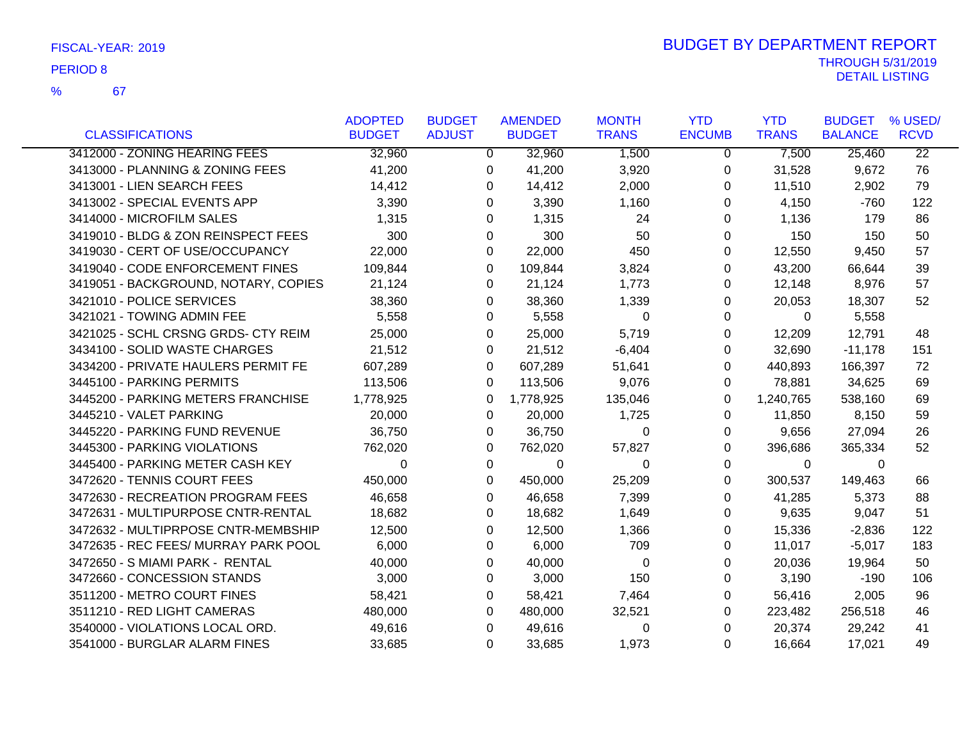67 %

|                                      | <b>ADOPTED</b> | <b>BUDGET</b> | <b>AMENDED</b> | <b>MONTH</b> | <b>YTD</b>    | <b>YTD</b>   | <b>BUDGET</b>  | % USED/         |
|--------------------------------------|----------------|---------------|----------------|--------------|---------------|--------------|----------------|-----------------|
| <b>CLASSIFICATIONS</b>               | <b>BUDGET</b>  | <b>ADJUST</b> | <b>BUDGET</b>  | <b>TRANS</b> | <b>ENCUMB</b> | <b>TRANS</b> | <b>BALANCE</b> | <b>RCVD</b>     |
| 3412000 - ZONING HEARING FEES        | 32,960         | $\mathbf{0}$  | 32,960         | 1,500        | 0             | 7,500        | 25,460         | $\overline{22}$ |
| 3413000 - PLANNING & ZONING FEES     | 41,200         | 0             | 41,200         | 3,920        | 0             | 31,528       | 9,672          | 76              |
| 3413001 - LIEN SEARCH FEES           | 14,412         | 0             | 14,412         | 2,000        | 0             | 11,510       | 2,902          | 79              |
| 3413002 - SPECIAL EVENTS APP         | 3,390          | 0             | 3,390          | 1,160        | 0             | 4,150        | $-760$         | 122             |
| 3414000 - MICROFILM SALES            | 1,315          | 0             | 1,315          | 24           | 0             | 1,136        | 179            | 86              |
| 3419010 - BLDG & ZON REINSPECT FEES  | 300            | $\Omega$      | 300            | 50           | $\Omega$      | 150          | 150            | 50              |
| 3419030 - CERT OF USE/OCCUPANCY      | 22,000         | $\Omega$      | 22,000         | 450          | 0             | 12,550       | 9,450          | 57              |
| 3419040 - CODE ENFORCEMENT FINES     | 109,844        | $\Omega$      | 109,844        | 3,824        | 0             | 43,200       | 66,644         | 39              |
| 3419051 - BACKGROUND, NOTARY, COPIES | 21,124         | 0             | 21,124         | 1,773        | 0             | 12,148       | 8,976          | 57              |
| 3421010 - POLICE SERVICES            | 38,360         | $\Omega$      | 38,360         | 1,339        | 0             | 20,053       | 18,307         | 52              |
| 3421021 - TOWING ADMIN FEE           | 5,558          | 0             | 5,558          | $\Omega$     | 0             | $\Omega$     | 5,558          |                 |
| 3421025 - SCHL CRSNG GRDS- CTY REIM  | 25,000         | 0             | 25,000         | 5,719        | 0             | 12,209       | 12,791         | 48              |
| 3434100 - SOLID WASTE CHARGES        | 21,512         | 0             | 21,512         | $-6,404$     | 0             | 32,690       | $-11,178$      | 151             |
| 3434200 - PRIVATE HAULERS PERMIT FE  | 607,289        | $\Omega$      | 607,289        | 51,641       | 0             | 440,893      | 166,397        | 72              |
| 3445100 - PARKING PERMITS            | 113,506        | 0             | 113,506        | 9,076        | 0             | 78,881       | 34,625         | 69              |
| 3445200 - PARKING METERS FRANCHISE   | 1,778,925      | 0             | 1,778,925      | 135,046      | 0             | 1,240,765    | 538,160        | 69              |
| 3445210 - VALET PARKING              | 20,000         | 0             | 20,000         | 1,725        | 0             | 11,850       | 8,150          | 59              |
| 3445220 - PARKING FUND REVENUE       | 36,750         | 0             | 36,750         | $\Omega$     | 0             | 9,656        | 27,094         | 26              |
| 3445300 - PARKING VIOLATIONS         | 762,020        | $\Omega$      | 762,020        | 57,827       | 0             | 396,686      | 365,334        | 52              |
| 3445400 - PARKING METER CASH KEY     | 0              | 0             | 0              | 0            | 0             | $\mathbf 0$  | 0              |                 |
| 3472620 - TENNIS COURT FEES          | 450,000        | $\Omega$      | 450,000        | 25,209       | 0             | 300,537      | 149,463        | 66              |
| 3472630 - RECREATION PROGRAM FEES    | 46,658         | 0             | 46,658         | 7,399        | 0             | 41,285       | 5,373          | 88              |
| 3472631 - MULTIPURPOSE CNTR-RENTAL   | 18,682         | 0             | 18,682         | 1,649        | 0             | 9,635        | 9,047          | 51              |
| 3472632 - MULTIPRPOSE CNTR-MEMBSHIP  | 12,500         | 0             | 12,500         | 1,366        | 0             | 15,336       | $-2,836$       | 122             |
| 3472635 - REC FEES/ MURRAY PARK POOL | 6,000          | 0             | 6,000          | 709          | 0             | 11,017       | $-5,017$       | 183             |
| 3472650 - S MIAMI PARK - RENTAL      | 40,000         | 0             | 40,000         | 0            | 0             | 20,036       | 19,964         | 50              |
| 3472660 - CONCESSION STANDS          | 3,000          | 0             | 3,000          | 150          | 0             | 3,190        | $-190$         | 106             |
| 3511200 - METRO COURT FINES          | 58,421         | $\Omega$      | 58,421         | 7,464        | 0             | 56,416       | 2,005          | 96              |
| 3511210 - RED LIGHT CAMERAS          | 480,000        | $\Omega$      | 480,000        | 32,521       | 0             | 223,482      | 256,518        | 46              |
| 3540000 - VIOLATIONS LOCAL ORD.      | 49,616         | 0             | 49,616         | 0            | 0             | 20,374       | 29,242         | 41              |
| 3541000 - BURGLAR ALARM FINES        | 33,685         | 0             | 33,685         | 1,973        | 0             | 16,664       | 17,021         | 49              |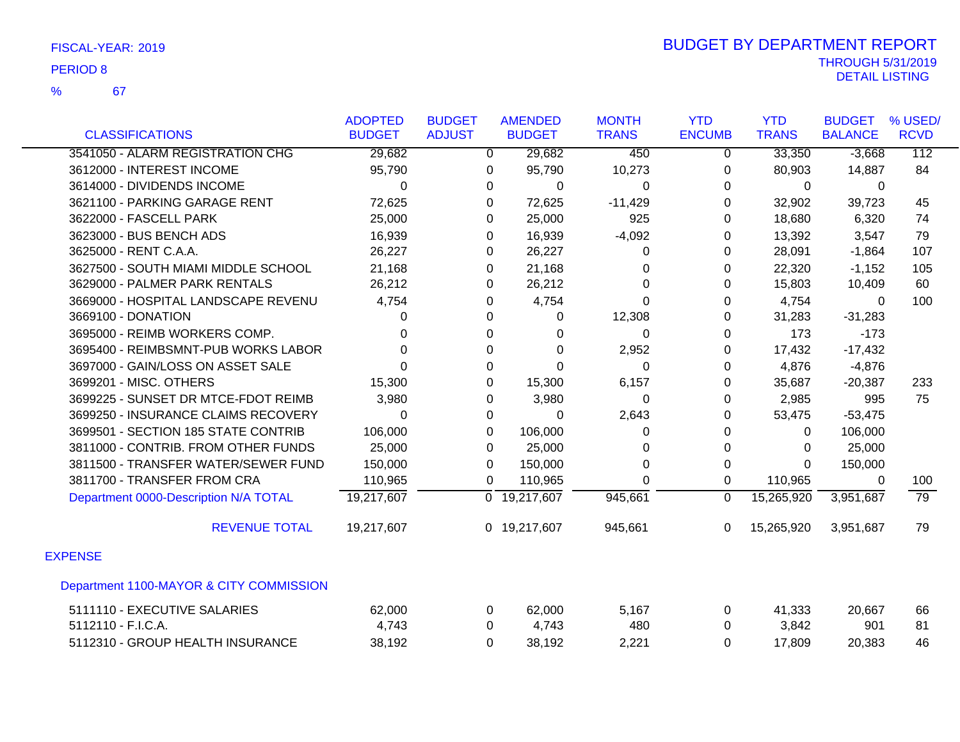| <b>CLASSIFICATIONS</b>                  | <b>ADOPTED</b><br><b>BUDGET</b> | <b>BUDGET</b><br><b>ADJUST</b> | <b>AMENDED</b><br><b>BUDGET</b> | <b>MONTH</b><br><b>TRANS</b> | <b>YTD</b><br><b>ENCUMB</b> | <b>YTD</b><br><b>TRANS</b> | <b>BUDGET</b><br><b>BALANCE</b> | % USED/<br><b>RCVD</b> |
|-----------------------------------------|---------------------------------|--------------------------------|---------------------------------|------------------------------|-----------------------------|----------------------------|---------------------------------|------------------------|
|                                         |                                 |                                |                                 |                              |                             |                            |                                 |                        |
| 3541050 - ALARM REGISTRATION CHG        | 29,682                          | 0                              | 29,682                          | 450                          | 0                           | 33,350                     | $-3,668$                        | $\overline{112}$       |
| 3612000 - INTEREST INCOME               | 95,790                          | 0                              | 95,790                          | 10,273                       | 0                           | 80,903                     | 14,887                          | 84                     |
| 3614000 - DIVIDENDS INCOME              | 0                               | 0                              | $\Omega$                        | $\Omega$                     | 0                           | 0                          | 0                               |                        |
| 3621100 - PARKING GARAGE RENT           | 72,625                          | 0                              | 72,625                          | $-11,429$                    | 0                           | 32,902                     | 39,723                          | 45                     |
| 3622000 - FASCELL PARK                  | 25,000                          | 0                              | 25,000                          | 925                          | 0                           | 18,680                     | 6,320                           | 74                     |
| 3623000 - BUS BENCH ADS                 | 16,939                          | 0                              | 16,939                          | $-4,092$                     | 0                           | 13,392                     | 3,547                           | 79                     |
| 3625000 - RENT C.A.A.                   | 26,227                          | 0                              | 26,227                          | 0                            | 0                           | 28,091                     | $-1,864$                        | 107                    |
| 3627500 - SOUTH MIAMI MIDDLE SCHOOL     | 21,168                          | 0                              | 21,168                          | 0                            | 0                           | 22,320                     | $-1,152$                        | 105                    |
| 3629000 - PALMER PARK RENTALS           | 26,212                          | 0                              | 26,212                          | $\Omega$                     | 0                           | 15,803                     | 10,409                          | 60                     |
| 3669000 - HOSPITAL LANDSCAPE REVENU     | 4,754                           | 0                              | 4,754                           | $\Omega$                     | $\Omega$                    | 4,754                      | $\mathbf{0}$                    | 100                    |
| 3669100 - DONATION                      | 0                               | 0                              | $\Omega$                        | 12,308                       | 0                           | 31,283                     | $-31,283$                       |                        |
| 3695000 - REIMB WORKERS COMP.           | 0                               | 0                              | 0                               | $\Omega$                     | $\Omega$                    | 173                        | $-173$                          |                        |
| 3695400 - REIMBSMNT-PUB WORKS LABOR     | $\Omega$                        | $\Omega$                       | $\Omega$                        | 2,952                        | $\Omega$                    | 17,432                     | $-17,432$                       |                        |
| 3697000 - GAIN/LOSS ON ASSET SALE       | 0                               | 0                              | $\Omega$                        | $\Omega$                     | 0                           | 4,876                      | $-4,876$                        |                        |
| 3699201 - MISC. OTHERS                  | 15,300                          | 0                              | 15,300                          | 6,157                        | 0                           | 35,687                     | $-20,387$                       | 233                    |
| 3699225 - SUNSET DR MTCE-FDOT REIMB     | 3,980                           | 0                              | 3,980                           | $\Omega$                     | 0                           | 2,985                      | 995                             | 75                     |
| 3699250 - INSURANCE CLAIMS RECOVERY     | $\Omega$                        | 0                              | $\Omega$                        | 2,643                        | 0                           | 53,475                     | $-53,475$                       |                        |
| 3699501 - SECTION 185 STATE CONTRIB     | 106,000                         | $\Omega$                       | 106,000                         | $\Omega$                     | 0                           | $\mathbf 0$                | 106,000                         |                        |
| 3811000 - CONTRIB. FROM OTHER FUNDS     | 25,000                          | 0                              | 25,000                          | 0                            | 0                           | $\mathbf 0$                | 25,000                          |                        |
| 3811500 - TRANSFER WATER/SEWER FUND     | 150,000                         | $\mathbf{0}$                   | 150,000                         | $\Omega$                     | 0                           | $\Omega$                   | 150,000                         |                        |
| 3811700 - TRANSFER FROM CRA             | 110,965                         | 0                              | 110,965                         | $\Omega$                     | 0                           | 110,965                    | 0                               | 100                    |
| Department 0000-Description N/A TOTAL   | 19,217,607                      |                                | $\overline{0}$ 19,217,607       | 945,661                      | $\mathbf 0$                 | 15,265,920                 | 3,951,687                       | 79                     |
| <b>REVENUE TOTAL</b>                    | 19,217,607                      |                                | 0 19,217,607                    | 945,661                      | $\Omega$                    | 15,265,920                 | 3,951,687                       | 79                     |
| <b>EXPENSE</b>                          |                                 |                                |                                 |                              |                             |                            |                                 |                        |
| Department 1100-MAYOR & CITY COMMISSION |                                 |                                |                                 |                              |                             |                            |                                 |                        |
| 5111110 - EXECUTIVE SALARIES            | 62,000                          | 0                              | 62,000                          | 5,167                        | 0                           | 41,333                     | 20,667                          | 66                     |
| 5112110 - F.I.C.A.                      | 4,743                           | 0                              | 4,743                           | 480                          | 0                           | 3,842                      | 901                             | 81                     |
| 5112310 - GROUP HEALTH INSURANCE        | 38,192                          | 0                              | 38,192                          | 2,221                        | $\Omega$                    | 17,809                     | 20,383                          | 46                     |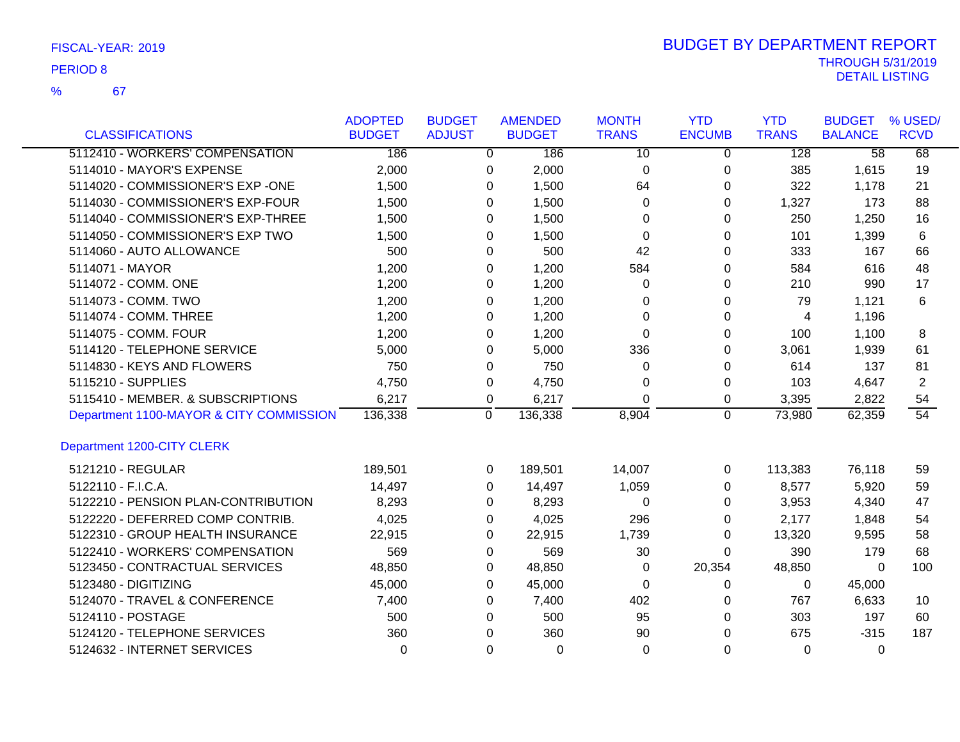67 %

|                                         | <b>ADOPTED</b> | <b>BUDGET</b> |                | <b>AMENDED</b> | <b>MONTH</b>    | <b>YTD</b>     | <b>YTD</b>   | <b>BUDGET</b>   | % USED/     |
|-----------------------------------------|----------------|---------------|----------------|----------------|-----------------|----------------|--------------|-----------------|-------------|
| <b>CLASSIFICATIONS</b>                  | <b>BUDGET</b>  | <b>ADJUST</b> |                | <b>BUDGET</b>  | <b>TRANS</b>    | <b>ENCUMB</b>  | <b>TRANS</b> | <b>BALANCE</b>  | <b>RCVD</b> |
| 5112410 - WORKERS' COMPENSATION         | 186            |               | $\overline{0}$ | 186            | $\overline{10}$ | 0              | 128          | $\overline{58}$ | 68          |
| 5114010 - MAYOR'S EXPENSE               | 2,000          |               | 0              | 2,000          | $\Omega$        | 0              | 385          | 1,615           | 19          |
| 5114020 - COMMISSIONER'S EXP -ONE       | 1,500          |               | 0              | 1,500          | 64              | 0              | 322          | 1,178           | 21          |
| 5114030 - COMMISSIONER'S EXP-FOUR       | 1,500          |               | $\Omega$       | 1,500          | 0               | $\Omega$       | 1,327        | 173             | 88          |
| 5114040 - COMMISSIONER'S EXP-THREE      | 1,500          |               | 0              | 1,500          | 0               | 0              | 250          | 1,250           | 16          |
| 5114050 - COMMISSIONER'S EXP TWO        | 1,500          |               | 0              | 1,500          | 0               | 0              | 101          | 1,399           | 6           |
| 5114060 - AUTO ALLOWANCE                | 500            |               | 0              | 500            | 42              | 0              | 333          | 167             | 66          |
| 5114071 - MAYOR                         | 1,200          |               | 0              | 1,200          | 584             | 0              | 584          | 616             | 48          |
| 5114072 - COMM. ONE                     | 1,200          |               | 0              | 1,200          | 0               | 0              | 210          | 990             | 17          |
| 5114073 - COMM. TWO                     | 1,200          |               | 0              | 1,200          | 0               | 0              | 79           | 1,121           | 6           |
| 5114074 - COMM. THREE                   | 1,200          |               | 0              | 1,200          | $\Omega$        | 0              | 4            | 1,196           |             |
| 5114075 - COMM. FOUR                    | 1,200          |               | 0              | 1,200          | $\Omega$        | 0              | 100          | 1,100           | 8           |
| 5114120 - TELEPHONE SERVICE             | 5,000          |               | 0              | 5,000          | 336             | 0              | 3,061        | 1,939           | 61          |
| 5114830 - KEYS AND FLOWERS              | 750            |               | 0              | 750            | 0               | 0              | 614          | 137             | 81          |
| 5115210 - SUPPLIES                      | 4,750          |               | 0              | 4,750          | 0               | 0              | 103          | 4,647           | 2           |
| 5115410 - MEMBER. & SUBSCRIPTIONS       | 6,217          |               | 0              | 6,217          | $\Omega$        | 0              | 3,395        | 2,822           | 54          |
| Department 1100-MAYOR & CITY COMMISSION | 136,338        |               | $\overline{0}$ | 136,338        | 8,904           | $\overline{0}$ | 73,980       | 62,359          | 54          |
| Department 1200-CITY CLERK              |                |               |                |                |                 |                |              |                 |             |
| 5121210 - REGULAR                       | 189,501        |               | 0              | 189,501        | 14,007          | 0              | 113,383      | 76,118          | 59          |
| 5122110 - F.I.C.A.                      | 14,497         |               | 0              | 14,497         | 1,059           | 0              | 8,577        | 5,920           | 59          |
| 5122210 - PENSION PLAN-CONTRIBUTION     | 8,293          |               | 0              | 8,293          | 0               | 0              | 3,953        | 4,340           | 47          |
| 5122220 - DEFERRED COMP CONTRIB.        | 4,025          |               | 0              | 4,025          | 296             | 0              | 2,177        | 1,848           | 54          |
| 5122310 - GROUP HEALTH INSURANCE        | 22,915         |               | 0              | 22,915         | 1,739           | 0              | 13,320       | 9,595           | 58          |
| 5122410 - WORKERS' COMPENSATION         | 569            |               | 0              | 569            | 30              | 0              | 390          | 179             | 68          |
| 5123450 - CONTRACTUAL SERVICES          | 48,850         |               | 0              | 48,850         | 0               | 20,354         | 48,850       | 0               | 100         |
| 5123480 - DIGITIZING                    | 45,000         |               | 0              | 45,000         | 0               | 0              | 0            | 45,000          |             |
| 5124070 - TRAVEL & CONFERENCE           | 7,400          |               | 0              | 7,400          | 402             | 0              | 767          | 6,633           | 10          |
| 5124110 - POSTAGE                       | 500            |               | 0              | 500            | 95              | 0              | 303          | 197             | 60          |
| 5124120 - TELEPHONE SERVICES            | 360            |               | 0              | 360            | 90              | $\Omega$       | 675          | $-315$          | 187         |
| 5124632 - INTERNET SERVICES             | $\Omega$       |               | $\Omega$       | $\Omega$       | $\Omega$        | $\Omega$       | $\Omega$     | $\Omega$        |             |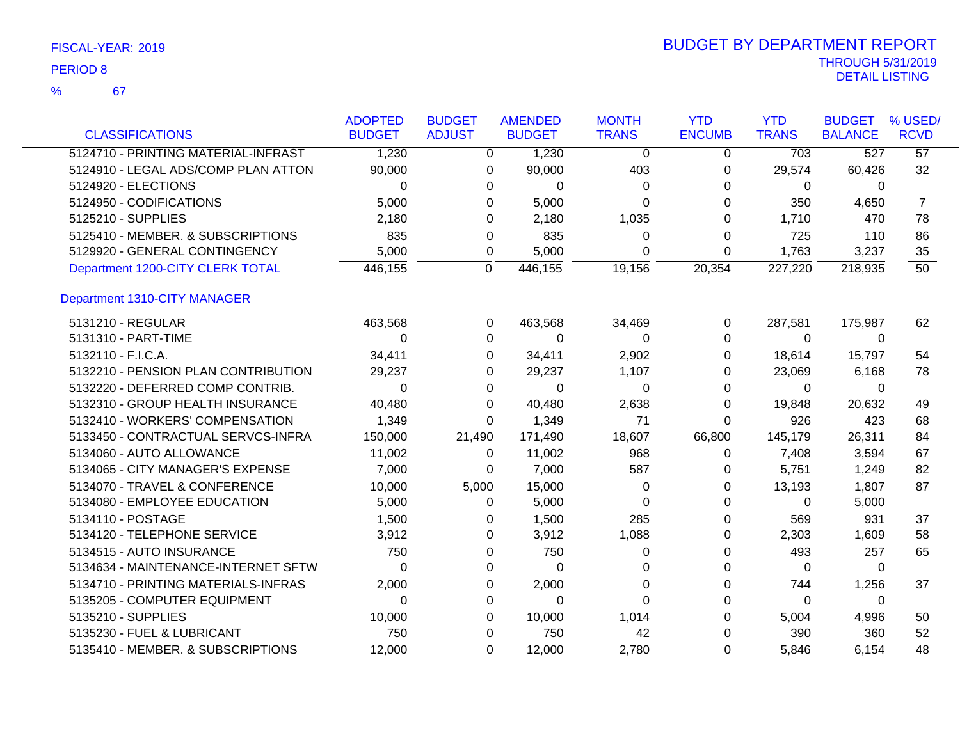67

|                                     | <b>ADOPTED</b> | <b>BUDGET</b>  | <b>AMENDED</b>          | <b>MONTH</b>   | <b>YTD</b>     | <b>YTD</b>   | <b>BUDGET</b>  | % USED/         |
|-------------------------------------|----------------|----------------|-------------------------|----------------|----------------|--------------|----------------|-----------------|
| <b>CLASSIFICATIONS</b>              | <b>BUDGET</b>  | <b>ADJUST</b>  | <b>BUDGET</b>           | <b>TRANS</b>   | <b>ENCUMB</b>  | <b>TRANS</b> | <b>BALANCE</b> | <b>RCVD</b>     |
| 5124710 - PRINTING MATERIAL-INFRAST | 1,230          |                | 1,230<br>$\overline{0}$ | $\overline{0}$ | $\overline{0}$ | 703          | 527            | $\overline{57}$ |
| 5124910 - LEGAL ADS/COMP PLAN ATTON | 90,000         |                | 90,000<br>0             | 403            | 0              | 29,574       | 60,426         | 32              |
| 5124920 - ELECTIONS                 | $\Omega$       | 0              | $\Omega$                | 0              | 0              | 0            | $\Omega$       |                 |
| 5124950 - CODIFICATIONS             | 5,000          | 0              | 5,000                   | $\Omega$       | 0              | 350          | 4,650          | $\overline{7}$  |
| 5125210 - SUPPLIES                  | 2,180          | $\Omega$       | 2,180                   | 1,035          | 0              | 1,710        | 470            | 78              |
| 5125410 - MEMBER, & SUBSCRIPTIONS   | 835            | 0              | 835                     | 0              | 0              | 725          | 110            | 86              |
| 5129920 - GENERAL CONTINGENCY       | 5,000          | 0              | 5,000                   | 0              | 0              | 1,763        | 3,237          | 35              |
| Department 1200-CITY CLERK TOTAL    | 446,155        | $\overline{0}$ | 446,155                 | 19,156         | 20,354         | 227,220      | 218,935        | $\overline{50}$ |
| Department 1310-CITY MANAGER        |                |                |                         |                |                |              |                |                 |
| 5131210 - REGULAR                   | 463,568        |                | 463,568<br>0            | 34,469         | 0              | 287,581      | 175,987        | 62              |
| 5131310 - PART-TIME                 | $\Omega$       |                | 0<br>0                  | 0              | 0              | $\Omega$     | $\Omega$       |                 |
| 5132110 - F.I.C.A.                  | 34,411         | 0              | 34,411                  | 2,902          | 0              | 18,614       | 15,797         | 54              |
| 5132210 - PENSION PLAN CONTRIBUTION | 29,237         | 0              | 29,237                  | 1,107          | 0              | 23,069       | 6,168          | 78              |
| 5132220 - DEFERRED COMP CONTRIB.    | 0              | 0              | 0                       | 0              | 0              | 0            | 0              |                 |
| 5132310 - GROUP HEALTH INSURANCE    | 40,480         | 0              | 40,480                  | 2,638          | 0              | 19,848       | 20,632         | 49              |
| 5132410 - WORKERS' COMPENSATION     | 1,349          | 0              | 1,349                   | 71             | 0              | 926          | 423            | 68              |
| 5133450 - CONTRACTUAL SERVCS-INFRA  | 150,000        | 21,490         | 171,490                 | 18,607         | 66,800         | 145,179      | 26,311         | 84              |
| 5134060 - AUTO ALLOWANCE            | 11,002         | 0              | 11,002                  | 968            | 0              | 7,408        | 3,594          | 67              |
| 5134065 - CITY MANAGER'S EXPENSE    | 7,000          | 0              | 7,000                   | 587            | 0              | 5,751        | 1,249          | 82              |
| 5134070 - TRAVEL & CONFERENCE       | 10,000         | 5,000          | 15,000                  | 0              | 0              | 13,193       | 1,807          | 87              |
| 5134080 - EMPLOYEE EDUCATION        | 5,000          | 0              | 5,000                   | 0              | 0              | 0            | 5,000          |                 |
| 5134110 - POSTAGE                   | 1,500          | 0              | 1,500                   | 285            | 0              | 569          | 931            | 37              |
| 5134120 - TELEPHONE SERVICE         | 3,912          | 0              | 3,912                   | 1,088          | 0              | 2,303        | 1,609          | 58              |
| 5134515 - AUTO INSURANCE            | 750            | 0              | 750                     | 0              | 0              | 493          | 257            | 65              |
| 5134634 - MAINTENANCE-INTERNET SFTW | 0              | 0              | 0                       | 0              | 0              | 0            | 0              |                 |
| 5134710 - PRINTING MATERIALS-INFRAS | 2,000          | 0              | 2,000                   | 0              | 0              | 744          | 1,256          | 37              |
| 5135205 - COMPUTER EQUIPMENT        | 0              | 0              | 0                       | 0              | 0              | 0            | 0              |                 |
| 5135210 - SUPPLIES                  | 10,000         | 0              | 10,000                  | 1,014          | 0              | 5,004        | 4,996          | 50              |
| 5135230 - FUEL & LUBRICANT          | 750            | 0              | 750                     | 42             | 0              | 390          | 360            | 52              |
| 5135410 - MEMBER. & SUBSCRIPTIONS   | 12,000         | 0              | 12,000                  | 2,780          | 0              | 5,846        | 6,154          | 48              |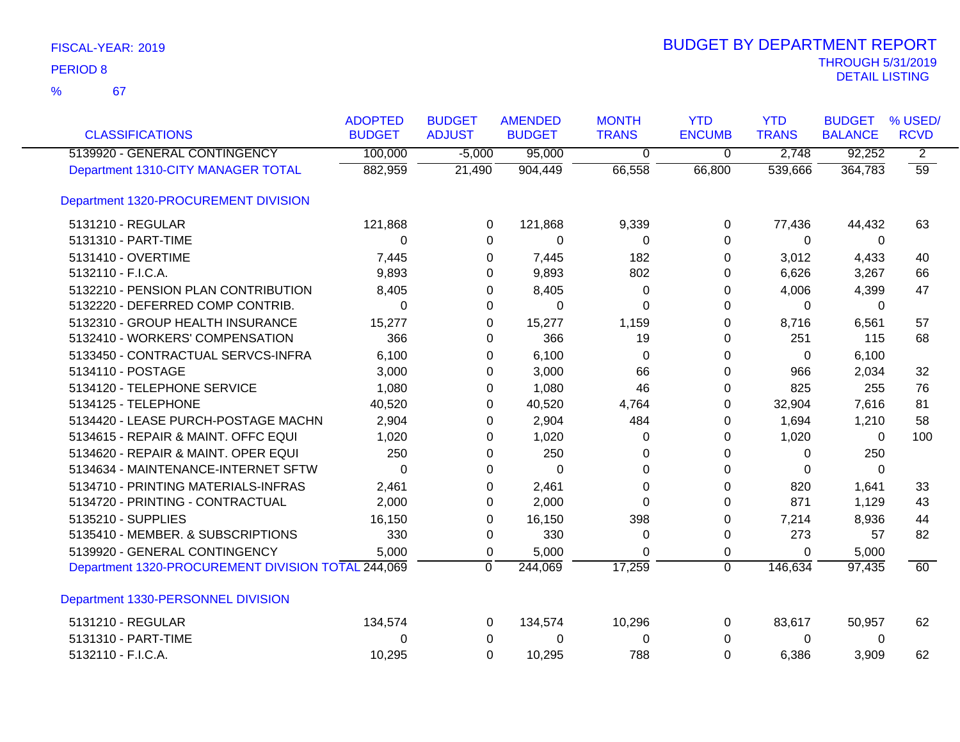67 %

| <b>CLASSIFICATIONS</b>                             | <b>ADOPTED</b><br><b>BUDGET</b> | <b>BUDGET</b><br><b>ADJUST</b> | <b>AMENDED</b><br><b>BUDGET</b> | <b>MONTH</b><br><b>TRANS</b> | <b>YTD</b><br><b>ENCUMB</b> | <b>YTD</b><br><b>TRANS</b> | <b>BUDGET</b><br><b>BALANCE</b> | % USED/<br><b>RCVD</b> |
|----------------------------------------------------|---------------------------------|--------------------------------|---------------------------------|------------------------------|-----------------------------|----------------------------|---------------------------------|------------------------|
| 5139920 - GENERAL CONTINGENCY                      | 100,000                         | $-5,000$                       | 95,000                          | $\overline{0}$               | $\overline{0}$              | 2,748                      | 92,252                          | $\overline{2}$         |
| Department 1310-CITY MANAGER TOTAL                 | 882,959                         | 21,490                         | 904,449                         | 66,558                       | 66,800                      | 539,666                    | 364,783                         | $\overline{59}$        |
| Department 1320-PROCUREMENT DIVISION               |                                 |                                |                                 |                              |                             |                            |                                 |                        |
| 5131210 - REGULAR                                  | 121,868                         | 0                              | 121,868                         | 9,339                        | 0                           | 77,436                     | 44,432                          | 63                     |
| 5131310 - PART-TIME                                | $\Omega$                        | 0                              | $\Omega$                        | 0                            | $\Omega$                    | $\Omega$                   | 0                               |                        |
| 5131410 - OVERTIME                                 | 7,445                           | 0                              | 7,445                           | 182                          | 0                           | 3,012                      | 4,433                           | 40                     |
| 5132110 - F.I.C.A.                                 | 9,893                           | 0                              | 9,893                           | 802                          | 0                           | 6,626                      | 3,267                           | 66                     |
| 5132210 - PENSION PLAN CONTRIBUTION                | 8,405                           | 0                              | 8,405                           | 0                            | 0                           | 4,006                      | 4,399                           | 47                     |
| 5132220 - DEFERRED COMP CONTRIB.                   | 0                               | 0                              | $\Omega$                        | 0                            | 0                           | 0                          | 0                               |                        |
| 5132310 - GROUP HEALTH INSURANCE                   | 15,277                          | 0                              | 15,277                          | 1,159                        | $\Omega$                    | 8,716                      | 6,561                           | 57                     |
| 5132410 - WORKERS' COMPENSATION                    | 366                             | 0                              | 366                             | 19                           | 0                           | 251                        | 115                             | 68                     |
| 5133450 - CONTRACTUAL SERVCS-INFRA                 | 6,100                           | 0                              | 6,100                           | 0                            | 0                           | 0                          | 6,100                           |                        |
| 5134110 - POSTAGE                                  | 3,000                           | 0                              | 3,000                           | 66                           | $\Omega$                    | 966                        | 2,034                           | 32                     |
| 5134120 - TELEPHONE SERVICE                        | 1,080                           | 0                              | 1,080                           | 46                           | 0                           | 825                        | 255                             | 76                     |
| 5134125 - TELEPHONE                                | 40,520                          | 0                              | 40,520                          | 4,764                        | 0                           | 32,904                     | 7,616                           | 81                     |
| 5134420 - LEASE PURCH-POSTAGE MACHN                | 2,904                           | 0                              | 2,904                           | 484                          | 0                           | 1,694                      | 1,210                           | 58                     |
| 5134615 - REPAIR & MAINT. OFFC EQUI                | 1,020                           | 0                              | 1,020                           | 0                            | 0                           | 1,020                      | 0                               | 100                    |
| 5134620 - REPAIR & MAINT. OPER EQUI                | 250                             | 0                              | 250                             | 0                            | 0                           | $\Omega$                   | 250                             |                        |
| 5134634 - MAINTENANCE-INTERNET SFTW                | $\Omega$                        | $\Omega$                       | $\Omega$                        | $\Omega$                     | $\Omega$                    | $\Omega$                   | $\Omega$                        |                        |
| 5134710 - PRINTING MATERIALS-INFRAS                | 2,461                           | 0                              | 2,461                           | 0                            | 0                           | 820                        | 1,641                           | 33                     |
| 5134720 - PRINTING - CONTRACTUAL                   | 2,000                           | 0                              | 2,000                           | $\Omega$                     | $\Omega$                    | 871                        | 1,129                           | 43                     |
| 5135210 - SUPPLIES                                 | 16,150                          | 0                              | 16,150                          | 398                          | $\Omega$                    | 7,214                      | 8,936                           | 44                     |
| 5135410 - MEMBER. & SUBSCRIPTIONS                  | 330                             | 0                              | 330                             | 0                            | 0                           | 273                        | 57                              | 82                     |
| 5139920 - GENERAL CONTINGENCY                      | 5,000                           | 0                              | 5,000                           | $\Omega$                     | 0                           | 0                          | 5,000                           |                        |
| Department 1320-PROCUREMENT DIVISION TOTAL 244,069 |                                 | 0                              | 244,069                         | 17,259                       | $\overline{0}$              | 146,634                    | 97,435                          | 60                     |
| Department 1330-PERSONNEL DIVISION                 |                                 |                                |                                 |                              |                             |                            |                                 |                        |
| 5131210 - REGULAR                                  | 134,574                         | 0                              | 134,574                         | 10,296                       | 0                           | 83,617                     | 50,957                          | 62                     |
| 5131310 - PART-TIME                                | 0                               | 0                              | 0                               | 0                            | 0                           | 0                          | 0                               |                        |
| 5132110 - F.I.C.A.                                 | 10,295                          | $\Omega$                       | 10,295                          | 788                          | 0                           | 6,386                      | 3,909                           | 62                     |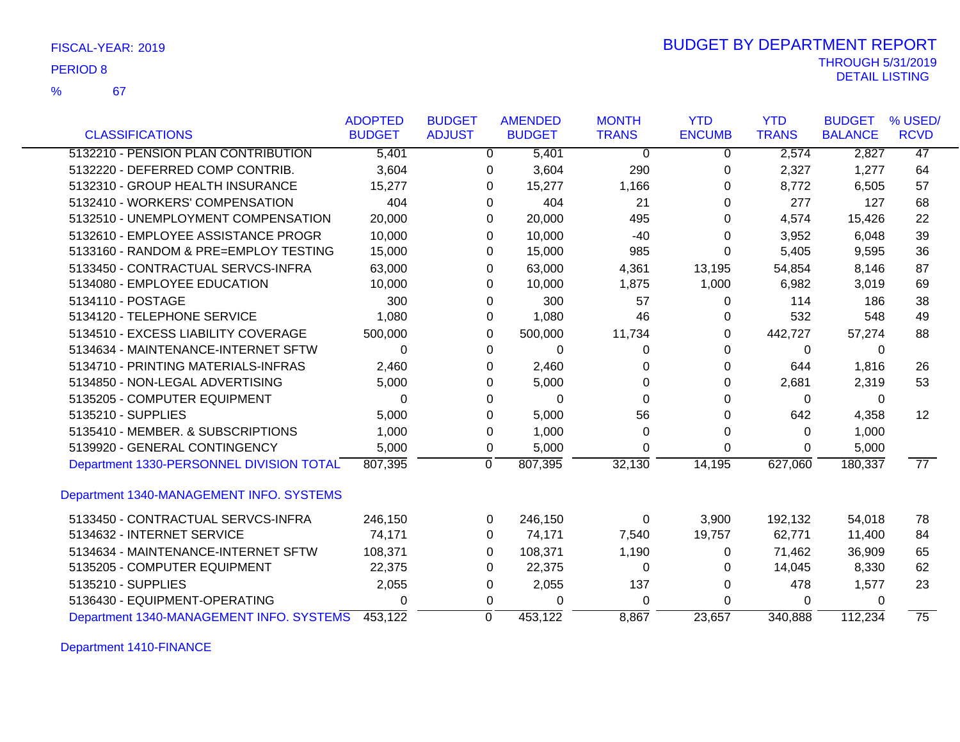67

%

|                                          | <b>ADOPTED</b> | <b>BUDGET</b> | <b>AMENDED</b>            | <b>MONTH</b> | <b>YTD</b>    | <b>YTD</b>   | <b>BUDGET</b>  | % USED/         |
|------------------------------------------|----------------|---------------|---------------------------|--------------|---------------|--------------|----------------|-----------------|
| <b>CLASSIFICATIONS</b>                   | <b>BUDGET</b>  | <b>ADJUST</b> | <b>BUDGET</b>             | <b>TRANS</b> | <b>ENCUMB</b> | <b>TRANS</b> | <b>BALANCE</b> | <b>RCVD</b>     |
| 5132210 - PENSION PLAN CONTRIBUTION      | 5,401          |               | 5,401<br>$\mathbf{0}$     | 0            | $\mathbf 0$   | 2,574        | 2,827          | 47              |
| 5132220 - DEFERRED COMP CONTRIB.         | 3,604          |               | 3,604<br>0                | 290          | 0             | 2,327        | 1,277          | 64              |
| 5132310 - GROUP HEALTH INSURANCE         | 15,277         |               | 15,277<br>0               | 1,166        | 0             | 8,772        | 6,505          | 57              |
| 5132410 - WORKERS' COMPENSATION          | 404            |               | 404<br>0                  | 21           | 0             | 277          | 127            | 68              |
| 5132510 - UNEMPLOYMENT COMPENSATION      | 20,000         |               | 0<br>20,000               | 495          | 0             | 4,574        | 15,426         | 22              |
| 5132610 - EMPLOYEE ASSISTANCE PROGR      | 10,000         |               | 10,000<br>0               | $-40$        | $\Omega$      | 3,952        | 6,048          | 39              |
| 5133160 - RANDOM & PRE=EMPLOY TESTING    | 15,000         |               | 15,000<br>0               | 985          | 0             | 5,405        | 9,595          | 36              |
| 5133450 - CONTRACTUAL SERVCS-INFRA       | 63,000         |               | 63,000<br>$\Omega$        | 4,361        | 13,195        | 54,854       | 8,146          | 87              |
| 5134080 - EMPLOYEE EDUCATION             | 10,000         |               | $\Omega$<br>10,000        | 1,875        | 1,000         | 6,982        | 3,019          | 69              |
| 5134110 - POSTAGE                        | 300            |               | 300<br>0                  | 57           | 0             | 114          | 186            | 38              |
| 5134120 - TELEPHONE SERVICE              | 1,080          |               | 1,080<br>0                | 46           | 0             | 532          | 548            | 49              |
| 5134510 - EXCESS LIABILITY COVERAGE      | 500,000        |               | 500,000<br>$\Omega$       | 11,734       | 0             | 442,727      | 57,274         | 88              |
| 5134634 - MAINTENANCE-INTERNET SFTW      | $\Omega$       |               | $\mathbf{0}$<br>0         | 0            | 0             | 0            | $\Omega$       |                 |
| 5134710 - PRINTING MATERIALS-INFRAS      | 2,460          |               | $\Omega$<br>2,460         | 0            | 0             | 644          | 1,816          | 26              |
| 5134850 - NON-LEGAL ADVERTISING          | 5,000          |               | 5,000<br>0                | 0            | 0             | 2,681        | 2,319          | 53              |
| 5135205 - COMPUTER EQUIPMENT             | 0              |               | 0<br>0                    | 0            | 0             | 0            | 0              |                 |
| 5135210 - SUPPLIES                       | 5,000          |               | 5,000<br>0                | 56           | 0             | 642          | 4,358          | 12              |
| 5135410 - MEMBER, & SUBSCRIPTIONS        | 1,000          |               | 1,000<br>0                | 0            | 0             | 0            | 1,000          |                 |
| 5139920 - GENERAL CONTINGENCY            | 5,000          |               | 5,000<br>0                | $\Omega$     | $\Omega$      | 0            | 5,000          |                 |
| Department 1330-PERSONNEL DIVISION TOTAL | 807,395        |               | 807,395<br>$\overline{0}$ | 32,130       | 14,195        | 627,060      | 180,337        | $\overline{77}$ |
| Department 1340-MANAGEMENT INFO. SYSTEMS |                |               |                           |              |               |              |                |                 |
| 5133450 - CONTRACTUAL SERVCS-INFRA       | 246,150        |               | 246,150<br>0              | 0            | 3,900         | 192,132      | 54,018         | 78              |
| 5134632 - INTERNET SERVICE               | 74,171         |               | 74,171<br>0               | 7,540        | 19,757        | 62,771       | 11,400         | 84              |
| 5134634 - MAINTENANCE-INTERNET SFTW      | 108,371        |               | 108,371<br>0              | 1,190        | 0             | 71,462       | 36,909         | 65              |
| 5135205 - COMPUTER EQUIPMENT             | 22,375         |               | 22,375<br>0               | $\Omega$     | 0             | 14,045       | 8,330          | 62              |
| 5135210 - SUPPLIES                       | 2,055          |               | 2,055<br>0                | 137          | 0             | 478          | 1,577          | 23              |
| 5136430 - EQUIPMENT-OPERATING            | 0              |               | $\Omega$<br>0             | 0            | 0             | 0            | 0              |                 |
| Department 1340-MANAGEMENT INFO. SYSTEMS | 453,122        |               | 453,122<br>$\mathbf 0$    | 8.867        | 23,657        | 340,888      | 112,234        | $\overline{75}$ |

Department 1410-FINANCE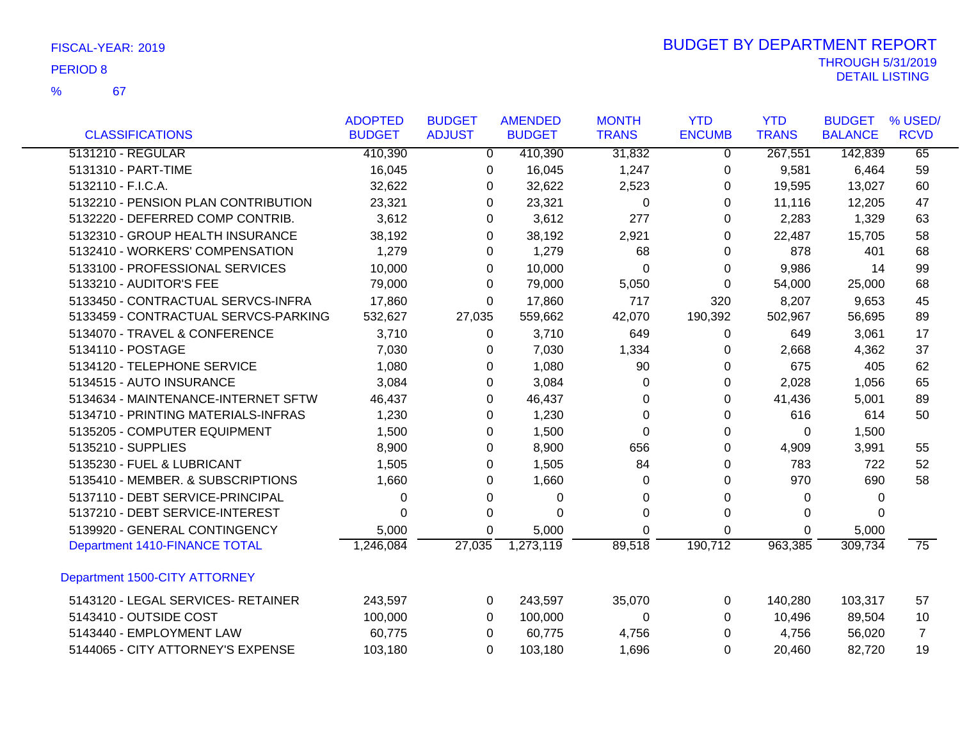67

|                                      | <b>ADOPTED</b> | <b>BUDGET</b>  | <b>AMENDED</b> | <b>MONTH</b> | <b>YTD</b>     | <b>YTD</b>   | <b>BUDGET</b>  | % USED/         |
|--------------------------------------|----------------|----------------|----------------|--------------|----------------|--------------|----------------|-----------------|
| <b>CLASSIFICATIONS</b>               | <b>BUDGET</b>  | <b>ADJUST</b>  | <b>BUDGET</b>  | <b>TRANS</b> | <b>ENCUMB</b>  | <b>TRANS</b> | <b>BALANCE</b> | <b>RCVD</b>     |
| 5131210 - REGULAR                    | 410,390        | $\overline{0}$ | 410,390        | 31,832       | $\overline{0}$ | 267,551      | 142,839        | 65              |
| 5131310 - PART-TIME                  | 16,045         | 0              | 16,045         | 1,247        | 0              | 9,581        | 6,464          | 59              |
| 5132110 - F.I.C.A.                   | 32,622         | 0              | 32,622         | 2,523        | 0              | 19,595       | 13,027         | 60              |
| 5132210 - PENSION PLAN CONTRIBUTION  | 23,321         | 0              | 23,321         | $\Omega$     | $\Omega$       | 11,116       | 12,205         | 47              |
| 5132220 - DEFERRED COMP CONTRIB.     | 3,612          | 0              | 3,612          | 277          | 0              | 2,283        | 1,329          | 63              |
| 5132310 - GROUP HEALTH INSURANCE     | 38,192         | 0              | 38,192         | 2,921        | 0              | 22,487       | 15,705         | 58              |
| 5132410 - WORKERS' COMPENSATION      | 1,279          | 0              | 1,279          | 68           | 0              | 878          | 401            | 68              |
| 5133100 - PROFESSIONAL SERVICES      | 10,000         | 0              | 10,000         | $\Omega$     | 0              | 9,986        | 14             | 99              |
| 5133210 - AUDITOR'S FEE              | 79,000         | 0              | 79,000         | 5,050        | 0              | 54,000       | 25,000         | 68              |
| 5133450 - CONTRACTUAL SERVCS-INFRA   | 17,860         | 0              | 17,860         | 717          | 320            | 8,207        | 9,653          | 45              |
| 5133459 - CONTRACTUAL SERVCS-PARKING | 532,627        | 27,035         | 559,662        | 42,070       | 190,392        | 502,967      | 56,695         | 89              |
| 5134070 - TRAVEL & CONFERENCE        | 3,710          | 0              | 3,710          | 649          | 0              | 649          | 3,061          | 17              |
| 5134110 - POSTAGE                    | 7,030          | 0              | 7,030          | 1,334        | 0              | 2,668        | 4,362          | 37              |
| 5134120 - TELEPHONE SERVICE          | 1,080          | 0              | 1,080          | 90           | 0              | 675          | 405            | 62              |
| 5134515 - AUTO INSURANCE             | 3,084          | 0              | 3,084          | 0            | 0              | 2,028        | 1,056          | 65              |
| 5134634 - MAINTENANCE-INTERNET SFTW  | 46,437         | 0              | 46,437         | 0            | 0              | 41,436       | 5,001          | 89              |
| 5134710 - PRINTING MATERIALS-INFRAS  | 1,230          | 0              | 1,230          | $\Omega$     | 0              | 616          | 614            | 50              |
| 5135205 - COMPUTER EQUIPMENT         | 1,500          | 0              | 1,500          | 0            | 0              | 0            | 1,500          |                 |
| 5135210 - SUPPLIES                   | 8,900          | 0              | 8,900          | 656          | 0              | 4,909        | 3,991          | 55              |
| 5135230 - FUEL & LUBRICANT           | 1,505          | 0              | 1,505          | 84           | 0              | 783          | 722            | 52              |
| 5135410 - MEMBER. & SUBSCRIPTIONS    | 1,660          | 0              | 1,660          | 0            | 0              | 970          | 690            | 58              |
| 5137110 - DEBT SERVICE-PRINCIPAL     | 0              | 0              | 0              | 0            | 0              | 0            | 0              |                 |
| 5137210 - DEBT SERVICE-INTEREST      | $\Omega$       | $\Omega$       | 0              | 0            | 0              | 0            | $\Omega$       |                 |
| 5139920 - GENERAL CONTINGENCY        | 5,000          | 0              | 5,000          | 0            | 0              | 0            | 5,000          |                 |
| Department 1410-FINANCE TOTAL        | 1,246,084      | 27,035         | 1,273,119      | 89,518       | 190,712        | 963,385      | 309,734        | $\overline{75}$ |
| Department 1500-CITY ATTORNEY        |                |                |                |              |                |              |                |                 |
| 5143120 - LEGAL SERVICES- RETAINER   | 243,597        | 0              | 243,597        | 35,070       | 0              | 140,280      | 103,317        | 57              |
| 5143410 - OUTSIDE COST               | 100,000        | 0              | 100,000        | 0            | 0              | 10,496       | 89,504         | 10              |
| 5143440 - EMPLOYMENT LAW             | 60,775         | 0              | 60,775         | 4,756        | 0              | 4,756        | 56,020         | $\overline{7}$  |
| 5144065 - CITY ATTORNEY'S EXPENSE    | 103,180        | 0              | 103,180        | 1,696        | 0              | 20,460       | 82,720         | 19              |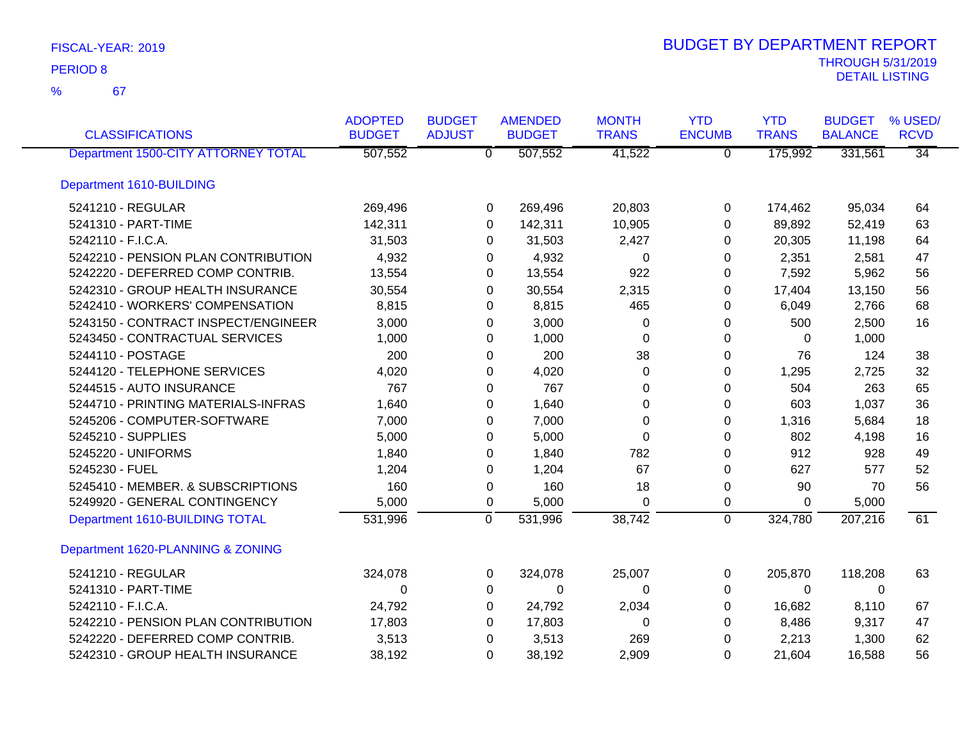67 %

| <b>CLASSIFICATIONS</b>              | <b>ADOPTED</b><br><b>BUDGET</b> | <b>BUDGET</b><br><b>ADJUST</b> | <b>AMENDED</b><br><b>BUDGET</b> | <b>MONTH</b><br><b>TRANS</b> | <b>YTD</b><br><b>ENCUMB</b> | <b>YTD</b><br><b>TRANS</b> | <b>BUDGET</b><br><b>BALANCE</b> | % USED/<br><b>RCVD</b> |
|-------------------------------------|---------------------------------|--------------------------------|---------------------------------|------------------------------|-----------------------------|----------------------------|---------------------------------|------------------------|
| Department 1500-CITY ATTORNEY TOTAL | 507,552                         | $\overline{0}$                 | 507,552                         | 41,522                       | $\overline{0}$              | 175,992                    | 331,561                         | $\overline{34}$        |
| Department 1610-BUILDING            |                                 |                                |                                 |                              |                             |                            |                                 |                        |
| 5241210 - REGULAR                   | 269,496                         | 0                              | 269,496                         | 20,803                       | 0                           | 174,462                    | 95,034                          | 64                     |
| 5241310 - PART-TIME                 | 142,311                         | $\Omega$                       | 142,311                         | 10,905                       | $\Omega$                    | 89,892                     | 52,419                          | 63                     |
| 5242110 - F.I.C.A.                  | 31,503                          | 0                              | 31,503                          | 2,427                        | 0                           | 20,305                     | 11,198                          | 64                     |
| 5242210 - PENSION PLAN CONTRIBUTION | 4,932                           | 0                              | 4,932                           | 0                            | 0                           | 2,351                      | 2,581                           | 47                     |
| 5242220 - DEFERRED COMP CONTRIB.    | 13,554                          | 0                              | 13,554                          | 922                          | 0                           | 7,592                      | 5,962                           | 56                     |
| 5242310 - GROUP HEALTH INSURANCE    | 30,554                          | $\Omega$                       | 30,554                          | 2,315                        | $\Omega$                    | 17,404                     | 13,150                          | 56                     |
| 5242410 - WORKERS' COMPENSATION     | 8,815                           | 0                              | 8,815                           | 465                          | 0                           | 6,049                      | 2,766                           | 68                     |
| 5243150 - CONTRACT INSPECT/ENGINEER | 3,000                           | 0                              | 3,000                           | 0                            | 0                           | 500                        | 2,500                           | 16                     |
| 5243450 - CONTRACTUAL SERVICES      | 1,000                           | 0                              | 1,000                           | $\Omega$                     | 0                           | $\Omega$                   | 1,000                           |                        |
| 5244110 - POSTAGE                   | 200                             | 0                              | 200                             | 38                           | $\pmb{0}$                   | 76                         | 124                             | 38                     |
| 5244120 - TELEPHONE SERVICES        | 4,020                           | 0                              | 4,020                           | $\Omega$                     | $\Omega$                    | 1,295                      | 2,725                           | 32                     |
| 5244515 - AUTO INSURANCE            | 767                             | 0                              | 767                             | 0                            | 0                           | 504                        | 263                             | 65                     |
| 5244710 - PRINTING MATERIALS-INFRAS | 1,640                           | 0                              | 1,640                           | 0                            | 0                           | 603                        | 1,037                           | 36                     |
| 5245206 - COMPUTER-SOFTWARE         | 7,000                           | 0                              | 7,000                           | 0                            | $\pmb{0}$                   | 1,316                      | 5,684                           | 18                     |
| 5245210 - SUPPLIES                  | 5,000                           | 0                              | 5,000                           | 0                            | 0                           | 802                        | 4,198                           | 16                     |
| 5245220 - UNIFORMS                  | 1,840                           | 0                              | 1,840                           | 782                          | $\Omega$                    | 912                        | 928                             | 49                     |
| 5245230 - FUEL                      | 1,204                           | 0                              | 1,204                           | 67                           | $\Omega$                    | 627                        | 577                             | 52                     |
| 5245410 - MEMBER. & SUBSCRIPTIONS   | 160                             | 0                              | 160                             | 18                           | $\pmb{0}$                   | 90                         | 70                              | 56                     |
| 5249920 - GENERAL CONTINGENCY       | 5,000                           | 0                              | 5,000                           | $\Omega$                     | 0                           | 0                          | 5,000                           |                        |
| Department 1610-BUILDING TOTAL      | 531,996                         | $\overline{0}$                 | 531,996                         | 38,742                       | $\mathbf 0$                 | 324,780                    | 207,216                         | 61                     |
| Department 1620-PLANNING & ZONING   |                                 |                                |                                 |                              |                             |                            |                                 |                        |
| 5241210 - REGULAR                   | 324,078                         | 0                              | 324,078                         | 25,007                       | 0                           | 205,870                    | 118,208                         | 63                     |
| 5241310 - PART-TIME                 | $\Omega$                        | 0                              | 0                               | $\Omega$                     | $\Omega$                    | $\Omega$                   | $\Omega$                        |                        |
| 5242110 - F.I.C.A.                  | 24,792                          | 0                              | 24,792                          | 2,034                        | 0                           | 16,682                     | 8,110                           | 67                     |
| 5242210 - PENSION PLAN CONTRIBUTION | 17,803                          | 0                              | 17,803                          | 0                            | 0                           | 8,486                      | 9,317                           | 47                     |
| 5242220 - DEFERRED COMP CONTRIB.    | 3,513                           | 0                              | 3,513                           | 269                          | 0                           | 2,213                      | 1,300                           | 62                     |
| 5242310 - GROUP HEALTH INSURANCE    | 38,192                          | $\Omega$                       | 38,192                          | 2,909                        | $\mathbf 0$                 | 21,604                     | 16,588                          | 56                     |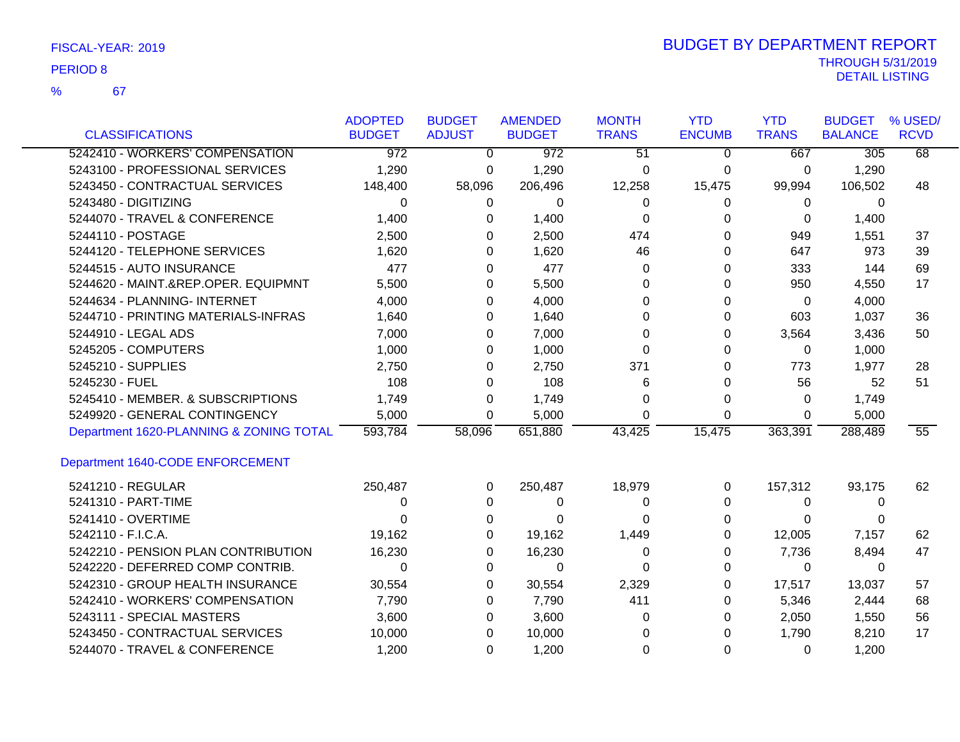67 %

| <b>CLASSIFICATIONS</b>                  | <b>ADOPTED</b><br><b>BUDGET</b> | <b>BUDGET</b><br><b>ADJUST</b> | <b>AMENDED</b><br><b>BUDGET</b> | <b>MONTH</b><br><b>TRANS</b> | <b>YTD</b><br><b>ENCUMB</b> | <b>YTD</b><br><b>TRANS</b> | <b>BUDGET</b><br><b>BALANCE</b> | % USED/<br><b>RCVD</b> |
|-----------------------------------------|---------------------------------|--------------------------------|---------------------------------|------------------------------|-----------------------------|----------------------------|---------------------------------|------------------------|
| 5242410 - WORKERS' COMPENSATION         | $\overline{972}$                | $\Omega$                       | $\overline{972}$                | $\overline{51}$              | $\mathbf{0}$                | 667                        | $\overline{305}$                | 68                     |
| 5243100 - PROFESSIONAL SERVICES         | 1,290                           | 0                              | 1,290                           | 0                            | 0                           | 0                          | 1,290                           |                        |
| 5243450 - CONTRACTUAL SERVICES          | 148,400                         | 58,096                         | 206,496                         | 12,258                       | 15,475                      | 99,994                     | 106,502                         | 48                     |
| 5243480 - DIGITIZING                    | 0                               | 0                              | 0                               | 0                            | 0                           | 0                          | 0                               |                        |
| 5244070 - TRAVEL & CONFERENCE           | 1,400                           | 0                              | 1,400                           | 0                            | 0                           | 0                          | 1,400                           |                        |
| 5244110 - POSTAGE                       | 2,500                           | 0                              | 2,500                           | 474                          | $\Omega$                    | 949                        | 1,551                           | 37                     |
| 5244120 - TELEPHONE SERVICES            | 1,620                           | 0                              | 1,620                           | 46                           | 0                           | 647                        | 973                             | 39                     |
| 5244515 - AUTO INSURANCE                | 477                             | 0                              | 477                             | 0                            | 0                           | 333                        | 144                             | 69                     |
| 5244620 - MAINT.&REP.OPER. EQUIPMNT     | 5,500                           | 0                              | 5,500                           | 0                            | 0                           | 950                        | 4,550                           | 17                     |
| 5244634 - PLANNING- INTERNET            | 4,000                           | 0                              | 4,000                           | 0                            | 0                           | 0                          | 4,000                           |                        |
| 5244710 - PRINTING MATERIALS-INFRAS     | 1,640                           | 0                              | 1,640                           | 0                            | 0                           | 603                        | 1,037                           | 36                     |
| 5244910 - LEGAL ADS                     | 7,000                           | 0                              | 7,000                           | 0                            | 0                           | 3,564                      | 3,436                           | 50                     |
| 5245205 - COMPUTERS                     | 1,000                           | 0                              | 1,000                           | $\Omega$                     | $\Omega$                    | 0                          | 1,000                           |                        |
| 5245210 - SUPPLIES                      | 2,750                           | 0                              | 2,750                           | 371                          | 0                           | 773                        | 1,977                           | 28                     |
| 5245230 - FUEL                          | 108                             | 0                              | 108                             | 6                            | 0                           | 56                         | 52                              | 51                     |
| 5245410 - MEMBER. & SUBSCRIPTIONS       | 1,749                           | 0                              | 1,749                           | 0                            | 0                           | $\Omega$                   | 1,749                           |                        |
| 5249920 - GENERAL CONTINGENCY           | 5,000                           | 0                              | 5,000                           | 0                            | 0                           | 0                          | 5,000                           |                        |
| Department 1620-PLANNING & ZONING TOTAL | 593,784                         | 58,096                         | 651,880                         | 43,425                       | 15,475                      | 363,391                    | 288,489                         | 55                     |
| Department 1640-CODE ENFORCEMENT        |                                 |                                |                                 |                              |                             |                            |                                 |                        |
| 5241210 - REGULAR                       | 250,487                         | 0                              | 250,487                         | 18,979                       | 0                           | 157,312                    | 93,175                          | 62                     |
| 5241310 - PART-TIME                     | 0                               | 0                              | 0                               | 0                            | 0                           | 0                          | 0                               |                        |
| 5241410 - OVERTIME                      | 0                               | 0                              | 0                               | 0                            | 0                           | 0                          | 0                               |                        |
| 5242110 - F.I.C.A.                      | 19,162                          | 0                              | 19,162                          | 1,449                        | 0                           | 12,005                     | 7,157                           | 62                     |
| 5242210 - PENSION PLAN CONTRIBUTION     | 16,230                          | 0                              | 16,230                          | 0                            | 0                           | 7,736                      | 8,494                           | 47                     |
| 5242220 - DEFERRED COMP CONTRIB.        | 0                               | 0                              | $\Omega$                        | $\Omega$                     | $\Omega$                    | $\Omega$                   | 0                               |                        |
| 5242310 - GROUP HEALTH INSURANCE        | 30,554                          | 0                              | 30,554                          | 2,329                        | 0                           | 17,517                     | 13,037                          | 57                     |
| 5242410 - WORKERS' COMPENSATION         | 7,790                           | 0                              | 7,790                           | 411                          | 0                           | 5,346                      | 2,444                           | 68                     |
| 5243111 - SPECIAL MASTERS               | 3,600                           | 0                              | 3,600                           | 0                            | 0                           | 2,050                      | 1,550                           | 56                     |
| 5243450 - CONTRACTUAL SERVICES          | 10,000                          | 0                              | 10,000                          | 0                            | 0                           | 1,790                      | 8,210                           | 17                     |
| 5244070 - TRAVEL & CONFERENCE           | 1,200                           | 0                              | 1,200                           | 0                            | 0                           | 0                          | 1,200                           |                        |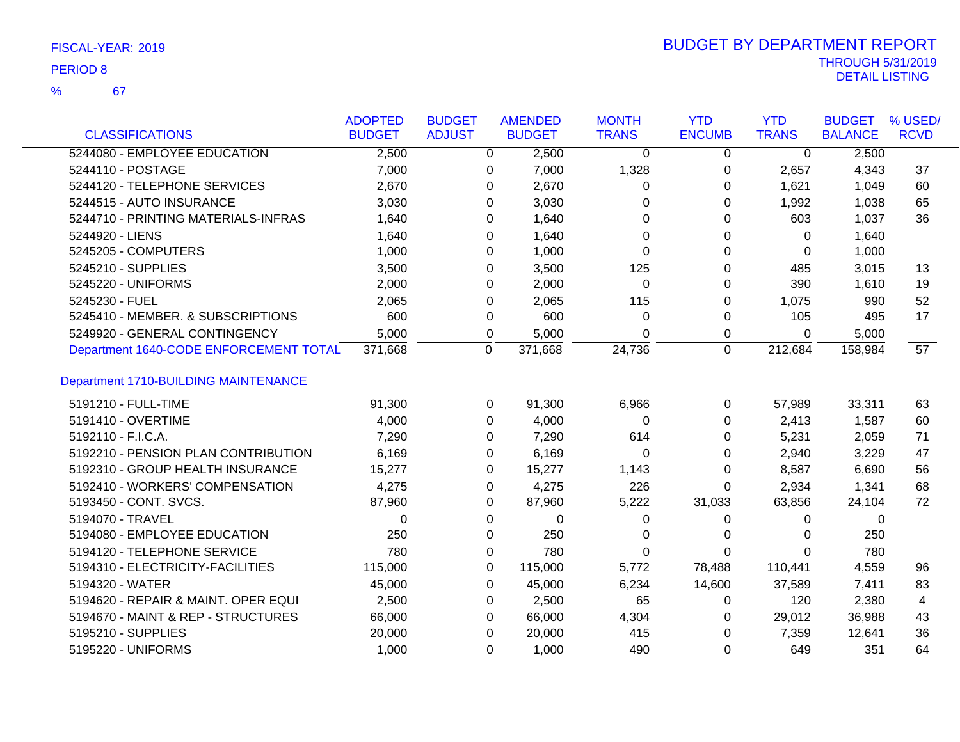67 %

| <b>CLASSIFICATIONS</b>                      | <b>ADOPTED</b><br><b>BUDGET</b> | <b>BUDGET</b><br><b>ADJUST</b> | <b>AMENDED</b><br><b>BUDGET</b> |         | <b>MONTH</b><br><b>TRANS</b> | <b>YTD</b><br><b>ENCUMB</b> | <b>YTD</b><br><b>TRANS</b> | <b>BUDGET</b><br><b>BALANCE</b> | % USED/<br><b>RCVD</b> |
|---------------------------------------------|---------------------------------|--------------------------------|---------------------------------|---------|------------------------------|-----------------------------|----------------------------|---------------------------------|------------------------|
| 5244080 - EMPLOYEE EDUCATION                | 2,500                           | $\overline{0}$                 |                                 | 2,500   | $\overline{0}$               | $\overline{0}$              | $\overline{0}$             | 2,500                           |                        |
| 5244110 - POSTAGE                           | 7,000                           |                                |                                 | 7,000   | 1,328                        |                             | 2,657                      | 4,343                           | 37                     |
| 5244120 - TELEPHONE SERVICES                |                                 | 0                              |                                 |         |                              | 0                           |                            |                                 |                        |
|                                             | 2,670                           | 0                              |                                 | 2,670   | 0                            | 0                           | 1,621                      | 1,049                           | 60                     |
| 5244515 - AUTO INSURANCE                    | 3,030                           | 0                              |                                 | 3,030   | $\Omega$                     | 0                           | 1,992                      | 1,038                           | 65                     |
| 5244710 - PRINTING MATERIALS-INFRAS         | 1,640                           | 0                              |                                 | 1,640   | 0                            | 0                           | 603                        | 1,037                           | 36                     |
| 5244920 - LIENS                             | 1,640                           | 0                              |                                 | 1,640   | 0                            | 0                           | 0                          | 1,640                           |                        |
| 5245205 - COMPUTERS                         | 1,000                           | 0                              |                                 | 1,000   | $\Omega$                     | 0                           | 0                          | 1,000                           |                        |
| 5245210 - SUPPLIES                          | 3,500                           | $\Omega$                       |                                 | 3,500   | 125                          | 0                           | 485                        | 3,015                           | 13                     |
| 5245220 - UNIFORMS                          | 2,000                           | $\Omega$                       |                                 | 2,000   | $\Omega$                     | 0                           | 390                        | 1,610                           | 19                     |
| 5245230 - FUEL                              | 2,065                           | 0                              |                                 | 2,065   | 115                          | 0                           | 1,075                      | 990                             | 52                     |
| 5245410 - MEMBER. & SUBSCRIPTIONS           | 600                             | 0                              |                                 | 600     | 0                            | 0                           | 105                        | 495                             | 17                     |
| 5249920 - GENERAL CONTINGENCY               | 5,000                           | 0                              |                                 | 5,000   | $\Omega$                     | 0                           | 0                          | 5,000                           |                        |
| Department 1640-CODE ENFORCEMENT TOTAL      | 371,668                         | 0                              |                                 | 371,668 | 24,736                       | 0                           | 212,684                    | 158,984                         | $\overline{57}$        |
| <b>Department 1710-BUILDING MAINTENANCE</b> |                                 |                                |                                 |         |                              |                             |                            |                                 |                        |
| 5191210 - FULL-TIME                         | 91,300                          | 0                              |                                 | 91,300  | 6,966                        | 0                           | 57,989                     | 33,311                          | 63                     |
| 5191410 - OVERTIME                          | 4,000                           | $\mathbf{0}$                   |                                 | 4,000   | $\Omega$                     | 0                           | 2,413                      | 1,587                           | 60                     |
| 5192110 - F.I.C.A.                          | 7,290                           | $\Omega$                       |                                 | 7,290   | 614                          | 0                           | 5,231                      | 2,059                           | 71                     |
| 5192210 - PENSION PLAN CONTRIBUTION         | 6,169                           | 0                              |                                 | 6,169   | 0                            | 0                           | 2,940                      | 3,229                           | 47                     |
| 5192310 - GROUP HEALTH INSURANCE            | 15,277                          | 0                              |                                 | 15,277  | 1,143                        | 0                           | 8,587                      | 6,690                           | 56                     |
| 5192410 - WORKERS' COMPENSATION             | 4,275                           | 0                              |                                 | 4,275   | 226                          | 0                           | 2,934                      | 1,341                           | 68                     |
| 5193450 - CONT. SVCS.                       | 87,960                          | 0                              |                                 | 87,960  | 5,222                        | 31,033                      | 63,856                     | 24,104                          | 72                     |
| 5194070 - TRAVEL                            | 0                               | 0                              |                                 | 0       | 0                            | 0                           | 0                          | 0                               |                        |
| 5194080 - EMPLOYEE EDUCATION                | 250                             | $\Omega$                       |                                 | 250     | $\Omega$                     | 0                           | 0                          | 250                             |                        |
| 5194120 - TELEPHONE SERVICE                 | 780                             | 0                              |                                 | 780     | $\Omega$                     | 0                           | $\Omega$                   | 780                             |                        |
| 5194310 - ELECTRICITY-FACILITIES            | 115,000                         | $\mathbf 0$                    |                                 | 115,000 | 5,772                        | 78,488                      | 110,441                    | 4,559                           | 96                     |
| 5194320 - WATER                             | 45,000                          | 0                              |                                 | 45,000  | 6,234                        | 14,600                      | 37,589                     | 7,411                           | 83                     |
| 5194620 - REPAIR & MAINT. OPER EQUI         | 2,500                           | 0                              |                                 | 2,500   | 65                           | 0                           | 120                        | 2,380                           | 4                      |
| 5194670 - MAINT & REP - STRUCTURES          | 66,000                          | 0                              |                                 | 66,000  | 4,304                        | 0                           | 29,012                     | 36,988                          | 43                     |
| 5195210 - SUPPLIES                          | 20,000                          | 0                              |                                 | 20,000  | 415                          | 0                           | 7,359                      | 12,641                          | 36                     |
| 5195220 - UNIFORMS                          | 1,000                           | $\Omega$                       |                                 | 1,000   | 490                          | 0                           | 649                        | 351                             | 64                     |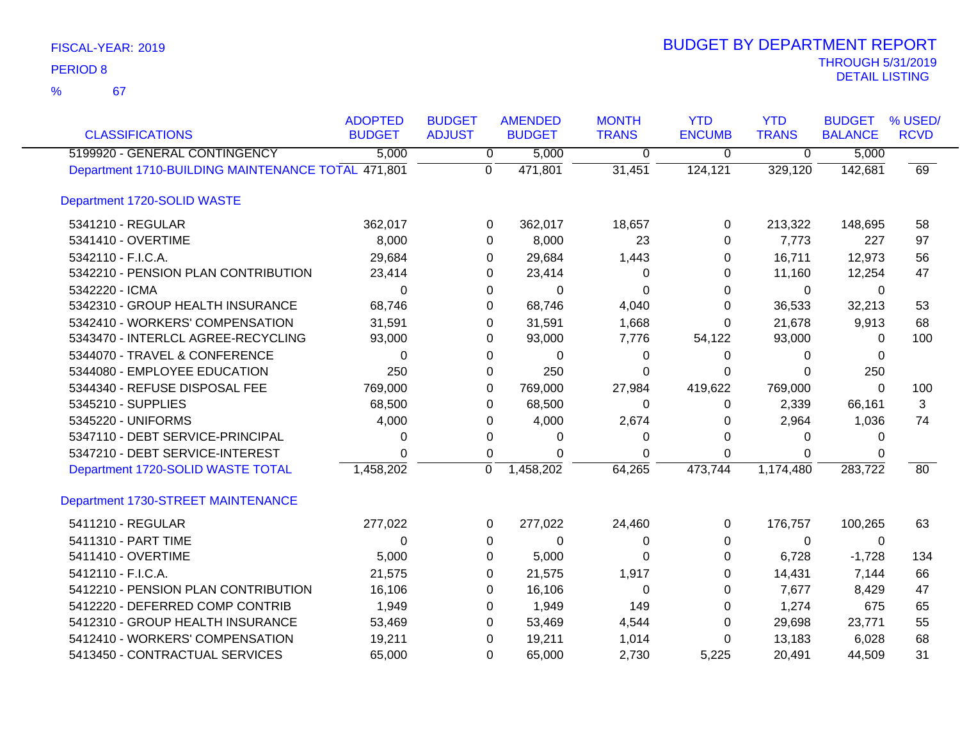67 %

| <b>CLASSIFICATIONS</b>                             | <b>ADOPTED</b><br><b>BUDGET</b> | <b>BUDGET</b><br><b>ADJUST</b> | <b>AMENDED</b><br><b>BUDGET</b> | <b>MONTH</b><br><b>TRANS</b> | <b>YTD</b><br><b>ENCUMB</b> | <b>YTD</b><br><b>TRANS</b> | <b>BUDGET</b><br><b>BALANCE</b> | % USED/<br><b>RCVD</b> |
|----------------------------------------------------|---------------------------------|--------------------------------|---------------------------------|------------------------------|-----------------------------|----------------------------|---------------------------------|------------------------|
| 5199920 - GENERAL CONTINGENCY                      | 5,000                           | $\overline{0}$                 | 5,000                           | 0                            | 0                           | $\overline{0}$             | 5,000                           |                        |
| Department 1710-BUILDING MAINTENANCE TOTAL 471,801 |                                 | $\overline{0}$                 | 471,801                         | 31,451                       | 124,121                     | 329,120                    | 142,681                         | 69                     |
| Department 1720-SOLID WASTE                        |                                 |                                |                                 |                              |                             |                            |                                 |                        |
| 5341210 - REGULAR                                  | 362,017                         | 0                              | 362,017                         | 18,657                       | 0                           | 213,322                    | 148,695                         | 58                     |
| 5341410 - OVERTIME                                 | 8,000                           | $\Omega$                       | 8,000                           | 23                           | 0                           | 7,773                      | 227                             | 97                     |
| 5342110 - F.I.C.A.                                 | 29,684                          | 0                              | 29,684                          | 1,443                        | 0                           | 16,711                     | 12,973                          | 56                     |
| 5342210 - PENSION PLAN CONTRIBUTION                | 23,414                          | 0                              | 23,414                          | 0                            | 0                           | 11,160                     | 12,254                          | 47                     |
| 5342220 - ICMA                                     | $\Omega$                        | $\Omega$                       | 0                               | 0                            | 0                           | 0                          | 0                               |                        |
| 5342310 - GROUP HEALTH INSURANCE                   | 68,746                          | $\Omega$                       | 68,746                          | 4,040                        | 0                           | 36,533                     | 32,213                          | 53                     |
| 5342410 - WORKERS' COMPENSATION                    | 31,591                          | $\Omega$                       | 31,591                          | 1,668                        | 0                           | 21,678                     | 9,913                           | 68                     |
| 5343470 - INTERLCL AGREE-RECYCLING                 | 93,000                          | 0                              | 93,000                          | 7,776                        | 54,122                      | 93,000                     | 0                               | 100                    |
| 5344070 - TRAVEL & CONFERENCE                      | $\Omega$                        | $\Omega$                       | $\Omega$                        | 0                            | 0                           | 0                          | 0                               |                        |
| 5344080 - EMPLOYEE EDUCATION                       | 250                             | 0                              | 250                             | 0                            | 0                           | $\Omega$                   | 250                             |                        |
| 5344340 - REFUSE DISPOSAL FEE                      | 769,000                         | $\Omega$                       | 769,000                         | 27,984                       | 419,622                     | 769,000                    | $\Omega$                        | 100                    |
| 5345210 - SUPPLIES                                 | 68,500                          | 0                              | 68,500                          | 0                            | $\pmb{0}$                   | 2,339                      | 66,161                          | 3                      |
| 5345220 - UNIFORMS                                 | 4,000                           | 0                              | 4,000                           | 2,674                        | 0                           | 2,964                      | 1,036                           | 74                     |
| 5347110 - DEBT SERVICE-PRINCIPAL                   | $\Omega$                        | 0                              | 0                               | 0                            | 0                           | 0                          | 0                               |                        |
| 5347210 - DEBT SERVICE-INTEREST                    | $\Omega$                        | 0                              | 0                               | $\Omega$                     | 0                           | $\Omega$                   | 0                               |                        |
| Department 1720-SOLID WASTE TOTAL                  | 1,458,202                       | $\Omega$                       | 1,458,202                       | 64,265                       | 473,744                     | 1,174,480                  | 283,722                         | 80                     |
| Department 1730-STREET MAINTENANCE                 |                                 |                                |                                 |                              |                             |                            |                                 |                        |
| 5411210 - REGULAR                                  | 277,022                         | 0                              | 277,022                         | 24,460                       | 0                           | 176,757                    | 100,265                         | 63                     |
| 5411310 - PART TIME                                | $\Omega$                        | $\Omega$                       | 0                               | 0                            | 0                           | $\Omega$                   | $\Omega$                        |                        |
| 5411410 - OVERTIME                                 | 5,000                           | 0                              | 5,000                           | 0                            | 0                           | 6,728                      | $-1,728$                        | 134                    |
| 5412110 - F.I.C.A.                                 | 21,575                          | 0                              | 21,575                          | 1,917                        | 0                           | 14,431                     | 7,144                           | 66                     |
| 5412210 - PENSION PLAN CONTRIBUTION                | 16,106                          | 0                              | 16,106                          | 0                            | 0                           | 7,677                      | 8,429                           | 47                     |
| 5412220 - DEFERRED COMP CONTRIB                    | 1,949                           | 0                              | 1,949                           | 149                          | 0                           | 1,274                      | 675                             | 65                     |
| 5412310 - GROUP HEALTH INSURANCE                   | 53,469                          | 0                              | 53,469                          | 4,544                        | 0                           | 29,698                     | 23,771                          | 55                     |
| 5412410 - WORKERS' COMPENSATION                    | 19,211                          | 0                              | 19,211                          | 1,014                        | 0                           | 13,183                     | 6,028                           | 68                     |
| 5413450 - CONTRACTUAL SERVICES                     | 65,000                          | $\mathbf 0$                    | 65,000                          | 2,730                        | 5,225                       | 20,491                     | 44,509                          | 31                     |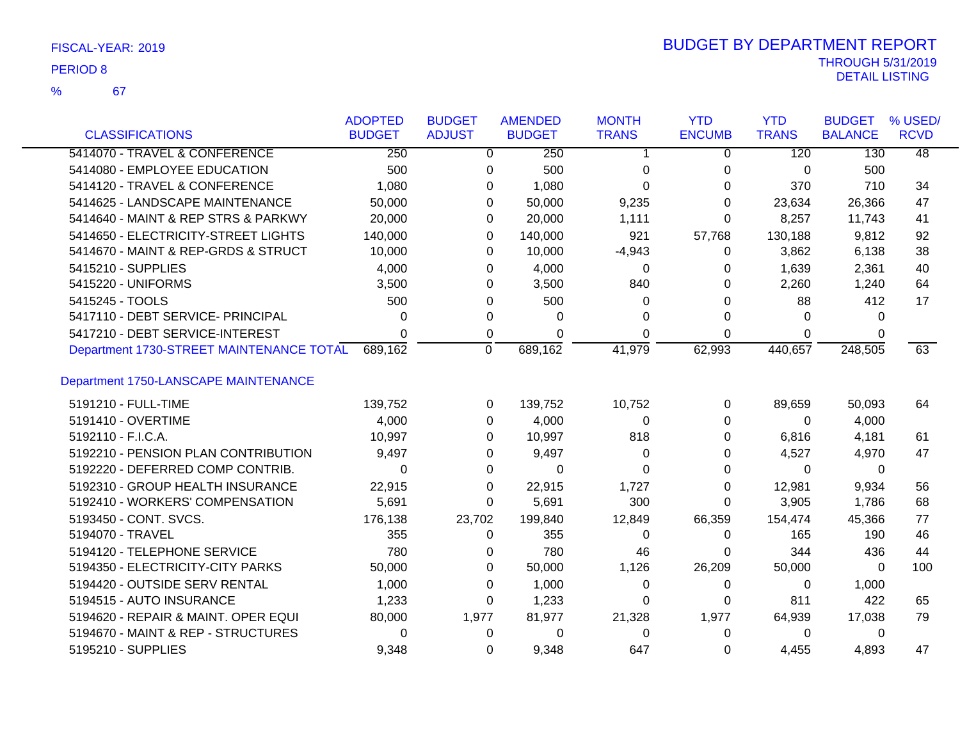| FISCAL-YEAR: 2019 |  |
|-------------------|--|
|                   |  |

67 %

| <b>CLASSIFICATIONS</b>                   | <b>ADOPTED</b><br><b>BUDGET</b> | <b>BUDGET</b><br><b>ADJUST</b> | <b>AMENDED</b><br><b>BUDGET</b> | <b>MONTH</b><br><b>TRANS</b> | <b>YTD</b><br><b>ENCUMB</b> | <b>YTD</b><br><b>TRANS</b> | <b>BUDGET</b><br><b>BALANCE</b> | % USED/<br><b>RCVD</b> |
|------------------------------------------|---------------------------------|--------------------------------|---------------------------------|------------------------------|-----------------------------|----------------------------|---------------------------------|------------------------|
| 5414070 - TRAVEL & CONFERENCE            | 250                             |                                | 250                             |                              |                             | 120                        | 130                             | $\overline{48}$        |
|                                          |                                 | 0                              |                                 | 1                            | 0                           |                            |                                 |                        |
| 5414080 - EMPLOYEE EDUCATION             | 500                             | 0                              | 500                             | 0                            | 0                           | 0                          | 500                             |                        |
| 5414120 - TRAVEL & CONFERENCE            | 1,080                           | 0                              | 1,080                           | 0                            | 0                           | 370                        | 710                             | 34                     |
| 5414625 - LANDSCAPE MAINTENANCE          | 50,000                          | 0                              | 50,000                          | 9,235                        | 0                           | 23,634                     | 26,366                          | 47                     |
| 5414640 - MAINT & REP STRS & PARKWY      | 20,000                          | 0                              | 20,000                          | 1,111                        | $\Omega$                    | 8,257                      | 11,743                          | 41                     |
| 5414650 - ELECTRICITY-STREET LIGHTS      | 140,000                         | 0                              | 140,000                         | 921                          | 57,768                      | 130,188                    | 9,812                           | 92                     |
| 5414670 - MAINT & REP-GRDS & STRUCT      | 10,000                          | 0                              | 10,000                          | $-4,943$                     | 0                           | 3,862                      | 6,138                           | 38                     |
| 5415210 - SUPPLIES                       | 4,000                           | 0                              | 4,000                           | 0                            | 0                           | 1,639                      | 2,361                           | 40                     |
| 5415220 - UNIFORMS                       | 3,500                           | 0                              | 3,500                           | 840                          | 0                           | 2,260                      | 1,240                           | 64                     |
| 5415245 - TOOLS                          | 500                             | $\Omega$                       | 500                             | 0                            | 0                           | 88                         | 412                             | 17                     |
| 5417110 - DEBT SERVICE- PRINCIPAL        | 0                               | 0                              | $\Omega$                        | 0                            | $\Omega$                    | $\Omega$                   | $\Omega$                        |                        |
| 5417210 - DEBT SERVICE-INTEREST          | $\Omega$                        | 0                              | $\Omega$                        | 0                            | 0                           | $\Omega$                   | $\Omega$                        |                        |
| Department 1730-STREET MAINTENANCE TOTAL | 689,162                         | $\Omega$                       | 689,162                         | 41,979                       | 62,993                      | 440,657                    | 248,505                         | 63                     |
| Department 1750-LANSCAPE MAINTENANCE     |                                 |                                |                                 |                              |                             |                            |                                 |                        |
| 5191210 - FULL-TIME                      | 139,752                         | 0                              | 139,752                         | 10,752                       | 0                           | 89,659                     | 50,093                          | 64                     |
| 5191410 - OVERTIME                       | 4,000                           | 0                              | 4,000                           | $\Omega$                     | 0                           | 0                          | 4,000                           |                        |
| 5192110 - F.I.C.A.                       | 10,997                          | 0                              | 10,997                          | 818                          | 0                           | 6,816                      | 4,181                           | 61                     |
| 5192210 - PENSION PLAN CONTRIBUTION      | 9,497                           | 0                              | 9,497                           | 0                            | 0                           | 4,527                      | 4,970                           | 47                     |
| 5192220 - DEFERRED COMP CONTRIB.         | 0                               | 0                              | $\Omega$                        | 0                            | 0                           | $\Omega$                   | 0                               |                        |
| 5192310 - GROUP HEALTH INSURANCE         | 22,915                          | 0                              | 22,915                          | 1,727                        | 0                           | 12,981                     | 9,934                           | 56                     |
| 5192410 - WORKERS' COMPENSATION          | 5,691                           | 0                              | 5,691                           | 300                          | 0                           | 3,905                      | 1,786                           | 68                     |
| 5193450 - CONT. SVCS.                    | 176,138                         | 23,702                         | 199,840                         | 12,849                       | 66,359                      | 154,474                    | 45,366                          | 77                     |
| 5194070 - TRAVEL                         | 355                             | 0                              | 355                             | 0                            | $\Omega$                    | 165                        | 190                             | 46                     |
| 5194120 - TELEPHONE SERVICE              | 780                             | 0                              | 780                             | 46                           | 0                           | 344                        | 436                             | 44                     |
| 5194350 - ELECTRICITY-CITY PARKS         | 50,000                          | 0                              | 50,000                          | 1,126                        | 26,209                      | 50,000                     | $\Omega$                        | 100                    |
| 5194420 - OUTSIDE SERV RENTAL            | 1,000                           | 0                              | 1,000                           | 0                            | 0                           | 0                          | 1,000                           |                        |
| 5194515 - AUTO INSURANCE                 | 1,233                           | 0                              | 1,233                           | 0                            | 0                           | 811                        | 422                             | 65                     |
| 5194620 - REPAIR & MAINT. OPER EQUI      | 80,000                          | 1,977                          | 81,977                          | 21,328                       | 1,977                       | 64,939                     | 17,038                          | 79                     |
| 5194670 - MAINT & REP - STRUCTURES       | 0                               | 0                              | 0                               | 0                            | 0                           | 0                          | 0                               |                        |
| 5195210 - SUPPLIES                       | 9,348                           | $\Omega$                       | 9,348                           | 647                          | 0                           | 4,455                      | 4,893                           | 47                     |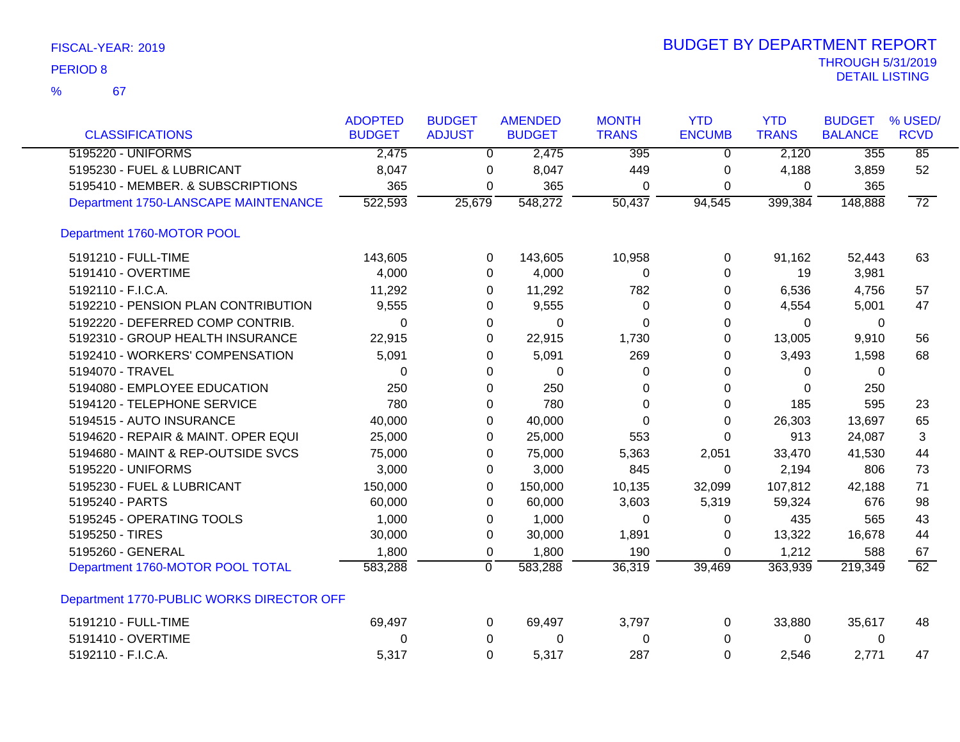| <b>CLASSIFICATIONS</b>                    | <b>ADOPTED</b><br><b>BUDGET</b> | <b>BUDGET</b><br><b>ADJUST</b> | <b>AMENDED</b><br><b>BUDGET</b> | <b>MONTH</b><br><b>TRANS</b> | <b>YTD</b><br><b>ENCUMB</b> | <b>YTD</b><br><b>TRANS</b> | <b>BUDGET</b><br><b>BALANCE</b> | % USED/<br><b>RCVD</b> |
|-------------------------------------------|---------------------------------|--------------------------------|---------------------------------|------------------------------|-----------------------------|----------------------------|---------------------------------|------------------------|
| 5195220 - UNIFORMS                        | 2,475                           | $\overline{0}$                 | 2,475                           | 395                          | 0                           | 2,120                      | 355                             | 85                     |
| 5195230 - FUEL & LUBRICANT                | 8,047                           | 0                              | 8,047                           | 449                          | 0                           | 4,188                      | 3,859                           | 52                     |
| 5195410 - MEMBER. & SUBSCRIPTIONS         | 365                             | 0                              | 365                             | $\Omega$                     | 0                           | 0                          | 365                             |                        |
| Department 1750-LANSCAPE MAINTENANCE      | 522,593                         | 25,679                         | 548,272                         | $\overline{50,437}$          | 94,545                      | 399,384                    | 148,888                         | $\overline{72}$        |
| Department 1760-MOTOR POOL                |                                 |                                |                                 |                              |                             |                            |                                 |                        |
| 5191210 - FULL-TIME                       | 143,605                         | 0                              | 143,605                         | 10,958                       | 0                           | 91,162                     | 52,443                          | 63                     |
| 5191410 - OVERTIME                        | 4,000                           | $\Omega$                       | 4,000                           | 0                            | $\Omega$                    | 19                         | 3,981                           |                        |
| 5192110 - F.I.C.A.                        | 11,292                          | 0                              | 11,292                          | 782                          | 0                           | 6,536                      | 4,756                           | 57                     |
| 5192210 - PENSION PLAN CONTRIBUTION       | 9,555                           | 0                              | 9,555                           | $\Omega$                     | 0                           | 4,554                      | 5,001                           | 47                     |
| 5192220 - DEFERRED COMP CONTRIB.          | 0                               | 0                              | $\mathbf 0$                     | $\Omega$                     | 0                           | 0                          | 0                               |                        |
| 5192310 - GROUP HEALTH INSURANCE          | 22,915                          | 0                              | 22,915                          | 1,730                        | 0                           | 13,005                     | 9,910                           | 56                     |
| 5192410 - WORKERS' COMPENSATION           | 5,091                           | 0                              | 5,091                           | 269                          | 0                           | 3,493                      | 1,598                           | 68                     |
| 5194070 - TRAVEL                          | 0                               | 0                              | 0                               | 0                            | 0                           | 0                          | 0                               |                        |
| 5194080 - EMPLOYEE EDUCATION              | 250                             | $\Omega$                       | 250                             | $\Omega$                     | 0                           | $\Omega$                   | 250                             |                        |
| 5194120 - TELEPHONE SERVICE               | 780                             | 0                              | 780                             | 0                            | 0                           | 185                        | 595                             | 23                     |
| 5194515 - AUTO INSURANCE                  | 40,000                          | 0                              | 40,000                          | 0                            | 0                           | 26,303                     | 13,697                          | 65                     |
| 5194620 - REPAIR & MAINT. OPER EQUI       | 25,000                          | 0                              | 25,000                          | 553                          | $\Omega$                    | 913                        | 24,087                          | 3                      |
| 5194680 - MAINT & REP-OUTSIDE SVCS        | 75,000                          | 0                              | 75,000                          | 5,363                        | 2,051                       | 33,470                     | 41,530                          | 44                     |
| 5195220 - UNIFORMS                        | 3,000                           | 0                              | 3,000                           | 845                          | 0                           | 2,194                      | 806                             | 73                     |
| 5195230 - FUEL & LUBRICANT                | 150,000                         | 0                              | 150,000                         | 10,135                       | 32,099                      | 107,812                    | 42,188                          | 71                     |
| 5195240 - PARTS                           | 60,000                          | 0                              | 60,000                          | 3,603                        | 5,319                       | 59,324                     | 676                             | 98                     |
| 5195245 - OPERATING TOOLS                 | 1,000                           | 0                              | 1,000                           | 0                            | 0                           | 435                        | 565                             | 43                     |
| 5195250 - TIRES                           | 30,000                          | 0                              | 30,000                          | 1,891                        | 0                           | 13,322                     | 16,678                          | 44                     |
| 5195260 - GENERAL                         | 1,800                           | 0                              | 1,800                           | 190                          | 0                           | 1,212                      | 588                             | 67                     |
| Department 1760-MOTOR POOL TOTAL          | 583,288                         | 0                              | 583,288                         | 36,319                       | 39,469                      | 363,939                    | 219,349                         | $\overline{62}$        |
| Department 1770-PUBLIC WORKS DIRECTOR OFF |                                 |                                |                                 |                              |                             |                            |                                 |                        |
| 5191210 - FULL-TIME                       | 69,497                          | 0                              | 69,497                          | 3,797                        | 0                           | 33,880                     | 35,617                          | 48                     |
| 5191410 - OVERTIME                        | 0                               | 0                              | 0                               | 0                            | 0                           | 0                          | 0                               |                        |
| 5192110 - F.I.C.A.                        | 5,317                           | $\Omega$                       | 5,317                           | 287                          | $\Omega$                    | 2,546                      | 2,771                           | 47                     |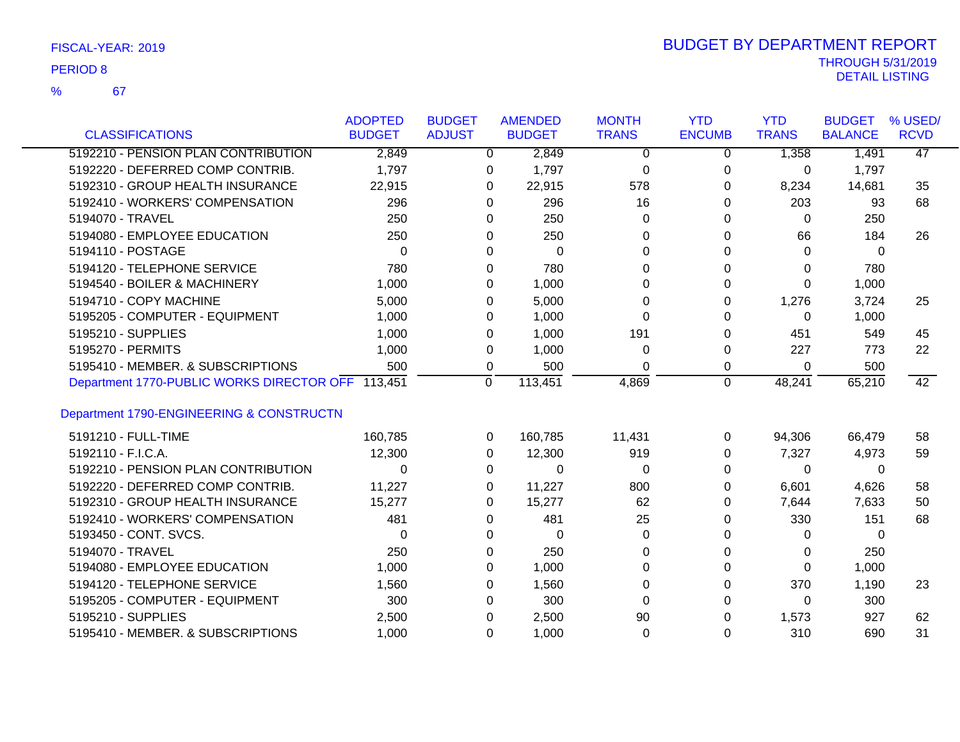67

%

|                                           | <b>ADOPTED</b> | <b>BUDGET</b> | <b>AMENDED</b> | <b>MONTH</b> | <b>YTD</b>    | <b>YTD</b>   | <b>BUDGET</b>  | % USED/         |
|-------------------------------------------|----------------|---------------|----------------|--------------|---------------|--------------|----------------|-----------------|
| <b>CLASSIFICATIONS</b>                    | <b>BUDGET</b>  | <b>ADJUST</b> | <b>BUDGET</b>  | <b>TRANS</b> | <b>ENCUMB</b> | <b>TRANS</b> | <b>BALANCE</b> | <b>RCVD</b>     |
| 5192210 - PENSION PLAN CONTRIBUTION       | 2,849          | $\Omega$      | 2,849          | $\Omega$     | 0             | 1,358        | 1,491          | $\overline{47}$ |
| 5192220 - DEFERRED COMP CONTRIB.          | 1,797          | 0             | 1,797          | $\mathbf 0$  | 0             | 0            | 1,797          |                 |
| 5192310 - GROUP HEALTH INSURANCE          | 22,915         | $\Omega$      | 22,915         | 578          | 0             | 8,234        | 14,681         | 35              |
| 5192410 - WORKERS' COMPENSATION           | 296            | $\Omega$      | 296            | 16           | $\Omega$      | 203          | 93             | 68              |
| 5194070 - TRAVEL                          | 250            | 0             | 250            | 0            | 0             | 0            | 250            |                 |
| 5194080 - EMPLOYEE EDUCATION              | 250            | $\Omega$      | 250            | $\Omega$     | 0             | 66           | 184            | 26              |
| 5194110 - POSTAGE                         | $\Omega$       | $\Omega$      | $\Omega$       | $\Omega$     | $\Omega$      | 0            | 0              |                 |
| 5194120 - TELEPHONE SERVICE               | 780            | 0             | 780            | 0            | 0             | 0            | 780            |                 |
| 5194540 - BOILER & MACHINERY              | 1,000          | $\Omega$      | 1,000          | $\Omega$     | 0             | 0            | 1,000          |                 |
| 5194710 - COPY MACHINE                    | 5,000          | 0             | 5,000          | $\Omega$     | 0             | 1,276        | 3,724          | 25              |
| 5195205 - COMPUTER - EQUIPMENT            | 1,000          | 0             | 1,000          | $\Omega$     | $\Omega$      | $\Omega$     | 1,000          |                 |
| 5195210 - SUPPLIES                        | 1,000          | 0             | 1,000          | 191          | 0             | 451          | 549            | 45              |
| 5195270 - PERMITS                         | 1,000          | 0             | 1,000          | $\Omega$     | 0             | 227          | 773            | 22              |
| 5195410 - MEMBER, & SUBSCRIPTIONS         | 500            | 0             | 500            | $\Omega$     | 0             | $\Omega$     | 500            |                 |
| Department 1770-PUBLIC WORKS DIRECTOR OFF | 113,451        | $\Omega$      | 113,451        | 4,869        | $\Omega$      | 48,241       | 65,210         | 42              |
|                                           |                |               |                |              |               |              |                |                 |
| Department 1790-ENGINEERING & CONSTRUCTN  |                |               |                |              |               |              |                |                 |
| 5191210 - FULL-TIME                       | 160,785        | 0             | 160,785        | 11,431       | 0             | 94,306       | 66,479         | 58              |
| 5192110 - F.I.C.A.                        | 12,300         | 0             | 12,300         | 919          | 0             | 7,327        | 4,973          | 59              |
| 5192210 - PENSION PLAN CONTRIBUTION       | $\Omega$       | $\Omega$      | $\Omega$       | $\Omega$     | $\Omega$      | $\Omega$     | 0              |                 |
| 5192220 - DEFERRED COMP CONTRIB.          | 11,227         | 0             | 11,227         | 800          | 0             | 6,601        | 4,626          | 58              |
| 5192310 - GROUP HEALTH INSURANCE          | 15,277         | 0             | 15,277         | 62           | 0             | 7,644        | 7,633          | 50              |
| 5192410 - WORKERS' COMPENSATION           | 481            | 0             | 481            | 25           | 0             | 330          | 151            | 68              |
| 5193450 - CONT. SVCS.                     | $\Omega$       | $\Omega$      | 0              | $\Omega$     | 0             | 0            | 0              |                 |
| 5194070 - TRAVEL                          | 250            | 0             | 250            | $\Omega$     | 0             | 0            | 250            |                 |
| 5194080 - EMPLOYEE EDUCATION              | 1,000          | 0             | 1,000          | $\Omega$     | $\Omega$      | $\Omega$     | 1,000          |                 |
| 5194120 - TELEPHONE SERVICE               | 1,560          | $\Omega$      | 1,560          | $\Omega$     | 0             | 370          | 1,190          | 23              |
| 5195205 - COMPUTER - EQUIPMENT            | 300            | 0             | 300            | $\Omega$     | $\Omega$      | 0            | 300            |                 |
| 5195210 - SUPPLIES                        | 2,500          | 0             | 2,500          | 90           | 0             | 1,573        | 927            | 62              |
| 5195410 - MEMBER. & SUBSCRIPTIONS         | 1,000          | $\Omega$      | 1,000          | $\Omega$     | $\Omega$      | 310          | 690            | 31              |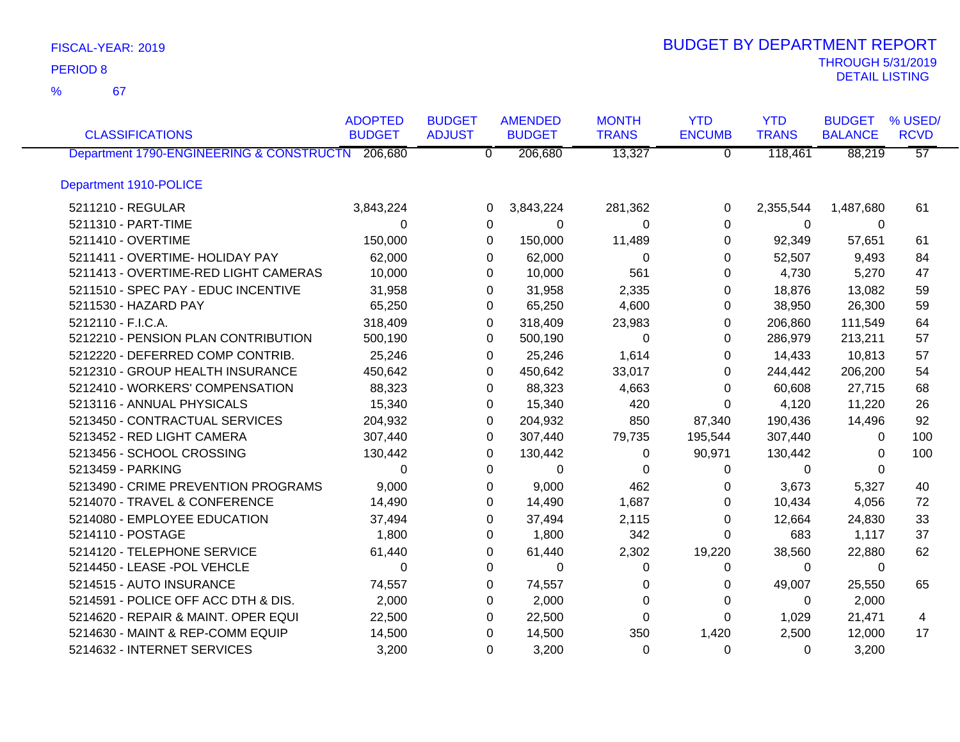67 %

| <b>CLASSIFICATIONS</b>                           | <b>ADOPTED</b><br><b>BUDGET</b> | <b>BUDGET</b><br><b>ADJUST</b> | <b>AMENDED</b><br><b>BUDGET</b> | <b>MONTH</b><br><b>TRANS</b> | <b>YTD</b><br><b>ENCUMB</b> | <b>YTD</b><br><b>TRANS</b> | <b>BUDGET</b><br><b>BALANCE</b> | % USED/<br><b>RCVD</b> |
|--------------------------------------------------|---------------------------------|--------------------------------|---------------------------------|------------------------------|-----------------------------|----------------------------|---------------------------------|------------------------|
| Department 1790-ENGINEERING & CONSTRUCTN 206,680 |                                 | $\overline{0}$                 | 206,680                         | 13,327                       | $\overline{0}$              | 118,461                    | 88,219                          | $\overline{57}$        |
| Department 1910-POLICE                           |                                 |                                |                                 |                              |                             |                            |                                 |                        |
| 5211210 - REGULAR                                | 3,843,224                       | 0                              | 3,843,224                       | 281,362                      | 0                           | 2,355,544                  | 1,487,680                       | 61                     |
| 5211310 - PART-TIME                              | $\Omega$                        | 0                              | 0                               | $\Omega$                     | $\Omega$                    | $\Omega$                   | $\Omega$                        |                        |
| 5211410 - OVERTIME                               | 150,000                         | $\Omega$                       | 150,000                         | 11,489                       | 0                           | 92,349                     | 57,651                          | 61                     |
| 5211411 - OVERTIME- HOLIDAY PAY                  | 62,000                          | 0                              | 62,000                          | 0                            | 0                           | 52,507                     | 9,493                           | 84                     |
| 5211413 - OVERTIME-RED LIGHT CAMERAS             | 10,000                          | 0                              | 10,000                          | 561                          | 0                           | 4,730                      | 5,270                           | 47                     |
| 5211510 - SPEC PAY - EDUC INCENTIVE              | 31,958                          | 0                              | 31,958                          | 2,335                        | 0                           | 18,876                     | 13,082                          | 59                     |
| 5211530 - HAZARD PAY                             | 65,250                          | 0                              | 65,250                          | 4,600                        | 0                           | 38,950                     | 26,300                          | 59                     |
| 5212110 - F.I.C.A.                               | 318,409                         | 0                              | 318,409                         | 23,983                       | 0                           | 206,860                    | 111,549                         | 64                     |
| 5212210 - PENSION PLAN CONTRIBUTION              | 500,190                         | 0                              | 500,190                         | $\Omega$                     | 0                           | 286,979                    | 213,211                         | 57                     |
| 5212220 - DEFERRED COMP CONTRIB.                 | 25,246                          | 0                              | 25,246                          | 1,614                        | 0                           | 14,433                     | 10,813                          | 57                     |
| 5212310 - GROUP HEALTH INSURANCE                 | 450,642                         | 0                              | 450,642                         | 33,017                       | 0                           | 244,442                    | 206,200                         | 54                     |
| 5212410 - WORKERS' COMPENSATION                  | 88,323                          | 0                              | 88,323                          | 4,663                        | 0                           | 60,608                     | 27,715                          | 68                     |
| 5213116 - ANNUAL PHYSICALS                       | 15,340                          | 0                              | 15,340                          | 420                          | 0                           | 4,120                      | 11,220                          | 26                     |
| 5213450 - CONTRACTUAL SERVICES                   | 204,932                         | 0                              | 204,932                         | 850                          | 87,340                      | 190,436                    | 14,496                          | 92                     |
| 5213452 - RED LIGHT CAMERA                       | 307,440                         | 0                              | 307,440                         | 79,735                       | 195,544                     | 307,440                    | 0                               | 100                    |
| 5213456 - SCHOOL CROSSING                        | 130,442                         | 0                              | 130,442                         | 0                            | 90,971                      | 130,442                    | 0                               | 100                    |
| 5213459 - PARKING                                | $\Omega$                        | 0                              | 0                               | 0                            | 0                           | 0                          | 0                               |                        |
| 5213490 - CRIME PREVENTION PROGRAMS              | 9,000                           | 0                              | 9,000                           | 462                          | 0                           | 3,673                      | 5,327                           | 40                     |
| 5214070 - TRAVEL & CONFERENCE                    | 14,490                          | 0                              | 14,490                          | 1,687                        | 0                           | 10,434                     | 4,056                           | 72                     |
| 5214080 - EMPLOYEE EDUCATION                     | 37,494                          | 0                              | 37,494                          | 2,115                        | 0                           | 12,664                     | 24,830                          | 33                     |
| 5214110 - POSTAGE                                | 1,800                           | 0                              | 1,800                           | 342                          | 0                           | 683                        | 1,117                           | 37                     |
| 5214120 - TELEPHONE SERVICE                      | 61,440                          | 0                              | 61,440                          | 2,302                        | 19,220                      | 38,560                     | 22,880                          | 62                     |
| 5214450 - LEASE -POL VEHCLE                      | 0                               | 0                              | 0                               | 0                            | 0                           | 0                          | 0                               |                        |
| 5214515 - AUTO INSURANCE                         | 74,557                          | 0                              | 74,557                          | 0                            | 0                           | 49,007                     | 25,550                          | 65                     |
| 5214591 - POLICE OFF ACC DTH & DIS.              | 2,000                           | 0                              | 2,000                           | 0                            | 0                           | 0                          | 2,000                           |                        |
| 5214620 - REPAIR & MAINT. OPER EQUI              | 22,500                          | 0                              | 22,500                          | 0                            | 0                           | 1,029                      | 21,471                          | 4                      |
| 5214630 - MAINT & REP-COMM EQUIP                 | 14,500                          | 0                              | 14,500                          | 350                          | 1,420                       | 2,500                      | 12,000                          | 17                     |
| 5214632 - INTERNET SERVICES                      | 3,200                           | 0                              | 3,200                           | $\Omega$                     | 0                           | 0                          | 3,200                           |                        |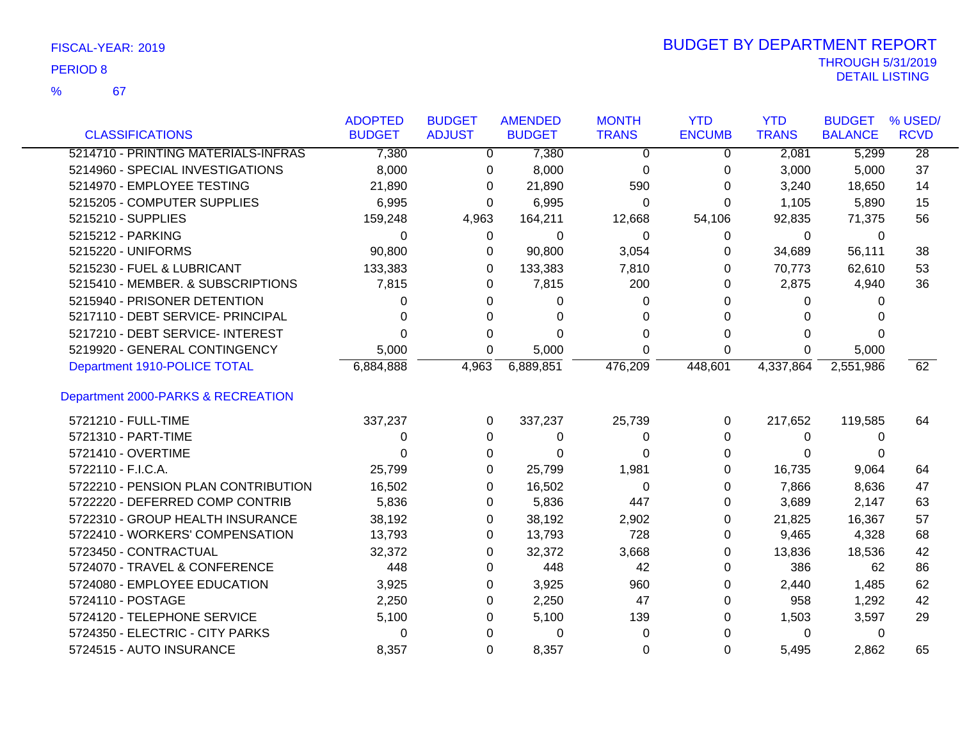67 %

| <b>CLASSIFICATIONS</b>              | <b>ADOPTED</b><br><b>BUDGET</b> | <b>BUDGET</b><br><b>ADJUST</b> | <b>AMENDED</b><br><b>BUDGET</b> | <b>MONTH</b><br><b>TRANS</b> | <b>YTD</b><br><b>ENCUMB</b> | <b>YTD</b><br><b>TRANS</b> | <b>BUDGET</b><br><b>BALANCE</b> | % USED/<br><b>RCVD</b> |
|-------------------------------------|---------------------------------|--------------------------------|---------------------------------|------------------------------|-----------------------------|----------------------------|---------------------------------|------------------------|
| 5214710 - PRINTING MATERIALS-INFRAS | 7,380                           | 0                              | 7,380                           | 0                            | 0                           | 2,081                      | 5,299                           | $\overline{28}$        |
| 5214960 - SPECIAL INVESTIGATIONS    | 8,000                           | 0                              | 8,000                           | 0                            | 0                           | 3,000                      | 5,000                           | 37                     |
| 5214970 - EMPLOYEE TESTING          | 21,890                          | 0                              | 21,890                          | 590                          | 0                           | 3,240                      | 18,650                          | 14                     |
| 5215205 - COMPUTER SUPPLIES         | 6,995                           | 0                              | 6,995                           | 0                            | 0                           | 1,105                      | 5,890                           | 15                     |
| 5215210 - SUPPLIES                  | 159,248                         | 4,963                          | 164,211                         | 12,668                       | 54,106                      | 92,835                     | 71,375                          | 56                     |
| 5215212 - PARKING                   | 0                               | 0                              | 0                               | $\Omega$                     | 0                           | $\mathbf 0$                | 0                               |                        |
| 5215220 - UNIFORMS                  | 90,800                          | 0                              | 90,800                          | 3,054                        | 0                           | 34,689                     | 56,111                          | 38                     |
| 5215230 - FUEL & LUBRICANT          | 133,383                         | 0                              | 133,383                         | 7,810                        | 0                           | 70,773                     | 62,610                          | 53                     |
| 5215410 - MEMBER. & SUBSCRIPTIONS   | 7,815                           | 0                              | 7,815                           | 200                          | 0                           | 2,875                      | 4,940                           | 36                     |
| 5215940 - PRISONER DETENTION        | 0                               | 0                              | 0                               | 0                            | 0                           | 0                          | 0                               |                        |
| 5217110 - DEBT SERVICE- PRINCIPAL   | 0                               | 0                              | 0                               | 0                            | 0                           | 0                          | U                               |                        |
| 5217210 - DEBT SERVICE- INTEREST    | ი                               | 0                              | 0                               | 0                            | 0                           | 0                          | 0                               |                        |
| 5219920 - GENERAL CONTINGENCY       | 5,000                           | 0                              | 5,000                           | 0                            | 0                           | 0                          | 5,000                           |                        |
| Department 1910-POLICE TOTAL        | 6,884,888                       | 4,963                          | 6,889,851                       | 476,209                      | 448,601                     | 4,337,864                  | 2,551,986                       | 62                     |
| Department 2000-PARKS & RECREATION  |                                 |                                |                                 |                              |                             |                            |                                 |                        |
| 5721210 - FULL-TIME                 | 337,237                         | 0                              | 337,237                         | 25,739                       | 0                           | 217,652                    | 119,585                         | 64                     |
| 5721310 - PART-TIME                 | 0                               | 0                              | 0                               | 0                            | 0                           | 0                          | 0                               |                        |
| 5721410 - OVERTIME                  | 0                               | 0                              | 0                               | 0                            | 0                           | 0                          | 0                               |                        |
| 5722110 - F.I.C.A.                  | 25,799                          | 0                              | 25,799                          | 1,981                        | 0                           | 16,735                     | 9,064                           | 64                     |
| 5722210 - PENSION PLAN CONTRIBUTION | 16,502                          | 0                              | 16,502                          | 0                            | 0                           | 7,866                      | 8,636                           | 47                     |
| 5722220 - DEFERRED COMP CONTRIB     | 5,836                           | 0                              | 5,836                           | 447                          | 0                           | 3,689                      | 2,147                           | 63                     |
| 5722310 - GROUP HEALTH INSURANCE    | 38,192                          | 0                              | 38,192                          | 2,902                        | 0                           | 21,825                     | 16,367                          | 57                     |
| 5722410 - WORKERS' COMPENSATION     | 13,793                          | 0                              | 13,793                          | 728                          | 0                           | 9,465                      | 4,328                           | 68                     |
| 5723450 - CONTRACTUAL               | 32,372                          | 0                              | 32,372                          | 3,668                        | 0                           | 13,836                     | 18,536                          | 42                     |
| 5724070 - TRAVEL & CONFERENCE       | 448                             | 0                              | 448                             | 42                           | 0                           | 386                        | 62                              | 86                     |
| 5724080 - EMPLOYEE EDUCATION        | 3,925                           | 0                              | 3,925                           | 960                          | 0                           | 2,440                      | 1,485                           | 62                     |
| 5724110 - POSTAGE                   | 2,250                           | 0                              | 2,250                           | 47                           | 0                           | 958                        | 1,292                           | 42                     |
| 5724120 - TELEPHONE SERVICE         | 5,100                           | 0                              | 5,100                           | 139                          | 0                           | 1,503                      | 3,597                           | 29                     |
| 5724350 - ELECTRIC - CITY PARKS     | 0                               | 0                              | 0                               | 0                            | 0                           | 0                          | 0                               |                        |
| 5724515 - AUTO INSURANCE            | 8,357                           | 0                              | 8,357                           | 0                            | $\Omega$                    | 5,495                      | 2,862                           | 65                     |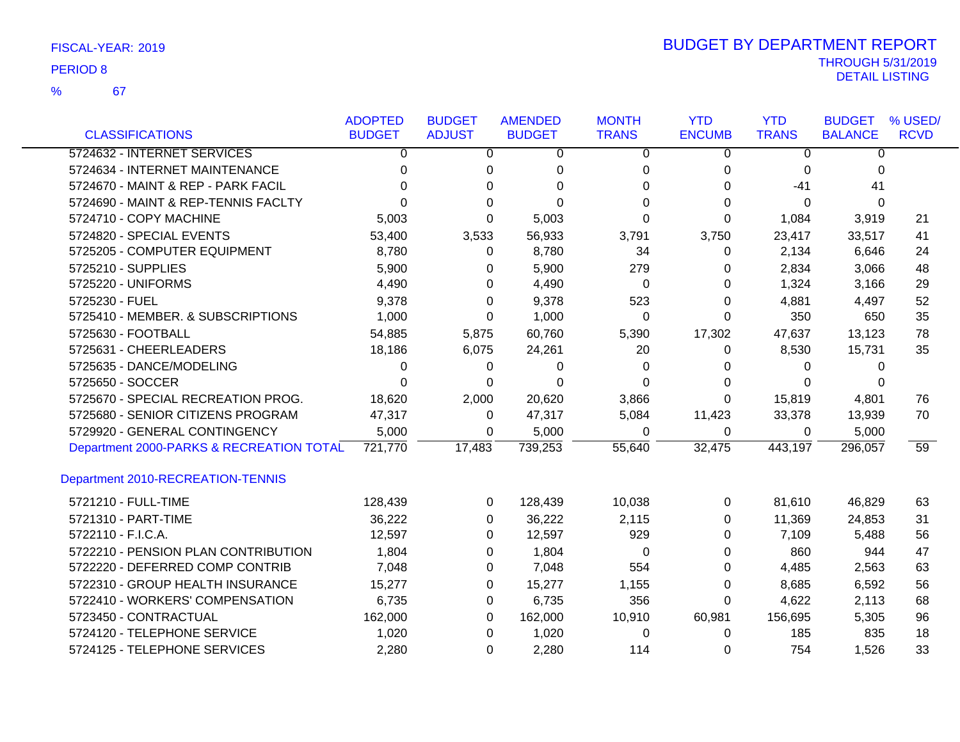67

%

|                                          | <b>ADOPTED</b> | <b>BUDGET</b>  | <b>AMENDED</b> | <b>MONTH</b> | <b>YTD</b>    | <b>YTD</b>     | <b>BUDGET</b>  | % USED/         |
|------------------------------------------|----------------|----------------|----------------|--------------|---------------|----------------|----------------|-----------------|
| <b>CLASSIFICATIONS</b>                   | <b>BUDGET</b>  | <b>ADJUST</b>  | <b>BUDGET</b>  | <b>TRANS</b> | <b>ENCUMB</b> | <b>TRANS</b>   | <b>BALANCE</b> | <b>RCVD</b>     |
| 5724632 - INTERNET SERVICES              | 0              | $\overline{0}$ | 0              | 0            | 0             | $\overline{0}$ | 0              |                 |
| 5724634 - INTERNET MAINTENANCE           | 0              | 0              | 0              | 0            | 0             | 0              | $\Omega$       |                 |
| 5724670 - MAINT & REP - PARK FACIL       | $\Omega$       | 0              | $\Omega$       | $\Omega$     | 0             | $-41$          | 41             |                 |
| 5724690 - MAINT & REP-TENNIS FACLTY      | 0              | $\Omega$       | $\Omega$       | 0            | 0             | $\Omega$       | $\Omega$       |                 |
| 5724710 - COPY MACHINE                   | 5,003          | 0              | 5,003          | 0            | $\Omega$      | 1,084          | 3,919          | 21              |
| 5724820 - SPECIAL EVENTS                 | 53,400         | 3,533          | 56,933         | 3,791        | 3,750         | 23,417         | 33,517         | 41              |
| 5725205 - COMPUTER EQUIPMENT             | 8,780          | 0              | 8,780          | 34           | 0             | 2,134          | 6,646          | 24              |
| 5725210 - SUPPLIES                       | 5,900          | 0              | 5,900          | 279          | 0             | 2,834          | 3,066          | 48              |
| 5725220 - UNIFORMS                       | 4,490          | 0              | 4,490          | 0            | 0             | 1,324          | 3,166          | 29              |
| 5725230 - FUEL                           | 9,378          | 0              | 9,378          | 523          | 0             | 4,881          | 4,497          | 52              |
| 5725410 - MEMBER. & SUBSCRIPTIONS        | 1,000          | 0              | 1,000          | $\Omega$     | 0             | 350            | 650            | 35              |
| 5725630 - FOOTBALL                       | 54,885         | 5,875          | 60,760         | 5,390        | 17,302        | 47,637         | 13,123         | 78              |
| 5725631 - CHEERLEADERS                   | 18,186         | 6,075          | 24,261         | 20           | 0             | 8,530          | 15,731         | 35              |
| 5725635 - DANCE/MODELING                 | 0              | 0              | 0              | 0            | 0             | 0              | 0              |                 |
| 5725650 - SOCCER                         | $\Omega$       | 0              | $\Omega$       | $\Omega$     | 0             | $\Omega$       | $\Omega$       |                 |
| 5725670 - SPECIAL RECREATION PROG.       | 18,620         | 2,000          | 20,620         | 3,866        | 0             | 15,819         | 4,801          | 76              |
| 5725680 - SENIOR CITIZENS PROGRAM        | 47,317         | 0              | 47,317         | 5,084        | 11,423        | 33,378         | 13,939         | 70              |
| 5729920 - GENERAL CONTINGENCY            | 5,000          | 0              | 5,000          | 0            | 0             | 0              | 5,000          |                 |
| Department 2000-PARKS & RECREATION TOTAL | 721,770        | 17,483         | 739,253        | 55,640       | 32,475        | 443,197        | 296,057        | $\overline{59}$ |
| Department 2010-RECREATION-TENNIS        |                |                |                |              |               |                |                |                 |
| 5721210 - FULL-TIME                      | 128,439        | 0              | 128,439        | 10,038       | 0             | 81,610         | 46,829         | 63              |
| 5721310 - PART-TIME                      | 36,222         | 0              | 36,222         | 2,115        | 0             | 11,369         | 24,853         | 31              |
| 5722110 - F.I.C.A.                       | 12,597         | 0              | 12,597         | 929          | 0             | 7,109          | 5,488          | 56              |
| 5722210 - PENSION PLAN CONTRIBUTION      | 1,804          | 0              | 1,804          | 0            | 0             | 860            | 944            | 47              |
| 5722220 - DEFERRED COMP CONTRIB          | 7,048          | 0              | 7,048          | 554          | 0             | 4,485          | 2,563          | 63              |
| 5722310 - GROUP HEALTH INSURANCE         | 15,277         | 0              | 15,277         | 1,155        | 0             | 8,685          | 6,592          | 56              |
| 5722410 - WORKERS' COMPENSATION          | 6,735          | 0              | 6,735          | 356          | 0             | 4,622          | 2,113          | 68              |
| 5723450 - CONTRACTUAL                    | 162,000        | 0              | 162,000        | 10,910       | 60,981        | 156,695        | 5,305          | 96              |
| 5724120 - TELEPHONE SERVICE              | 1,020          | 0              | 1,020          | 0            | 0             | 185            | 835            | 18              |
| 5724125 - TELEPHONE SERVICES             | 2.280          | $\Omega$       | 2,280          | 114          | 0             | 754            | 1.526          | 33              |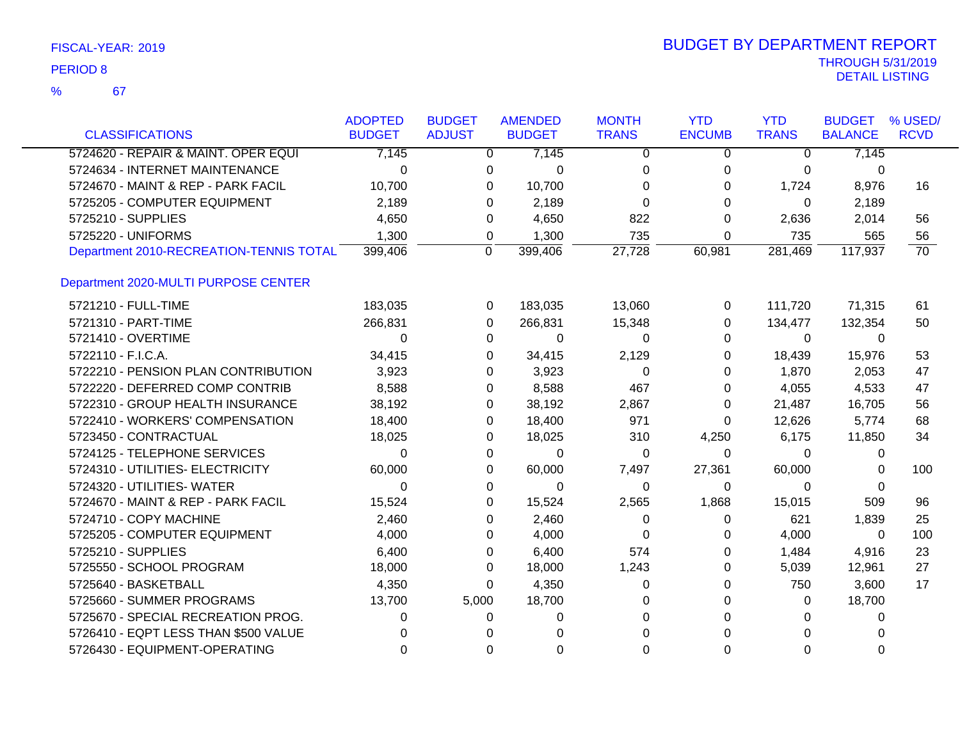| <b>CLASSIFICATIONS</b>                  | <b>ADOPTED</b><br><b>BUDGET</b> | <b>BUDGET</b><br><b>ADJUST</b> | <b>AMENDED</b><br><b>BUDGET</b> | <b>MONTH</b><br><b>TRANS</b> | <b>YTD</b><br><b>ENCUMB</b> | <b>YTD</b><br><b>TRANS</b> | <b>BUDGET</b><br><b>BALANCE</b> | % USED/<br><b>RCVD</b> |
|-----------------------------------------|---------------------------------|--------------------------------|---------------------------------|------------------------------|-----------------------------|----------------------------|---------------------------------|------------------------|
|                                         |                                 |                                |                                 |                              |                             |                            |                                 |                        |
| 5724620 - REPAIR & MAINT. OPER EQUI     | 7,145                           |                                | 7,145<br>$\mathbf{0}$           | 0                            | 0                           | $\overline{0}$             | 7,145                           |                        |
| 5724634 - INTERNET MAINTENANCE          | $\Omega$                        |                                | $\Omega$<br>0                   | 0                            | 0                           | $\Omega$                   | 0                               |                        |
| 5724670 - MAINT & REP - PARK FACIL      | 10,700                          |                                | 10,700<br>0                     | $\Omega$                     | 0                           | 1,724                      | 8,976                           | 16                     |
| 5725205 - COMPUTER EQUIPMENT            | 2,189                           |                                | 2,189<br>$\Omega$               | 0                            | $\Omega$                    | $\Omega$                   | 2,189                           |                        |
| 5725210 - SUPPLIES                      | 4,650                           |                                | 4,650<br>0                      | 822                          | 0                           | 2,636                      | 2,014                           | 56                     |
| 5725220 - UNIFORMS                      | 1,300                           |                                | 1,300<br>0                      | 735                          | 0                           | 735                        | 565                             | 56                     |
| Department 2010-RECREATION-TENNIS TOTAL | 399,406                         |                                | 399,406<br>0                    | 27,728                       | 60,981                      | 281,469                    | 117,937                         | $\overline{70}$        |
| Department 2020-MULTI PURPOSE CENTER    |                                 |                                |                                 |                              |                             |                            |                                 |                        |
| 5721210 - FULL-TIME                     | 183,035                         |                                | 183,035<br>$\mathbf 0$          | 13,060                       | 0                           | 111,720                    | 71,315                          | 61                     |
| 5721310 - PART-TIME                     | 266,831                         |                                | 266,831<br>$\Omega$             | 15,348                       | 0                           | 134,477                    | 132,354                         | 50                     |
| 5721410 - OVERTIME                      | $\Omega$                        |                                | 0<br>0                          | 0                            | 0                           | $\Omega$                   | 0                               |                        |
| 5722110 - F.I.C.A.                      | 34,415                          |                                | 0<br>34,415                     | 2,129                        | 0                           | 18,439                     | 15,976                          | 53                     |
| 5722210 - PENSION PLAN CONTRIBUTION     | 3,923                           |                                | 3,923<br>0                      | 0                            | 0                           | 1,870                      | 2,053                           | 47                     |
| 5722220 - DEFERRED COMP CONTRIB         | 8,588                           |                                | 8,588<br>0                      | 467                          | 0                           | 4,055                      | 4,533                           | 47                     |
| 5722310 - GROUP HEALTH INSURANCE        | 38,192                          |                                | 38,192<br>0                     | 2,867                        | 0                           | 21,487                     | 16,705                          | 56                     |
| 5722410 - WORKERS' COMPENSATION         | 18,400                          |                                | 18,400<br>0                     | 971                          | 0                           | 12,626                     | 5,774                           | 68                     |
| 5723450 - CONTRACTUAL                   | 18,025                          |                                | 0<br>18,025                     | 310                          | 4,250                       | 6,175                      | 11,850                          | 34                     |
| 5724125 - TELEPHONE SERVICES            | $\Omega$                        |                                | 0<br>0                          | 0                            | 0                           | 0                          | 0                               |                        |
| 5724310 - UTILITIES- ELECTRICITY        | 60,000                          |                                | 60,000<br>0                     | 7,497                        | 27,361                      | 60,000                     | 0                               | 100                    |
| 5724320 - UTILITIES- WATER              | 0                               |                                | 0<br>0                          | 0                            | 0                           | $\Omega$                   | 0                               |                        |
| 5724670 - MAINT & REP - PARK FACIL      | 15,524                          |                                | 15,524<br>0                     | 2,565                        | 1,868                       | 15,015                     | 509                             | 96                     |
| 5724710 - COPY MACHINE                  | 2,460                           |                                | 2,460<br>0                      | 0                            | 0                           | 621                        | 1,839                           | 25                     |
| 5725205 - COMPUTER EQUIPMENT            | 4,000                           |                                | 4,000<br>0                      | $\Omega$                     | 0                           | 4,000                      | $\Omega$                        | 100                    |
| 5725210 - SUPPLIES                      | 6,400                           |                                | 6,400<br>0                      | 574                          | 0                           | 1,484                      | 4,916                           | 23                     |
| 5725550 - SCHOOL PROGRAM                | 18,000                          |                                | 18,000<br>0                     | 1,243                        | 0                           | 5,039                      | 12,961                          | 27                     |
| 5725640 - BASKETBALL                    | 4,350                           |                                | 4,350<br>0                      | 0                            | 0                           | 750                        | 3,600                           | 17                     |
| 5725660 - SUMMER PROGRAMS               | 13,700                          | 5,000                          | 18,700                          | 0                            | 0                           | 0                          | 18,700                          |                        |
| 5725670 - SPECIAL RECREATION PROG.      | 0                               |                                | $\Omega$<br>0                   | 0                            | 0                           | 0                          | 0                               |                        |
| 5726410 - EQPT LESS THAN \$500 VALUE    | 0                               |                                | $\Omega$<br>$\Omega$            | 0                            |                             | $\Omega$                   | <sup>0</sup>                    |                        |
| 5726430 - EQUIPMENT-OPERATING           | $\Omega$                        |                                | $\Omega$<br>$\Omega$            | 0                            | $\Omega$                    | $\Omega$                   | $\Omega$                        |                        |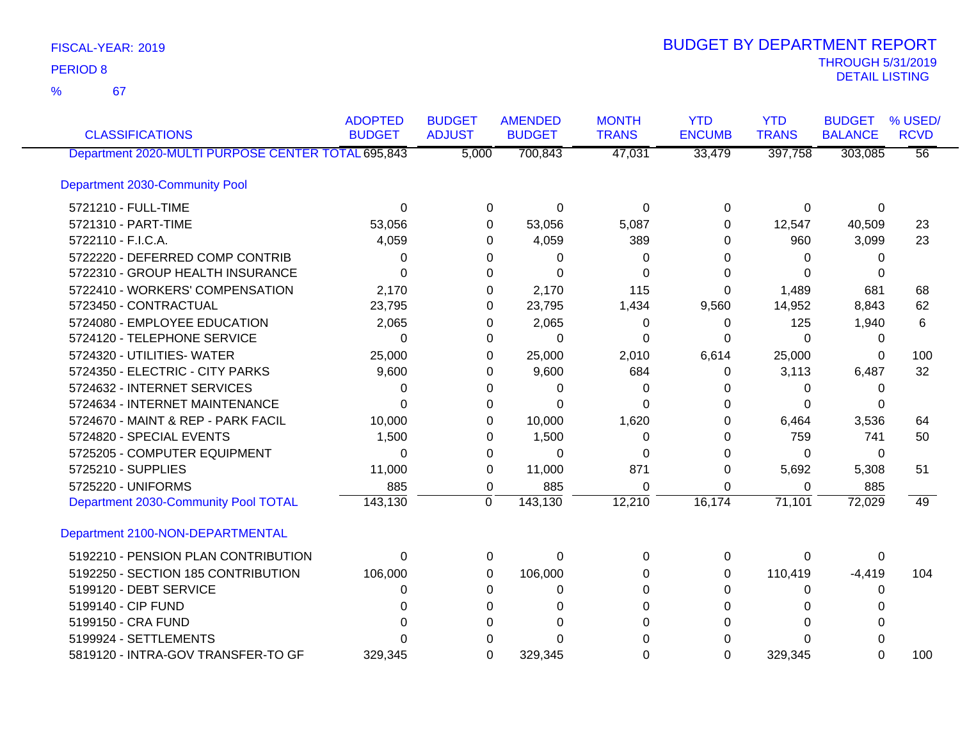67 %

| <b>CLASSIFICATIONS</b>                             | <b>ADOPTED</b><br><b>BUDGET</b> | <b>BUDGET</b><br><b>ADJUST</b> | <b>AMENDED</b><br><b>BUDGET</b> | <b>MONTH</b><br><b>TRANS</b> | <b>YTD</b><br><b>ENCUMB</b> | <b>YTD</b><br><b>TRANS</b> | <b>BUDGET</b><br><b>BALANCE</b> | % USED/<br><b>RCVD</b> |
|----------------------------------------------------|---------------------------------|--------------------------------|---------------------------------|------------------------------|-----------------------------|----------------------------|---------------------------------|------------------------|
| Department 2020-MULTI PURPOSE CENTER TOTAL 695,843 |                                 | 5,000                          | 700,843                         | 47,031                       | 33,479                      | 397,758                    | 303,085                         | $\overline{56}$        |
| Department 2030-Community Pool                     |                                 |                                |                                 |                              |                             |                            |                                 |                        |
| 5721210 - FULL-TIME                                | $\Omega$                        | $\Omega$                       | $\mathbf 0$                     | $\Omega$                     | $\Omega$                    | $\Omega$                   | $\Omega$                        |                        |
| 5721310 - PART-TIME                                | 53,056                          | $\Omega$                       | 53,056                          | 5,087                        | 0                           | 12,547                     | 40,509                          | 23                     |
| 5722110 - F.I.C.A.                                 | 4,059                           | 0                              | 4,059                           | 389                          | 0                           | 960                        | 3,099                           | 23                     |
| 5722220 - DEFERRED COMP CONTRIB                    | 0                               | 0                              | 0                               | 0                            | 0                           | 0                          | 0                               |                        |
| 5722310 - GROUP HEALTH INSURANCE                   | $\Omega$                        | $\Omega$                       | $\Omega$                        | $\Omega$                     | 0                           | $\Omega$                   | 0                               |                        |
| 5722410 - WORKERS' COMPENSATION                    | 2,170                           | 0                              | 2,170                           | 115                          | 0                           | 1,489                      | 681                             | 68                     |
| 5723450 - CONTRACTUAL                              | 23,795                          | 0                              | 23,795                          | 1,434                        | 9,560                       | 14,952                     | 8,843                           | 62                     |
| 5724080 - EMPLOYEE EDUCATION                       | 2,065                           | 0                              | 2,065                           | 0                            | 0                           | 125                        | 1,940                           | 6                      |
| 5724120 - TELEPHONE SERVICE                        | $\Omega$                        | 0                              | $\Omega$                        | 0                            | 0                           | $\Omega$                   | 0                               |                        |
| 5724320 - UTILITIES- WATER                         | 25,000                          | 0                              | 25,000                          | 2,010                        | 6,614                       | 25,000                     | 0                               | 100                    |
| 5724350 - ELECTRIC - CITY PARKS                    | 9,600                           | 0                              | 9,600                           | 684                          | 0                           | 3,113                      | 6,487                           | 32                     |
| 5724632 - INTERNET SERVICES                        | $\Omega$                        | 0                              | 0                               | 0                            | 0                           | 0                          | 0                               |                        |
| 5724634 - INTERNET MAINTENANCE                     | $\Omega$                        | $\Omega$                       | $\Omega$                        | ∩                            | 0                           | $\Omega$                   | 0                               |                        |
| 5724670 - MAINT & REP - PARK FACIL                 | 10,000                          | 0                              | 10,000                          | 1,620                        | 0                           | 6,464                      | 3,536                           | 64                     |
| 5724820 - SPECIAL EVENTS                           | 1,500                           | 0                              | 1,500                           | 0                            | 0                           | 759                        | 741                             | 50                     |
| 5725205 - COMPUTER EQUIPMENT                       | $\Omega$                        | 0                              | 0                               | 0                            | 0                           | $\Omega$                   | 0                               |                        |
| 5725210 - SUPPLIES                                 | 11,000                          | 0                              | 11,000                          | 871                          | 0                           | 5,692                      | 5,308                           | 51                     |
| 5725220 - UNIFORMS                                 | 885                             | $\mathbf 0$                    | 885                             | $\Omega$                     | $\Omega$                    | 0                          | 885                             |                        |
| Department 2030-Community Pool TOTAL               | 143,130                         | $\mathbf 0$                    | 143,130                         | 12,210                       | 16,174                      | 71,101                     | 72,029                          | 49                     |
| Department 2100-NON-DEPARTMENTAL                   |                                 |                                |                                 |                              |                             |                            |                                 |                        |
| 5192210 - PENSION PLAN CONTRIBUTION                | $\Omega$                        | 0                              | 0                               | $\Omega$                     | 0                           | 0                          | 0                               |                        |
| 5192250 - SECTION 185 CONTRIBUTION                 | 106,000                         | $\Omega$                       | 106,000                         | 0                            | 0                           | 110,419                    | $-4,419$                        | 104                    |
| 5199120 - DEBT SERVICE                             | 0                               | $\Omega$                       | 0                               | $\Omega$                     | 0                           | $\Omega$                   | 0                               |                        |
| 5199140 - CIP FUND                                 | 0                               | 0                              | $\Omega$                        | 0                            |                             | 0                          | 0                               |                        |
| 5199150 - CRA FUND                                 | <sup>0</sup>                    | 0                              | 0                               | $\Omega$                     | <sup>0</sup>                | $\Omega$                   | U                               |                        |
| 5199924 - SETTLEMENTS                              |                                 | 0                              |                                 |                              |                             | 0                          |                                 |                        |
| 5819120 - INTRA-GOV TRANSFER-TO GF                 | 329,345                         | $\Omega$                       | 329,345                         | $\Omega$                     | $\Omega$                    | 329,345                    | 0                               | 100                    |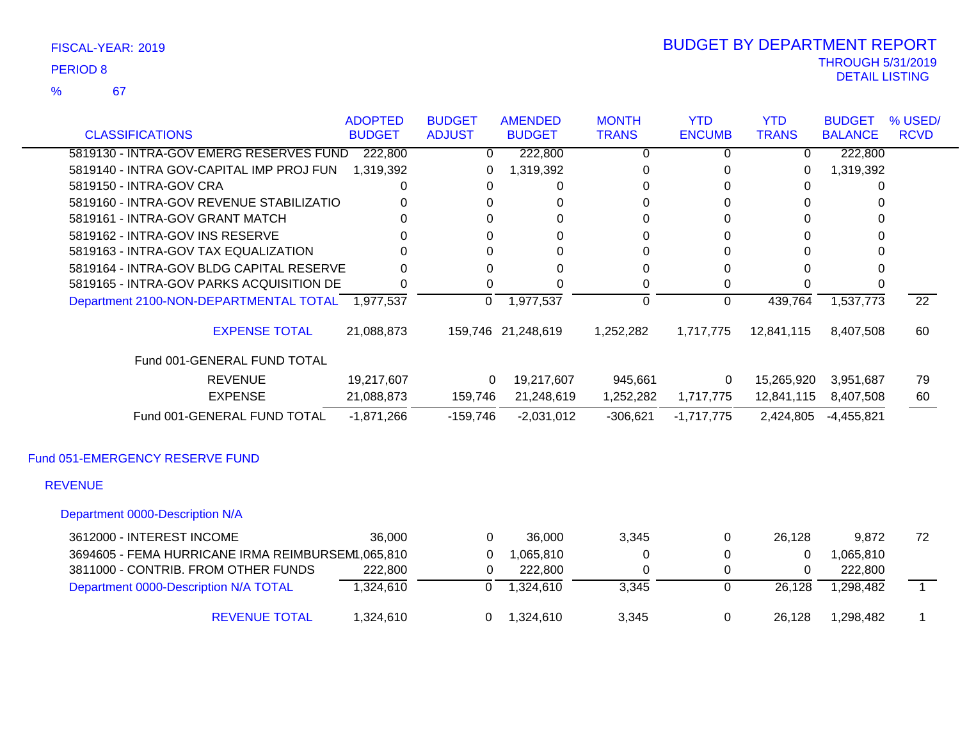67 %

### THROUGH 5/31/2019<br>DETAIL LISTING DETAIL LISTING PERIOD <sup>8</sup> BUDGET BY DEPARTMENT REPORT

| <b>CLASSIFICATIONS</b>                            | <b>ADOPTED</b><br><b>BUDGET</b> | <b>BUDGET</b><br><b>ADJUST</b> | <b>AMENDED</b><br><b>BUDGET</b> | <b>MONTH</b><br><b>TRANS</b> | <b>YTD</b><br><b>ENCUMB</b> | <b>YTD</b><br><b>TRANS</b> | <b>BUDGET</b><br><b>BALANCE</b> | % USED/<br><b>RCVD</b> |
|---------------------------------------------------|---------------------------------|--------------------------------|---------------------------------|------------------------------|-----------------------------|----------------------------|---------------------------------|------------------------|
| 5819130 - INTRA-GOV EMERG RESERVES FUND           | 222,800                         | $\mathbf{0}$                   | 222,800                         | 0                            | 0                           | 0                          | 222,800                         |                        |
| 5819140 - INTRA GOV-CAPITAL IMP PROJ FUN          | 1,319,392                       | 0                              | 1,319,392                       | 0                            | 0                           | 0                          | 1,319,392                       |                        |
| 5819150 - INTRA-GOV CRA                           | 0                               | 0                              | 0                               | 0                            | 0                           | 0                          | 0                               |                        |
| 5819160 - INTRA-GOV REVENUE STABILIZATIO          |                                 | 0                              | 0                               | 0                            | 0                           | 0                          | 0                               |                        |
| 5819161 - INTRA-GOV GRANT MATCH                   |                                 | 0                              | $\Omega$                        | 0                            | 0                           | 0                          | 0                               |                        |
| 5819162 - INTRA-GOV INS RESERVE                   |                                 | 0                              | 0                               | 0                            | 0                           | 0                          | 0                               |                        |
| 5819163 - INTRA-GOV TAX EQUALIZATION              |                                 | 0                              | $\Omega$                        | 0                            | O                           | O                          |                                 |                        |
| 5819164 - INTRA-GOV BLDG CAPITAL RESERVE          | <sup>0</sup>                    | 0                              | $\Omega$                        | 0                            | 0                           | O                          | 0                               |                        |
| 5819165 - INTRA-GOV PARKS ACQUISITION DE          |                                 | 0                              | 0                               | 0                            | 0                           |                            |                                 |                        |
| Department 2100-NON-DEPARTMENTAL TOTAL 1,977,537  |                                 | $\Omega$                       | 1,977,537                       | 0                            | 0                           | 439,764                    | 1,537,773                       | $\overline{22}$        |
| <b>EXPENSE TOTAL</b>                              | 21,088,873                      |                                | 159,746 21,248,619              | 1,252,282                    | 1,717,775                   | 12,841,115                 | 8,407,508                       | 60                     |
| Fund 001-GENERAL FUND TOTAL                       |                                 |                                |                                 |                              |                             |                            |                                 |                        |
| <b>REVENUE</b>                                    | 19,217,607                      | $\Omega$                       | 19,217,607                      | 945,661                      | 0                           | 15,265,920                 | 3,951,687                       | 79                     |
| <b>EXPENSE</b>                                    | 21,088,873                      | 159,746                        | 21,248,619                      | 1,252,282                    | 1,717,775                   | 12,841,115                 | 8,407,508                       | 60                     |
| Fund 001-GENERAL FUND TOTAL                       | $-1,871,266$                    | $-159,746$                     | $-2,031,012$                    | $-306,621$                   | $-1,717,775$                | 2,424,805                  | $-4,455,821$                    |                        |
| Fund 051-EMERGENCY RESERVE FUND                   |                                 |                                |                                 |                              |                             |                            |                                 |                        |
| <b>REVENUE</b>                                    |                                 |                                |                                 |                              |                             |                            |                                 |                        |
| Department 0000-Description N/A                   |                                 |                                |                                 |                              |                             |                            |                                 |                        |
| 3612000 - INTEREST INCOME                         | 36,000                          | $\Omega$                       | 36,000                          | 3,345                        | 0                           | 26,128                     | 9,872                           | 72                     |
| 3694605 - FEMA HURRICANE IRMA REIMBURSEM1,065,810 |                                 | 0                              | 1,065,810                       | 0                            | 0                           | 0                          | 1,065,810                       |                        |
| 3811000 - CONTRIB. FROM OTHER FUNDS               | 222,800                         | 0                              | 222,800                         | 0                            | 0                           | 0                          | 222,800                         |                        |

Department 0000-Description N/A TOTAL 1,324,610 0 1,324,610 3,345 0 26,128 1,298,482 1

REVENUE TOTAL 1,324,610 0 1,324,610 3,345 0 26,128 1,298,482 1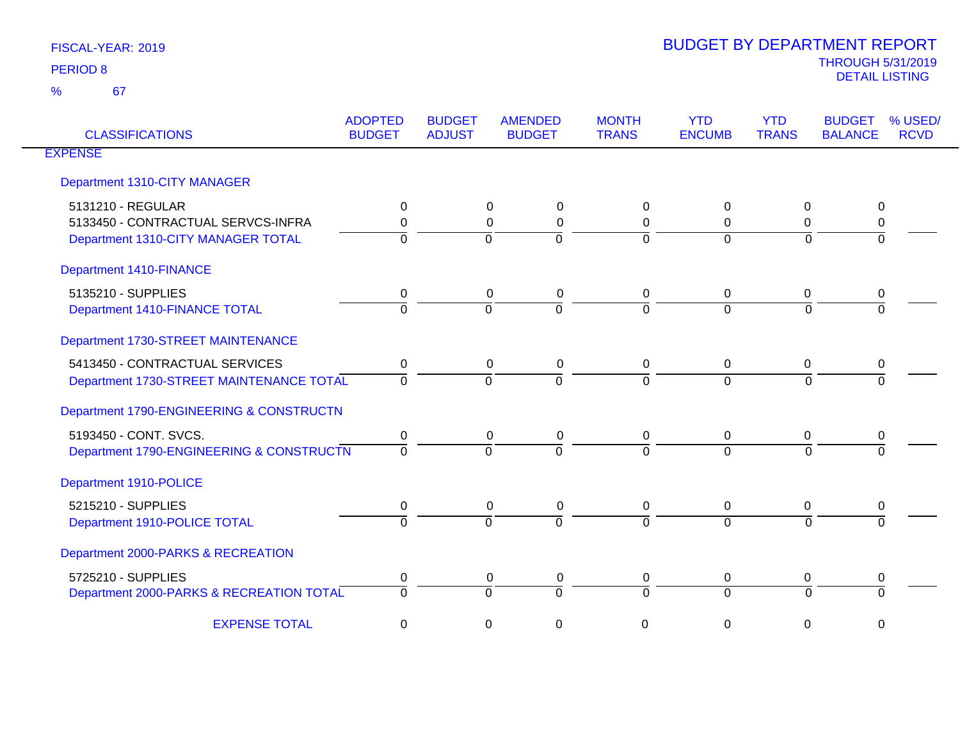| <b>CLASSIFICATIONS</b>                   | <b>ADOPTED</b><br><b>BUDGET</b> | <b>BUDGET</b><br><b>ADJUST</b> | <b>AMENDED</b><br><b>BUDGET</b> | <b>MONTH</b><br><b>TRANS</b> | <b>YTD</b><br><b>ENCUMB</b> | <b>YTD</b><br><b>TRANS</b> | % USED/<br><b>BUDGET</b><br><b>BALANCE</b><br><b>RCVD</b> |
|------------------------------------------|---------------------------------|--------------------------------|---------------------------------|------------------------------|-----------------------------|----------------------------|-----------------------------------------------------------|
| <b>EXPENSE</b>                           |                                 |                                |                                 |                              |                             |                            |                                                           |
| Department 1310-CITY MANAGER             |                                 |                                |                                 |                              |                             |                            |                                                           |
| 5131210 - REGULAR                        | 0                               |                                | 0<br>0                          | 0                            | 0                           | 0                          | 0                                                         |
| 5133450 - CONTRACTUAL SERVCS-INFRA       | $\Omega$                        |                                | $\mathbf 0$<br>$\mathbf 0$      | $\mathbf 0$                  | $\Omega$                    | $\Omega$                   | 0                                                         |
| Department 1310-CITY MANAGER TOTAL       | $\Omega$                        |                                | $\Omega$<br>$\Omega$            | $\Omega$                     | $\Omega$                    | $\Omega$                   | $\Omega$                                                  |
| <b>Department 1410-FINANCE</b>           |                                 |                                |                                 |                              |                             |                            |                                                           |
| 5135210 - SUPPLIES                       | 0                               |                                | 0<br>0                          | 0                            | 0                           | 0                          | 0                                                         |
| Department 1410-FINANCE TOTAL            | $\Omega$                        |                                | $\Omega$<br>$\Omega$            | $\overline{0}$               | $\Omega$                    | $\Omega$                   | $\Omega$                                                  |
| Department 1730-STREET MAINTENANCE       |                                 |                                |                                 |                              |                             |                            |                                                           |
| 5413450 - CONTRACTUAL SERVICES           | $\mathbf 0$                     |                                | 0<br>0                          | 0                            | $\mathbf 0$                 | 0                          | 0                                                         |
| Department 1730-STREET MAINTENANCE TOTAL | $\Omega$                        |                                | $\Omega$<br>$\Omega$            | $\overline{0}$               | $\Omega$                    | $\Omega$                   | $\Omega$                                                  |
| Department 1790-ENGINEERING & CONSTRUCTN |                                 |                                |                                 |                              |                             |                            |                                                           |
| 5193450 - CONT. SVCS.                    | 0                               |                                | $\mathbf 0$<br>$\mathbf 0$      | $\mathbf 0$                  | $\mathbf 0$                 | 0                          | 0                                                         |
| Department 1790-ENGINEERING & CONSTRUCTN | $\Omega$                        |                                | $\Omega$<br>$\Omega$            | $\Omega$                     | $\Omega$                    | $\Omega$                   |                                                           |
| Department 1910-POLICE                   |                                 |                                |                                 |                              |                             |                            |                                                           |
| 5215210 - SUPPLIES                       | 0                               |                                | 0<br>0                          | 0                            | 0                           | 0                          | 0                                                         |
| Department 1910-POLICE TOTAL             | $\Omega$                        |                                | $\Omega$<br>$\Omega$            | $\Omega$                     | $\Omega$                    | $\Omega$                   | $\Omega$                                                  |
| Department 2000-PARKS & RECREATION       |                                 |                                |                                 |                              |                             |                            |                                                           |
| 5725210 - SUPPLIES                       | 0                               |                                | 0<br>0                          | 0                            | 0                           | 0                          | 0                                                         |
| Department 2000-PARKS & RECREATION TOTAL | $\Omega$                        |                                | $\Omega$<br>$\Omega$            | $\mathbf 0$                  | $\Omega$                    | $\Omega$                   | $\Omega$                                                  |
| <b>EXPENSE TOTAL</b>                     | 0                               |                                | 0<br>0                          | 0                            | 0                           | 0                          | $\mathbf 0$                                               |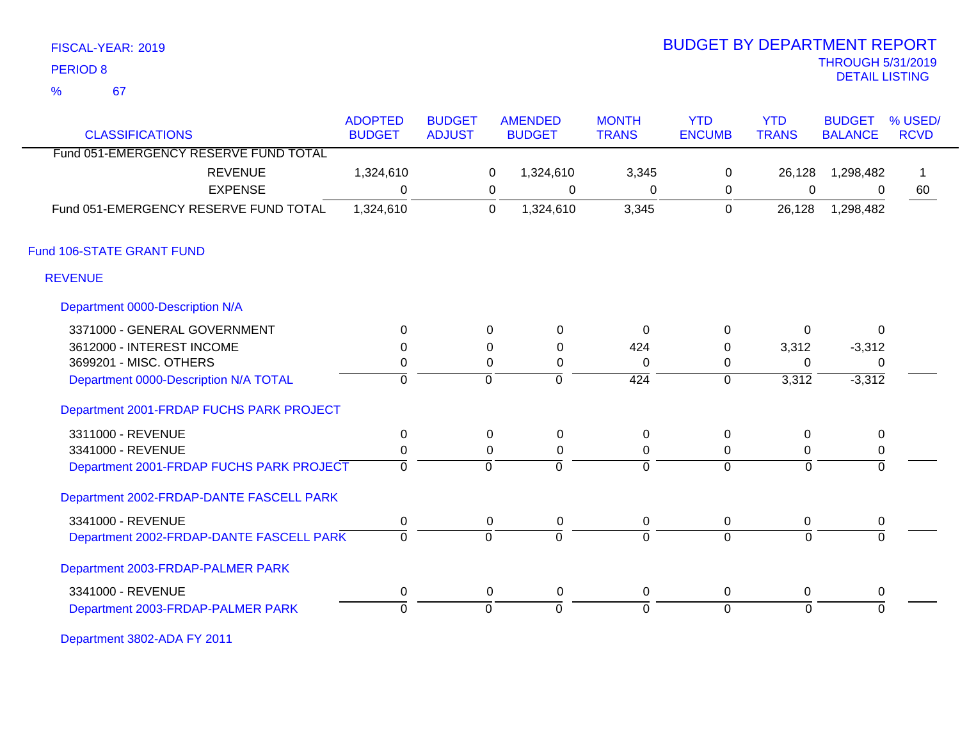|  | FISCAL-YEAR: 2019 |  |  |
|--|-------------------|--|--|
|--|-------------------|--|--|

67 %

# THROUGH 5/31/2019 DETAIL LISTING PERIOD <sup>8</sup> BUDGET BY DEPARTMENT REPORT

| <b>CLASSIFICATIONS</b>                   | <b>ADOPTED</b><br><b>BUDGET</b> | <b>BUDGET</b><br><b>ADJUST</b> |             | <b>AMENDED</b><br><b>BUDGET</b> | <b>MONTH</b><br><b>TRANS</b> | <b>YTD</b><br><b>ENCUMB</b> | <b>YTD</b><br><b>TRANS</b> | <b>BUDGET</b><br><b>BALANCE</b> | % USED/<br><b>RCVD</b> |
|------------------------------------------|---------------------------------|--------------------------------|-------------|---------------------------------|------------------------------|-----------------------------|----------------------------|---------------------------------|------------------------|
| Fund 051-EMERGENCY RESERVE FUND TOTAL    |                                 |                                |             |                                 |                              |                             |                            |                                 |                        |
| <b>REVENUE</b>                           |                                 |                                |             |                                 |                              |                             |                            |                                 | 1                      |
|                                          | 1,324,610                       |                                | 0           | 1,324,610                       | 3,345                        | $\mathbf 0$                 | 26,128                     | 1,298,482                       |                        |
| <b>EXPENSE</b>                           | $\Omega$                        |                                | 0           | $\mathbf 0$                     | 0                            | 0                           | $\mathbf 0$                | $\Omega$                        | 60                     |
| Fund 051-EMERGENCY RESERVE FUND TOTAL    | 1,324,610                       |                                | $\mathbf 0$ | 1,324,610                       | 3,345                        | 0                           | 26,128                     | 1,298,482                       |                        |
| Fund 106-STATE GRANT FUND                |                                 |                                |             |                                 |                              |                             |                            |                                 |                        |
| <b>REVENUE</b>                           |                                 |                                |             |                                 |                              |                             |                            |                                 |                        |
| Department 0000-Description N/A          |                                 |                                |             |                                 |                              |                             |                            |                                 |                        |
| 3371000 - GENERAL GOVERNMENT             | $\Omega$                        |                                | 0           | $\mathbf 0$                     | $\mathbf 0$                  | $\mathbf 0$                 | 0                          | $\mathbf{0}$                    |                        |
| 3612000 - INTEREST INCOME                | $\Omega$                        |                                | 0           | 0                               | 424                          | 0                           | 3,312                      | $-3,312$                        |                        |
| 3699201 - MISC. OTHERS                   | 0                               |                                | 0           | 0                               | $\Omega$                     | 0                           | $\Omega$                   | 0                               |                        |
| Department 0000-Description N/A TOTAL    | $\mathbf 0$                     |                                | $\Omega$    | $\mathbf 0$                     | $\overline{424}$             | $\mathbf 0$                 | 3,312                      | $-3,312$                        |                        |
| Department 2001-FRDAP FUCHS PARK PROJECT |                                 |                                |             |                                 |                              |                             |                            |                                 |                        |
| 3311000 - REVENUE                        | $\mathbf 0$                     |                                | 0           | $\mathbf 0$                     | 0                            | $\mathbf 0$                 | 0                          | $\pmb{0}$                       |                        |
| 3341000 - REVENUE                        | $\pmb{0}$                       |                                | $\Omega$    | $\mathbf 0$                     | 0                            | 0                           | 0                          | $\mathbf 0$                     |                        |
| Department 2001-FRDAP FUCHS PARK PROJECT | $\mathbf 0$                     |                                | $\Omega$    | $\overline{0}$                  | $\overline{0}$               | $\overline{0}$              | $\Omega$                   | $\Omega$                        |                        |
| Department 2002-FRDAP-DANTE FASCELL PARK |                                 |                                |             |                                 |                              |                             |                            |                                 |                        |
| 3341000 - REVENUE                        | $\mathbf 0$                     |                                | 0           | 0                               | 0                            | 0                           | 0                          | 0                               |                        |
| Department 2002-FRDAP-DANTE FASCELL PARK | $\mathbf 0$                     |                                | $\mathbf 0$ | $\overline{0}$                  | $\Omega$                     | $\overline{0}$              | $\Omega$                   | $\Omega$                        |                        |
| Department 2003-FRDAP-PALMER PARK        |                                 |                                |             |                                 |                              |                             |                            |                                 |                        |
| 3341000 - REVENUE                        | $\mathbf 0$                     |                                | 0           | $\mathbf 0$                     | 0                            | 0                           | 0                          | 0                               |                        |
| Department 2003-FRDAP-PALMER PARK        | $\Omega$                        |                                | $\Omega$    | $\Omega$                        | $\Omega$                     | $\overline{0}$              | $\Omega$                   | $\Omega$                        |                        |

Department 3802-ADA FY 2011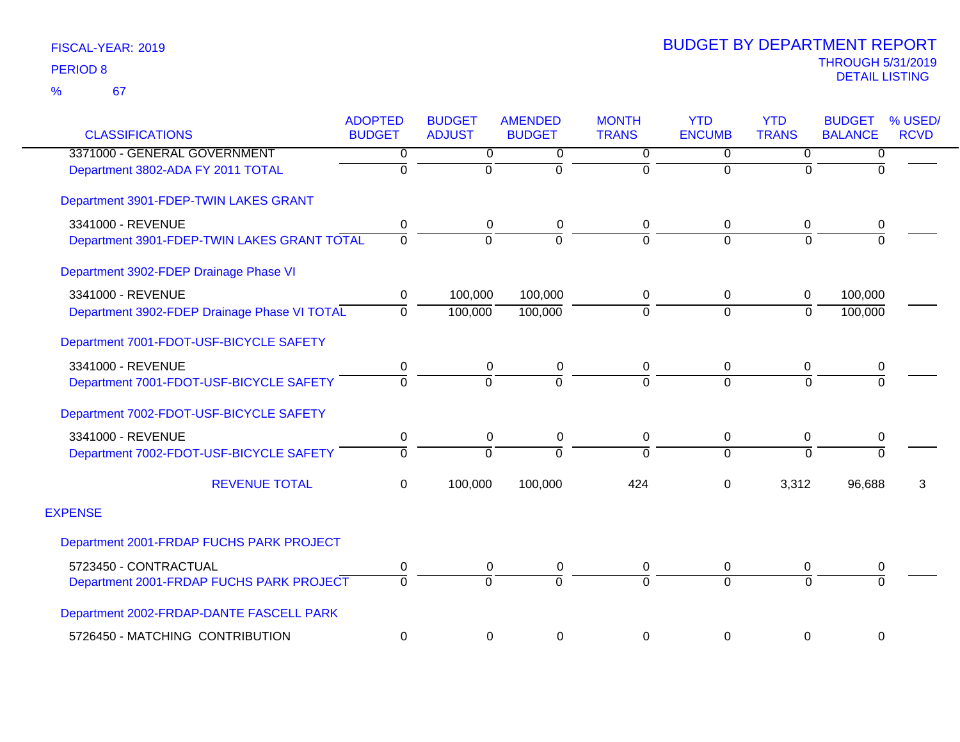| <b>CLASSIFICATIONS</b>                       | <b>ADOPTED</b><br><b>BUDGET</b> | <b>BUDGET</b><br><b>ADJUST</b> | <b>AMENDED</b><br><b>BUDGET</b> | <b>MONTH</b><br><b>TRANS</b> | <b>YTD</b><br><b>ENCUMB</b> | <b>YTD</b><br><b>TRANS</b> | <b>BUDGET</b><br><b>BALANCE</b> | % USED/<br><b>RCVD</b> |
|----------------------------------------------|---------------------------------|--------------------------------|---------------------------------|------------------------------|-----------------------------|----------------------------|---------------------------------|------------------------|
| 3371000 - GENERAL GOVERNMENT                 | 0                               | 0                              | 0                               | 0                            | $\mathbf 0$                 | 0                          | 0                               |                        |
| Department 3802-ADA FY 2011 TOTAL            | $\Omega$                        | $\Omega$                       | $\Omega$                        | 0                            | $\Omega$                    | $\Omega$                   | $\Omega$                        |                        |
| Department 3901-FDEP-TWIN LAKES GRANT        |                                 |                                |                                 |                              |                             |                            |                                 |                        |
| 3341000 - REVENUE                            | 0                               | 0                              | 0                               | 0                            | $\mathbf 0$                 | 0                          | 0                               |                        |
| Department 3901-FDEP-TWIN LAKES GRANT TOTAL  | $\Omega$                        | $\overline{0}$                 | $\Omega$                        | $\overline{0}$               | $\Omega$                    | $\Omega$                   | $\Omega$                        |                        |
| Department 3902-FDEP Drainage Phase VI       |                                 |                                |                                 |                              |                             |                            |                                 |                        |
| 3341000 - REVENUE                            | 0                               | 100,000                        | 100,000                         | 0                            | $\mathbf 0$                 | $\mathbf 0$                | 100,000                         |                        |
| Department 3902-FDEP Drainage Phase VI TOTAL | $\Omega$                        | 100,000                        | 100,000                         | 0                            | $\mathbf 0$                 | $\mathbf 0$                | 100,000                         |                        |
| Department 7001-FDOT-USF-BICYCLE SAFETY      |                                 |                                |                                 |                              |                             |                            |                                 |                        |
| 3341000 - REVENUE                            | 0                               | 0                              | 0                               | 0                            | $\mathbf 0$                 | 0                          | 0                               |                        |
| Department 7001-FDOT-USF-BICYCLE SAFETY      | $\Omega$                        | $\overline{0}$                 | $\Omega$                        | $\overline{0}$               | $\Omega$                    | $\Omega$                   | $\overline{0}$                  |                        |
| Department 7002-FDOT-USF-BICYCLE SAFETY      |                                 |                                |                                 |                              |                             |                            |                                 |                        |
| 3341000 - REVENUE                            | 0                               | 0                              | 0                               | 0                            | $\mathbf 0$                 | 0                          | $\pmb{0}$                       |                        |
| Department 7002-FDOT-USF-BICYCLE SAFETY      | $\mathbf 0$                     | $\Omega$                       | $\Omega$                        | 0                            | $\mathbf 0$                 | $\Omega$                   | $\Omega$                        |                        |
| <b>REVENUE TOTAL</b>                         | $\mathbf 0$                     | 100,000                        | 100,000                         | 424                          | $\mathbf 0$                 | 3,312                      | 96,688                          | 3                      |
| <b>EXPENSE</b>                               |                                 |                                |                                 |                              |                             |                            |                                 |                        |
| Department 2001-FRDAP FUCHS PARK PROJECT     |                                 |                                |                                 |                              |                             |                            |                                 |                        |
| 5723450 - CONTRACTUAL                        | 0                               | 0                              | 0                               | 0                            | $\mathbf 0$                 | 0                          | 0                               |                        |
| Department 2001-FRDAP FUCHS PARK PROJECT     | $\Omega$                        | $\Omega$                       | $\Omega$                        | $\Omega$                     | $\Omega$                    | $\Omega$                   | $\Omega$                        |                        |
| Department 2002-FRDAP-DANTE FASCELL PARK     |                                 |                                |                                 |                              |                             |                            |                                 |                        |
| 5726450 - MATCHING CONTRIBUTION              | $\mathbf 0$                     | 0                              | 0                               | 0                            | $\mathbf 0$                 | $\pmb{0}$                  | $\boldsymbol{0}$                |                        |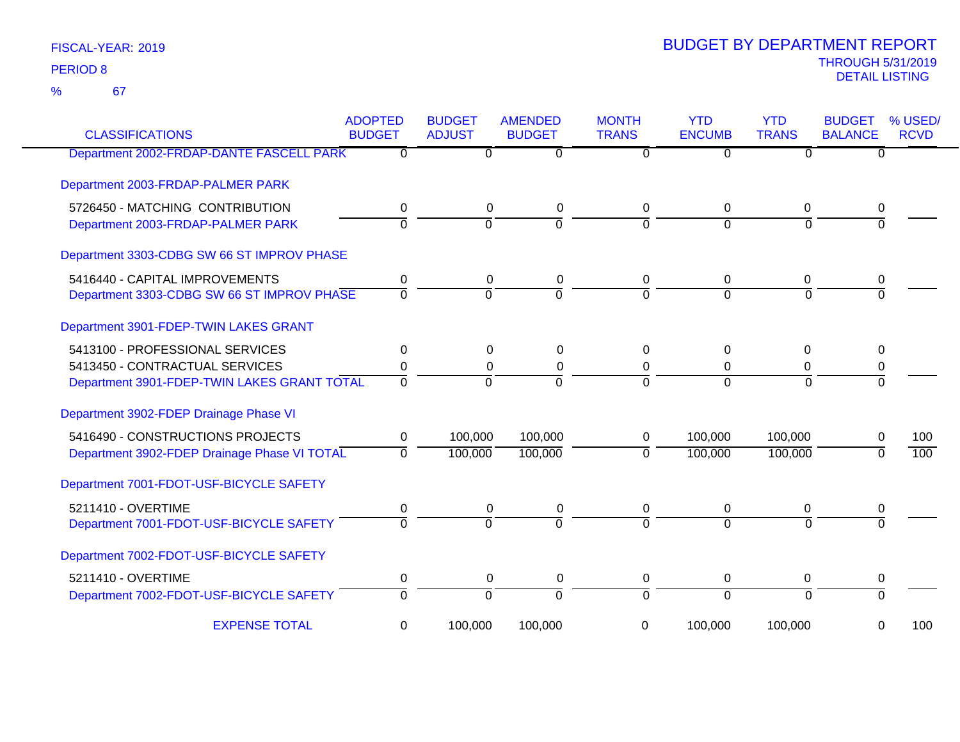67 %

| <b>CLASSIFICATIONS</b>                       | <b>ADOPTED</b><br><b>BUDGET</b> | <b>BUDGET</b><br><b>ADJUST</b> | <b>AMENDED</b><br><b>BUDGET</b> | <b>MONTH</b><br><b>TRANS</b> | <b>YTD</b><br><b>ENCUMB</b> | <b>YTD</b><br><b>TRANS</b> | <b>BUDGET</b><br><b>BALANCE</b> | % USED/<br><b>RCVD</b> |
|----------------------------------------------|---------------------------------|--------------------------------|---------------------------------|------------------------------|-----------------------------|----------------------------|---------------------------------|------------------------|
| Department 2002-FRDAP-DANTE FASCELL PARK     | $\mathbf 0$                     | 0                              | 0                               | 0                            | $\Omega$                    | $\Omega$                   | 0                               |                        |
| Department 2003-FRDAP-PALMER PARK            |                                 |                                |                                 |                              |                             |                            |                                 |                        |
| 5726450 - MATCHING CONTRIBUTION              | 0                               | 0                              | 0                               | 0                            | 0                           | 0                          | 0                               |                        |
| Department 2003-FRDAP-PALMER PARK            | $\overline{0}$                  | $\Omega$                       | $\overline{0}$                  | $\Omega$                     | $\overline{0}$              | $\Omega$                   | $\Omega$                        |                        |
| Department 3303-CDBG SW 66 ST IMPROV PHASE   |                                 |                                |                                 |                              |                             |                            |                                 |                        |
| 5416440 - CAPITAL IMPROVEMENTS               | 0                               | 0                              | 0                               | 0                            | 0                           | 0                          |                                 |                        |
| Department 3303-CDBG SW 66 ST IMPROV PHASE   | $\overline{0}$                  | $\Omega$                       | $\Omega$                        | $\Omega$                     | $\Omega$                    | $\Omega$                   | $\Omega$                        |                        |
| Department 3901-FDEP-TWIN LAKES GRANT        |                                 |                                |                                 |                              |                             |                            |                                 |                        |
| 5413100 - PROFESSIONAL SERVICES              | $\mathbf{0}$                    | 0                              | $\Omega$                        | $\Omega$                     | $\Omega$                    | 0                          | 0                               |                        |
| 5413450 - CONTRACTUAL SERVICES               | 0                               | 0                              | $\pmb{0}$                       | 0                            | 0                           | 0                          | 0                               |                        |
| Department 3901-FDEP-TWIN LAKES GRANT TOTAL  | $\Omega$                        | $\mathbf 0$                    | $\Omega$                        | $\Omega$                     | $\Omega$                    | $\Omega$                   | $\Omega$                        |                        |
| Department 3902-FDEP Drainage Phase VI       |                                 |                                |                                 |                              |                             |                            |                                 |                        |
| 5416490 - CONSTRUCTIONS PROJECTS             | $\mathbf 0$                     | 100,000                        | 100,000                         | 0                            | 100,000                     | 100,000                    | 0                               | 100                    |
| Department 3902-FDEP Drainage Phase VI TOTAL | $\mathbf{0}$                    | 100,000                        | 100,000                         | $\mathbf{0}$                 | 100,000                     | 100,000                    | 0                               | 100                    |
| Department 7001-FDOT-USF-BICYCLE SAFETY      |                                 |                                |                                 |                              |                             |                            |                                 |                        |
| 5211410 - OVERTIME                           | 0                               | 0                              | 0                               | 0                            | 0                           | 0                          | 0                               |                        |
| Department 7001-FDOT-USF-BICYCLE SAFETY      | $\Omega$                        | $\Omega$                       | $\overline{0}$                  | $\Omega$                     | $\Omega$                    | $\Omega$                   |                                 |                        |
| Department 7002-FDOT-USF-BICYCLE SAFETY      |                                 |                                |                                 |                              |                             |                            |                                 |                        |
| 5211410 - OVERTIME                           | 0                               | $\pmb{0}$                      | $\mathbf 0$                     | 0                            | 0                           | 0                          | 0                               |                        |
| Department 7002-FDOT-USF-BICYCLE SAFETY      | $\overline{0}$                  | $\overline{0}$                 | $\overline{0}$                  | $\overline{0}$               | $\overline{0}$              | $\overline{0}$             | $\overline{0}$                  |                        |
| <b>EXPENSE TOTAL</b>                         | 0                               | 100,000                        | 100,000                         | 0                            | 100,000                     | 100,000                    | 0                               | 100                    |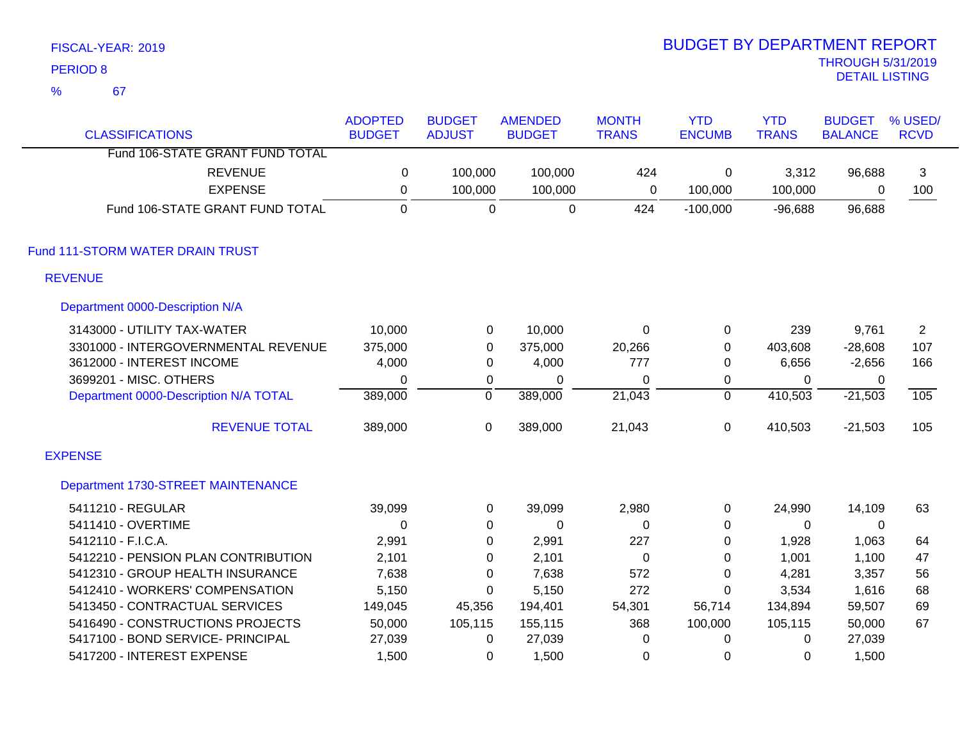|                | FISCAL-YEAR: 2019                     |                  |                  |                |                  | <b>BUDGET BY DEPARTMENT REPORT</b> |              |                          |                |
|----------------|---------------------------------------|------------------|------------------|----------------|------------------|------------------------------------|--------------|--------------------------|----------------|
|                | <b>PERIOD 8</b>                       |                  |                  |                |                  |                                    |              | <b>THROUGH 5/31/2019</b> |                |
| $\frac{9}{6}$  | 67                                    |                  |                  |                |                  |                                    |              | <b>DETAIL LISTING</b>    |                |
|                |                                       | <b>ADOPTED</b>   | <b>BUDGET</b>    | <b>AMENDED</b> | <b>MONTH</b>     | <b>YTD</b>                         | <b>YTD</b>   | <b>BUDGET</b>            | % USED/        |
|                | <b>CLASSIFICATIONS</b>                | <b>BUDGET</b>    | <b>ADJUST</b>    | <b>BUDGET</b>  | <b>TRANS</b>     | <b>ENCUMB</b>                      | <b>TRANS</b> | <b>BALANCE</b>           | <b>RCVD</b>    |
|                | Fund 106-STATE GRANT FUND TOTAL       |                  |                  |                |                  |                                    |              |                          |                |
|                | <b>REVENUE</b>                        | $\boldsymbol{0}$ | 100,000          | 100,000        | 424              | $\mathbf 0$                        | 3,312        | 96,688                   | 3              |
|                | <b>EXPENSE</b>                        | $\pmb{0}$        | 100,000          | 100,000        | $\mathbf 0$      | 100,000                            | 100,000      | 0                        | 100            |
|                | Fund 106-STATE GRANT FUND TOTAL       | $\mathbf 0$      | $\mathbf 0$      | $\mathbf 0$    | 424              | $-100,000$                         | $-96,688$    | 96,688                   |                |
|                | Fund 111-STORM WATER DRAIN TRUST      |                  |                  |                |                  |                                    |              |                          |                |
| <b>REVENUE</b> |                                       |                  |                  |                |                  |                                    |              |                          |                |
|                | Department 0000-Description N/A       |                  |                  |                |                  |                                    |              |                          |                |
|                | 3143000 - UTILITY TAX-WATER           | 10,000           | $\pmb{0}$        | 10,000         | $\boldsymbol{0}$ | 0                                  | 239          | 9,761                    | $\overline{2}$ |
|                | 3301000 - INTERGOVERNMENTAL REVENUE   | 375,000          | $\boldsymbol{0}$ | 375,000        | 20,266           | 0                                  | 403,608      | $-28,608$                | 107            |
|                | 3612000 - INTEREST INCOME             | 4,000            | $\boldsymbol{0}$ | 4,000          | 777              | 0                                  | 6,656        | $-2,656$                 | 166            |
|                | 3699201 - MISC. OTHERS                | $\mathbf 0$      | $\pmb{0}$        | $\pmb{0}$      | $\pmb{0}$        | 0                                  | $\mathbf 0$  | $\mathbf 0$              |                |
|                | Department 0000-Description N/A TOTAL | 389,000          | $\overline{0}$   | 389,000        | 21,043           | $\overline{0}$                     | 410,503      | $-21,503$                | 105            |
|                | <b>REVENUE TOTAL</b>                  | 389,000          | $\mathbf 0$      | 389,000        | 21,043           | $\mathbf 0$                        | 410,503      | $-21,503$                | 105            |
| <b>EXPENSE</b> |                                       |                  |                  |                |                  |                                    |              |                          |                |
|                | Department 1730-STREET MAINTENANCE    |                  |                  |                |                  |                                    |              |                          |                |
|                | 5411210 - REGULAR                     | 39,099           | $\mathbf 0$      | 39,099         | 2,980            | 0                                  | 24,990       | 14,109                   | 63             |
|                | 5411410 - OVERTIME                    | $\mathbf 0$      | 0                | 0              | 0                | 0                                  | 0            | 0                        |                |
|                | 5412110 - F.I.C.A.                    | 2,991            | $\pmb{0}$        | 2,991          | 227              | 0                                  | 1,928        | 1,063                    | 64             |
|                | 5412210 - PENSION PLAN CONTRIBUTION   | 2,101            | 0                | 2,101          | 0                | 0                                  | 1,001        | 1,100                    | 47             |
|                | 5412310 - GROUP HEALTH INSURANCE      | 7,638            | $\pmb{0}$        | 7,638          | 572              | 0                                  | 4,281        | 3,357                    | 56             |
|                | 5412410 - WORKERS' COMPENSATION       | 5,150            | $\pmb{0}$        | 5,150          | 272              | 0                                  | 3,534        | 1,616                    | 68             |
|                | 5413450 - CONTRACTUAL SERVICES        | 149,045          | 45,356           | 194,401        | 54,301           | 56,714                             | 134,894      | 59,507                   | 69             |
|                | 5416490 - CONSTRUCTIONS PROJECTS      | 50,000           | 105,115          | 155,115        | 368              | 100,000                            | 105,115      | 50,000                   | 67             |
|                | 5417100 - BOND SERVICE- PRINCIPAL     | 27,039           | 0                | 27,039         | 0                | 0                                  | 0            | 27,039                   |                |
|                | 5417200 - INTEREST EXPENSE            | 1,500            | 0                | 1,500          | 0                | 0                                  | 0            | 1,500                    |                |

BUDGET BY DEPARTMENT REPORT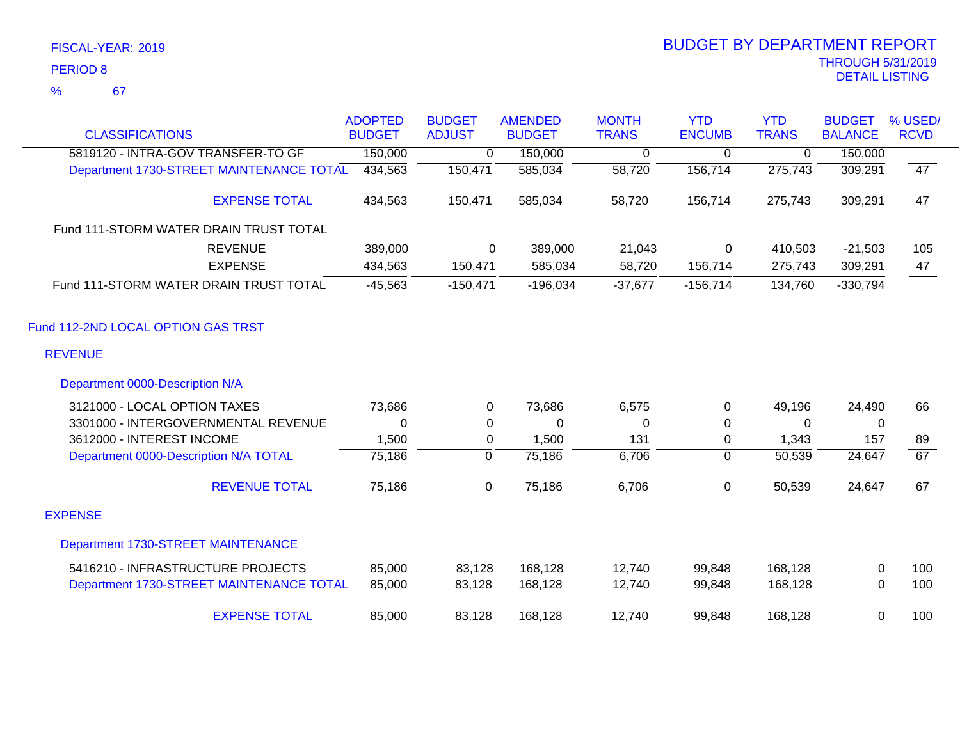### 67 %

| <b>CLASSIFICATIONS</b>                   | <b>ADOPTED</b><br><b>BUDGET</b> | <b>BUDGET</b><br><b>ADJUST</b> | <b>AMENDED</b><br><b>BUDGET</b> | <b>MONTH</b><br><b>TRANS</b> | <b>YTD</b><br><b>ENCUMB</b> | <b>YTD</b><br><b>TRANS</b> | <b>BUDGET</b><br><b>BALANCE</b> | % USED/<br><b>RCVD</b> |
|------------------------------------------|---------------------------------|--------------------------------|---------------------------------|------------------------------|-----------------------------|----------------------------|---------------------------------|------------------------|
|                                          |                                 |                                |                                 |                              |                             |                            |                                 |                        |
| 5819120 - INTRA-GOV TRANSFER-TO GF       | 150,000                         | 0                              | 150,000                         | $\overline{0}$               | $\overline{0}$              | 0                          | 150,000                         |                        |
| Department 1730-STREET MAINTENANCE TOTAL | 434,563                         | 150,471                        | 585,034                         | 58,720                       | 156,714                     | 275,743                    | 309,291                         | 47                     |
| <b>EXPENSE TOTAL</b>                     | 434,563                         | 150,471                        | 585,034                         | 58,720                       | 156,714                     | 275,743                    | 309,291                         | 47                     |
| Fund 111-STORM WATER DRAIN TRUST TOTAL   |                                 |                                |                                 |                              |                             |                            |                                 |                        |
| <b>REVENUE</b>                           | 389,000                         | $\Omega$                       | 389,000                         | 21,043                       | $\mathbf 0$                 | 410,503                    | $-21,503$                       | 105                    |
| <b>EXPENSE</b>                           | 434,563                         | 150,471                        | 585,034                         | 58,720                       | 156,714                     | 275,743                    | 309,291                         | 47                     |
| Fund 111-STORM WATER DRAIN TRUST TOTAL   | $-45,563$                       | $-150,471$                     | $-196,034$                      | $-37,677$                    | $-156,714$                  | 134,760                    | $-330,794$                      |                        |
| Fund 112-2ND LOCAL OPTION GAS TRST       |                                 |                                |                                 |                              |                             |                            |                                 |                        |
| <b>REVENUE</b>                           |                                 |                                |                                 |                              |                             |                            |                                 |                        |
| Department 0000-Description N/A          |                                 |                                |                                 |                              |                             |                            |                                 |                        |
| 3121000 - LOCAL OPTION TAXES             | 73,686                          | 0                              | 73,686                          | 6,575                        | 0                           | 49,196                     | 24,490                          | 66                     |
| 3301000 - INTERGOVERNMENTAL REVENUE      | $\Omega$                        | 0                              | 0                               | 0                            | 0                           | 0                          | 0                               |                        |
| 3612000 - INTEREST INCOME                | 1,500                           | $\pmb{0}$                      | 1,500                           | 131                          | 0                           | 1,343                      | 157                             | 89                     |
| Department 0000-Description N/A TOTAL    | 75,186                          | $\overline{0}$                 | 75,186                          | 6,706                        | $\overline{0}$              | 50,539                     | 24,647                          | 67                     |
| <b>REVENUE TOTAL</b>                     | 75,186                          | $\mathbf 0$                    | 75,186                          | 6,706                        | 0                           | 50,539                     | 24,647                          | 67                     |
| <b>EXPENSE</b>                           |                                 |                                |                                 |                              |                             |                            |                                 |                        |
| Department 1730-STREET MAINTENANCE       |                                 |                                |                                 |                              |                             |                            |                                 |                        |
| 5416210 - INFRASTRUCTURE PROJECTS        | 85,000                          | 83,128                         | 168,128                         | 12,740                       | 99,848                      | 168,128                    | 0                               | 100                    |
| Department 1730-STREET MAINTENANCE TOTAL | 85,000                          | 83,128                         | 168,128                         | 12,740                       | 99,848                      | 168,128                    | $\overline{0}$                  | 100                    |
| <b>EXPENSE TOTAL</b>                     | 85,000                          | 83,128                         | 168,128                         | 12,740                       | 99,848                      | 168,128                    | $\mathbf 0$                     | 100                    |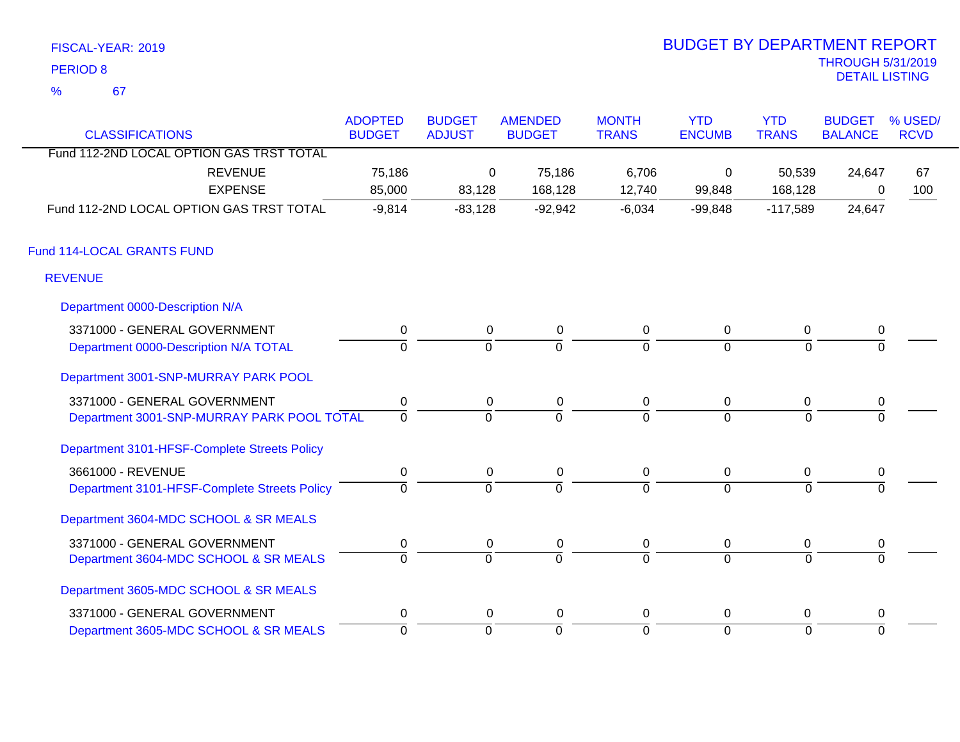| FISCAL-YEAR: 2019 | <b>BUDGET BY DEPARTMENT REPORT</b>         |
|-------------------|--------------------------------------------|
| PERIOD 8          | <b>THROUGH 5/31/2019</b><br>DETAIL LISTING |
| $\alpha$<br>-67   |                                            |

# BUDGET BY DEPARTMENT REPORT

| <b>CLASSIFICATIONS</b>                       | <b>ADOPTED</b><br><b>BUDGET</b> | <b>BUDGET</b><br><b>ADJUST</b> | <b>AMENDED</b><br><b>BUDGET</b> | <b>MONTH</b><br><b>TRANS</b> | <b>YTD</b><br><b>ENCUMB</b> | <b>YTD</b><br><b>TRANS</b> | <b>BUDGET</b><br><b>BALANCE</b> | % USED/<br><b>RCVD</b> |
|----------------------------------------------|---------------------------------|--------------------------------|---------------------------------|------------------------------|-----------------------------|----------------------------|---------------------------------|------------------------|
| Fund 112-2ND LOCAL OPTION GAS TRST TOTAL     |                                 |                                |                                 |                              |                             |                            |                                 |                        |
| <b>REVENUE</b>                               | 75,186                          | 0                              | 75,186                          | 6,706                        | 0                           | 50,539                     | 24,647                          | 67                     |
| <b>EXPENSE</b>                               | 85,000                          | 83,128                         | 168,128                         | 12,740                       | 99,848                      | 168,128                    | 0                               | 100                    |
| Fund 112-2ND LOCAL OPTION GAS TRST TOTAL     | $-9,814$                        | $-83,128$                      | $-92,942$                       | $-6,034$                     | $-99,848$                   | $-117,589$                 | 24,647                          |                        |
| Fund 114-LOCAL GRANTS FUND                   |                                 |                                |                                 |                              |                             |                            |                                 |                        |
| <b>REVENUE</b>                               |                                 |                                |                                 |                              |                             |                            |                                 |                        |
| Department 0000-Description N/A              |                                 |                                |                                 |                              |                             |                            |                                 |                        |
| 3371000 - GENERAL GOVERNMENT                 | $\pmb{0}$                       | $\mathbf 0$                    | $\pmb{0}$                       | 0                            | $\mathbf 0$                 | 0                          | $\pmb{0}$                       |                        |
| Department 0000-Description N/A TOTAL        | $\mathbf 0$                     | $\Omega$                       | $\overline{0}$                  | $\Omega$                     | $\overline{0}$              | $\Omega$                   | $\Omega$                        |                        |
| Department 3001-SNP-MURRAY PARK POOL         |                                 |                                |                                 |                              |                             |                            |                                 |                        |
| 3371000 - GENERAL GOVERNMENT                 | $\pmb{0}$                       | $\mathbf 0$                    | $\pmb{0}$                       | 0                            | $\overline{0}$              | 0                          | 0                               |                        |
| Department 3001-SNP-MURRAY PARK POOL TOTAL   | $\overline{0}$                  | $\Omega$                       | $\Omega$                        | $\Omega$                     | $\Omega$                    | $\Omega$                   | $\Omega$                        |                        |
| Department 3101-HFSF-Complete Streets Policy |                                 |                                |                                 |                              |                             |                            |                                 |                        |
| 3661000 - REVENUE                            | $\pmb{0}$                       | $\mathbf 0$                    | $\mathbf 0$                     | 0                            | $\overline{0}$              | 0                          | 0                               |                        |
| Department 3101-HFSF-Complete Streets Policy | $\Omega$                        | $\Omega$                       | $\overline{0}$                  | $\Omega$                     | $\Omega$                    | $\Omega$                   | $\Omega$                        |                        |
| Department 3604-MDC SCHOOL & SR MEALS        |                                 |                                |                                 |                              |                             |                            |                                 |                        |
| 3371000 - GENERAL GOVERNMENT                 | 0                               | 0                              | 0                               | 0                            | 0                           | 0                          | 0                               |                        |
| Department 3604-MDC SCHOOL & SR MEALS        | $\overline{0}$                  | $\overline{0}$                 | $\overline{0}$                  | $\overline{0}$               | $\overline{0}$              | $\Omega$                   | $\Omega$                        |                        |
| Department 3605-MDC SCHOOL & SR MEALS        |                                 |                                |                                 |                              |                             |                            |                                 |                        |
| 3371000 - GENERAL GOVERNMENT                 | 0                               | $\mathbf 0$                    | $\mathbf 0$                     | 0                            | $\mathbf 0$                 | 0                          | 0                               |                        |
| Department 3605-MDC SCHOOL & SR MEALS        | $\overline{0}$                  | $\overline{0}$                 | $\overline{0}$                  | $\overline{0}$               | $\overline{0}$              | $\mathbf 0$                | $\overline{0}$                  |                        |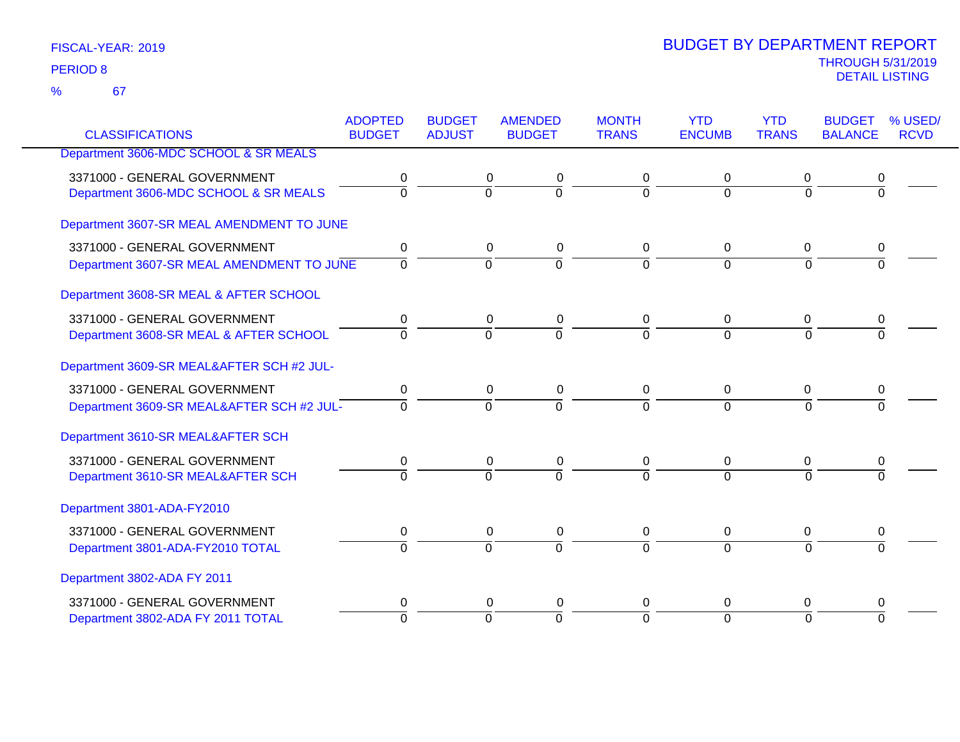| <b>CLASSIFICATIONS</b>                    | <b>ADOPTED</b><br><b>BUDGET</b> | <b>BUDGET</b><br><b>ADJUST</b> | <b>AMENDED</b><br><b>BUDGET</b> | <b>MONTH</b><br><b>TRANS</b> | <b>YTD</b><br><b>ENCUMB</b> | <b>YTD</b><br><b>TRANS</b> | <b>BUDGET</b><br><b>BALANCE</b> | % USED/<br><b>RCVD</b> |
|-------------------------------------------|---------------------------------|--------------------------------|---------------------------------|------------------------------|-----------------------------|----------------------------|---------------------------------|------------------------|
| Department 3606-MDC SCHOOL & SR MEALS     |                                 |                                |                                 |                              |                             |                            |                                 |                        |
|                                           |                                 |                                |                                 |                              |                             |                            |                                 |                        |
| 3371000 - GENERAL GOVERNMENT              | 0                               | 0                              | 0                               | 0                            | 0                           | 0                          | 0                               |                        |
| Department 3606-MDC SCHOOL & SR MEALS     | $\overline{0}$                  | $\overline{0}$                 | $\overline{0}$                  | $\overline{0}$               | $\Omega$                    | $\Omega$                   | $\overline{0}$                  |                        |
| Department 3607-SR MEAL AMENDMENT TO JUNE |                                 |                                |                                 |                              |                             |                            |                                 |                        |
| 3371000 - GENERAL GOVERNMENT              | 0                               | $\mathbf 0$                    | $\pmb{0}$                       | $\mathbf 0$                  | 0                           | $\mathbf 0$                | 0                               |                        |
| Department 3607-SR MEAL AMENDMENT TO JUNE | $\overline{0}$                  | $\overline{0}$                 | $\overline{0}$                  | $\overline{0}$               | $\overline{0}$              | $\overline{0}$             | $\overline{0}$                  |                        |
| Department 3608-SR MEAL & AFTER SCHOOL    |                                 |                                |                                 |                              |                             |                            |                                 |                        |
| 3371000 - GENERAL GOVERNMENT              | 0                               | 0                              | 0                               | 0                            | 0                           | 0                          | 0                               |                        |
| Department 3608-SR MEAL & AFTER SCHOOL    | $\overline{0}$                  | $\overline{0}$                 | $\overline{0}$                  | $\overline{0}$               | $\overline{0}$              | $\overline{0}$             | $\overline{0}$                  |                        |
| Department 3609-SR MEAL&AFTER SCH #2 JUL- |                                 |                                |                                 |                              |                             |                            |                                 |                        |
| 3371000 - GENERAL GOVERNMENT              | 0                               | 0                              | 0                               | $\mathbf 0$                  | 0                           | 0                          | 0                               |                        |
| Department 3609-SR MEAL&AFTER SCH #2 JUL- | $\Omega$                        | $\Omega$                       | $\overline{0}$                  | $\Omega$                     | $\Omega$                    | $\Omega$                   | $\Omega$                        |                        |
| Department 3610-SR MEAL&AFTER SCH         |                                 |                                |                                 |                              |                             |                            |                                 |                        |
| 3371000 - GENERAL GOVERNMENT              | $\mathbf 0$                     | $\pmb{0}$                      | $\pmb{0}$                       | $\mathbf 0$                  | 0                           | $\mathbf 0$                | 0                               |                        |
| Department 3610-SR MEAL&AFTER SCH         | $\Omega$                        | $\Omega$                       | $\Omega$                        | $\Omega$                     | $\Omega$                    | $\Omega$                   | $\Omega$                        |                        |
| Department 3801-ADA-FY2010                |                                 |                                |                                 |                              |                             |                            |                                 |                        |
| 3371000 - GENERAL GOVERNMENT              | 0                               |                                | 0<br>$\pmb{0}$                  | 0                            | 0                           | 0                          | 0                               |                        |
| Department 3801-ADA-FY2010 TOTAL          | $\overline{0}$                  | $\overline{0}$                 | $\overline{0}$                  | $\Omega$                     | $\overline{0}$              | $\Omega$                   | $\overline{0}$                  |                        |
| Department 3802-ADA FY 2011               |                                 |                                |                                 |                              |                             |                            |                                 |                        |
| 3371000 - GENERAL GOVERNMENT              | 0                               | 0                              | 0                               | 0                            | 0                           | 0                          | 0                               |                        |
| Department 3802-ADA FY 2011 TOTAL         | $\Omega$                        | $\mathbf 0$                    | $\overline{0}$                  | $\Omega$                     | $\Omega$                    | $\Omega$                   | $\Omega$                        |                        |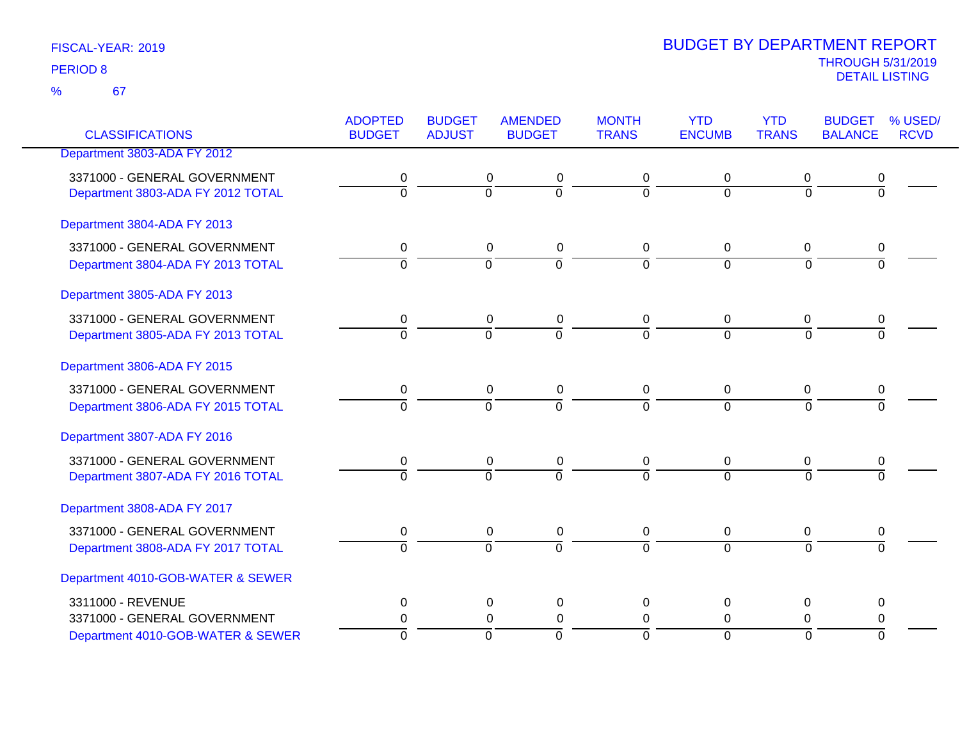67 %

|                                   | <b>ADOPTED</b> | <b>BUDGET</b>  | <b>AMENDED</b>             | <b>MONTH</b>   | <b>YTD</b>       | <b>YTD</b>     | <b>BUDGET</b>  | % USED/     |
|-----------------------------------|----------------|----------------|----------------------------|----------------|------------------|----------------|----------------|-------------|
| <b>CLASSIFICATIONS</b>            | <b>BUDGET</b>  | <b>ADJUST</b>  | <b>BUDGET</b>              | <b>TRANS</b>   | <b>ENCUMB</b>    | <b>TRANS</b>   | <b>BALANCE</b> | <b>RCVD</b> |
| Department 3803-ADA FY 2012       |                |                |                            |                |                  |                |                |             |
| 3371000 - GENERAL GOVERNMENT      | 0              |                | 0<br>0                     | 0              | 0                | 0              | 0              |             |
| Department 3803-ADA FY 2012 TOTAL | $\overline{0}$ | $\overline{0}$ | $\overline{0}$             | $\overline{0}$ | $\overline{0}$   | $\overline{0}$ | $\overline{0}$ |             |
| Department 3804-ADA FY 2013       |                |                |                            |                |                  |                |                |             |
| 3371000 - GENERAL GOVERNMENT      | 0              |                | 0<br>0                     | 0              | 0                | 0              | 0              |             |
| Department 3804-ADA FY 2013 TOTAL | $\overline{0}$ | $\overline{0}$ | $\overline{0}$             | $\overline{0}$ | $\overline{0}$   | $\overline{0}$ | $\overline{0}$ |             |
| Department 3805-ADA FY 2013       |                |                |                            |                |                  |                |                |             |
| 3371000 - GENERAL GOVERNMENT      | 0              |                | 0<br>0                     | 0              | 0                | 0              | 0              |             |
| Department 3805-ADA FY 2013 TOTAL | $\overline{0}$ | $\overline{0}$ | $\overline{0}$             | $\overline{0}$ | $\overline{0}$   | $\overline{0}$ | $\overline{0}$ |             |
| Department 3806-ADA FY 2015       |                |                |                            |                |                  |                |                |             |
| 3371000 - GENERAL GOVERNMENT      | 0              |                | 0<br>0                     | 0              | 0                | 0              | 0              |             |
| Department 3806-ADA FY 2015 TOTAL | $\overline{0}$ | $\overline{0}$ | $\overline{0}$             | $\overline{0}$ | $\overline{0}$   | $\overline{0}$ | $\overline{0}$ |             |
| Department 3807-ADA FY 2016       |                |                |                            |                |                  |                |                |             |
| 3371000 - GENERAL GOVERNMENT      | 0              |                | 0<br>0                     | 0              | 0                | 0              | 0              |             |
| Department 3807-ADA FY 2016 TOTAL | $\overline{0}$ | 0              | $\overline{0}$             | $\overline{0}$ | $\overline{0}$   | $\overline{0}$ | $\overline{0}$ |             |
| Department 3808-ADA FY 2017       |                |                |                            |                |                  |                |                |             |
| 3371000 - GENERAL GOVERNMENT      | 0              |                | 0<br>0                     | 0              | 0                | 0              | 0              |             |
| Department 3808-ADA FY 2017 TOTAL | $\overline{0}$ | $\overline{0}$ | $\overline{0}$             | $\overline{0}$ | $\overline{0}$   | $\overline{0}$ | $\overline{0}$ |             |
| Department 4010-GOB-WATER & SEWER |                |                |                            |                |                  |                |                |             |
| 3311000 - REVENUE                 | 0              |                | 0<br>0                     | 0              | 0                | 0              | 0              |             |
| 3371000 - GENERAL GOVERNMENT      | 0              |                | $\mathbf 0$<br>$\mathbf 0$ | $\mathbf 0$    | $\boldsymbol{0}$ | 0              | 0              |             |
| Department 4010-GOB-WATER & SEWER | $\overline{0}$ | ō              | ō                          | $\Omega$       | $\mathbf 0$      | $\overline{0}$ | $\overline{0}$ |             |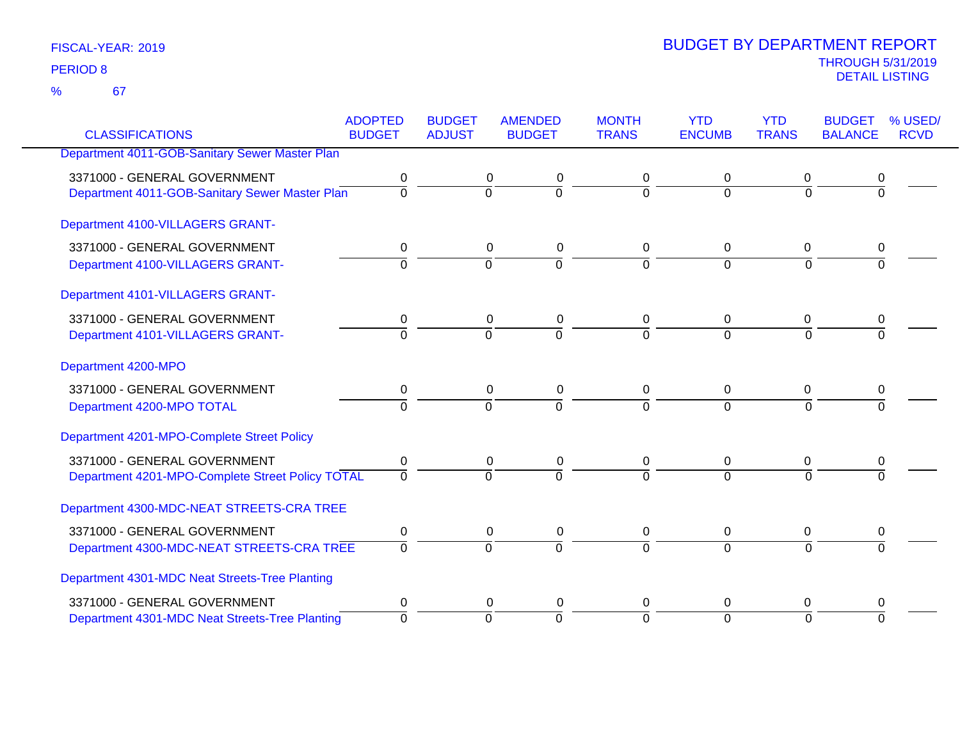67 %

|                                                  | <b>ADOPTED</b> | <b>BUDGET</b>  | <b>AMENDED</b>           | <b>MONTH</b>   | <b>YTD</b>     | <b>YTD</b>   | <b>BUDGET</b>  | % USED/     |
|--------------------------------------------------|----------------|----------------|--------------------------|----------------|----------------|--------------|----------------|-------------|
| <b>CLASSIFICATIONS</b>                           | <b>BUDGET</b>  | <b>ADJUST</b>  | <b>BUDGET</b>            | <b>TRANS</b>   | <b>ENCUMB</b>  | <b>TRANS</b> | <b>BALANCE</b> | <b>RCVD</b> |
| Department 4011-GOB-Sanitary Sewer Master Plan   |                |                |                          |                |                |              |                |             |
| 3371000 - GENERAL GOVERNMENT                     | 0              |                | 0<br>0                   | 0              | 0              | 0            | 0              |             |
| Department 4011-GOB-Sanitary Sewer Master Plan   | $\overline{0}$ | $\overline{0}$ | $\overline{0}$           | $\Omega$       | $\Omega$       | $\Omega$     | $\Omega$       |             |
| Department 4100-VILLAGERS GRANT-                 |                |                |                          |                |                |              |                |             |
| 3371000 - GENERAL GOVERNMENT                     | 0              |                | 0<br>$\pmb{0}$           | 0              | 0              | 0            | 0              |             |
| Department 4100-VILLAGERS GRANT-                 | $\overline{0}$ | $\overline{0}$ | $\overline{0}$           | $\overline{0}$ | $\overline{0}$ | $\Omega$     | $\Omega$       |             |
| Department 4101-VILLAGERS GRANT-                 |                |                |                          |                |                |              |                |             |
| 3371000 - GENERAL GOVERNMENT                     | 0              |                | 0<br>0                   | 0              | 0              | 0            |                |             |
| Department 4101-VILLAGERS GRANT-                 | $\Omega$       | $\Omega$       | $\overline{0}$           | $\overline{0}$ | $\Omega$       | $\Omega$     | $\Omega$       |             |
| Department 4200-MPO                              |                |                |                          |                |                |              |                |             |
| 3371000 - GENERAL GOVERNMENT                     | 0              |                | 0<br>0                   | 0              | $\mathbf 0$    | 0            | 0              |             |
| Department 4200-MPO TOTAL                        | $\Omega$       | $\Omega$       | $\overline{0}$           | $\Omega$       | $\Omega$       | $\Omega$     | 0              |             |
| Department 4201-MPO-Complete Street Policy       |                |                |                          |                |                |              |                |             |
| 3371000 - GENERAL GOVERNMENT                     | 0              |                | $\pmb{0}$<br>$\pmb{0}$   | 0              | $\mathbf 0$    | $\mathbf 0$  | 0              |             |
| Department 4201-MPO-Complete Street Policy TOTAL | $\overline{0}$ | $\Omega$       | $\overline{0}$           | $\overline{0}$ | $\Omega$       | $\Omega$     | $\Omega$       |             |
| Department 4300-MDC-NEAT STREETS-CRA TREE        |                |                |                          |                |                |              |                |             |
| 3371000 - GENERAL GOVERNMENT                     | 0              |                | $\mathbf 0$<br>$\pmb{0}$ | $\mathbf 0$    | $\mathbf 0$    | $\mathbf 0$  | 0              |             |
| Department 4300-MDC-NEAT STREETS-CRA TREE        | $\Omega$       | $\Omega$       | $\overline{0}$           | $\Omega$       | $\overline{0}$ | $\Omega$     | $\Omega$       |             |
| Department 4301-MDC Neat Streets-Tree Planting   |                |                |                          |                |                |              |                |             |
| 3371000 - GENERAL GOVERNMENT                     | 0              |                | 0<br>0                   | 0              | 0              | 0            | 0              |             |
| Department 4301-MDC Neat Streets-Tree Planting   | $\Omega$       | $\Omega$       | $\overline{0}$           | $\Omega$       | $\overline{0}$ | $\Omega$     | $\Omega$       |             |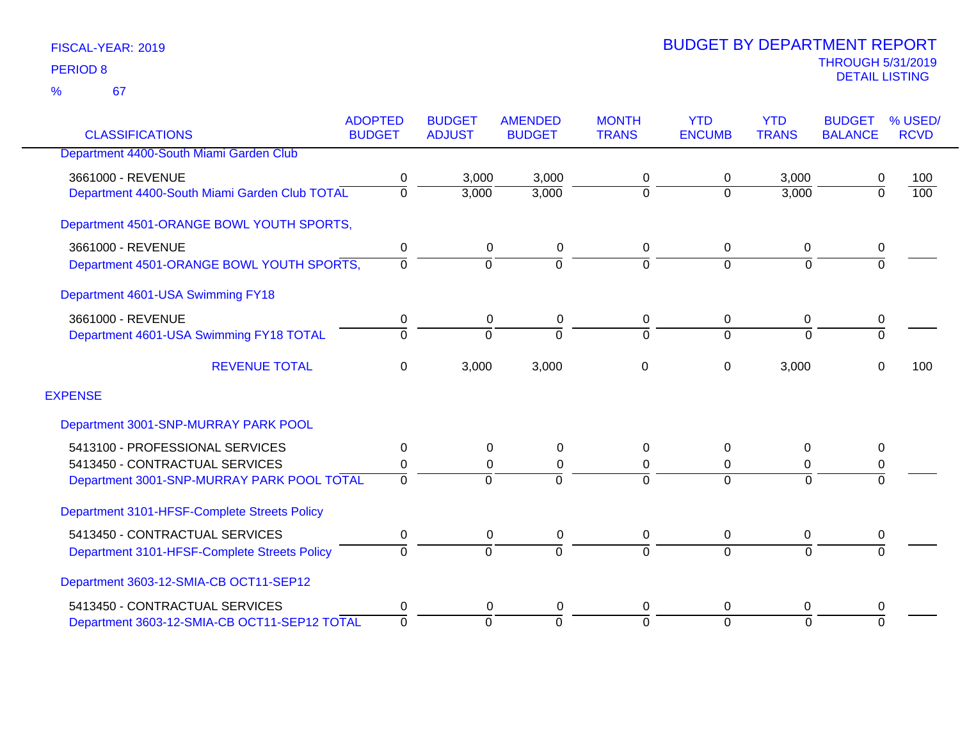|                                               | <b>ADOPTED</b> | <b>BUDGET</b>  | <b>AMENDED</b> | <b>MONTH</b>   | <b>YTD</b>    | <b>YTD</b>     | <b>BUDGET</b>  | % USED/     |
|-----------------------------------------------|----------------|----------------|----------------|----------------|---------------|----------------|----------------|-------------|
| <b>CLASSIFICATIONS</b>                        | <b>BUDGET</b>  | <b>ADJUST</b>  | <b>BUDGET</b>  | <b>TRANS</b>   | <b>ENCUMB</b> | <b>TRANS</b>   | <b>BALANCE</b> | <b>RCVD</b> |
| Department 4400-South Miami Garden Club       |                |                |                |                |               |                |                |             |
| 3661000 - REVENUE                             | 0              | 3,000          | 3,000          | 0              | 0             | 3,000          | 0              | 100         |
| Department 4400-South Miami Garden Club TOTAL | 0              | 3,000          | 3,000          | 0              | $\Omega$      | 3,000          | $\overline{0}$ | 100         |
| Department 4501-ORANGE BOWL YOUTH SPORTS,     |                |                |                |                |               |                |                |             |
| 3661000 - REVENUE                             | 0              | 0              | $\pmb{0}$      | 0              | $\mathbf 0$   | 0              | 0              |             |
| Department 4501-ORANGE BOWL YOUTH SPORTS,     | $\Omega$       | $\Omega$       | $\Omega$       | $\overline{0}$ | $\Omega$      | $\Omega$       | $\Omega$       |             |
| Department 4601-USA Swimming FY18             |                |                |                |                |               |                |                |             |
| 3661000 - REVENUE                             | 0              | 0              | 0              | 0              | 0             | 0              | 0              |             |
| Department 4601-USA Swimming FY18 TOTAL       | $\Omega$       | $\Omega$       | $\Omega$       | $\Omega$       | $\Omega$      | $\Omega$       | $\overline{0}$ |             |
| <b>REVENUE TOTAL</b>                          | 0              | 3,000          | 3,000          | 0              | 0             | 3,000          | 0              | 100         |
| <b>EXPENSE</b>                                |                |                |                |                |               |                |                |             |
| Department 3001-SNP-MURRAY PARK POOL          |                |                |                |                |               |                |                |             |
| 5413100 - PROFESSIONAL SERVICES               | 0              | 0              | 0              | 0              | 0             | 0              | 0              |             |
| 5413450 - CONTRACTUAL SERVICES                | 0              | 0              | 0              | 0              | 0             | 0              | 0              |             |
| Department 3001-SNP-MURRAY PARK POOL TOTAL    | $\Omega$       | $\Omega$       | $\Omega$       | $\Omega$       | $\Omega$      | $\Omega$       | $\Omega$       |             |
| Department 3101-HFSF-Complete Streets Policy  |                |                |                |                |               |                |                |             |
| 5413450 - CONTRACTUAL SERVICES                | 0              | 0              | 0              | 0              | 0             | 0              | 0              |             |
| Department 3101-HFSF-Complete Streets Policy  | $\Omega$       | $\overline{0}$ | $\Omega$       | $\overline{0}$ | $\Omega$      | $\overline{0}$ | $\overline{0}$ |             |
| Department 3603-12-SMIA-CB OCT11-SEP12        |                |                |                |                |               |                |                |             |
| 5413450 - CONTRACTUAL SERVICES                | 0              | 0              | 0              | 0              | 0             | 0              | 0              |             |
| Department 3603-12-SMIA-CB OCT11-SEP12 TOTAL  | 0              | $\Omega$       | $\Omega$       | 0              | $\Omega$      | $\overline{0}$ | $\Omega$       |             |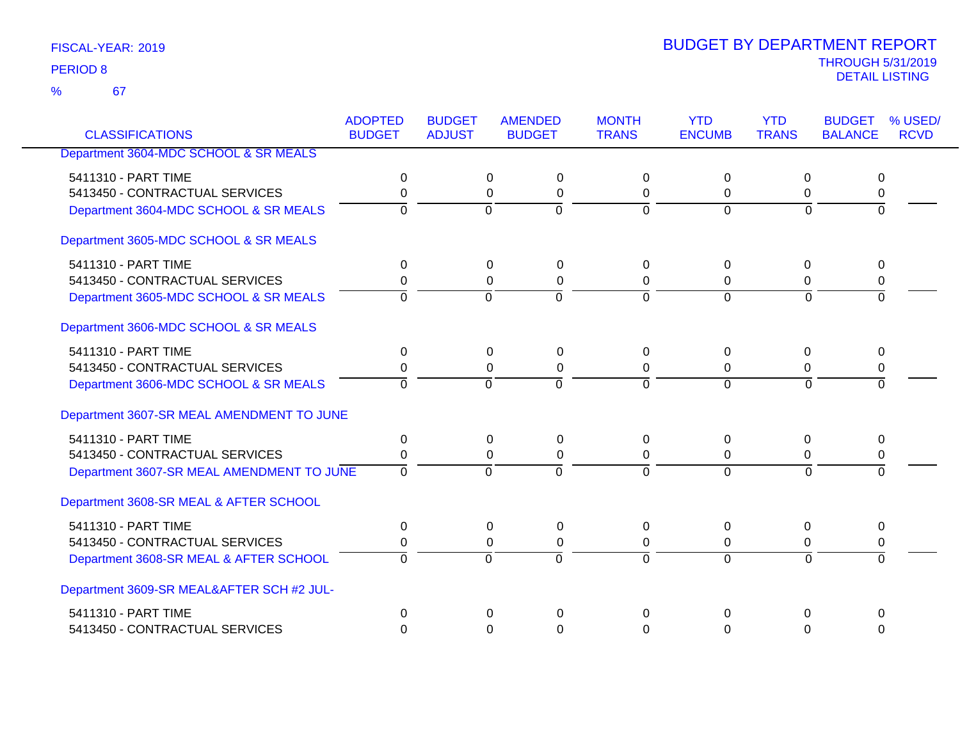67 %

| <b>CLASSIFICATIONS</b>                    | <b>ADOPTED</b><br><b>BUDGET</b> | <b>BUDGET</b><br><b>ADJUST</b> | <b>AMENDED</b><br><b>BUDGET</b> | <b>MONTH</b><br><b>TRANS</b> | <b>YTD</b><br><b>ENCUMB</b> | <b>YTD</b><br><b>TRANS</b> | <b>BUDGET</b><br><b>BALANCE</b> | % USED/<br><b>RCVD</b> |
|-------------------------------------------|---------------------------------|--------------------------------|---------------------------------|------------------------------|-----------------------------|----------------------------|---------------------------------|------------------------|
|                                           |                                 |                                |                                 |                              |                             |                            |                                 |                        |
| Department 3604-MDC SCHOOL & SR MEALS     |                                 |                                |                                 |                              |                             |                            |                                 |                        |
| 5411310 - PART TIME                       | 0                               | $\mathbf 0$                    | 0                               | $\Omega$                     | $\Omega$                    | $\Omega$                   | 0                               |                        |
| 5413450 - CONTRACTUAL SERVICES            | 0                               |                                | 0<br>$\mathbf 0$                | 0                            | 0                           | 0                          | 0                               |                        |
| Department 3604-MDC SCHOOL & SR MEALS     | 0                               | $\overline{0}$                 | $\overline{0}$                  | $\overline{0}$               | $\overline{0}$              | $\overline{0}$             | $\overline{0}$                  |                        |
| Department 3605-MDC SCHOOL & SR MEALS     |                                 |                                |                                 |                              |                             |                            |                                 |                        |
| 5411310 - PART TIME                       | $\mathbf 0$                     | $\mathbf 0$                    | $\mathbf 0$                     | $\mathbf{0}$                 | $\Omega$                    | $\mathbf 0$                | 0                               |                        |
| 5413450 - CONTRACTUAL SERVICES            | 0                               |                                | 0<br>$\mathbf 0$                | 0                            | 0                           | 0                          | 0                               |                        |
| Department 3605-MDC SCHOOL & SR MEALS     | $\Omega$                        | $\Omega$                       | $\Omega$                        | $\Omega$                     | $\Omega$                    | $\Omega$                   | $\Omega$                        |                        |
| Department 3606-MDC SCHOOL & SR MEALS     |                                 |                                |                                 |                              |                             |                            |                                 |                        |
| 5411310 - PART TIME                       | 0                               | $\mathbf 0$                    | 0                               | $\Omega$                     | $\Omega$                    | $\mathbf 0$                | 0                               |                        |
| 5413450 - CONTRACTUAL SERVICES            | 0                               |                                | $\Omega$<br>$\mathbf 0$         | $\Omega$                     | $\Omega$                    | $\Omega$                   | 0                               |                        |
| Department 3606-MDC SCHOOL & SR MEALS     | $\Omega$                        | $\Omega$                       | $\Omega$                        | $\Omega$                     | $\Omega$                    | $\Omega$                   | $\overline{0}$                  |                        |
| Department 3607-SR MEAL AMENDMENT TO JUNE |                                 |                                |                                 |                              |                             |                            |                                 |                        |
| 5411310 - PART TIME                       | $\Omega$                        |                                | 0<br>$\mathbf{0}$               | $\Omega$                     | $\Omega$                    | $\Omega$                   | 0                               |                        |
| 5413450 - CONTRACTUAL SERVICES            | 0                               |                                | 0<br>0                          | $\Omega$                     | 0                           | 0                          | 0                               |                        |
| Department 3607-SR MEAL AMENDMENT TO JUNE | $\overline{0}$                  | $\overline{0}$                 | $\overline{0}$                  | $\overline{0}$               | $\Omega$                    | $\overline{0}$             | $\Omega$                        |                        |
| Department 3608-SR MEAL & AFTER SCHOOL    |                                 |                                |                                 |                              |                             |                            |                                 |                        |
| 5411310 - PART TIME                       | 0                               | 0                              | $\mathbf 0$                     | 0                            | $\Omega$                    | 0                          | 0                               |                        |
| 5413450 - CONTRACTUAL SERVICES            | 0                               |                                | 0<br>$\mathbf 0$                | 0                            | 0                           | $\mathbf 0$                | 0                               |                        |
| Department 3608-SR MEAL & AFTER SCHOOL    | $\Omega$                        | $\overline{0}$                 | $\Omega$                        | $\overline{0}$               | $\overline{0}$              | $\Omega$                   | $\overline{0}$                  |                        |
| Department 3609-SR MEAL&AFTER SCH #2 JUL- |                                 |                                |                                 |                              |                             |                            |                                 |                        |
| 5411310 - PART TIME                       | $\Omega$                        |                                | $\Omega$<br>$\Omega$            | $\mathbf 0$                  | $\Omega$                    | 0                          | 0                               |                        |
| 5413450 - CONTRACTUAL SERVICES            | $\Omega$                        |                                | 0<br>$\Omega$                   | $\Omega$                     | $\Omega$                    | $\Omega$                   | $\Omega$                        |                        |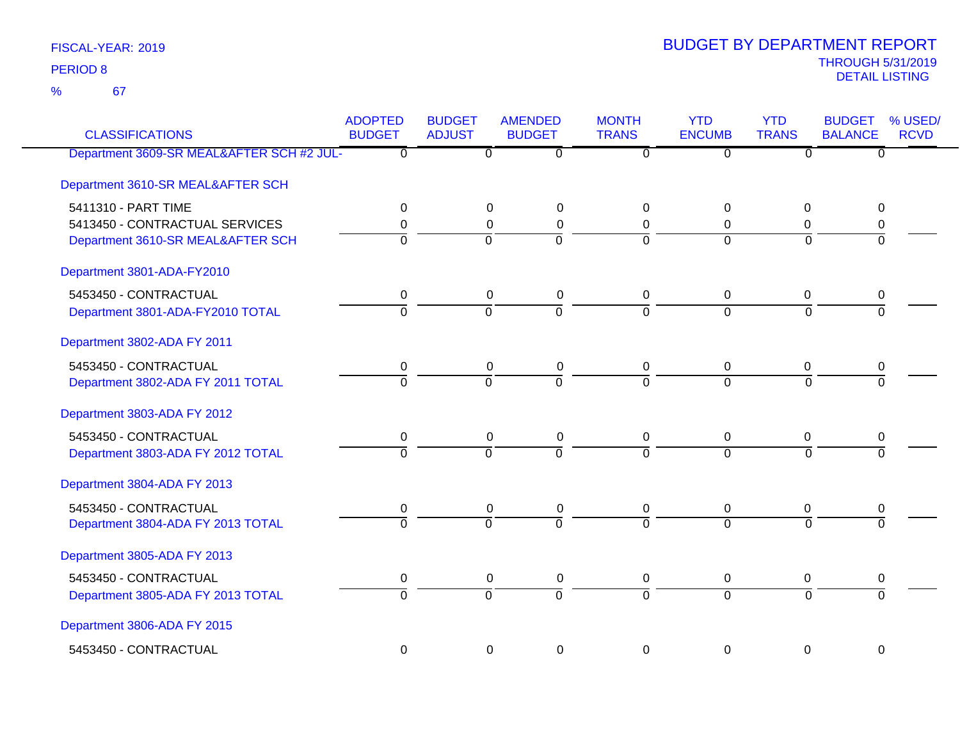67 %

| <b>CLASSIFICATIONS</b>                    | <b>ADOPTED</b><br><b>BUDGET</b> | <b>BUDGET</b><br><b>ADJUST</b> | <b>AMENDED</b><br><b>BUDGET</b> | <b>MONTH</b><br><b>TRANS</b> | <b>YTD</b><br><b>ENCUMB</b> | <b>YTD</b><br><b>TRANS</b> | <b>BUDGET</b><br><b>BALANCE</b> | % USED/<br><b>RCVD</b> |
|-------------------------------------------|---------------------------------|--------------------------------|---------------------------------|------------------------------|-----------------------------|----------------------------|---------------------------------|------------------------|
| Department 3609-SR MEAL&AFTER SCH #2 JUL- | $\overline{0}$                  | $\overline{0}$                 | $\overline{\mathfrak{o}}$       | $\overline{0}$               | $\overline{0}$              | $\overline{0}$             | $\overline{0}$                  |                        |
| Department 3610-SR MEAL&AFTER SCH         |                                 |                                |                                 |                              |                             |                            |                                 |                        |
| 5411310 - PART TIME                       | 0                               | $\Omega$                       | 0                               | $\overline{0}$               | $\Omega$                    | $\Omega$                   | 0                               |                        |
| 5413450 - CONTRACTUAL SERVICES            | 0                               | 0                              | $\pmb{0}$                       | $\mathbf 0$                  | $\Omega$                    | 0                          | 0                               |                        |
| Department 3610-SR MEAL&AFTER SCH         | $\overline{0}$                  | $\overline{0}$                 | $\overline{0}$                  | $\Omega$                     | $\Omega$                    | $\Omega$                   | $\overline{0}$                  |                        |
| Department 3801-ADA-FY2010                |                                 |                                |                                 |                              |                             |                            |                                 |                        |
| 5453450 - CONTRACTUAL                     | 0                               | $\pmb{0}$                      | $\pmb{0}$                       | $\mathbf 0$                  | 0                           | 0                          | 0                               |                        |
| Department 3801-ADA-FY2010 TOTAL          | $\overline{0}$                  | $\overline{0}$                 | $\overline{0}$                  | $\Omega$                     | $\overline{0}$              | $\overline{0}$             | $\overline{0}$                  |                        |
| Department 3802-ADA FY 2011               |                                 |                                |                                 |                              |                             |                            |                                 |                        |
| 5453450 - CONTRACTUAL                     | $\pmb{0}$                       | 0                              | 0                               | 0                            | 0                           | 0                          | 0                               |                        |
| Department 3802-ADA FY 2011 TOTAL         | $\Omega$                        | $\Omega$                       | $\overline{0}$                  | $\overline{0}$               | $\Omega$                    | $\Omega$                   | $\overline{0}$                  |                        |
| Department 3803-ADA FY 2012               |                                 |                                |                                 |                              |                             |                            |                                 |                        |
| 5453450 - CONTRACTUAL                     | 0                               | 0                              | 0                               | 0                            | 0                           | 0                          | 0                               |                        |
| Department 3803-ADA FY 2012 TOTAL         | $\overline{0}$                  | $\Omega$                       | $\overline{0}$                  | $\overline{0}$               | $\overline{0}$              | $\overline{0}$             | $\overline{0}$                  |                        |
| Department 3804-ADA FY 2013               |                                 |                                |                                 |                              |                             |                            |                                 |                        |
| 5453450 - CONTRACTUAL                     | 0                               | 0                              | 0                               | 0                            | 0                           | 0                          | 0                               |                        |
| Department 3804-ADA FY 2013 TOTAL         | $\overline{0}$                  | $\Omega$                       | $\overline{0}$                  | $\Omega$                     | $\Omega$                    | $\Omega$                   | $\overline{0}$                  |                        |
| Department 3805-ADA FY 2013               |                                 |                                |                                 |                              |                             |                            |                                 |                        |
| 5453450 - CONTRACTUAL                     | $\pmb{0}$                       | $\mathbf 0$                    | $\pmb{0}$                       | $\overline{0}$               | $\mathbf 0$                 | $\mathbf 0$                | $\pmb{0}$                       |                        |
| Department 3805-ADA FY 2013 TOTAL         | $\overline{0}$                  | $\overline{0}$                 | $\overline{0}$                  | ō                            | $\overline{0}$              | $\overline{0}$             | $\overline{0}$                  |                        |
| Department 3806-ADA FY 2015               |                                 |                                |                                 |                              |                             |                            |                                 |                        |
| 5453450 - CONTRACTUAL                     | $\mathbf 0$                     | 0                              | 0                               | $\mathbf 0$                  | $\mathbf 0$                 | $\mathbf 0$                | 0                               |                        |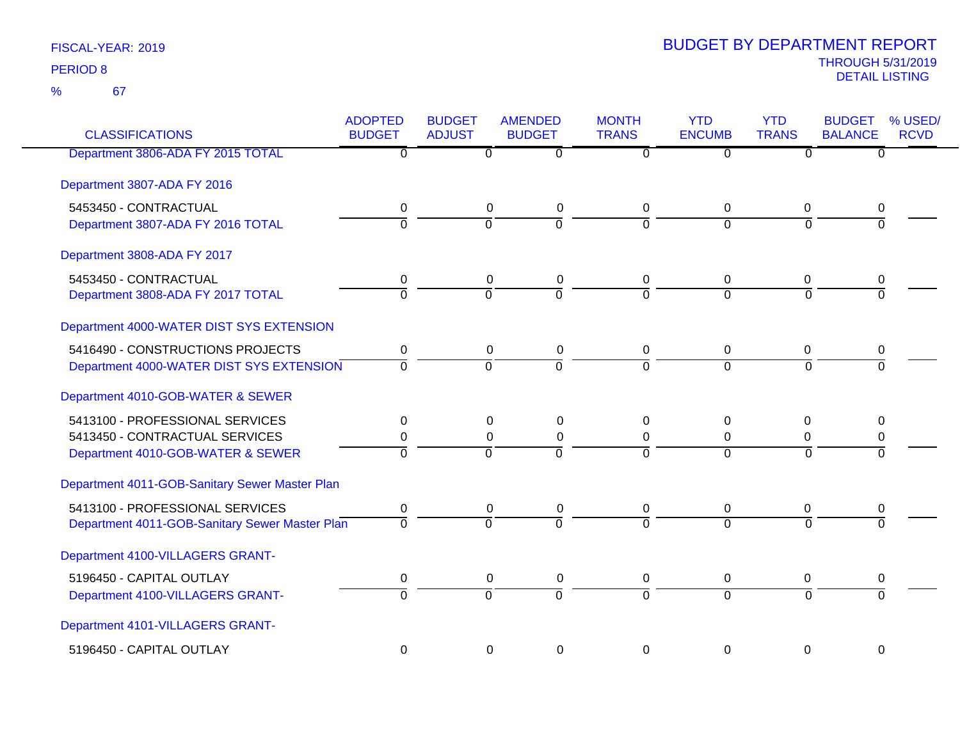67 %

| <b>CLASSIFICATIONS</b>                         | <b>ADOPTED</b><br><b>BUDGET</b> | <b>BUDGET</b><br><b>ADJUST</b> | <b>AMENDED</b><br><b>BUDGET</b> | <b>MONTH</b><br><b>TRANS</b> | <b>YTD</b><br><b>ENCUMB</b> | <b>YTD</b><br><b>TRANS</b> | % USED/<br><b>BUDGET</b><br><b>BALANCE</b><br><b>RCVD</b> |
|------------------------------------------------|---------------------------------|--------------------------------|---------------------------------|------------------------------|-----------------------------|----------------------------|-----------------------------------------------------------|
| Department 3806-ADA FY 2015 TOTAL              | $\overline{0}$                  | $\overline{0}$                 | $\overline{\mathfrak{o}}$       | $\overline{0}$               | $\overline{0}$              | $\overline{0}$             | $\overline{0}$                                            |
| Department 3807-ADA FY 2016                    |                                 |                                |                                 |                              |                             |                            |                                                           |
| 5453450 - CONTRACTUAL                          | 0                               | $\mathbf 0$                    | $\pmb{0}$                       | 0                            | 0                           | 0                          | 0                                                         |
| Department 3807-ADA FY 2016 TOTAL              | $\overline{0}$                  | $\Omega$                       | $\overline{0}$                  | $\Omega$                     | $\overline{0}$              | $\Omega$                   | $\Omega$                                                  |
| Department 3808-ADA FY 2017                    |                                 |                                |                                 |                              |                             |                            |                                                           |
| 5453450 - CONTRACTUAL                          | 0                               | $\mathbf 0$                    | $\pmb{0}$                       | 0                            | $\mathbf 0$                 | 0                          | 0                                                         |
| Department 3808-ADA FY 2017 TOTAL              | $\overline{0}$                  | $\overline{0}$                 | $\overline{0}$                  | $\overline{0}$               | $\Omega$                    | $\Omega$                   | $\Omega$                                                  |
| Department 4000-WATER DIST SYS EXTENSION       |                                 |                                |                                 |                              |                             |                            |                                                           |
| 5416490 - CONSTRUCTIONS PROJECTS               | 0                               | 0                              | $\pmb{0}$                       | 0                            | 0                           | 0                          | 0                                                         |
| Department 4000-WATER DIST SYS EXTENSION       | $\overline{0}$                  | $\overline{0}$                 | $\overline{0}$                  | $\overline{0}$               | $\overline{0}$              | $\overline{0}$             | $\overline{0}$                                            |
| Department 4010-GOB-WATER & SEWER              |                                 |                                |                                 |                              |                             |                            |                                                           |
| 5413100 - PROFESSIONAL SERVICES                | 0                               | $\Omega$                       | 0                               | $\Omega$                     | $\Omega$                    | $\Omega$                   | $\Omega$                                                  |
| 5413450 - CONTRACTUAL SERVICES                 | 0                               | 0                              | $\pmb{0}$                       | 0                            | 0                           | 0                          | 0                                                         |
| Department 4010-GOB-WATER & SEWER              | $\overline{0}$                  | $\overline{0}$                 | $\overline{0}$                  | $\Omega$                     | $\overline{0}$              | $\Omega$                   | $\Omega$                                                  |
| Department 4011-GOB-Sanitary Sewer Master Plan |                                 |                                |                                 |                              |                             |                            |                                                           |
| 5413100 - PROFESSIONAL SERVICES                | 0                               | $\mathbf 0$                    | 0                               | 0                            | 0                           | 0                          | 0                                                         |
| Department 4011-GOB-Sanitary Sewer Master Plan | $\overline{0}$                  | $\overline{0}$                 | $\overline{0}$                  | $\overline{0}$               | $\overline{0}$              | $\overline{0}$             | $\overline{0}$                                            |
| Department 4100-VILLAGERS GRANT-               |                                 |                                |                                 |                              |                             |                            |                                                           |
| 5196450 - CAPITAL OUTLAY                       | $\pmb{0}$                       | $\mathbf 0$                    | $\pmb{0}$                       | 0                            | $\mathbf 0$                 | $\mathbf 0$                | 0                                                         |
| Department 4100-VILLAGERS GRANT-               | $\overline{0}$                  | $\overline{0}$                 | $\overline{0}$                  | $\overline{0}$               | $\overline{0}$              | $\Omega$                   | $\overline{0}$                                            |
| Department 4101-VILLAGERS GRANT-               |                                 |                                |                                 |                              |                             |                            |                                                           |
| 5196450 - CAPITAL OUTLAY                       | 0                               | 0                              | $\mathbf 0$                     | $\mathbf 0$                  | $\mathbf 0$                 | $\mathbf 0$                | $\mathbf 0$                                               |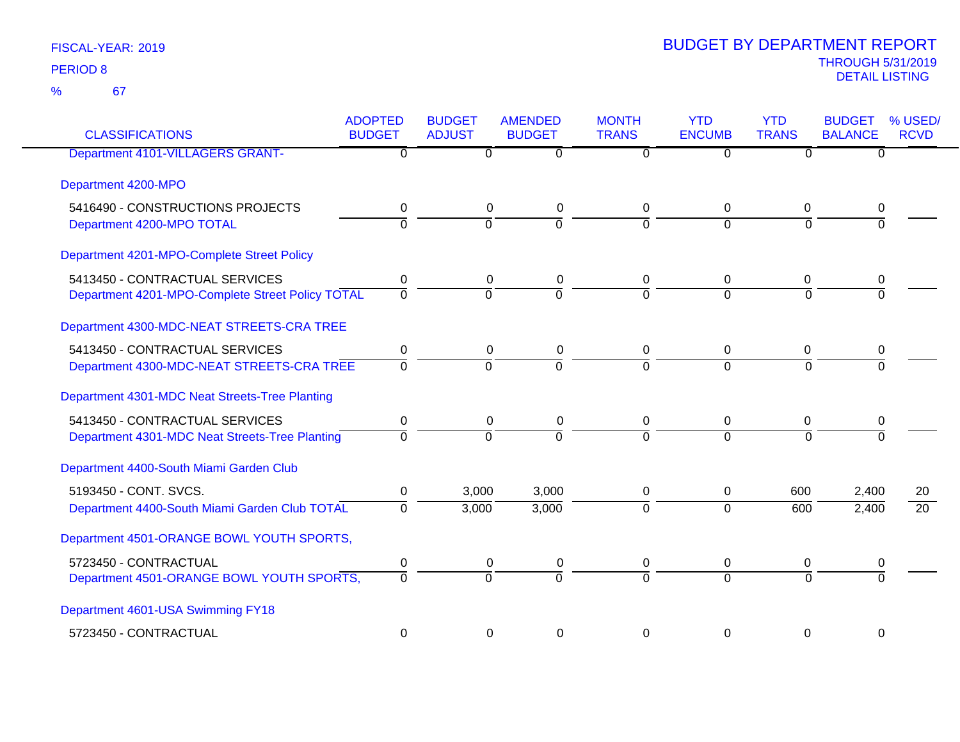| <b>CLASSIFICATIONS</b>                           | <b>ADOPTED</b><br><b>BUDGET</b> | <b>BUDGET</b><br><b>ADJUST</b> | <b>AMENDED</b><br><b>BUDGET</b> | <b>MONTH</b><br><b>TRANS</b> | <b>YTD</b><br><b>ENCUMB</b> | <b>YTD</b><br><b>TRANS</b> | <b>BUDGET</b><br><b>BALANCE</b> | % USED/<br><b>RCVD</b> |
|--------------------------------------------------|---------------------------------|--------------------------------|---------------------------------|------------------------------|-----------------------------|----------------------------|---------------------------------|------------------------|
| Department 4101-VILLAGERS GRANT-                 | 0                               | 0                              | $\overline{0}$                  | 0                            | 0                           | $\Omega$                   | 0                               |                        |
| Department 4200-MPO                              |                                 |                                |                                 |                              |                             |                            |                                 |                        |
| 5416490 - CONSTRUCTIONS PROJECTS                 | 0                               | $\mathbf 0$                    | $\mathbf 0$                     | 0                            | 0                           | 0                          | 0                               |                        |
| Department 4200-MPO TOTAL                        | $\Omega$                        | $\overline{0}$                 | $\Omega$                        | $\Omega$                     | $\Omega$                    | $\Omega$                   | $\Omega$                        |                        |
| Department 4201-MPO-Complete Street Policy       |                                 |                                |                                 |                              |                             |                            |                                 |                        |
| 5413450 - CONTRACTUAL SERVICES                   | 0                               | 0                              | $\mathbf 0$                     | 0                            | 0                           | 0                          | 0                               |                        |
| Department 4201-MPO-Complete Street Policy TOTAL | $\mathbf 0$                     | $\mathbf 0$                    | $\Omega$                        | $\Omega$                     | $\Omega$                    | $\Omega$                   | $\Omega$                        |                        |
| Department 4300-MDC-NEAT STREETS-CRA TREE        |                                 |                                |                                 |                              |                             |                            |                                 |                        |
| 5413450 - CONTRACTUAL SERVICES                   | 0                               | $\pmb{0}$                      | $\mathbf 0$                     | 0                            | 0                           | 0                          | 0                               |                        |
| Department 4300-MDC-NEAT STREETS-CRA TREE        | $\mathbf 0$                     | $\overline{0}$                 | $\overline{0}$                  | $\overline{0}$               | $\overline{0}$              | $\Omega$                   | $\overline{0}$                  |                        |
| Department 4301-MDC Neat Streets-Tree Planting   |                                 |                                |                                 |                              |                             |                            |                                 |                        |
| 5413450 - CONTRACTUAL SERVICES                   | 0                               | $\mathbf 0$                    | 0                               | 0                            | $\mathbf 0$                 | 0                          | 0                               |                        |
| Department 4301-MDC Neat Streets-Tree Planting   | $\Omega$                        | $\overline{0}$                 | ō                               | $\Omega$                     | $\Omega$                    | $\Omega$                   | $\Omega$                        |                        |
| Department 4400-South Miami Garden Club          |                                 |                                |                                 |                              |                             |                            |                                 |                        |
| 5193450 - CONT. SVCS.                            | 0                               | 3,000                          | 3,000                           | 0                            | 0                           | 600                        | 2,400                           | 20                     |
| Department 4400-South Miami Garden Club TOTAL    | $\Omega$                        | 3,000                          | 3,000                           | $\Omega$                     | $\mathbf 0$                 | 600                        | 2,400                           | $\overline{20}$        |
| Department 4501-ORANGE BOWL YOUTH SPORTS,        |                                 |                                |                                 |                              |                             |                            |                                 |                        |
| 5723450 - CONTRACTUAL                            | $\pmb{0}$                       | $\pmb{0}$                      | $\mathbf 0$                     | 0                            | 0                           | 0                          | 0                               |                        |
| Department 4501-ORANGE BOWL YOUTH SPORTS,        | $\Omega$                        | $\Omega$                       | $\Omega$                        | $\Omega$                     | $\Omega$                    | $\Omega$                   | $\Omega$                        |                        |
| Department 4601-USA Swimming FY18                |                                 |                                |                                 |                              |                             |                            |                                 |                        |
| 5723450 - CONTRACTUAL                            | $\mathbf 0$                     | $\mathbf 0$                    | $\boldsymbol{0}$                | 0                            | 0                           | $\mathbf 0$                | 0                               |                        |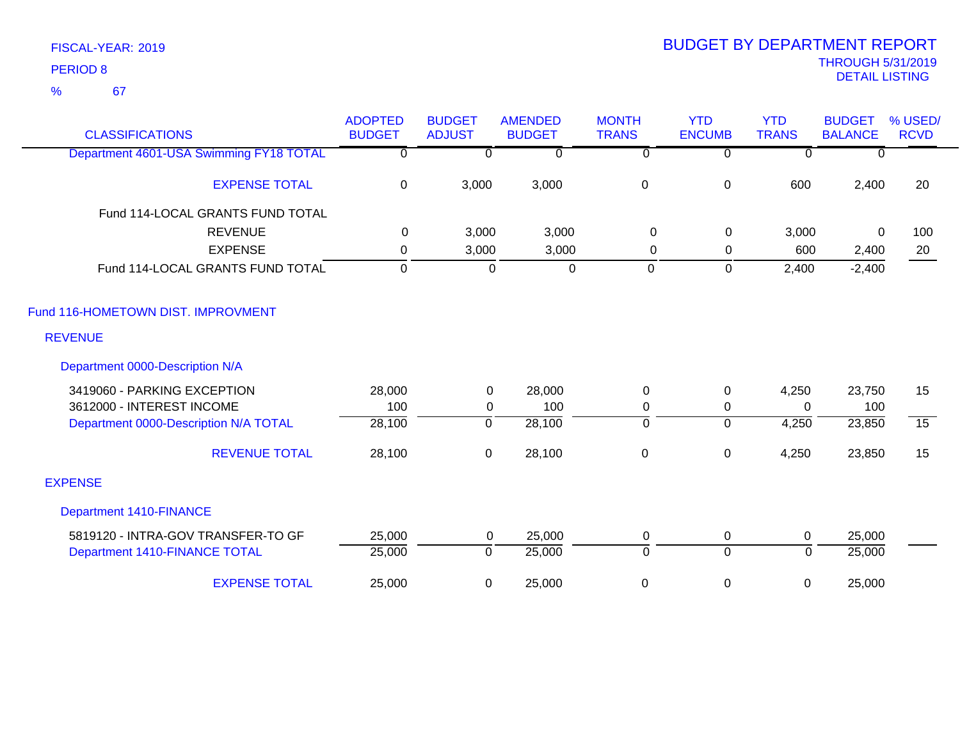| <b>CLASSIFICATIONS</b>                  | <b>ADOPTED</b><br><b>BUDGET</b> | <b>BUDGET</b><br><b>ADJUST</b> | <b>AMENDED</b><br><b>BUDGET</b> | <b>MONTH</b><br><b>TRANS</b> | <b>YTD</b><br><b>ENCUMB</b> | <b>YTD</b><br><b>TRANS</b> | <b>BUDGET</b><br><b>BALANCE</b> | % USED/<br><b>RCVD</b> |
|-----------------------------------------|---------------------------------|--------------------------------|---------------------------------|------------------------------|-----------------------------|----------------------------|---------------------------------|------------------------|
| Department 4601-USA Swimming FY18 TOTAL | $\overline{0}$                  | $\overline{0}$                 | $\overline{0}$                  | $\overline{\mathfrak{o}}$    | $\overline{0}$              | $\overline{0}$             | 0                               |                        |
| <b>EXPENSE TOTAL</b>                    | 0                               | 3,000                          | 3,000                           | $\pmb{0}$                    | $\pmb{0}$                   | 600                        | 2,400                           | 20                     |
| Fund 114-LOCAL GRANTS FUND TOTAL        |                                 |                                |                                 |                              |                             |                            |                                 |                        |
| <b>REVENUE</b>                          | $\mathbf{0}$                    | 3,000                          | 3,000                           | 0                            | 0                           | 3,000                      | $\Omega$                        | 100                    |
| <b>EXPENSE</b>                          | 0                               | 3,000                          | 3,000                           | 0                            | 0                           | 600                        | 2,400                           | 20                     |
| Fund 114-LOCAL GRANTS FUND TOTAL        | $\mathbf 0$                     | $\mathbf 0$                    | $\mathbf 0$                     | $\mathbf 0$                  | $\mathbf 0$                 | 2,400                      | $-2,400$                        |                        |
| Fund 116-HOMETOWN DIST. IMPROVMENT      |                                 |                                |                                 |                              |                             |                            |                                 |                        |
| <b>REVENUE</b>                          |                                 |                                |                                 |                              |                             |                            |                                 |                        |
| Department 0000-Description N/A         |                                 |                                |                                 |                              |                             |                            |                                 |                        |
| 3419060 - PARKING EXCEPTION             | 28,000                          | $\mathbf 0$                    | 28,000                          | $\mathbf 0$                  | $\pmb{0}$                   | 4,250                      | 23,750                          | 15                     |
| 3612000 - INTEREST INCOME               | 100                             | 0                              | 100                             | 0                            | $\mathbf 0$                 | $\Omega$                   | 100                             |                        |
| Department 0000-Description N/A TOTAL   | 28,100                          | $\overline{0}$                 | 28,100                          | $\overline{\mathfrak{o}}$    | $\overline{0}$              | 4,250                      | 23,850                          | $\overline{15}$        |
| <b>REVENUE TOTAL</b>                    | 28,100                          | $\mathsf 0$                    | 28,100                          | $\pmb{0}$                    | $\pmb{0}$                   | 4,250                      | 23,850                          | 15                     |
| <b>EXPENSE</b>                          |                                 |                                |                                 |                              |                             |                            |                                 |                        |
| <b>Department 1410-FINANCE</b>          |                                 |                                |                                 |                              |                             |                            |                                 |                        |
| 5819120 - INTRA-GOV TRANSFER-TO GF      | 25,000                          | $\mathbf 0$                    | 25,000                          | $\mathbf 0$                  | 0                           | $\mathbf 0$                | 25,000                          |                        |
| Department 1410-FINANCE TOTAL           | 25,000                          | $\mathbf 0$                    | 25,000                          | $\overline{0}$               | $\overline{0}$              | $\Omega$                   | 25,000                          |                        |
| <b>EXPENSE TOTAL</b>                    | 25,000                          | 0                              | 25,000                          | 0                            | 0                           | 0                          | 25,000                          |                        |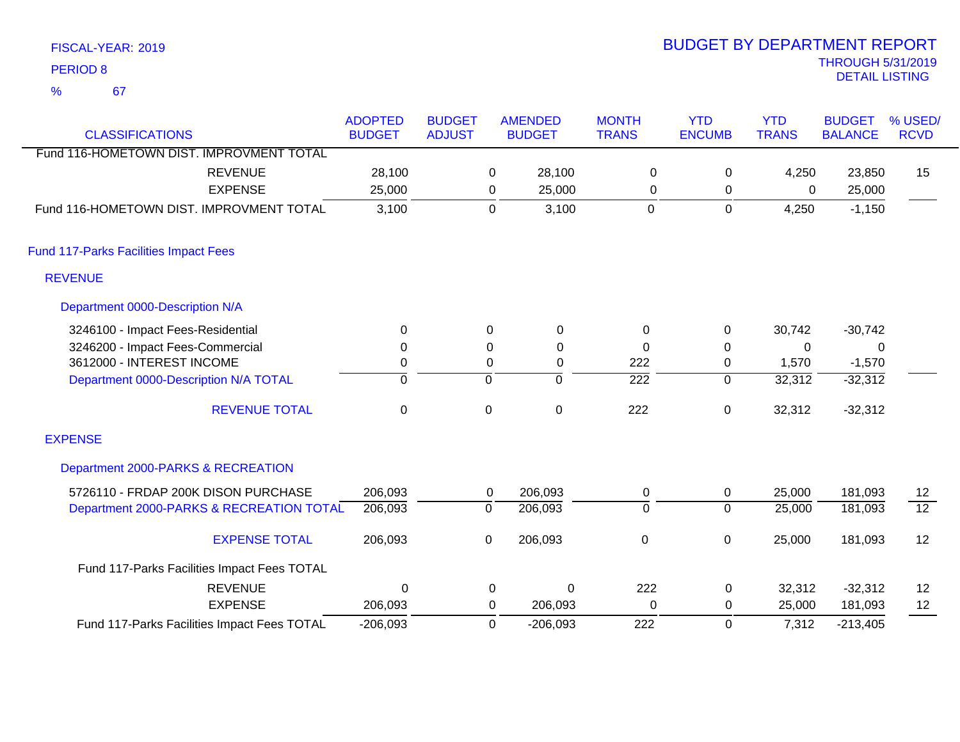|               | <b>PERIOD 8</b>                              |                                             |                                 |                                |                |                                 |                              |                             |                            | <b>THROUGH 5/31/2019</b><br><b>DETAIL LISTING</b> |                        |
|---------------|----------------------------------------------|---------------------------------------------|---------------------------------|--------------------------------|----------------|---------------------------------|------------------------------|-----------------------------|----------------------------|---------------------------------------------------|------------------------|
| $\frac{9}{6}$ | 67                                           |                                             |                                 |                                |                |                                 |                              |                             |                            |                                                   |                        |
|               | <b>CLASSIFICATIONS</b>                       |                                             | <b>ADOPTED</b><br><b>BUDGET</b> | <b>BUDGET</b><br><b>ADJUST</b> |                | <b>AMENDED</b><br><b>BUDGET</b> | <b>MONTH</b><br><b>TRANS</b> | <b>YTD</b><br><b>ENCUMB</b> | <b>YTD</b><br><b>TRANS</b> | <b>BUDGET</b><br><b>BALANCE</b>                   | % USED/<br><b>RCVD</b> |
|               |                                              | Fund 116-HOMETOWN DIST. IMPROVMENT TOTAL    |                                 |                                |                |                                 |                              |                             |                            |                                                   |                        |
|               |                                              | <b>REVENUE</b>                              | 28,100                          |                                | $\mathbf 0$    | 28,100                          | 0                            | 0                           | 4,250                      | 23,850                                            | 15                     |
|               |                                              | <b>EXPENSE</b>                              | 25,000                          |                                | 0              | 25,000                          | 0                            | $\mathbf 0$                 | 0                          | 25,000                                            |                        |
|               |                                              | Fund 116-HOMETOWN DIST. IMPROVMENT TOTAL    | 3,100                           |                                | $\mathbf 0$    | 3,100                           | $\mathbf 0$                  | $\mathsf 0$                 | 4,250                      | $-1,150$                                          |                        |
|               | <b>Fund 117-Parks Facilities Impact Fees</b> |                                             |                                 |                                |                |                                 |                              |                             |                            |                                                   |                        |
|               | <b>REVENUE</b>                               |                                             |                                 |                                |                |                                 |                              |                             |                            |                                                   |                        |
|               | Department 0000-Description N/A              |                                             |                                 |                                |                |                                 |                              |                             |                            |                                                   |                        |
|               | 3246100 - Impact Fees-Residential            |                                             | 0                               |                                | $\Omega$       | $\pmb{0}$                       | $\pmb{0}$                    | 0                           | 30,742                     | $-30,742$                                         |                        |
|               | 3246200 - Impact Fees-Commercial             |                                             | 0                               |                                | 0              | 0                               | 0                            | 0                           | 0                          | $\mathbf{0}$                                      |                        |
|               | 3612000 - INTEREST INCOME                    |                                             | 0                               |                                | $\pmb{0}$      | 0                               | 222                          | 0                           | 1,570                      | $-1,570$                                          |                        |
|               |                                              | Department 0000-Description N/A TOTAL       | ō                               |                                | $\overline{0}$ | $\mathbf 0$                     | $\overline{222}$             | $\overline{0}$              | 32,312                     | $-32,312$                                         |                        |
|               |                                              | <b>REVENUE TOTAL</b>                        | $\mathbf 0$                     |                                | 0              | $\pmb{0}$                       | 222                          | 0                           | 32,312                     | $-32,312$                                         |                        |
|               | <b>EXPENSE</b>                               |                                             |                                 |                                |                |                                 |                              |                             |                            |                                                   |                        |
|               |                                              | Department 2000-PARKS & RECREATION          |                                 |                                |                |                                 |                              |                             |                            |                                                   |                        |
|               |                                              | 5726110 - FRDAP 200K DISON PURCHASE         | 206,093                         |                                | 0              | 206,093                         | $\pmb{0}$                    | 0                           | 25,000                     | 181,093                                           | 12                     |
|               |                                              | Department 2000-PARKS & RECREATION TOTAL    | 206,093                         |                                | $\overline{0}$ | 206,093                         | $\overline{0}$               | $\overline{0}$              | 25,000                     | 181,093                                           | $\overline{12}$        |
|               |                                              | <b>EXPENSE TOTAL</b>                        | 206,093                         |                                | $\mathbf 0$    | 206,093                         | $\mathbf 0$                  | 0                           | 25,000                     | 181,093                                           | 12                     |
|               |                                              | Fund 117-Parks Facilities Impact Fees TOTAL |                                 |                                |                |                                 |                              |                             |                            |                                                   |                        |
|               |                                              | <b>REVENUE</b>                              | 0                               |                                | 0              | 0                               | 222                          | $\pmb{0}$                   | 32,312                     | $-32,312$                                         | 12                     |
|               |                                              | <b>EXPENSE</b>                              | 206,093                         |                                | $\Omega$       | 206,093                         | $\overline{0}$               | $\mathbf{0}$                | 25,000                     | 181,093                                           | 12                     |

 $U$  25,000 206,093 -206,093 0 -206,093 222 7,312  $\mathsf{U}$ 206,093 0 -213,405 EXPENSE Fund 117-Parks Facilities Impact Fees TOTAL

# FISCAL-YEAR: 2019

# THROUGH 5/31/2019 BUDGET BY DEPARTMENT REPORT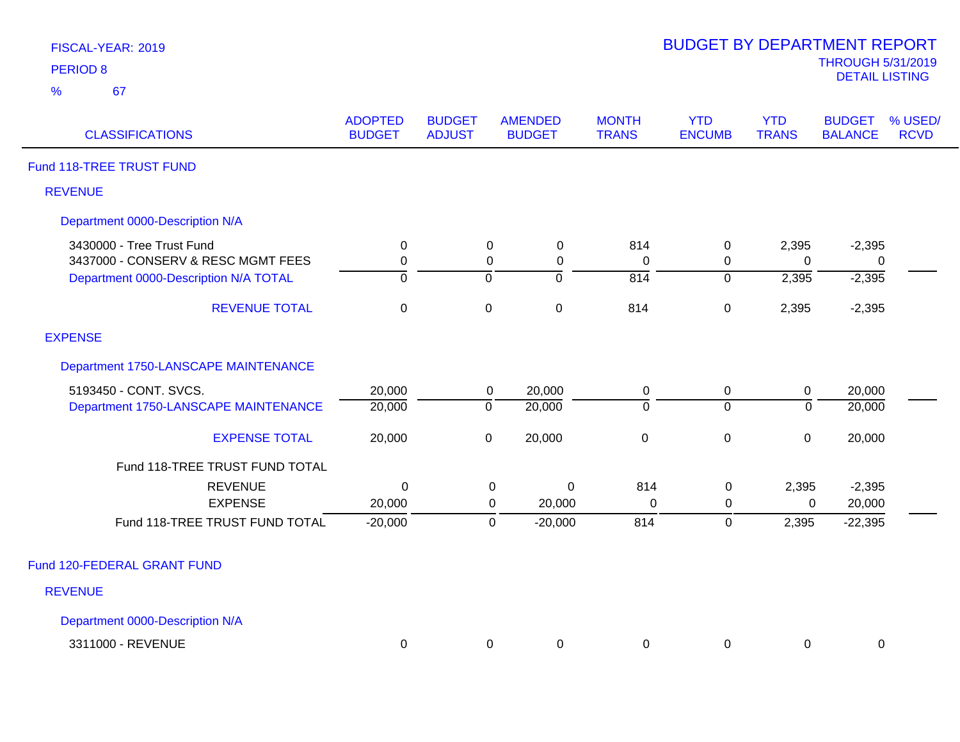| FISCAL-YEAR: 2019 |  |
|-------------------|--|
| <b>PERIOD 8</b>   |  |

| <b>ADOPTED</b><br><b>BUDGET</b> | <b>BUDGET</b><br><b>ADJUST</b> | <b>AMENDED</b><br><b>BUDGET</b> | <b>MONTH</b><br><b>TRANS</b>                                                                                             | <b>YTD</b><br><b>ENCUMB</b> | <b>YTD</b><br><b>TRANS</b> | <b>BUDGET</b><br><b>BALANCE</b> | % USED/<br><b>RCVD</b>               |
|---------------------------------|--------------------------------|---------------------------------|--------------------------------------------------------------------------------------------------------------------------|-----------------------------|----------------------------|---------------------------------|--------------------------------------|
|                                 |                                |                                 |                                                                                                                          |                             |                            |                                 |                                      |
|                                 |                                |                                 |                                                                                                                          |                             |                            |                                 |                                      |
|                                 |                                |                                 |                                                                                                                          |                             |                            |                                 |                                      |
| $\mathbf 0$                     |                                | $\mathbf 0$                     | 814                                                                                                                      | $\mathbf 0$                 | 2,395                      | $-2,395$                        |                                      |
| $\mathbf 0$                     |                                | 0                               | $\Omega$                                                                                                                 | $\mathbf 0$                 | $\Omega$                   | 0                               |                                      |
| $\mathbf 0$                     |                                | $\overline{0}$                  | $\overline{814}$                                                                                                         | $\overline{0}$              | 2,395                      | $-2,395$                        |                                      |
| $\mathbf 0$                     |                                | $\mathbf 0$                     | 814                                                                                                                      | $\pmb{0}$                   | 2,395                      | $-2,395$                        |                                      |
|                                 |                                |                                 |                                                                                                                          |                             |                            |                                 |                                      |
|                                 |                                |                                 |                                                                                                                          |                             |                            |                                 |                                      |
| 20,000                          |                                | 20,000                          | $\pmb{0}$                                                                                                                | $\mathbf 0$                 | $\boldsymbol{0}$           | 20,000                          |                                      |
| 20,000                          |                                | 20,000                          | $\overline{0}$                                                                                                           | $\overline{0}$              | $\mathbf 0$                | 20,000                          |                                      |
| 20,000                          |                                | 20,000                          | $\pmb{0}$                                                                                                                | $\pmb{0}$                   | $\mathbf 0$                | 20,000                          |                                      |
|                                 |                                |                                 |                                                                                                                          |                             |                            |                                 |                                      |
| $\Omega$                        |                                | $\mathbf 0$                     |                                                                                                                          |                             |                            |                                 |                                      |
| 20,000                          |                                | 20,000                          | 0                                                                                                                        | 0                           |                            | 20,000                          |                                      |
| $-20,000$                       |                                | $-20,000$                       | 814                                                                                                                      | $\pmb{0}$                   |                            | $-22,395$                       |                                      |
|                                 |                                |                                 |                                                                                                                          |                             |                            |                                 |                                      |
|                                 |                                |                                 |                                                                                                                          |                             |                            |                                 |                                      |
|                                 |                                |                                 |                                                                                                                          |                             |                            |                                 |                                      |
|                                 |                                |                                 |                                                                                                                          |                             |                            |                                 |                                      |
|                                 |                                |                                 | 0<br>$\mathbf 0$<br>$\mathbf 0$<br>$\mathbf 0$<br>$\overline{0}$<br>$\overline{0}$<br>$\pmb{0}$<br>0<br>0<br>$\mathbf 0$ | 814<br>0<br>0<br>0<br>0     | $\mathbf 0$<br>0           | 0                               | 2,395<br>$-2,395$<br>0<br>2,395<br>0 |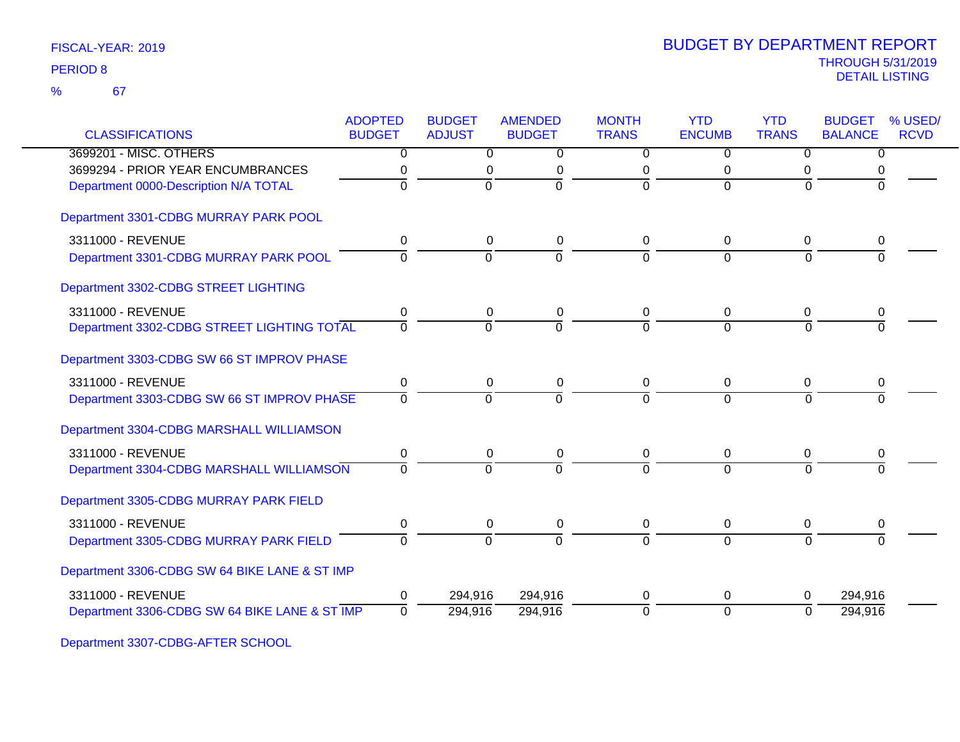|                                               | <b>ADOPTED</b>   | <b>BUDGET</b>  | <b>AMENDED</b> | <b>MONTH</b>   | <b>YTD</b>     | <b>YTD</b>     | <b>BUDGET</b>  | % USED/     |
|-----------------------------------------------|------------------|----------------|----------------|----------------|----------------|----------------|----------------|-------------|
| <b>CLASSIFICATIONS</b>                        | <b>BUDGET</b>    | <b>ADJUST</b>  | <b>BUDGET</b>  | <b>TRANS</b>   | <b>ENCUMB</b>  | <b>TRANS</b>   | <b>BALANCE</b> | <b>RCVD</b> |
| 3699201 - MISC. OTHERS                        | $\overline{0}$   | $\overline{0}$ | $\overline{0}$ | $\overline{0}$ | $\overline{0}$ | $\overline{0}$ | $\overline{0}$ |             |
| 3699294 - PRIOR YEAR ENCUMBRANCES             | 0                | $\pmb{0}$      | $\pmb{0}$      | 0              | 0              | 0              |                |             |
| Department 0000-Description N/A TOTAL         | $\Omega$         | $\Omega$       | $\Omega$       | $\Omega$       | $\Omega$       | $\Omega$       | $\Omega$       |             |
| Department 3301-CDBG MURRAY PARK POOL         |                  |                |                |                |                |                |                |             |
| 3311000 - REVENUE                             | 0                | 0              | $\mathbf 0$    | 0              | 0              | 0              | 0              |             |
| Department 3301-CDBG MURRAY PARK POOL         | $\Omega$         | $\overline{0}$ | $\overline{0}$ | $\Omega$       | $\Omega$       | $\Omega$       |                |             |
| Department 3302-CDBG STREET LIGHTING          |                  |                |                |                |                |                |                |             |
| 3311000 - REVENUE                             | 0                | 0              | 0              | 0              | 0              | 0              | 0              |             |
| Department 3302-CDBG STREET LIGHTING TOTAL    | $\Omega$         | $\mathbf 0$    | $\Omega$       | $\Omega$       | $\Omega$       | $\Omega$       |                |             |
| Department 3303-CDBG SW 66 ST IMPROV PHASE    |                  |                |                |                |                |                |                |             |
| 3311000 - REVENUE                             | $\mathbf 0$      | $\pmb{0}$      | 0              | 0              | 0              | 0              | 0              |             |
| Department 3303-CDBG SW 66 ST IMPROV PHASE    | $\overline{0}$   | $\overline{0}$ | $\overline{0}$ | $\Omega$       | $\Omega$       | $\Omega$       | $\Omega$       |             |
| Department 3304-CDBG MARSHALL WILLIAMSON      |                  |                |                |                |                |                |                |             |
| 3311000 - REVENUE                             | 0                | 0              | 0              | 0              | 0              | 0              | 0              |             |
| Department 3304-CDBG MARSHALL WILLIAMSON      | $\Omega$         | $\Omega$       | $\Omega$       | $\Omega$       | $\Omega$       | $\Omega$       | $\Omega$       |             |
| Department 3305-CDBG MURRAY PARK FIELD        |                  |                |                |                |                |                |                |             |
| 3311000 - REVENUE                             | $\boldsymbol{0}$ | $\pmb{0}$      | $\pmb{0}$      | $\overline{0}$ | 0              | $\pmb{0}$      | 0              |             |
| Department 3305-CDBG MURRAY PARK FIELD        | $\mathbf{0}$     | $\Omega$       | $\Omega$       | $\Omega$       | $\Omega$       | $\Omega$       | $\Omega$       |             |
| Department 3306-CDBG SW 64 BIKE LANE & ST IMP |                  |                |                |                |                |                |                |             |
| 3311000 - REVENUE                             | $\Omega$         | 294,916        | 294,916        | $\Omega$       | 0              | 0              | 294,916        |             |
| Department 3306-CDBG SW 64 BIKE LANE & ST IMP | $\overline{0}$   | 294,916        | 294,916        | $\overline{0}$ | $\overline{0}$ | $\Omega$       | 294,916        |             |

Department 3307-CDBG-AFTER SCHOOL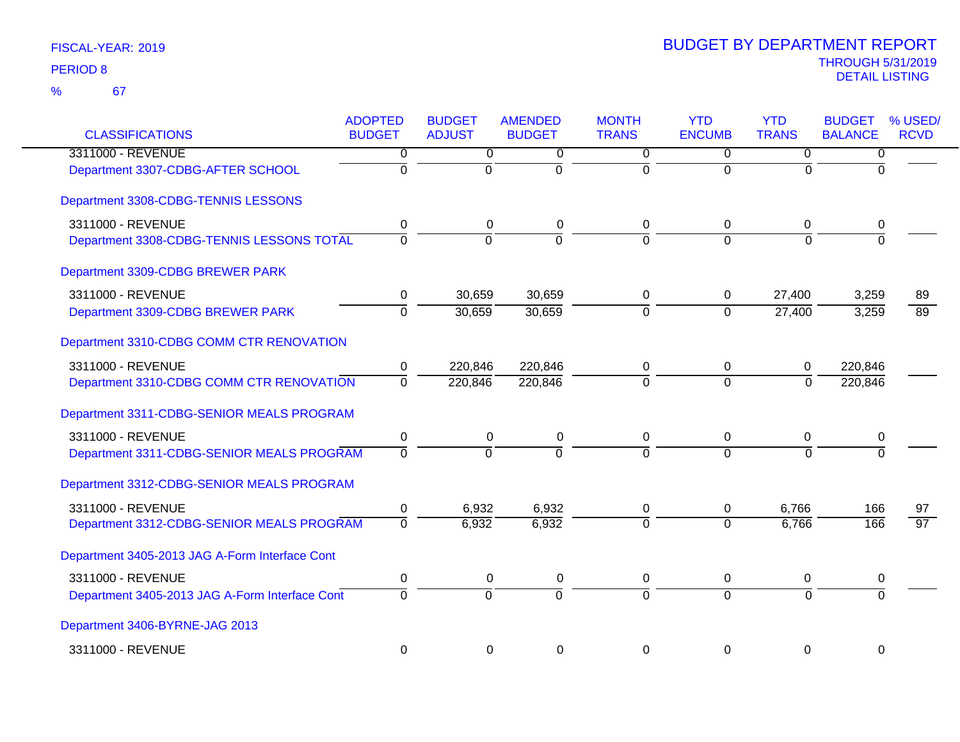| <b>CLASSIFICATIONS</b>                         | <b>ADOPTED</b><br><b>BUDGET</b> | <b>BUDGET</b><br><b>ADJUST</b> | <b>AMENDED</b><br><b>BUDGET</b> | <b>MONTH</b><br><b>TRANS</b> | <b>YTD</b><br><b>ENCUMB</b> | <b>YTD</b><br><b>TRANS</b> | <b>BUDGET</b><br><b>BALANCE</b> | % USED/<br><b>RCVD</b> |
|------------------------------------------------|---------------------------------|--------------------------------|---------------------------------|------------------------------|-----------------------------|----------------------------|---------------------------------|------------------------|
| 3311000 - REVENUE                              | 0                               | $\overline{0}$                 | 0                               | $\overline{0}$               | $\overline{0}$              | $\overline{0}$             | 0                               |                        |
| Department 3307-CDBG-AFTER SCHOOL              | $\overline{0}$                  | $\overline{0}$                 | $\overline{0}$                  | ō                            | $\overline{0}$              | $\Omega$                   | $\Omega$                        |                        |
| Department 3308-CDBG-TENNIS LESSONS            |                                 |                                |                                 |                              |                             |                            |                                 |                        |
| 3311000 - REVENUE                              | 0                               | 0                              | 0                               | 0                            | 0                           | $\pmb{0}$                  | 0                               |                        |
| Department 3308-CDBG-TENNIS LESSONS TOTAL      | $\Omega$                        | $\overline{0}$                 | $\Omega$                        | $\Omega$                     | $\Omega$                    | $\overline{0}$             | $\Omega$                        |                        |
| Department 3309-CDBG BREWER PARK               |                                 |                                |                                 |                              |                             |                            |                                 |                        |
| 3311000 - REVENUE                              | 0                               | 30,659                         | 30,659                          | 0                            | 0                           | 27,400                     | 3,259                           | 89                     |
| Department 3309-CDBG BREWER PARK               | $\overline{0}$                  | 30,659                         | 30,659                          | ō                            | $\overline{0}$              | 27,400                     | 3,259                           | $\overline{89}$        |
| Department 3310-CDBG COMM CTR RENOVATION       |                                 |                                |                                 |                              |                             |                            |                                 |                        |
| 3311000 - REVENUE                              | 0                               | 220,846                        | 220,846                         | 0                            | 0                           | 0                          | 220,846                         |                        |
| Department 3310-CDBG COMM CTR RENOVATION       | $\overline{0}$                  | 220,846                        | 220,846                         | $\Omega$                     | $\overline{0}$              | $\mathbf{0}$               | 220,846                         |                        |
| Department 3311-CDBG-SENIOR MEALS PROGRAM      |                                 |                                |                                 |                              |                             |                            |                                 |                        |
| 3311000 - REVENUE                              | $\pmb{0}$                       | $\pmb{0}$                      | 0                               | 0                            | $\pmb{0}$                   | $\pmb{0}$                  | $\pmb{0}$                       |                        |
| Department 3311-CDBG-SENIOR MEALS PROGRAM      | $\overline{0}$                  | $\overline{0}$                 | $\overline{0}$                  | $\overline{0}$               | $\Omega$                    | $\Omega$                   | $\Omega$                        |                        |
| Department 3312-CDBG-SENIOR MEALS PROGRAM      |                                 |                                |                                 |                              |                             |                            |                                 |                        |
| 3311000 - REVENUE                              | $\pmb{0}$                       | 6,932                          | 6,932                           | 0                            | 0                           | 6,766                      | 166                             | 97                     |
| Department 3312-CDBG-SENIOR MEALS PROGRAM      | $\overline{0}$                  | 6,932                          | 6,932                           | $\overline{0}$               | $\Omega$                    | 6,766                      | 166                             | $\overline{97}$        |
| Department 3405-2013 JAG A-Form Interface Cont |                                 |                                |                                 |                              |                             |                            |                                 |                        |
| 3311000 - REVENUE                              | $\pmb{0}$                       | $\pmb{0}$                      | 0                               | 0                            | 0                           | $\pmb{0}$                  | 0                               |                        |
| Department 3405-2013 JAG A-Form Interface Cont | $\overline{0}$                  | $\overline{0}$                 | $\overline{0}$                  | $\overline{0}$               | $\overline{0}$              | $\overline{0}$             | $\overline{0}$                  |                        |
| Department 3406-BYRNE-JAG 2013                 |                                 |                                |                                 |                              |                             |                            |                                 |                        |
| 3311000 - REVENUE                              | $\mathbf 0$                     | $\mathbf 0$                    | $\mathbf 0$                     | $\mathbf 0$                  | $\mathbf 0$                 | $\mathbf 0$                | 0                               |                        |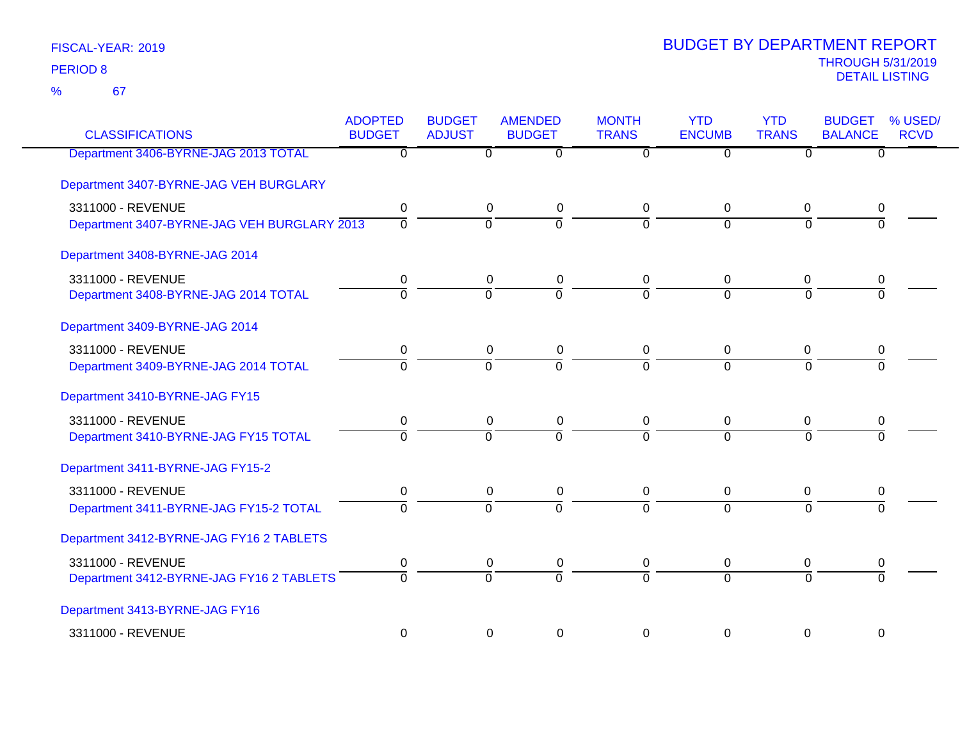| <b>CLASSIFICATIONS</b>                      | <b>ADOPTED</b><br><b>BUDGET</b> | <b>BUDGET</b><br><b>ADJUST</b> | <b>AMENDED</b><br><b>BUDGET</b> | <b>MONTH</b><br><b>TRANS</b> | <b>YTD</b><br><b>ENCUMB</b> | <b>YTD</b><br><b>TRANS</b> | <b>BUDGET</b><br><b>BALANCE</b> | % USED/<br><b>RCVD</b> |
|---------------------------------------------|---------------------------------|--------------------------------|---------------------------------|------------------------------|-----------------------------|----------------------------|---------------------------------|------------------------|
| Department 3406-BYRNE-JAG 2013 TOTAL        | $\overline{0}$                  | $\Omega$                       | $\overline{0}$                  | 0                            | $\overline{0}$              | $\overline{0}$             | $\overline{0}$                  |                        |
| Department 3407-BYRNE-JAG VEH BURGLARY      |                                 |                                |                                 |                              |                             |                            |                                 |                        |
| 3311000 - REVENUE                           | $\pmb{0}$                       | $\pmb{0}$                      | $\pmb{0}$                       | 0                            | $\pmb{0}$                   | $\mathbf 0$                | 0                               |                        |
| Department 3407-BYRNE-JAG VEH BURGLARY 2013 | $\overline{0}$                  | $\overline{0}$                 | $\overline{0}$                  | $\overline{0}$               | $\overline{0}$              | $\mathbf 0$                | $\overline{0}$                  |                        |
| Department 3408-BYRNE-JAG 2014              |                                 |                                |                                 |                              |                             |                            |                                 |                        |
| 3311000 - REVENUE                           | 0                               | 0                              | $\pmb{0}$                       | 0                            | $\mathbf 0$                 | $\mathbf 0$                | 0                               |                        |
| Department 3408-BYRNE-JAG 2014 TOTAL        | $\mathbf 0$                     | ō                              | $\overline{0}$                  | $\overline{0}$               | $\overline{0}$              | $\Omega$                   | $\Omega$                        |                        |
| Department 3409-BYRNE-JAG 2014              |                                 |                                |                                 |                              |                             |                            |                                 |                        |
| 3311000 - REVENUE                           | 0                               | $\mathbf 0$                    | $\pmb{0}$                       | 0                            | $\mathbf 0$                 | $\mathbf 0$                | 0                               |                        |
| Department 3409-BYRNE-JAG 2014 TOTAL        | $\overline{0}$                  | $\overline{0}$                 | $\Omega$                        | $\overline{0}$               | $\overline{0}$              | $\Omega$                   | $\Omega$                        |                        |
| Department 3410-BYRNE-JAG FY15              |                                 |                                |                                 |                              |                             |                            |                                 |                        |
| 3311000 - REVENUE                           | 0                               | $\mathbf 0$                    | $\pmb{0}$                       | 0                            | $\mathbf 0$                 | $\mathbf 0$                | 0                               |                        |
| Department 3410-BYRNE-JAG FY15 TOTAL        | $\Omega$                        | $\overline{0}$                 | $\overline{0}$                  | $\overline{0}$               | $\overline{0}$              | $\overline{0}$             | $\overline{0}$                  |                        |
| Department 3411-BYRNE-JAG FY15-2            |                                 |                                |                                 |                              |                             |                            |                                 |                        |
| 3311000 - REVENUE                           | $\pmb{0}$                       | $\mathbf 0$                    | $\pmb{0}$                       | 0                            | $\mathbf 0$                 | $\mathbf 0$                | 0                               |                        |
| Department 3411-BYRNE-JAG FY15-2 TOTAL      | $\mathbf 0$                     | $\overline{0}$                 | $\overline{0}$                  | $\overline{0}$               | $\overline{0}$              | $\Omega$                   | $\Omega$                        |                        |
| Department 3412-BYRNE-JAG FY16 2 TABLETS    |                                 |                                |                                 |                              |                             |                            |                                 |                        |
| 3311000 - REVENUE                           | $\pmb{0}$                       | $\pmb{0}$                      | $\mathbf 0$                     | 0                            | $\mathbf 0$                 | 0                          | 0                               |                        |
| Department 3412-BYRNE-JAG FY16 2 TABLETS    | $\Omega$                        | $\overline{0}$                 | $\overline{0}$                  | $\overline{0}$               | $\overline{0}$              | $\overline{0}$             | $\overline{0}$                  |                        |
| Department 3413-BYRNE-JAG FY16              |                                 |                                |                                 |                              |                             |                            |                                 |                        |
| 3311000 - REVENUE                           | $\pmb{0}$                       | $\pmb{0}$                      | $\pmb{0}$                       | $\pmb{0}$                    | $\pmb{0}$                   | $\pmb{0}$                  | $\boldsymbol{0}$                |                        |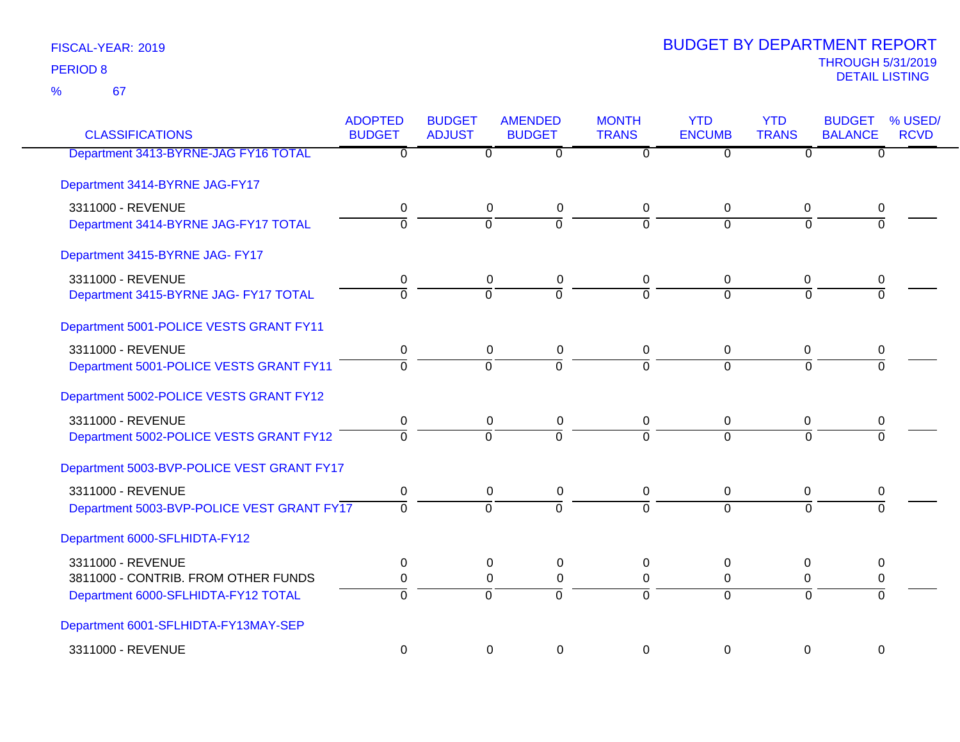67 %

| <b>CLASSIFICATIONS</b>                     | <b>ADOPTED</b><br><b>BUDGET</b> | <b>BUDGET</b><br><b>ADJUST</b> | <b>AMENDED</b><br><b>BUDGET</b> | <b>MONTH</b><br><b>TRANS</b> | <b>YTD</b><br><b>ENCUMB</b> | <b>YTD</b><br><b>TRANS</b> | <b>BUDGET</b><br><b>BALANCE</b> | % USED/<br><b>RCVD</b> |
|--------------------------------------------|---------------------------------|--------------------------------|---------------------------------|------------------------------|-----------------------------|----------------------------|---------------------------------|------------------------|
| Department 3413-BYRNE-JAG FY16 TOTAL       | $\overline{\mathfrak{o}}$       | $\overline{0}$                 | $\overline{0}$                  | $\overline{0}$               | $\overline{0}$              | $\overline{0}$             | $\overline{0}$                  |                        |
| Department 3414-BYRNE JAG-FY17             |                                 |                                |                                 |                              |                             |                            |                                 |                        |
| 3311000 - REVENUE                          | 0                               | 0                              | $\pmb{0}$                       | 0                            | 0                           | $\mathbf 0$                | 0                               |                        |
| Department 3414-BYRNE JAG-FY17 TOTAL       | $\overline{0}$                  | $\overline{0}$                 | $\Omega$                        | $\Omega$                     | $\Omega$                    | $\Omega$                   | $\Omega$                        |                        |
| Department 3415-BYRNE JAG- FY17            |                                 |                                |                                 |                              |                             |                            |                                 |                        |
| 3311000 - REVENUE                          | 0                               | $\mathbf 0$                    | $\pmb{0}$                       | 0                            | $\mathbf 0$                 | $\mathbf 0$                | 0                               |                        |
| Department 3415-BYRNE JAG- FY17 TOTAL      | $\overline{0}$                  | ō                              | $\overline{0}$                  | $\overline{0}$               | $\overline{0}$              | $\Omega$                   | $\Omega$                        |                        |
| Department 5001-POLICE VESTS GRANT FY11    |                                 |                                |                                 |                              |                             |                            |                                 |                        |
| 3311000 - REVENUE                          | $\mathbf 0$                     | $\pmb{0}$                      | $\pmb{0}$                       | 0                            | $\mathbf 0$                 | 0                          | 0                               |                        |
| Department 5001-POLICE VESTS GRANT FY11    | $\overline{0}$                  | $\Omega$                       | $\overline{0}$                  | $\Omega$                     | $\Omega$                    | $\Omega$                   | $\Omega$                        |                        |
| Department 5002-POLICE VESTS GRANT FY12    |                                 |                                |                                 |                              |                             |                            |                                 |                        |
| 3311000 - REVENUE                          | 0                               | 0                              | 0                               | 0                            | 0                           | 0                          | 0                               |                        |
| Department 5002-POLICE VESTS GRANT FY12    | $\overline{0}$                  | $\overline{0}$                 | ក                               | $\overline{0}$               | $\overline{0}$              | $\overline{0}$             | $\overline{0}$                  |                        |
| Department 5003-BVP-POLICE VEST GRANT FY17 |                                 |                                |                                 |                              |                             |                            |                                 |                        |
| 3311000 - REVENUE                          | 0                               | 0                              | 0                               | 0                            | 0                           | 0                          | 0                               |                        |
| Department 5003-BVP-POLICE VEST GRANT FY17 | $\overline{0}$                  | $\overline{0}$                 | $\overline{0}$                  | $\overline{0}$               | $\overline{0}$              | $\Omega$                   | $\Omega$                        |                        |
| Department 6000-SFLHIDTA-FY12              |                                 |                                |                                 |                              |                             |                            |                                 |                        |
| 3311000 - REVENUE                          | 0                               | $\mathbf 0$                    | $\pmb{0}$                       | $\mathbf 0$                  | $\mathbf 0$                 | $\boldsymbol{0}$           | 0                               |                        |
| 3811000 - CONTRIB. FROM OTHER FUNDS        | $\pmb{0}$                       | $\mathbf 0$                    | $\pmb{0}$                       | $\mathbf 0$                  | $\mathbf 0$                 | $\mathbf 0$                | 0                               |                        |
| Department 6000-SFLHIDTA-FY12 TOTAL        | $\overline{0}$                  | $\overline{0}$                 | $\overline{0}$                  | $\overline{0}$               | $\overline{0}$              | $\overline{0}$             | $\Omega$                        |                        |
| Department 6001-SFLHIDTA-FY13MAY-SEP       |                                 |                                |                                 |                              |                             |                            |                                 |                        |
| 3311000 - REVENUE                          | $\mathbf 0$                     | $\mathbf 0$                    | $\Omega$                        | $\Omega$                     | $\mathbf 0$                 | $\mathbf 0$                | $\mathbf 0$                     |                        |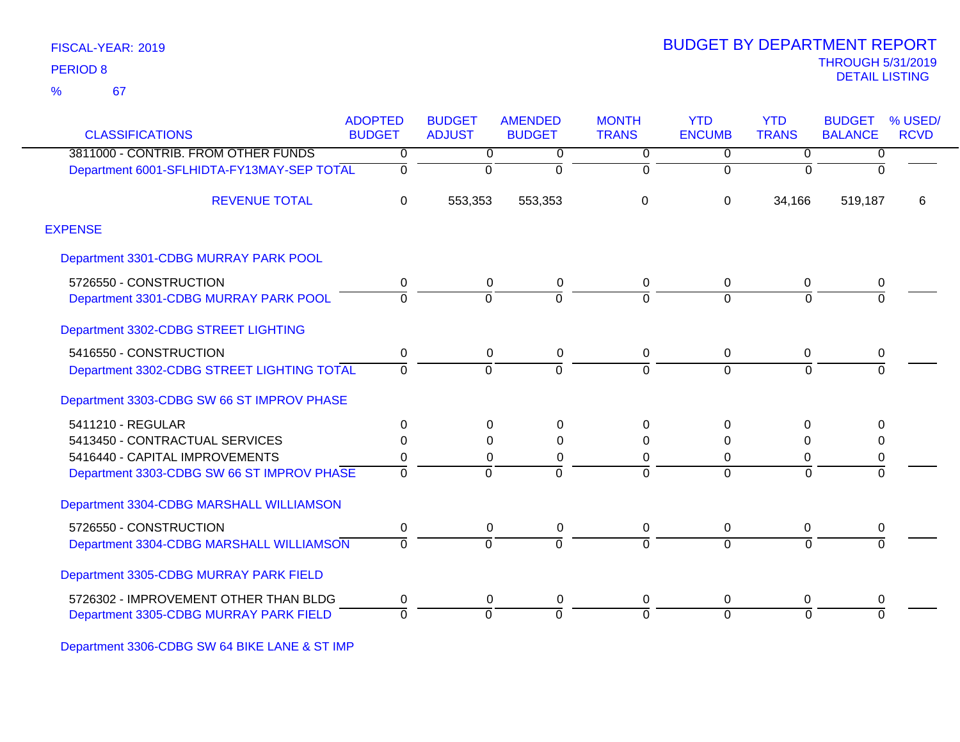67 %

|                                            | <b>ADOPTED</b> | <b>BUDGET</b>  | <b>AMENDED</b> | <b>MONTH</b>   | <b>YTD</b>     | <b>YTD</b>     | <b>BUDGET</b>  | % USED/     |
|--------------------------------------------|----------------|----------------|----------------|----------------|----------------|----------------|----------------|-------------|
| <b>CLASSIFICATIONS</b>                     | <b>BUDGET</b>  | <b>ADJUST</b>  | <b>BUDGET</b>  | <b>TRANS</b>   | <b>ENCUMB</b>  | <b>TRANS</b>   | <b>BALANCE</b> | <b>RCVD</b> |
| 3811000 - CONTRIB. FROM OTHER FUNDS        | 0              | $\overline{0}$ | 0              | $\overline{0}$ | $\overline{0}$ | $\overline{0}$ | $\overline{0}$ |             |
| Department 6001-SFLHIDTA-FY13MAY-SEP TOTAL | 0              | 0              | $\Omega$       | $\overline{0}$ | $\Omega$       | $\Omega$       | $\Omega$       |             |
| <b>REVENUE TOTAL</b>                       | 0              | 553,353        | 553,353        | 0              | $\Omega$       | 34,166         | 519,187        | 6           |
| <b>EXPENSE</b>                             |                |                |                |                |                |                |                |             |
| Department 3301-CDBG MURRAY PARK POOL      |                |                |                |                |                |                |                |             |
| 5726550 - CONSTRUCTION                     | 0              | 0              | 0              | 0              | 0              | 0              |                |             |
| Department 3301-CDBG MURRAY PARK POOL      | $\Omega$       | $\Omega$       |                | $\Omega$       | $\Omega$       | $\Omega$       |                |             |
| Department 3302-CDBG STREET LIGHTING       |                |                |                |                |                |                |                |             |
| 5416550 - CONSTRUCTION                     | 0              | 0              | 0              | 0              | 0              | 0              | 0              |             |
| Department 3302-CDBG STREET LIGHTING TOTAL | $\Omega$       | O              |                | $\Omega$       | $\Omega$       | $\Omega$       |                |             |
| Department 3303-CDBG SW 66 ST IMPROV PHASE |                |                |                |                |                |                |                |             |
| 5411210 - REGULAR                          | 0              | 0              | $\Omega$       | 0              | $\Omega$       | $\Omega$       | $\Omega$       |             |
| 5413450 - CONTRACTUAL SERVICES             | 0              | 0              | $\Omega$       | 0              | 0              | 0              | 0              |             |
| 5416440 - CAPITAL IMPROVEMENTS             | 0              | 0              | 0              | 0              | 0              | 0              | 0              |             |
| Department 3303-CDBG SW 66 ST IMPROV PHASE | $\overline{0}$ | $\Omega$       | $\Omega$       | ō              | $\Omega$       | $\overline{0}$ | ō              |             |
| Department 3304-CDBG MARSHALL WILLIAMSON   |                |                |                |                |                |                |                |             |
| 5726550 - CONSTRUCTION                     | 0              | 0              | 0              | 0              | 0              | 0              | 0              |             |
| Department 3304-CDBG MARSHALL WILLIAMSON   | 0              | $\Omega$       | $\Omega$       | 0              | $\Omega$       | $\overline{0}$ | $\overline{0}$ |             |
| Department 3305-CDBG MURRAY PARK FIELD     |                |                |                |                |                |                |                |             |
| 5726302 - IMPROVEMENT OTHER THAN BLDG      | 0              | 0              | 0              | 0              | 0              | 0              | 0              |             |
| Department 3305-CDBG MURRAY PARK FIELD     | 0              | $\Omega$       | $\Omega$       | $\Omega$       | $\Omega$       | $\Omega$       | $\Omega$       |             |

Department 3306-CDBG SW 64 BIKE LANE & ST IMP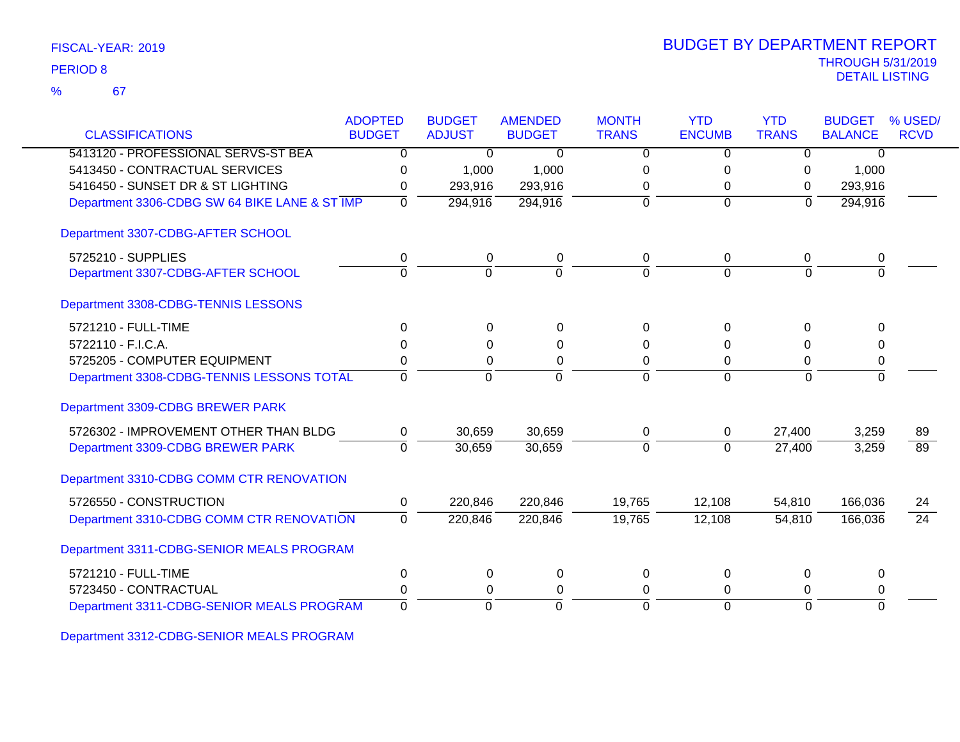| FISCAL-YEAR: 2019 |  |
|-------------------|--|
|-------------------|--|

67 %

| <b>CLASSIFICATIONS</b>                        | <b>ADOPTED</b><br><b>BUDGET</b> | <b>BUDGET</b><br><b>ADJUST</b> | <b>AMENDED</b><br><b>BUDGET</b> | <b>MONTH</b><br><b>TRANS</b> | <b>YTD</b><br><b>ENCUMB</b> | <b>YTD</b><br><b>TRANS</b> | <b>BUDGET</b><br><b>BALANCE</b> | % USED/<br><b>RCVD</b> |
|-----------------------------------------------|---------------------------------|--------------------------------|---------------------------------|------------------------------|-----------------------------|----------------------------|---------------------------------|------------------------|
| 5413120 - PROFESSIONAL SERVS-ST BEA           | $\overline{0}$                  | $\overline{0}$                 | $\overline{0}$                  | $\overline{0}$               | $\overline{0}$              | $\overline{0}$             | $\overline{0}$                  |                        |
| 5413450 - CONTRACTUAL SERVICES                | 0                               | 1,000                          | 1,000                           | $\Omega$                     | 0                           | 0                          | 1,000                           |                        |
| 5416450 - SUNSET DR & ST LIGHTING             | 0                               | 293,916                        | 293,916                         | 0                            | 0                           | $\Omega$                   | 293,916                         |                        |
| Department 3306-CDBG SW 64 BIKE LANE & ST IMP | $\Omega$                        | 294,916                        | 294,916                         | $\Omega$                     | $\mathbf 0$                 | $\mathbf 0$                | 294,916                         |                        |
| Department 3307-CDBG-AFTER SCHOOL             |                                 |                                |                                 |                              |                             |                            |                                 |                        |
| 5725210 - SUPPLIES                            | 0                               | $\mathbf 0$                    | $\pmb{0}$                       | $\mathbf 0$                  | $\mathbf 0$                 | $\mathbf 0$                | 0                               |                        |
| Department 3307-CDBG-AFTER SCHOOL             | $\overline{0}$                  | $\mathbf 0$                    | $\Omega$                        | $\Omega$                     | $\Omega$                    | $\Omega$                   | $\Omega$                        |                        |
| Department 3308-CDBG-TENNIS LESSONS           |                                 |                                |                                 |                              |                             |                            |                                 |                        |
| 5721210 - FULL-TIME                           | $\Omega$                        | $\Omega$                       | $\Omega$                        | $\Omega$                     | $\Omega$                    | $\Omega$                   | $\Omega$                        |                        |
| 5722110 - F.I.C.A.                            | $\Omega$                        | $\Omega$                       | $\Omega$                        | $\Omega$                     | O                           | $\Omega$                   | $\Omega$                        |                        |
| 5725205 - COMPUTER EQUIPMENT                  | 0                               | 0                              | $\pmb{0}$                       | 0                            | 0                           | 0                          | 0                               |                        |
| Department 3308-CDBG-TENNIS LESSONS TOTAL     | $\Omega$                        | $\mathbf 0$                    | $\Omega$                        | $\Omega$                     | $\Omega$                    | $\Omega$                   | $\Omega$                        |                        |
| Department 3309-CDBG BREWER PARK              |                                 |                                |                                 |                              |                             |                            |                                 |                        |
| 5726302 - IMPROVEMENT OTHER THAN BLDG         | 0                               | 30,659                         | 30,659                          | 0                            | 0                           | 27,400                     | 3,259                           | 89                     |
| Department 3309-CDBG BREWER PARK              | $\overline{0}$                  | 30,659                         | 30,659                          | $\mathbf 0$                  | $\Omega$                    | 27,400                     | 3,259                           | 89                     |
| Department 3310-CDBG COMM CTR RENOVATION      |                                 |                                |                                 |                              |                             |                            |                                 |                        |
| 5726550 - CONSTRUCTION                        | 0                               | 220,846                        | 220,846                         | 19,765                       | 12,108                      | 54,810                     | 166,036                         | 24                     |
| Department 3310-CDBG COMM CTR RENOVATION      | $\mathbf 0$                     | 220,846                        | 220,846                         | 19,765                       | 12,108                      | 54,810                     | 166,036                         | $\overline{24}$        |
| Department 3311-CDBG-SENIOR MEALS PROGRAM     |                                 |                                |                                 |                              |                             |                            |                                 |                        |
| 5721210 - FULL-TIME                           | 0                               | 0                              | 0                               | 0                            | $\Omega$                    | 0                          | 0                               |                        |
| 5723450 - CONTRACTUAL                         | $\Omega$                        | 0                              | 0                               | 0                            | 0                           | 0                          | 0                               |                        |
| Department 3311-CDBG-SENIOR MEALS PROGRAM     | $\overline{0}$                  | $\overline{0}$                 | $\mathbf 0$                     | $\Omega$                     | $\mathbf 0$                 | $\Omega$                   | $\Omega$                        |                        |

Department 3312-CDBG-SENIOR MEALS PROGRAM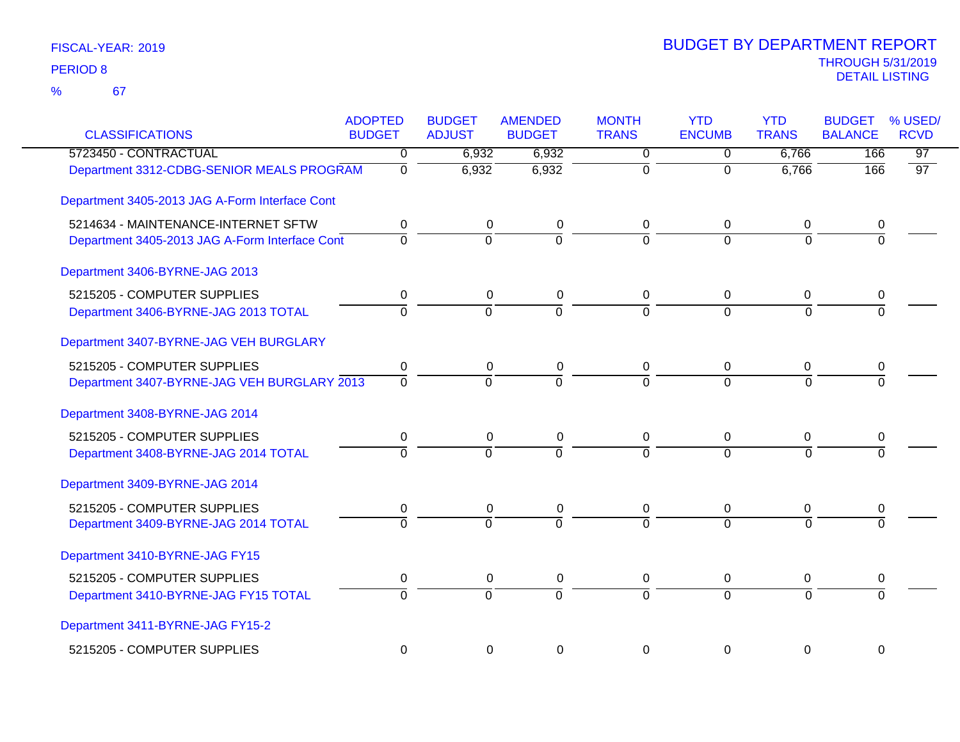| <b>CLASSIFICATIONS</b>                         | <b>ADOPTED</b><br><b>BUDGET</b> | <b>BUDGET</b><br><b>ADJUST</b> | <b>AMENDED</b><br><b>BUDGET</b> | <b>MONTH</b><br><b>TRANS</b> | <b>YTD</b><br><b>ENCUMB</b> | <b>YTD</b><br><b>TRANS</b> | <b>BUDGET</b><br><b>BALANCE</b> | % USED/<br><b>RCVD</b> |
|------------------------------------------------|---------------------------------|--------------------------------|---------------------------------|------------------------------|-----------------------------|----------------------------|---------------------------------|------------------------|
| 5723450 - CONTRACTUAL                          | $\Omega$                        | 6,932                          | 6,932                           | 0                            | 0                           | 6,766                      | 166                             | $\overline{97}$        |
| Department 3312-CDBG-SENIOR MEALS PROGRAM      | $\overline{0}$                  | 6,932                          | 6,932                           | $\overline{0}$               | $\mathbf 0$                 | 6,766                      | 166                             | 97                     |
| Department 3405-2013 JAG A-Form Interface Cont |                                 |                                |                                 |                              |                             |                            |                                 |                        |
| 5214634 - MAINTENANCE-INTERNET SFTW            | 0                               | 0                              | 0                               | 0                            | 0                           | 0                          | 0                               |                        |
| Department 3405-2013 JAG A-Form Interface Cont | $\overline{0}$                  | $\overline{0}$                 | $\overline{0}$                  | 7                            | $\Omega$                    | $\Omega$                   | $\overline{0}$                  |                        |
| Department 3406-BYRNE-JAG 2013                 |                                 |                                |                                 |                              |                             |                            |                                 |                        |
| 5215205 - COMPUTER SUPPLIES                    | 0                               | 0                              | 0                               | 0                            | 0                           | 0                          | 0                               |                        |
| Department 3406-BYRNE-JAG 2013 TOTAL           | $\Omega$                        | $\mathbf 0$                    | $\Omega$                        | $\Omega$                     | $\Omega$                    | $\Omega$                   | $\Omega$                        |                        |
| Department 3407-BYRNE-JAG VEH BURGLARY         |                                 |                                |                                 |                              |                             |                            |                                 |                        |
| 5215205 - COMPUTER SUPPLIES                    | 0                               | $\pmb{0}$                      | $\pmb{0}$                       | 0                            | $\mathbf 0$                 | 0                          | 0                               |                        |
| Department 3407-BYRNE-JAG VEH BURGLARY 2013    | $\mathbf 0$                     | $\mathbf 0$                    | $\Omega$                        | $\Omega$                     | $\Omega$                    | $\Omega$                   | $\Omega$                        |                        |
| Department 3408-BYRNE-JAG 2014                 |                                 |                                |                                 |                              |                             |                            |                                 |                        |
| 5215205 - COMPUTER SUPPLIES                    | 0                               | 0                              | 0                               | 0                            | 0                           | 0                          | 0                               |                        |
| Department 3408-BYRNE-JAG 2014 TOTAL           | $\Omega$                        | $\Omega$                       | $\Omega$                        | $\Omega$                     | $\Omega$                    | $\Omega$                   |                                 |                        |
| Department 3409-BYRNE-JAG 2014                 |                                 |                                |                                 |                              |                             |                            |                                 |                        |
| 5215205 - COMPUTER SUPPLIES                    | 0                               | 0                              | 0                               | 0                            | 0                           | 0                          | 0                               |                        |
| Department 3409-BYRNE-JAG 2014 TOTAL           | $\overline{0}$                  | $\overline{0}$                 | $\overline{0}$                  | $\overline{0}$               | $\overline{0}$              | $\overline{0}$             | $\overline{0}$                  |                        |
| Department 3410-BYRNE-JAG FY15                 |                                 |                                |                                 |                              |                             |                            |                                 |                        |
| 5215205 - COMPUTER SUPPLIES                    | 0                               | 0                              | 0                               | 0                            | 0                           | 0                          | 0                               |                        |
| Department 3410-BYRNE-JAG FY15 TOTAL           | $\Omega$                        | $\mathbf 0$                    | $\overline{0}$                  | $\overline{0}$               | $\Omega$                    | $\Omega$                   | 0                               |                        |
| Department 3411-BYRNE-JAG FY15-2               |                                 |                                |                                 |                              |                             |                            |                                 |                        |
| 5215205 - COMPUTER SUPPLIES                    | $\mathbf 0$                     | $\mathbf 0$                    | 0                               | 0                            | 0                           | 0                          | 0                               |                        |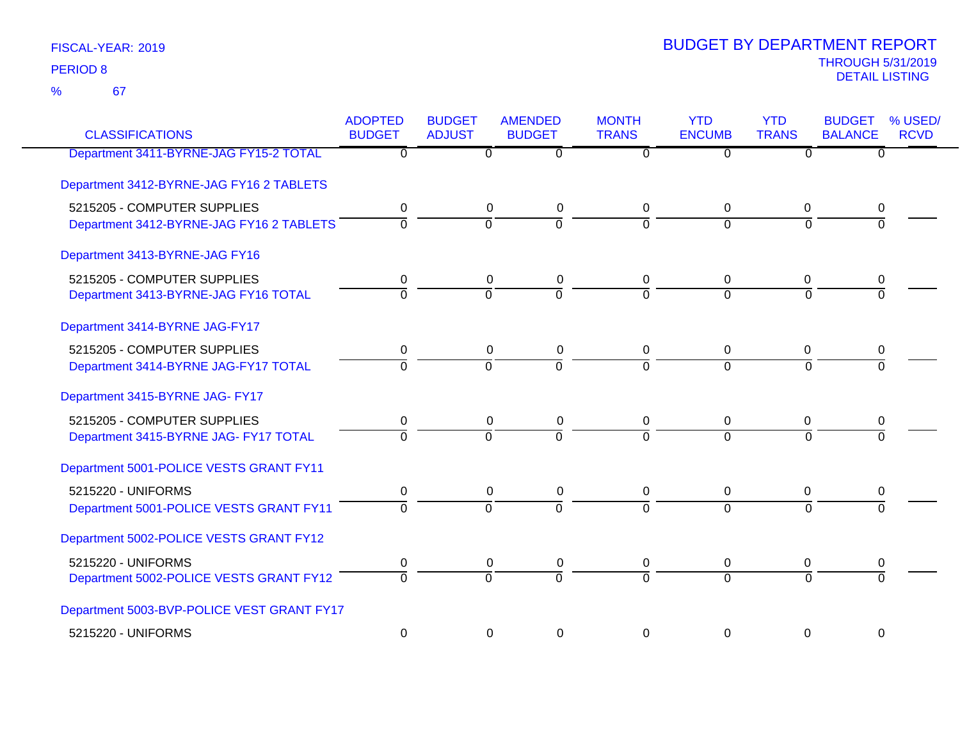67 %

| <b>CLASSIFICATIONS</b>                                                  | <b>ADOPTED</b><br><b>BUDGET</b> | <b>BUDGET</b><br><b>ADJUST</b> | <b>AMENDED</b><br><b>BUDGET</b> | <b>MONTH</b><br><b>TRANS</b> | <b>YTD</b><br><b>ENCUMB</b> | <b>YTD</b><br><b>TRANS</b> | <b>BUDGET</b><br><b>BALANCE</b> | % USED/<br><b>RCVD</b> |
|-------------------------------------------------------------------------|---------------------------------|--------------------------------|---------------------------------|------------------------------|-----------------------------|----------------------------|---------------------------------|------------------------|
| Department 3411-BYRNE-JAG FY15-2 TOTAL                                  | 0                               | 0                              | $\overline{0}$                  | $\Omega$                     | $\Omega$                    | $\Omega$                   | $\overline{0}$                  |                        |
| Department 3412-BYRNE-JAG FY16 2 TABLETS                                |                                 |                                |                                 |                              |                             |                            |                                 |                        |
| 5215205 - COMPUTER SUPPLIES<br>Department 3412-BYRNE-JAG FY16 2 TABLETS | 0<br>$\mathbf 0$                | 0<br>$\overline{0}$            | $\mathbf 0$<br>$\overline{0}$   | 0<br>$\mathbf 0$             | 0<br>$\overline{0}$         | 0<br>$\mathbf 0$           | 0<br>$\overline{0}$             |                        |
| Department 3413-BYRNE-JAG FY16                                          |                                 |                                |                                 |                              |                             |                            |                                 |                        |
| 5215205 - COMPUTER SUPPLIES<br>Department 3413-BYRNE-JAG FY16 TOTAL     | 0<br>$\overline{0}$             | 0<br>$\overline{0}$            | $\boldsymbol{0}$<br>0           | 0<br>$\Omega$                | 0<br>$\Omega$               | 0<br>$\Omega$              | 0<br>$\overline{0}$             |                        |
| Department 3414-BYRNE JAG-FY17                                          |                                 |                                |                                 |                              |                             |                            |                                 |                        |
| 5215205 - COMPUTER SUPPLIES<br>Department 3414-BYRNE JAG-FY17 TOTAL     | 0<br>$\overline{0}$             | 0<br>$\overline{0}$            | 0<br>ō                          | 0<br>$\overline{0}$          | 0<br>$\overline{0}$         | $\Omega$<br>$\overline{0}$ | 0<br>$\overline{0}$             |                        |
| Department 3415-BYRNE JAG- FY17                                         |                                 |                                |                                 |                              |                             |                            |                                 |                        |
| 5215205 - COMPUTER SUPPLIES<br>Department 3415-BYRNE JAG- FY17 TOTAL    | 0<br>$\overline{0}$             | 0<br>$\overline{0}$            | 0<br>$\overline{0}$             | 0<br>$\overline{0}$          | 0<br>$\Omega$               | 0<br>7                     | 0<br>$\Omega$                   |                        |
| Department 5001-POLICE VESTS GRANT FY11                                 |                                 |                                |                                 |                              |                             |                            |                                 |                        |
| 5215220 - UNIFORMS<br>Department 5001-POLICE VESTS GRANT FY11           | 0<br>$\overline{0}$             | 0<br>$\overline{0}$            | 0<br>$\overline{0}$             | 0<br>$\overline{0}$          | 0<br>$\Omega$               | 0<br>$\overline{0}$        | 0<br>$\Omega$                   |                        |
| Department 5002-POLICE VESTS GRANT FY12                                 |                                 |                                |                                 |                              |                             |                            |                                 |                        |
| 5215220 - UNIFORMS<br>Department 5002-POLICE VESTS GRANT FY12           | 0<br>$\overline{0}$             | 0<br>$\overline{0}$            | 0<br>$\overline{0}$             | 0<br>$\overline{0}$          | 0<br>$\overline{0}$         | 0<br>$\overline{0}$        | 0<br>$\Omega$                   |                        |
| Department 5003-BVP-POLICE VEST GRANT FY17                              |                                 |                                |                                 |                              |                             |                            |                                 |                        |
| 5215220 - UNIFORMS                                                      | $\mathbf 0$                     | 0                              | $\mathbf 0$                     | $\Omega$                     | $\Omega$                    | $\Omega$                   | $\Omega$                        |                        |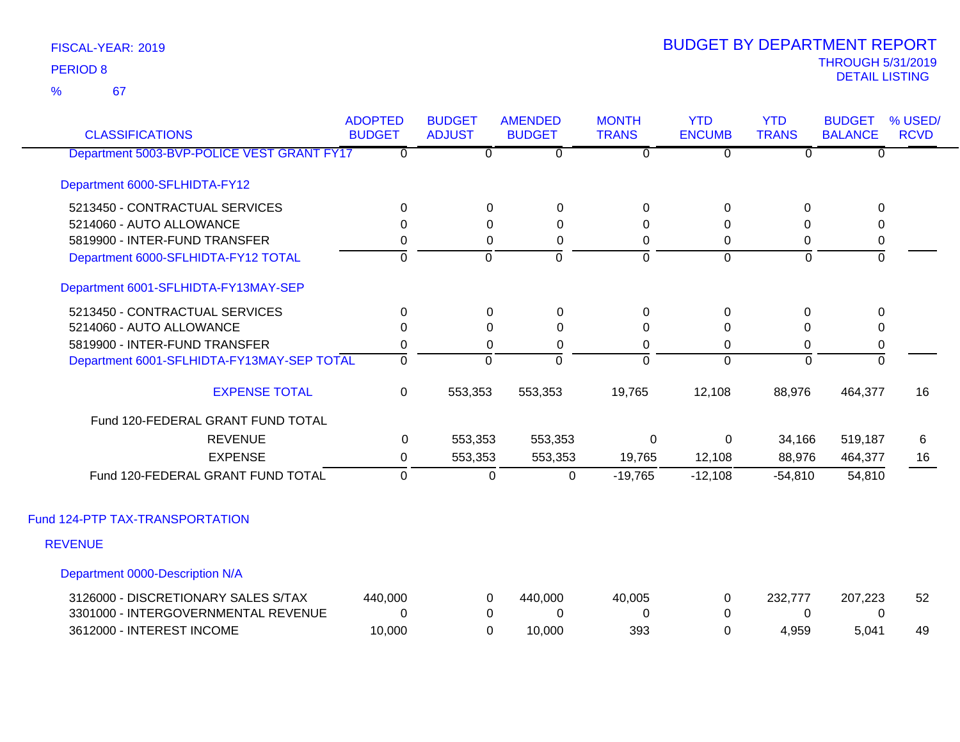67 %

| <b>CLASSIFICATIONS</b>                     | <b>ADOPTED</b><br><b>BUDGET</b> | <b>BUDGET</b><br><b>ADJUST</b> | <b>AMENDED</b><br><b>BUDGET</b> | <b>MONTH</b><br><b>TRANS</b> | <b>YTD</b><br><b>ENCUMB</b> | <b>YTD</b><br><b>TRANS</b> | <b>BUDGET</b><br><b>BALANCE</b> | % USED/<br><b>RCVD</b> |
|--------------------------------------------|---------------------------------|--------------------------------|---------------------------------|------------------------------|-----------------------------|----------------------------|---------------------------------|------------------------|
| Department 5003-BVP-POLICE VEST GRANT FY17 | $\overline{0}$                  | $\overline{0}$                 | $\overline{0}$                  | $\overline{0}$               | $\overline{0}$              | $\overline{0}$             | $\overline{0}$                  |                        |
| Department 6000-SFLHIDTA-FY12              |                                 |                                |                                 |                              |                             |                            |                                 |                        |
| 5213450 - CONTRACTUAL SERVICES             | $\Omega$                        | 0                              | 0                               | 0                            | $\mathbf 0$                 | $\Omega$                   | $\mathbf 0$                     |                        |
| 5214060 - AUTO ALLOWANCE                   | $\Omega$                        | $\Omega$                       | $\Omega$                        | $\Omega$                     | $\Omega$                    | $\Omega$                   | 0                               |                        |
| 5819900 - INTER-FUND TRANSFER              | 0                               | $\Omega$                       | 0                               | $\Omega$                     | 0                           | 0                          | $\pmb{0}$                       |                        |
| Department 6000-SFLHIDTA-FY12 TOTAL        | $\mathbf 0$                     | $\overline{0}$                 | $\overline{0}$                  | $\overline{0}$               | $\overline{0}$              | $\overline{0}$             | $\overline{0}$                  |                        |
| Department 6001-SFLHIDTA-FY13MAY-SEP       |                                 |                                |                                 |                              |                             |                            |                                 |                        |
| 5213450 - CONTRACTUAL SERVICES             | $\Omega$                        | $\Omega$                       | 0                               | 0                            | 0                           | $\Omega$                   | 0                               |                        |
| 5214060 - AUTO ALLOWANCE                   | 0                               | $\Omega$                       | $\Omega$                        | 0                            | $\Omega$                    | $\Omega$                   | $\mathbf{0}$                    |                        |
| 5819900 - INTER-FUND TRANSFER              | 0                               | $\Omega$                       | 0                               | 0                            | $\Omega$                    | 0                          | $\pmb{0}$                       |                        |
| Department 6001-SFLHIDTA-FY13MAY-SEP TOTAL | $\overline{0}$                  | $\overline{0}$                 | ō                               | ō                            | $\Omega$                    | $\overline{0}$             | ō                               |                        |
| <b>EXPENSE TOTAL</b>                       | $\mathbf 0$                     | 553,353                        | 553,353                         | 19,765                       | 12,108                      | 88,976                     | 464,377                         | 16                     |
| Fund 120-FEDERAL GRANT FUND TOTAL          |                                 |                                |                                 |                              |                             |                            |                                 |                        |
| <b>REVENUE</b>                             | 0                               | 553,353                        | 553,353                         | $\mathbf 0$                  | $\mathbf 0$                 | 34,166                     | 519,187                         | 6                      |
| <b>EXPENSE</b>                             | 0                               | 553,353                        | 553,353                         | 19,765                       | 12,108                      | 88,976                     | 464,377                         | 16                     |
| Fund 120-FEDERAL GRANT FUND TOTAL          | 0                               | 0                              | $\mathsf 0$                     | $-19,765$                    | $-12,108$                   | $-54,810$                  | 54,810                          |                        |
| Fund 124-PTP TAX-TRANSPORTATION            |                                 |                                |                                 |                              |                             |                            |                                 |                        |
| <b>REVENUE</b>                             |                                 |                                |                                 |                              |                             |                            |                                 |                        |
| Department 0000-Description N/A            |                                 |                                |                                 |                              |                             |                            |                                 |                        |
| 3126000 - DISCRETIONARY SALES S/TAX        | 440,000                         | 0                              | 440,000                         | 40,005                       | 0                           | 232,777                    | 207,223                         | 52                     |
| 3301000 - INTERGOVERNMENTAL REVENUE        | 0                               | 0                              | $\Omega$                        | 0                            | $\Omega$                    | $\Omega$                   | 0                               |                        |
| 3612000 - INTEREST INCOME                  | 10,000                          | $\Omega$                       | 10,000                          | 393                          | $\Omega$                    | 4,959                      | 5,041                           | 49                     |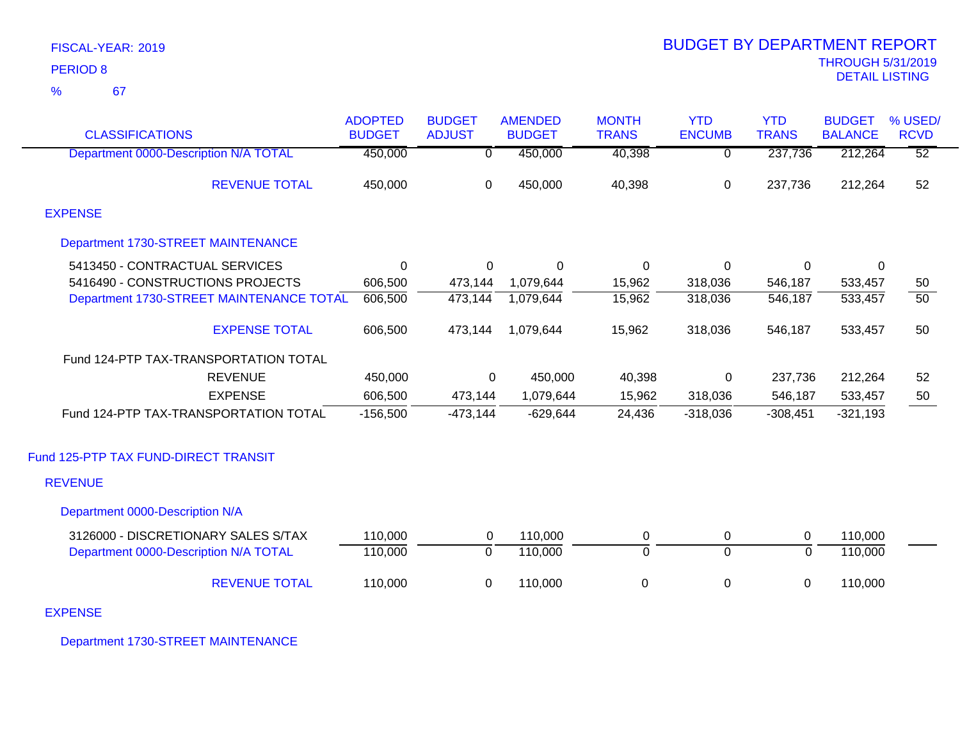| <b>CLASSIFICATIONS</b>                   | <b>ADOPTED</b><br><b>BUDGET</b> | <b>BUDGET</b><br><b>ADJUST</b> | <b>AMENDED</b><br><b>BUDGET</b> | <b>MONTH</b><br><b>TRANS</b> | <b>YTD</b><br><b>ENCUMB</b> | <b>YTD</b><br><b>TRANS</b> | <b>BUDGET</b><br><b>BALANCE</b> | % USED/<br><b>RCVD</b> |
|------------------------------------------|---------------------------------|--------------------------------|---------------------------------|------------------------------|-----------------------------|----------------------------|---------------------------------|------------------------|
| Department 0000-Description N/A TOTAL    | 450,000                         | 0                              | 450,000                         | 40,398                       | $\overline{0}$              | 237,736                    | 212,264                         | $\overline{52}$        |
| <b>REVENUE TOTAL</b>                     | 450,000                         | $\mathbf 0$                    | 450,000                         | 40,398                       | 0                           | 237,736                    | 212,264                         | 52                     |
| <b>EXPENSE</b>                           |                                 |                                |                                 |                              |                             |                            |                                 |                        |
| Department 1730-STREET MAINTENANCE       |                                 |                                |                                 |                              |                             |                            |                                 |                        |
| 5413450 - CONTRACTUAL SERVICES           | $\Omega$                        | 0                              | 0                               | 0                            | 0                           | 0                          | 0                               |                        |
| 5416490 - CONSTRUCTIONS PROJECTS         | 606,500                         | 473,144                        | 1,079,644                       | 15,962                       | 318,036                     | 546,187                    | 533,457                         | 50                     |
| Department 1730-STREET MAINTENANCE TOTAL | 606,500                         | 473,144                        | 1,079,644                       | 15,962                       | 318,036                     | 546,187                    | 533,457                         | $\overline{50}$        |
| <b>EXPENSE TOTAL</b>                     | 606,500                         | 473,144                        | 1,079,644                       | 15,962                       | 318,036                     | 546,187                    | 533,457                         | 50                     |
| Fund 124-PTP TAX-TRANSPORTATION TOTAL    |                                 |                                |                                 |                              |                             |                            |                                 |                        |
| <b>REVENUE</b>                           | 450,000                         | $\Omega$                       | 450,000                         | 40,398                       | 0                           | 237,736                    | 212,264                         | 52                     |
| <b>EXPENSE</b>                           | 606,500                         | 473,144                        | 1,079,644                       | 15,962                       | 318,036                     | 546,187                    | 533,457                         | 50                     |
| Fund 124-PTP TAX-TRANSPORTATION TOTAL    | $-156,500$                      | $-473,144$                     | $-629,644$                      | 24,436                       | $-318,036$                  | $-308,451$                 | $-321,193$                      |                        |
| Fund 125-PTP TAX FUND-DIRECT TRANSIT     |                                 |                                |                                 |                              |                             |                            |                                 |                        |
| <b>REVENUE</b>                           |                                 |                                |                                 |                              |                             |                            |                                 |                        |
| Department 0000-Description N/A          |                                 |                                |                                 |                              |                             |                            |                                 |                        |
| 3126000 - DISCRETIONARY SALES S/TAX      | 110,000                         | 0                              | 110,000                         | $\mathbf 0$                  | 0                           | 0                          | 110,000                         |                        |
| Department 0000-Description N/A TOTAL    | 110,000                         | $\overline{0}$                 | 110,000                         | $\overline{0}$               | $\overline{0}$              | $\overline{0}$             | 110,000                         |                        |
| <b>REVENUE TOTAL</b>                     | 110,000                         | 0                              | 110,000                         | 0                            | 0                           | 0                          | 110,000                         |                        |

EXPENSE

Department 1730-STREET MAINTENANCE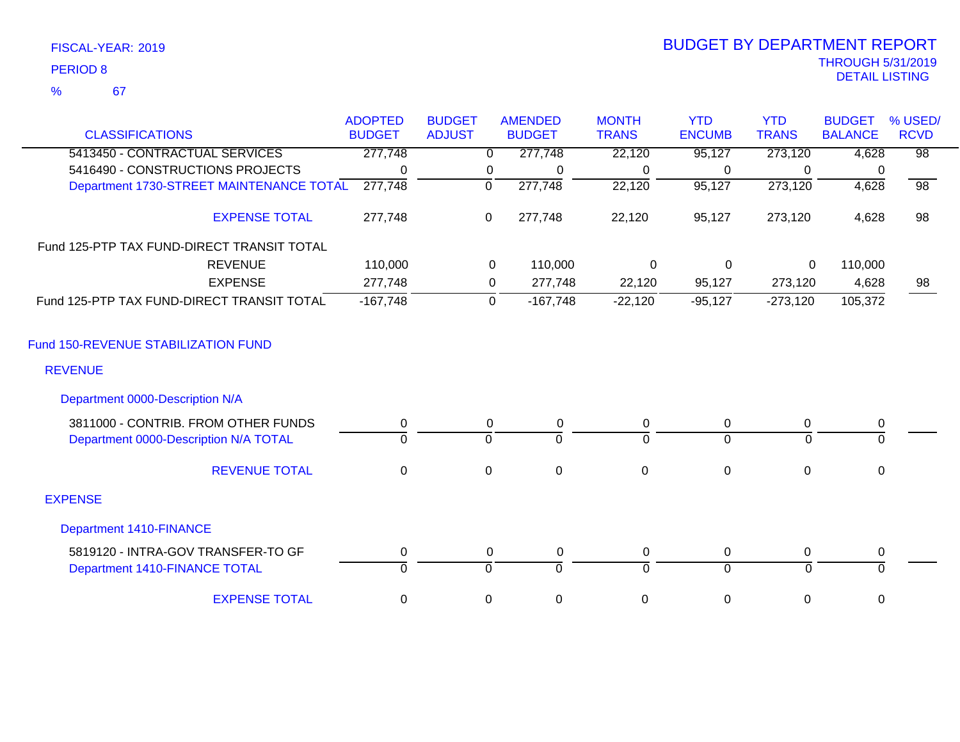| FISCAL-YEAR: 2019 |  |
|-------------------|--|
| <b>PERIOD 8</b>   |  |

# THROUGH 5/31/2019 DETAIL LISTING PERIOD <sup>8</sup> BUDGET BY DEPARTMENT REPORT

|                                            | <b>ADOPTED</b> | <b>BUDGET</b> | <b>AMENDED</b>            | <b>MONTH</b>     | <b>YTD</b>       | <b>YTD</b>   | <b>BUDGET</b>  | % USED/         |
|--------------------------------------------|----------------|---------------|---------------------------|------------------|------------------|--------------|----------------|-----------------|
| <b>CLASSIFICATIONS</b>                     | <b>BUDGET</b>  | <b>ADJUST</b> | <b>BUDGET</b>             | <b>TRANS</b>     | <b>ENCUMB</b>    | <b>TRANS</b> | <b>BALANCE</b> | <b>RCVD</b>     |
| 5413450 - CONTRACTUAL SERVICES             | 277,748        |               | 277,748<br>$\Omega$       | 22,120           | 95,127           | 273,120      | 4,628          | $\overline{98}$ |
| 5416490 - CONSTRUCTIONS PROJECTS           | $\Omega$       |               | 0<br>$\Omega$             | 0                | 0                | $\Omega$     | 0              |                 |
| Department 1730-STREET MAINTENANCE TOTAL   | 277,748        | $\mathbf 0$   | 277,748                   | 22,120           | 95,127           | 273,120      | 4,628          | $\overline{98}$ |
| <b>EXPENSE TOTAL</b>                       | 277,748        | 0             | 277,748                   | 22,120           | 95,127           | 273,120      | 4,628          | 98              |
| Fund 125-PTP TAX FUND-DIRECT TRANSIT TOTAL |                |               |                           |                  |                  |              |                |                 |
| <b>REVENUE</b>                             | 110,000        |               | $\mathbf 0$<br>110,000    | $\mathbf 0$      | 0                | $\mathbf 0$  | 110,000        |                 |
| <b>EXPENSE</b>                             | 277,748        |               | 277,748<br>0              | 22,120           | 95,127           | 273,120      | 4,628          | 98              |
| Fund 125-PTP TAX FUND-DIRECT TRANSIT TOTAL | $-167,748$     |               | $\mathbf 0$<br>$-167,748$ | $-22,120$        | $-95,127$        | $-273,120$   | 105,372        |                 |
| Fund 150-REVENUE STABILIZATION FUND        |                |               |                           |                  |                  |              |                |                 |
| <b>REVENUE</b>                             |                |               |                           |                  |                  |              |                |                 |
| Department 0000-Description N/A            |                |               |                           |                  |                  |              |                |                 |
| 3811000 - CONTRIB. FROM OTHER FUNDS        | 0              |               | 0<br>0                    | 0                | $\mathbf 0$      | 0            | $\pmb{0}$      |                 |
| Department 0000-Description N/A TOTAL      | $\Omega$       | $\Omega$      | $\Omega$                  | $\Omega$         | $\overline{0}$   | $\Omega$     | $\Omega$       |                 |
| <b>REVENUE TOTAL</b>                       | $\mathbf 0$    | $\mathbf 0$   | $\mathbf 0$               | $\mathbf 0$      | $\boldsymbol{0}$ | $\mathbf 0$  | 0              |                 |
| <b>EXPENSE</b>                             |                |               |                           |                  |                  |              |                |                 |
| <b>Department 1410-FINANCE</b>             |                |               |                           |                  |                  |              |                |                 |
| 5819120 - INTRA-GOV TRANSFER-TO GF         | 0              |               | $\mathbf 0$<br>0          | 0                | $\mathbf 0$      | 0            | $\pmb{0}$      |                 |
| Department 1410-FINANCE TOTAL              | $\Omega$       | $\Omega$      | $\Omega$                  | $\Omega$         | $\Omega$         | $\Omega$     | $\Omega$       |                 |
| <b>EXPENSE TOTAL</b>                       | 0              | 0             | $\mathbf 0$               | $\boldsymbol{0}$ | $\mathbf 0$      | 0            | $\mathbf 0$    |                 |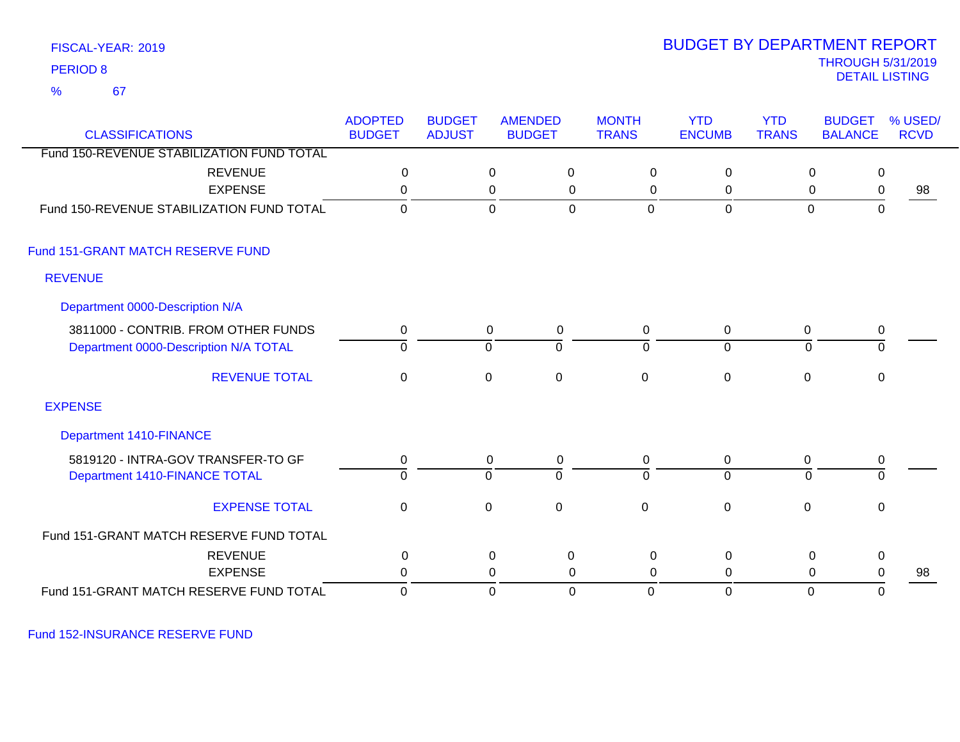67 %

### THROUGH 5/31/2019<br>DETAIL LISTING DETAIL LISTING PERIOD <sup>8</sup> BUDGET BY DEPARTMENT REPORT

| <b>CLASSIFICATIONS</b>                                                       | <b>ADOPTED</b><br><b>BUDGET</b> | <b>BUDGET</b><br><b>ADJUST</b> |                  | <b>AMENDED</b><br><b>BUDGET</b> | <b>MONTH</b><br><b>TRANS</b> | <b>YTD</b><br><b>ENCUMB</b> | <b>YTD</b><br><b>TRANS</b> | <b>BUDGET</b><br><b>BALANCE</b> | % USED/<br><b>RCVD</b> |
|------------------------------------------------------------------------------|---------------------------------|--------------------------------|------------------|---------------------------------|------------------------------|-----------------------------|----------------------------|---------------------------------|------------------------|
| Fund 150-REVENUE STABILIZATION FUND TOTAL                                    |                                 |                                |                  |                                 |                              |                             |                            |                                 |                        |
| <b>REVENUE</b>                                                               | 0                               |                                | $\mathbf 0$      | 0                               | 0                            | 0                           |                            | 0                               | 0                      |
| <b>EXPENSE</b>                                                               | $\Omega$                        |                                | 0                | 0                               | 0                            | 0                           |                            | 0                               | 0<br>98                |
| Fund 150-REVENUE STABILIZATION FUND TOTAL                                    | 0                               |                                | $\mathbf 0$      | $\overline{0}$                  | $\mathbf{0}$                 | $\mathbf 0$                 |                            | $\mathbf 0$                     | $\mathbf 0$            |
| Fund 151-GRANT MATCH RESERVE FUND                                            |                                 |                                |                  |                                 |                              |                             |                            |                                 |                        |
| <b>REVENUE</b>                                                               |                                 |                                |                  |                                 |                              |                             |                            |                                 |                        |
| Department 0000-Description N/A                                              |                                 |                                |                  |                                 |                              |                             |                            |                                 |                        |
| 3811000 - CONTRIB. FROM OTHER FUNDS<br>Department 0000-Description N/A TOTAL | 0<br>$\overline{0}$             |                                | 0<br>$\mathbf 0$ | $\mathbf 0$<br>$\overline{0}$   | 0<br>$\overline{0}$          | 0<br>$\overline{0}$         | 0<br>$\mathbf{0}$          | 0                               | $\overline{0}$         |
| <b>REVENUE TOTAL</b>                                                         | $\mathbf 0$                     |                                | $\mathbf 0$      | $\pmb{0}$                       | $\mathbf 0$                  | $\pmb{0}$                   | 0                          |                                 | 0                      |
| <b>EXPENSE</b>                                                               |                                 |                                |                  |                                 |                              |                             |                            |                                 |                        |
| <b>Department 1410-FINANCE</b>                                               |                                 |                                |                  |                                 |                              |                             |                            |                                 |                        |
| 5819120 - INTRA-GOV TRANSFER-TO GF                                           | 0                               |                                | 0                | $\mathbf 0$                     | 0                            | 0                           | 0                          |                                 | 0                      |
| Department 1410-FINANCE TOTAL                                                | $\overline{0}$                  |                                | $\mathbf 0$      | $\overline{0}$                  | $\Omega$                     | $\overline{0}$              | $\Omega$                   |                                 | $\overline{0}$         |
| <b>EXPENSE TOTAL</b>                                                         | $\mathbf 0$                     |                                | $\mathbf 0$      | $\mathbf 0$                     | $\mathbf 0$                  | $\mathbf 0$                 | $\mathbf 0$                |                                 | $\mathbf 0$            |
| Fund 151-GRANT MATCH RESERVE FUND TOTAL                                      |                                 |                                |                  |                                 |                              |                             |                            |                                 |                        |
| <b>REVENUE</b>                                                               | $\pmb{0}$                       |                                | $\mathsf 0$      | $\pmb{0}$                       | $\mathbf 0$                  | $\mathbf 0$                 |                            | $\mathbf 0$                     | 0                      |
| <b>EXPENSE</b>                                                               | $\Omega$                        |                                | 0                | 0                               | 0                            | $\mathbf{0}$                |                            | $\mathbf 0$                     | 0<br>98                |
| Fund 151-GRANT MATCH RESERVE FUND TOTAL                                      | 0                               |                                | $\mathbf 0$      | $\mathbf 0$                     | $\mathbf 0$                  | $\mathbf 0$                 |                            | $\mathbf 0$                     | 0                      |

Fund 152-INSURANCE RESERVE FUND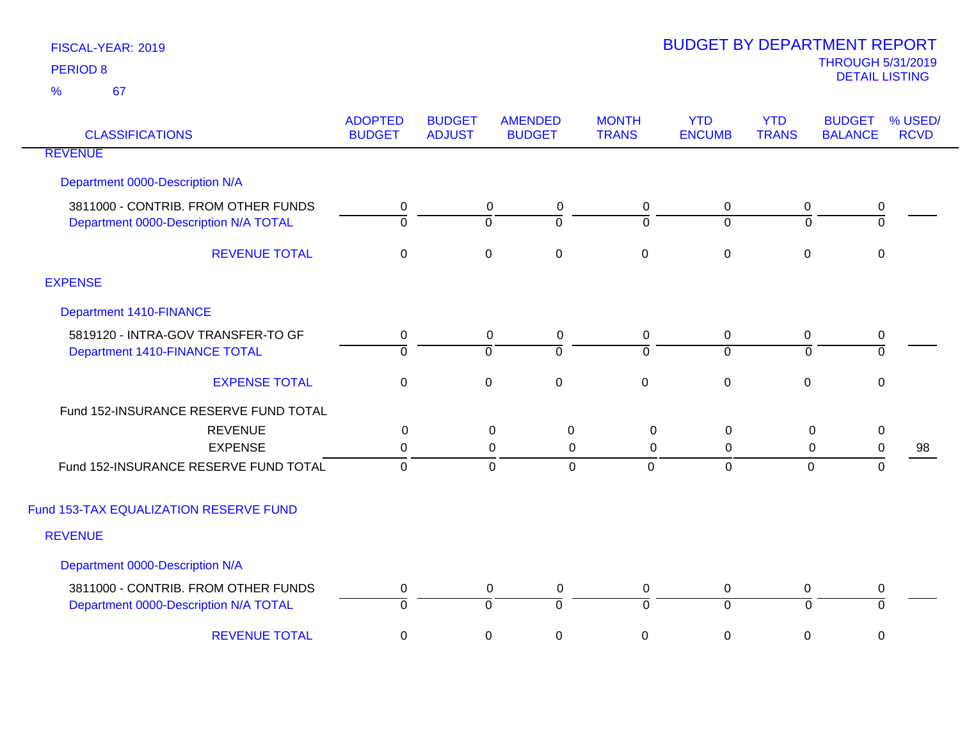| <b>CLASSIFICATIONS</b>                                                       | <b>ADOPTED</b><br><b>BUDGET</b> | <b>BUDGET</b><br><b>ADJUST</b> | <b>AMENDED</b><br><b>BUDGET</b>                                | <b>MONTH</b><br><b>TRANS</b>  | <b>YTD</b><br><b>ENCUMB</b>     | <b>YTD</b><br><b>TRANS</b>    | <b>BUDGET</b><br><b>BALANCE</b> | % USED/<br><b>RCVD</b> |
|------------------------------------------------------------------------------|---------------------------------|--------------------------------|----------------------------------------------------------------|-------------------------------|---------------------------------|-------------------------------|---------------------------------|------------------------|
| <b>REVENUE</b>                                                               |                                 |                                |                                                                |                               |                                 |                               |                                 |                        |
| Department 0000-Description N/A                                              |                                 |                                |                                                                |                               |                                 |                               |                                 |                        |
| 3811000 - CONTRIB. FROM OTHER FUNDS<br>Department 0000-Description N/A TOTAL | 0<br>$\overline{0}$             |                                | $\mathsf 0$<br>$\pmb{0}$<br>$\overline{0}$<br>$\mathbf 0$      | $\mathbf 0$<br>$\Omega$       | $\boldsymbol{0}$<br>$\mathbf 0$ | $\boldsymbol{0}$<br>$\Omega$  | 0<br>$\overline{0}$             |                        |
| <b>REVENUE TOTAL</b>                                                         | $\mathbf 0$                     |                                | $\mathbf 0$<br>$\mathsf 0$                                     | $\pmb{0}$                     | $\pmb{0}$                       | $\mathbf 0$                   | $\mathbf 0$                     |                        |
| <b>EXPENSE</b>                                                               |                                 |                                |                                                                |                               |                                 |                               |                                 |                        |
| <b>Department 1410-FINANCE</b>                                               |                                 |                                |                                                                |                               |                                 |                               |                                 |                        |
| 5819120 - INTRA-GOV TRANSFER-TO GF<br>Department 1410-FINANCE TOTAL          | $\pmb{0}$<br>$\overline{0}$     |                                | $\mathbf 0$<br>$\mathbf 0$<br>$\overline{0}$<br>$\overline{0}$ | $\mathbf 0$<br>$\overline{0}$ | 0<br>$\overline{0}$             | 0<br>$\overline{0}$           | $\mathbf 0$<br>$\overline{0}$   |                        |
| <b>EXPENSE TOTAL</b>                                                         | $\mathbf 0$                     |                                | $\mathbf 0$<br>$\mathbf 0$                                     | $\mathbf 0$                   | $\pmb{0}$                       | $\mathbf 0$                   | $\mathbf 0$                     |                        |
| Fund 152-INSURANCE RESERVE FUND TOTAL                                        |                                 |                                |                                                                |                               |                                 |                               |                                 |                        |
| <b>REVENUE</b><br><b>EXPENSE</b>                                             | $\Omega$<br>0                   |                                | 0<br>0<br>0<br>$\mathbf 0$                                     | $\mathbf 0$<br>$\mathbf 0$    | 0<br>0                          | $\mathbf 0$<br>$\mathbf 0$    | $\mathbf 0$                     |                        |
| Fund 152-INSURANCE RESERVE FUND TOTAL                                        | $\mathbf 0$                     |                                | $\mathbf 0$<br>0                                               | $\mathbf 0$                   | $\mathbf 0$                     | 0                             | $\mathbf 0$<br>$\mathbf 0$      | 98                     |
| Fund 153-TAX EQUALIZATION RESERVE FUND                                       |                                 |                                |                                                                |                               |                                 |                               |                                 |                        |
| <b>REVENUE</b>                                                               |                                 |                                |                                                                |                               |                                 |                               |                                 |                        |
| Department 0000-Description N/A                                              |                                 |                                |                                                                |                               |                                 |                               |                                 |                        |
| 3811000 - CONTRIB. FROM OTHER FUNDS<br>Department 0000-Description N/A TOTAL | 0<br>ō                          |                                | $\mathbf 0$<br>$\pmb{0}$<br>$\overline{0}$<br>$\overline{0}$   | 0<br>0                        | 0<br>$\overline{0}$             | $\mathbf 0$<br>$\overline{0}$ | 0<br>0                          |                        |
| <b>REVENUE TOTAL</b>                                                         | 0                               |                                | $\pmb{0}$<br>$\mathbf 0$                                       | $\pmb{0}$                     | $\pmb{0}$                       | 0                             | $\mathbf 0$                     |                        |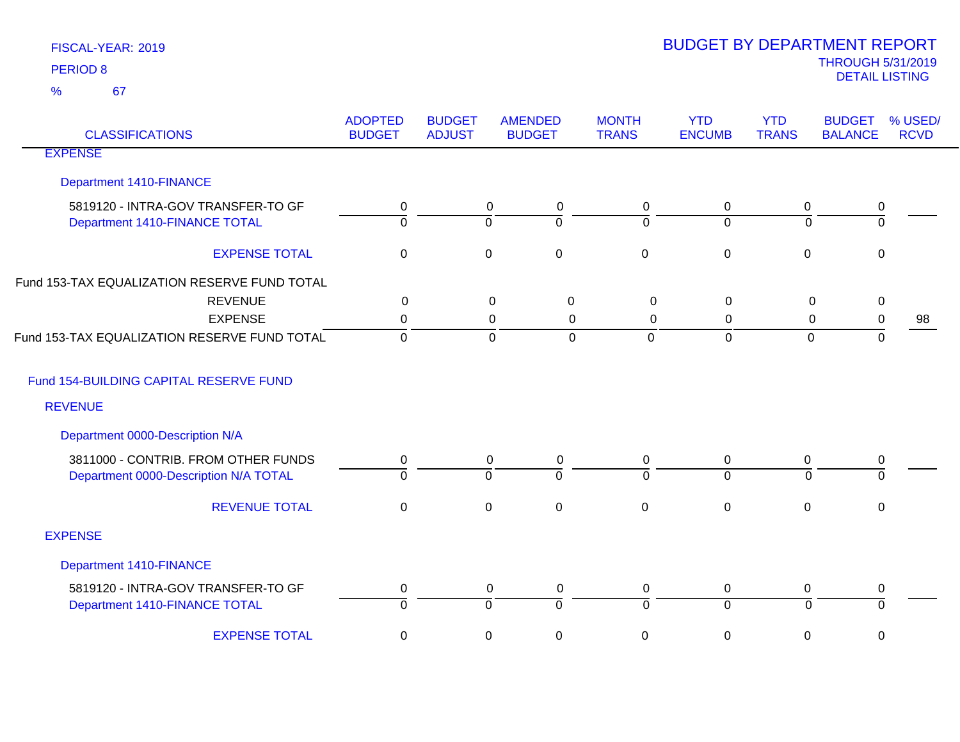| <b>CLASSIFICATIONS</b>                       | <b>ADOPTED</b><br><b>BUDGET</b> | <b>BUDGET</b><br><b>ADJUST</b> | <b>AMENDED</b><br><b>BUDGET</b>  | <b>MONTH</b><br><b>TRANS</b> | <b>YTD</b><br><b>ENCUMB</b> | <b>YTD</b><br><b>TRANS</b> | <b>BUDGET</b><br><b>BALANCE</b> | % USED/<br><b>RCVD</b> |
|----------------------------------------------|---------------------------------|--------------------------------|----------------------------------|------------------------------|-----------------------------|----------------------------|---------------------------------|------------------------|
| <b>EXPENSE</b>                               |                                 |                                |                                  |                              |                             |                            |                                 |                        |
| <b>Department 1410-FINANCE</b>               |                                 |                                |                                  |                              |                             |                            |                                 |                        |
| 5819120 - INTRA-GOV TRANSFER-TO GF           | 0                               |                                | 0<br>0                           | 0                            | 0                           | 0                          | 0                               |                        |
| Department 1410-FINANCE TOTAL                | $\overline{0}$                  |                                | $\overline{0}$<br>$\Omega$       | $\Omega$                     | $\Omega$                    | $\overline{0}$             | $\mathbf 0$                     |                        |
| <b>EXPENSE TOTAL</b>                         | $\mathbf 0$                     |                                | $\pmb{0}$<br>$\mathbf 0$         | $\mathbf 0$                  | $\pmb{0}$                   | $\mathbf 0$                | $\mathbf 0$                     |                        |
| Fund 153-TAX EQUALIZATION RESERVE FUND TOTAL |                                 |                                |                                  |                              |                             |                            |                                 |                        |
| <b>REVENUE</b>                               | $\pmb{0}$                       |                                | $\mathbf 0$<br>$\mathbf 0$       | $\boldsymbol{0}$             | 0                           | $\mathbf 0$                | $\pmb{0}$                       |                        |
| <b>EXPENSE</b>                               | 0                               |                                | $\mathbf 0$<br>0                 | $\Omega$                     | $\Omega$                    | 0                          | 0                               | 98                     |
| Fund 153-TAX EQUALIZATION RESERVE FUND TOTAL | $\mathbf 0$                     |                                | $\mathbf 0$<br>$\overline{0}$    | $\mathbf 0$                  | $\mathbf 0$                 | $\overline{0}$             | 0                               |                        |
| Fund 154-BUILDING CAPITAL RESERVE FUND       |                                 |                                |                                  |                              |                             |                            |                                 |                        |
| <b>REVENUE</b>                               |                                 |                                |                                  |                              |                             |                            |                                 |                        |
| Department 0000-Description N/A              |                                 |                                |                                  |                              |                             |                            |                                 |                        |
| 3811000 - CONTRIB. FROM OTHER FUNDS          | $\mathbf 0$                     |                                | $\pmb{0}$<br>0                   | $\mathbf 0$                  | $\mathbf 0$                 | 0                          | $\pmb{0}$                       |                        |
| Department 0000-Description N/A TOTAL        | $\mathbf 0$                     |                                | $\mathbf 0$<br>$\Omega$          | $\Omega$                     | $\overline{0}$              | $\Omega$                   | $\Omega$                        |                        |
| <b>REVENUE TOTAL</b>                         | $\mathbf 0$                     |                                | $\mathsf 0$<br>$\mathbf 0$       | $\mathbf 0$                  | $\mathbf 0$                 | $\mathbf 0$                | $\mathbf 0$                     |                        |
| <b>EXPENSE</b>                               |                                 |                                |                                  |                              |                             |                            |                                 |                        |
| <b>Department 1410-FINANCE</b>               |                                 |                                |                                  |                              |                             |                            |                                 |                        |
| 5819120 - INTRA-GOV TRANSFER-TO GF           | 0                               |                                | 0<br>0                           | 0                            | 0                           | 0                          | 0                               |                        |
| Department 1410-FINANCE TOTAL                | $\overline{0}$                  |                                | $\overline{0}$<br>$\overline{0}$ | $\Omega$                     | $\overline{0}$              | ō                          | $\mathbf 0$                     |                        |
| <b>EXPENSE TOTAL</b>                         | $\mathbf 0$                     |                                | $\pmb{0}$<br>$\mathbf 0$         | 0                            | $\pmb{0}$                   | 0                          | 0                               |                        |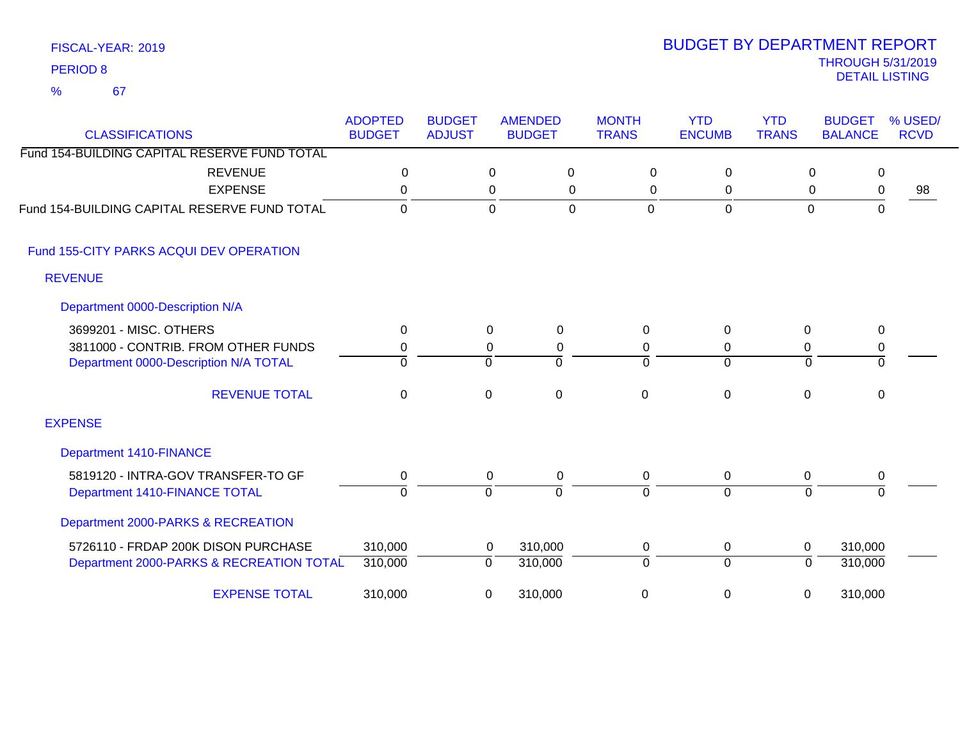| <b>CLASSIFICATIONS</b>                       | <b>ADOPTED</b><br><b>BUDGET</b> | <b>BUDGET</b><br><b>ADJUST</b> | <b>AMENDED</b><br><b>BUDGET</b> |              | <b>MONTH</b><br><b>TRANS</b> | <b>YTD</b><br><b>ENCUMB</b> | <b>YTD</b><br><b>TRANS</b> | <b>BUDGET</b><br><b>BALANCE</b> | % USED/<br><b>RCVD</b> |
|----------------------------------------------|---------------------------------|--------------------------------|---------------------------------|--------------|------------------------------|-----------------------------|----------------------------|---------------------------------|------------------------|
| Fund 154-BUILDING CAPITAL RESERVE FUND TOTAL |                                 |                                |                                 |              |                              |                             |                            |                                 |                        |
| <b>REVENUE</b>                               | $\mathbf 0$                     |                                | $\mathbf 0$                     | $\mathbf 0$  | $\mathbf 0$                  | $\Omega$                    |                            | $\mathbf 0$<br>$\mathbf 0$      |                        |
| <b>EXPENSE</b>                               | $\mathbf 0$                     |                                | $\pmb{0}$                       | 0            | 0                            | 0                           |                            | 0<br>0                          | 98                     |
| Fund 154-BUILDING CAPITAL RESERVE FUND TOTAL | $\mathbf 0$                     |                                | $\mathbf 0$                     | $\Omega$     | $\overline{0}$               | $\mathbf 0$                 |                            | $\mathbf 0$<br>0                |                        |
| Fund 155-CITY PARKS ACQUI DEV OPERATION      |                                 |                                |                                 |              |                              |                             |                            |                                 |                        |
| <b>REVENUE</b>                               |                                 |                                |                                 |              |                              |                             |                            |                                 |                        |
| Department 0000-Description N/A              |                                 |                                |                                 |              |                              |                             |                            |                                 |                        |
| 3699201 - MISC. OTHERS                       | 0                               |                                | $\mathbf 0$                     | 0            | $\Omega$                     | $\Omega$                    | 0                          | $\mathbf 0$                     |                        |
| 3811000 - CONTRIB. FROM OTHER FUNDS          | 0                               |                                | $\pmb{0}$                       | 0            | 0                            | 0                           | 0                          | 0                               |                        |
| Department 0000-Description N/A TOTAL        | $\Omega$                        |                                | $\mathbf 0$                     | $\Omega$     | $\Omega$                     | $\overline{0}$              | $\Omega$                   | $\overline{0}$                  |                        |
| <b>REVENUE TOTAL</b>                         | $\Omega$                        |                                | 0                               | $\mathbf{0}$ | $\mathbf{0}$                 | $\mathbf 0$                 | $\Omega$                   | 0                               |                        |
| <b>EXPENSE</b>                               |                                 |                                |                                 |              |                              |                             |                            |                                 |                        |
| <b>Department 1410-FINANCE</b>               |                                 |                                |                                 |              |                              |                             |                            |                                 |                        |
| 5819120 - INTRA-GOV TRANSFER-TO GF           | $\pmb{0}$                       |                                | 0                               | $\mathbf 0$  | $\mathbf 0$                  | 0                           | 0                          | 0                               |                        |
| Department 1410-FINANCE TOTAL                | $\Omega$                        |                                | $\mathbf 0$                     | $\Omega$     | $\Omega$                     | $\Omega$                    | $\overline{0}$             | $\Omega$                        |                        |
| Department 2000-PARKS & RECREATION           |                                 |                                |                                 |              |                              |                             |                            |                                 |                        |
| 5726110 - FRDAP 200K DISON PURCHASE          | 310,000                         |                                | 310,000<br>0                    |              | 0                            | $\mathbf 0$                 | 0                          | 310,000                         |                        |
| Department 2000-PARKS & RECREATION TOTAL     | 310,000                         |                                | 310,000<br>0                    |              | $\Omega$                     | $\overline{0}$              | $\overline{0}$             | 310,000                         |                        |
| <b>EXPENSE TOTAL</b>                         | 310,000                         |                                | 310,000<br>0                    |              | 0                            | $\mathbf 0$                 | 0                          | 310,000                         |                        |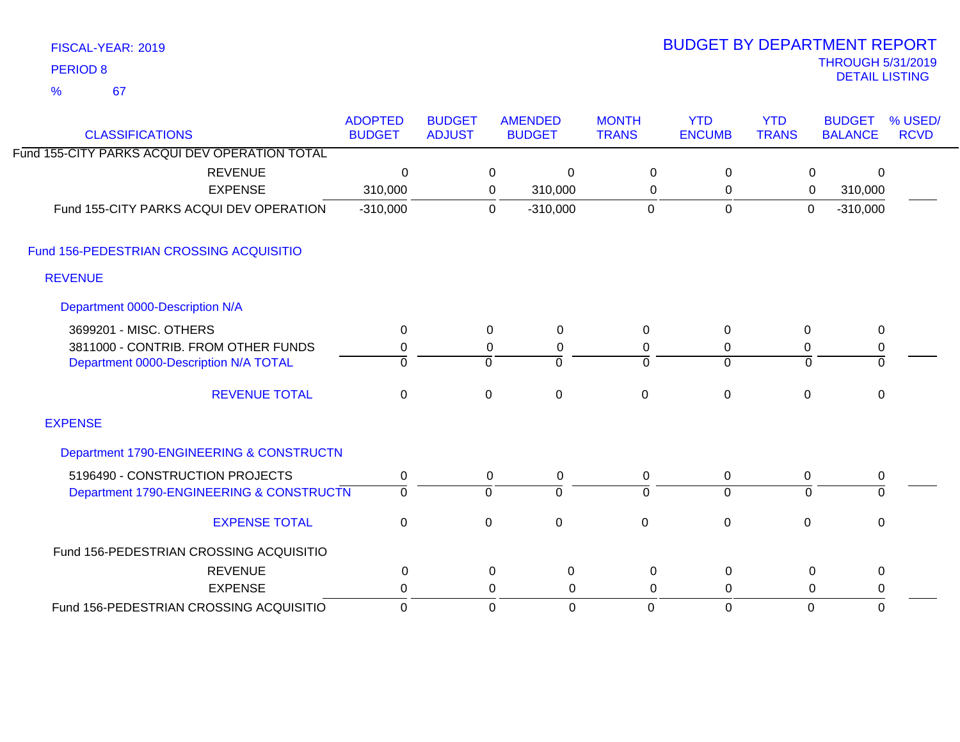| FISCAL-YEAR: 2019 |
|-------------------|
| <b>PERIOD 8</b>   |

67 %

# THROUGH 5/31/2019 DETAIL LISTING PERIOD <sup>8</sup> BUDGET BY DEPARTMENT REPORT

| <b>CLASSIFICATIONS</b>                        | <b>ADOPTED</b><br><b>BUDGET</b> | <b>BUDGET</b><br><b>ADJUST</b> |             | <b>AMENDED</b><br><b>BUDGET</b> | <b>MONTH</b><br><b>TRANS</b> | <b>YTD</b><br><b>ENCUMB</b> | <b>YTD</b><br><b>TRANS</b> | <b>BUDGET</b><br><b>BALANCE</b> | % USED/<br><b>RCVD</b> |
|-----------------------------------------------|---------------------------------|--------------------------------|-------------|---------------------------------|------------------------------|-----------------------------|----------------------------|---------------------------------|------------------------|
| Fund 155-CITY PARKS ACQUI DEV OPERATION TOTAL |                                 |                                |             |                                 |                              |                             |                            |                                 |                        |
| <b>REVENUE</b>                                | $\Omega$                        |                                | 0           | $\overline{0}$                  | $\mathbf 0$                  | $\mathbf 0$                 | $\pmb{0}$                  | $\Omega$                        |                        |
| <b>EXPENSE</b>                                | 310,000                         |                                | 0           | 310,000                         | 0                            | 0                           | 0                          | 310,000                         |                        |
| Fund 155-CITY PARKS ACQUI DEV OPERATION       | $-310,000$                      |                                | $\mathbf 0$ | $-310,000$                      | 0                            | $\mathbf 0$                 | $\overline{0}$             | $-310,000$                      |                        |
| Fund 156-PEDESTRIAN CROSSING ACQUISITIO       |                                 |                                |             |                                 |                              |                             |                            |                                 |                        |
| <b>REVENUE</b>                                |                                 |                                |             |                                 |                              |                             |                            |                                 |                        |
| Department 0000-Description N/A               |                                 |                                |             |                                 |                              |                             |                            |                                 |                        |
| 3699201 - MISC. OTHERS                        | 0                               |                                | $\mathbf 0$ | $\mathbf 0$                     | 0                            | 0                           | 0                          | 0                               |                        |
| 3811000 - CONTRIB. FROM OTHER FUNDS           | 0                               |                                | 0           | 0                               | 0                            | 0                           | 0                          | 0                               |                        |
| Department 0000-Description N/A TOTAL         | $\Omega$                        |                                | 0           | $\Omega$                        | $\Omega$                     | $\mathbf 0$                 | $\mathbf 0$                | $\Omega$                        |                        |
| <b>REVENUE TOTAL</b>                          | $\mathbf 0$                     |                                | $\pmb{0}$   | $\mathbf 0$                     | $\mathbf 0$                  | $\mathbf 0$                 | $\mathbf 0$                | $\mathbf 0$                     |                        |
| <b>EXPENSE</b>                                |                                 |                                |             |                                 |                              |                             |                            |                                 |                        |
| Department 1790-ENGINEERING & CONSTRUCTN      |                                 |                                |             |                                 |                              |                             |                            |                                 |                        |
| 5196490 - CONSTRUCTION PROJECTS               | 0                               |                                | 0           | 0                               | 0                            | 0                           | 0                          | 0                               |                        |
| Department 1790-ENGINEERING & CONSTRUCTN      | $\Omega$                        |                                | $\Omega$    | $\overline{0}$                  | $\Omega$                     | $\overline{0}$              | $\Omega$                   | $\overline{0}$                  |                        |
| <b>EXPENSE TOTAL</b>                          | $\mathbf 0$                     |                                | 0           | $\mathbf 0$                     | $\overline{0}$               | $\mathbf 0$                 | $\mathbf 0$                | $\mathbf 0$                     |                        |
| Fund 156-PEDESTRIAN CROSSING ACQUISITIO       |                                 |                                |             |                                 |                              |                             |                            |                                 |                        |
| <b>REVENUE</b>                                | 0                               |                                | $\mathbf 0$ | 0                               | $\mathbf 0$                  | 0                           | $\mathbf 0$                | 0                               |                        |
| <b>EXPENSE</b>                                | 0                               |                                | 0           | $\Omega$                        | 0                            | 0                           | 0                          | 0                               |                        |
| Fund 156-PEDESTRIAN CROSSING ACQUISITIO       | $\Omega$                        |                                | $\Omega$    | $\overline{0}$                  | $\Omega$                     | $\Omega$                    | $\mathbf 0$                | $\Omega$                        |                        |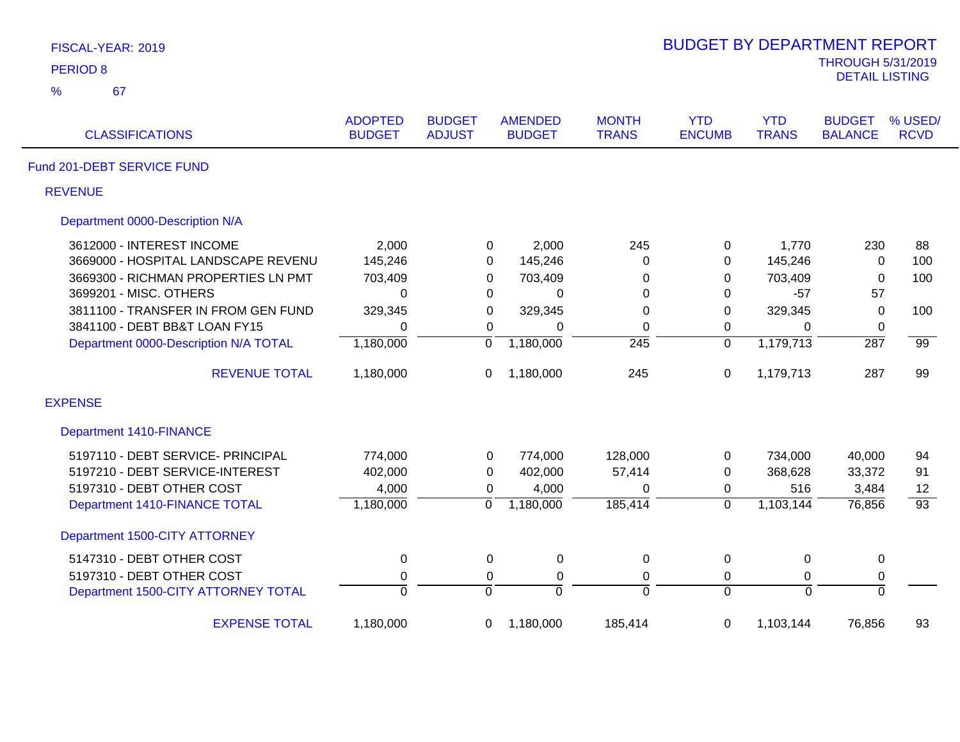| FISCAL-YEAR: 2019                     |                                 |                                |                                 |                              | <b>BUDGET BY DEPARTMENT REPORT</b> |                            |                                                   |                        |
|---------------------------------------|---------------------------------|--------------------------------|---------------------------------|------------------------------|------------------------------------|----------------------------|---------------------------------------------------|------------------------|
| <b>PERIOD 8</b>                       |                                 |                                |                                 |                              |                                    |                            | <b>THROUGH 5/31/2019</b><br><b>DETAIL LISTING</b> |                        |
| %<br>67                               |                                 |                                |                                 |                              |                                    |                            |                                                   |                        |
| <b>CLASSIFICATIONS</b>                | <b>ADOPTED</b><br><b>BUDGET</b> | <b>BUDGET</b><br><b>ADJUST</b> | <b>AMENDED</b><br><b>BUDGET</b> | <b>MONTH</b><br><b>TRANS</b> | <b>YTD</b><br><b>ENCUMB</b>        | <b>YTD</b><br><b>TRANS</b> | <b>BUDGET</b><br><b>BALANCE</b>                   | % USED/<br><b>RCVD</b> |
| Fund 201-DEBT SERVICE FUND            |                                 |                                |                                 |                              |                                    |                            |                                                   |                        |
| <b>REVENUE</b>                        |                                 |                                |                                 |                              |                                    |                            |                                                   |                        |
| Department 0000-Description N/A       |                                 |                                |                                 |                              |                                    |                            |                                                   |                        |
| 3612000 - INTEREST INCOME             | 2,000                           | 0                              | 2,000                           | 245                          | 0                                  | 1,770                      | 230                                               | 88                     |
| 3669000 - HOSPITAL LANDSCAPE REVENU   | 145,246                         | 0                              | 145,246                         | 0                            | 0                                  | 145,246                    | $\mathbf 0$                                       | 100                    |
| 3669300 - RICHMAN PROPERTIES LN PMT   | 703,409                         | 0                              | 703,409                         | 0                            | 0                                  | 703,409                    | $\mathbf 0$                                       | 100                    |
| 3699201 - MISC. OTHERS                | $\mathbf 0$                     | 0                              | 0                               | 0                            | $\mathbf 0$                        | $-57$                      | 57                                                |                        |
| 3811100 - TRANSFER IN FROM GEN FUND   | 329,345                         | 0                              | 329,345                         | 0                            | 0                                  | 329,345                    | $\mathbf 0$                                       | 100                    |
| 3841100 - DEBT BB&T LOAN FY15         | $\mathbf 0$                     | $\mathbf 0$                    | $\Omega$                        | 0                            | 0                                  | 0                          | $\mathbf 0$                                       |                        |
| Department 0000-Description N/A TOTAL | 1,180,000                       | $\overline{0}$                 | 1,180,000                       | $\overline{245}$             | $\overline{0}$                     | 1,179,713                  | $\overline{287}$                                  | $\overline{99}$        |
| <b>REVENUE TOTAL</b>                  | 1,180,000                       | 0                              | 1,180,000                       | 245                          | 0                                  | 1,179,713                  | 287                                               | 99                     |
| <b>EXPENSE</b>                        |                                 |                                |                                 |                              |                                    |                            |                                                   |                        |
| <b>Department 1410-FINANCE</b>        |                                 |                                |                                 |                              |                                    |                            |                                                   |                        |
| 5197110 - DEBT SERVICE- PRINCIPAL     | 774,000                         | 0                              | 774,000                         | 128,000                      | 0                                  | 734,000                    | 40,000                                            | 94                     |
| 5197210 - DEBT SERVICE-INTEREST       | 402,000                         | 0                              | 402,000                         | 57,414                       | 0                                  | 368,628                    | 33,372                                            | 91                     |
| 5197310 - DEBT OTHER COST             | 4,000                           | 0                              | 4,000                           | $\Omega$                     | 0                                  | 516                        | 3,484                                             | 12                     |
| Department 1410-FINANCE TOTAL         | 1,180,000                       | $\overline{0}$                 | 1,180,000                       | 185,414                      | $\overline{0}$                     | 1,103,144                  | 76,856                                            | $\overline{93}$        |
| Department 1500-CITY ATTORNEY         |                                 |                                |                                 |                              |                                    |                            |                                                   |                        |
| 5147310 - DEBT OTHER COST             | $\pmb{0}$                       | 0                              | $\pmb{0}$                       | $\mathbf 0$                  | $\pmb{0}$                          | $\mathbf 0$                | $\pmb{0}$                                         |                        |
| 5197310 - DEBT OTHER COST             | $\pmb{0}$                       | 0                              | $\pmb{0}$                       | $\mathsf 0$                  | $\mathbf 0$                        | $\mathbf 0$                | $\pmb{0}$                                         |                        |
| Department 1500-CITY ATTORNEY TOTAL   | $\overline{0}$                  | ō                              | $\overline{0}$                  | $\overline{0}$               | $\overline{0}$                     | $\overline{0}$             | $\overline{0}$                                    |                        |
| <b>EXPENSE TOTAL</b>                  | 1,180,000                       | 0                              | 1,180,000                       | 185,414                      | 0                                  | 1,103,144                  | 76,856                                            | 93                     |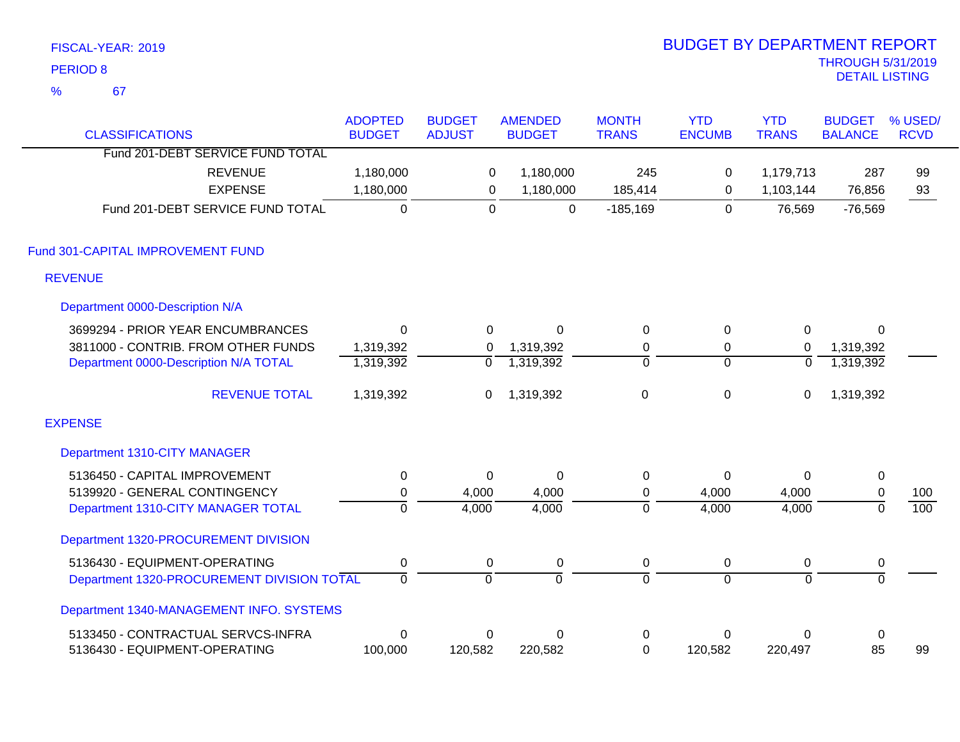|                 | FISCAL-YEAR: 2019                          |                                 |                                |                                 |                              | <b>BUDGET BY DEPARTMENT REPORT</b> |                            |                                 |                        |
|-----------------|--------------------------------------------|---------------------------------|--------------------------------|---------------------------------|------------------------------|------------------------------------|----------------------------|---------------------------------|------------------------|
| <b>PERIOD 8</b> |                                            |                                 |                                |                                 |                              |                                    |                            | <b>THROUGH 5/31/2019</b>        |                        |
| $\frac{9}{6}$   | 67                                         |                                 |                                |                                 |                              |                                    |                            | <b>DETAIL LISTING</b>           |                        |
|                 | <b>CLASSIFICATIONS</b>                     | <b>ADOPTED</b><br><b>BUDGET</b> | <b>BUDGET</b><br><b>ADJUST</b> | <b>AMENDED</b><br><b>BUDGET</b> | <b>MONTH</b><br><b>TRANS</b> | <b>YTD</b><br><b>ENCUMB</b>        | <b>YTD</b><br><b>TRANS</b> | <b>BUDGET</b><br><b>BALANCE</b> | % USED/<br><b>RCVD</b> |
|                 | Fund 201-DEBT SERVICE FUND TOTAL           |                                 |                                |                                 |                              |                                    |                            |                                 |                        |
|                 | <b>REVENUE</b>                             | 1,180,000                       | 0                              | 1,180,000                       | 245                          | 0                                  | 1,179,713                  | 287                             | 99                     |
|                 | <b>EXPENSE</b>                             | 1,180,000                       | $\mathbf 0$                    | 1,180,000                       | 185,414                      | 0                                  | 1,103,144                  | 76,856                          | 93                     |
|                 | Fund 201-DEBT SERVICE FUND TOTAL           | $\overline{0}$                  | $\overline{0}$                 | $\mathbf{0}$                    | $-185,169$                   | $\overline{0}$                     | 76,569                     | $-76,569$                       |                        |
|                 | Fund 301-CAPITAL IMPROVEMENT FUND          |                                 |                                |                                 |                              |                                    |                            |                                 |                        |
| <b>REVENUE</b>  |                                            |                                 |                                |                                 |                              |                                    |                            |                                 |                        |
|                 | Department 0000-Description N/A            |                                 |                                |                                 |                              |                                    |                            |                                 |                        |
|                 | 3699294 - PRIOR YEAR ENCUMBRANCES          | $\mathbf 0$                     | 0                              | $\mathbf 0$                     | $\mathbf 0$                  | $\mathbf 0$                        | $\mathbf 0$                | 0                               |                        |
|                 | 3811000 - CONTRIB. FROM OTHER FUNDS        | 1,319,392                       | 0                              | 1,319,392                       | $\pmb{0}$                    | 0                                  | 0                          | 1,319,392                       |                        |
|                 | Department 0000-Description N/A TOTAL      | 1,319,392                       | $\overline{0}$                 | 1,319,392                       | $\overline{0}$               | $\overline{0}$                     | $\overline{0}$             | 1,319,392                       |                        |
|                 | <b>REVENUE TOTAL</b>                       | 1,319,392                       | $\mathbf 0$                    | 1,319,392                       | $\mathbf 0$                  | 0                                  | 0                          | 1,319,392                       |                        |
| <b>EXPENSE</b>  |                                            |                                 |                                |                                 |                              |                                    |                            |                                 |                        |
|                 | Department 1310-CITY MANAGER               |                                 |                                |                                 |                              |                                    |                            |                                 |                        |
|                 | 5136450 - CAPITAL IMPROVEMENT              | $\pmb{0}$                       | $\mathbf 0$                    | $\mathbf 0$                     | $\boldsymbol{0}$             | 0                                  | $\Omega$                   | $\pmb{0}$                       |                        |
|                 | 5139920 - GENERAL CONTINGENCY              | $\pmb{0}$                       | 4,000                          | 4,000                           | $\pmb{0}$                    | 4,000                              | 4,000                      | $\pmb{0}$                       | 100                    |
|                 | Department 1310-CITY MANAGER TOTAL         | $\overline{0}$                  | 4,000                          | 4,000                           | $\overline{0}$               | 4,000                              | 4,000                      | $\overline{0}$                  | 100                    |
|                 | Department 1320-PROCUREMENT DIVISION       |                                 |                                |                                 |                              |                                    |                            |                                 |                        |
|                 | 5136430 - EQUIPMENT-OPERATING              | $\pmb{0}$                       | 0                              | $\mathbf 0$                     | 0                            | 0                                  | 0                          | $\pmb{0}$                       |                        |
|                 | Department 1320-PROCUREMENT DIVISION TOTAL | $\overline{0}$                  | $\overline{0}$                 | $\overline{0}$                  | 0                            | $\overline{0}$                     | $\overline{0}$             | $\overline{0}$                  |                        |
|                 | Department 1340-MANAGEMENT INFO. SYSTEMS   |                                 |                                |                                 |                              |                                    |                            |                                 |                        |
|                 | 5133450 - CONTRACTUAL SERVCS-INFRA         | $\boldsymbol{0}$                | 0                              | 0                               | $\boldsymbol{0}$             | 0                                  | $\mathbf 0$                | $\pmb{0}$                       |                        |
|                 | 5136430 - EQUIPMENT-OPERATING              | 100,000                         | 120,582                        | 220,582                         | $\mathbf 0$                  | 120,582                            | 220,497                    | 85                              | 99                     |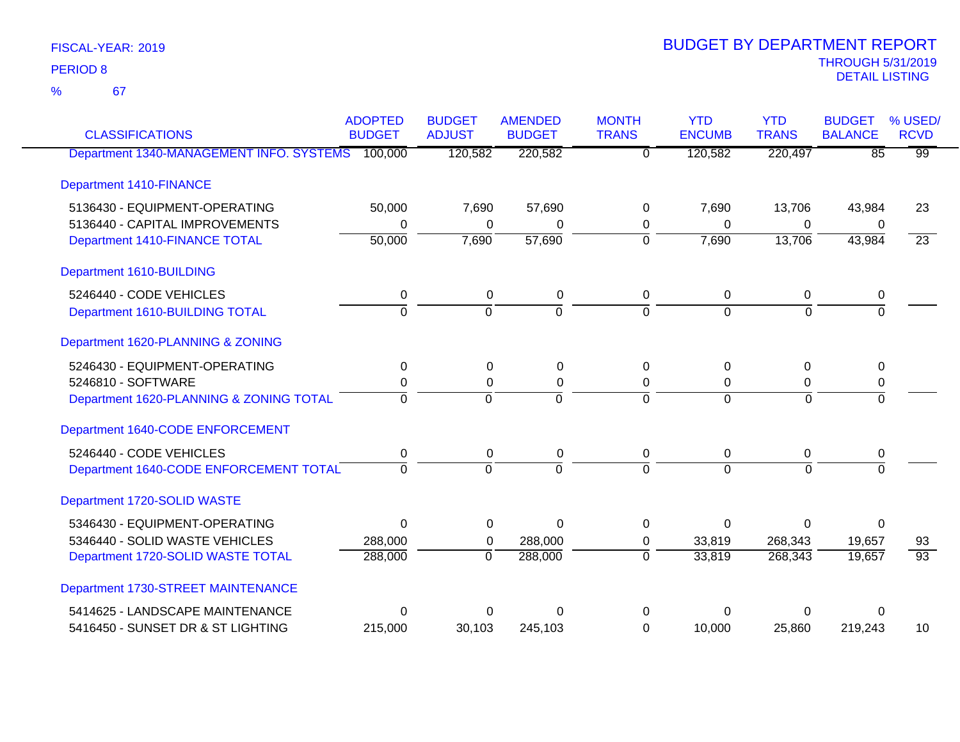67 %

| <b>CLASSIFICATIONS</b>                           | <b>ADOPTED</b><br><b>BUDGET</b> | <b>BUDGET</b><br><b>ADJUST</b> | <b>AMENDED</b><br><b>BUDGET</b> | <b>MONTH</b><br><b>TRANS</b> | <b>YTD</b><br><b>ENCUMB</b> | <b>YTD</b><br><b>TRANS</b> | <b>BUDGET</b><br><b>BALANCE</b> | % USED/<br><b>RCVD</b> |
|--------------------------------------------------|---------------------------------|--------------------------------|---------------------------------|------------------------------|-----------------------------|----------------------------|---------------------------------|------------------------|
| Department 1340-MANAGEMENT INFO. SYSTEMS 100,000 |                                 | 120,582                        | 220,582                         | $\Omega$                     | 120,582                     | 220,497                    | $\overline{85}$                 | $\overline{99}$        |
|                                                  |                                 |                                |                                 |                              |                             |                            |                                 |                        |
| <b>Department 1410-FINANCE</b>                   |                                 |                                |                                 |                              |                             |                            |                                 |                        |
| 5136430 - EQUIPMENT-OPERATING                    | 50,000                          | 7,690                          | 57,690                          | 0                            | 7,690                       | 13,706                     | 43,984                          | 23                     |
| 5136440 - CAPITAL IMPROVEMENTS                   | 0                               | 0                              | 0                               | 0                            | 0                           | 0                          | 0                               |                        |
| Department 1410-FINANCE TOTAL                    | 50,000                          | 7,690                          | 57,690                          | $\mathbf 0$                  | 7,690                       | 13,706                     | 43,984                          | $\overline{23}$        |
| Department 1610-BUILDING                         |                                 |                                |                                 |                              |                             |                            |                                 |                        |
| 5246440 - CODE VEHICLES                          | 0                               | 0                              | 0                               | 0                            | 0                           | 0                          | 0                               |                        |
| Department 1610-BUILDING TOTAL                   | $\overline{0}$                  | $\overline{0}$                 | $\overline{0}$                  | $\overline{0}$               | $\Omega$                    | $\overline{0}$             | $\overline{0}$                  |                        |
| Department 1620-PLANNING & ZONING                |                                 |                                |                                 |                              |                             |                            |                                 |                        |
| 5246430 - EQUIPMENT-OPERATING                    | 0                               | $\Omega$                       | 0                               | 0                            | 0                           | 0                          | 0                               |                        |
| 5246810 - SOFTWARE                               | 0                               | 0                              | 0                               | 0                            | 0                           | 0                          | 0                               |                        |
| Department 1620-PLANNING & ZONING TOTAL          | $\Omega$                        | $\Omega$                       | $\Omega$                        | $\Omega$                     | $\Omega$                    | $\Omega$                   | $\Omega$                        |                        |
| Department 1640-CODE ENFORCEMENT                 |                                 |                                |                                 |                              |                             |                            |                                 |                        |
| 5246440 - CODE VEHICLES                          | 0                               | 0                              | 0                               | 0                            | 0                           | 0                          | 0                               |                        |
| Department 1640-CODE ENFORCEMENT TOTAL           | $\Omega$                        | $\Omega$                       | $\Omega$                        | $\Omega$                     | $\Omega$                    | $\Omega$                   | $\Omega$                        |                        |
| Department 1720-SOLID WASTE                      |                                 |                                |                                 |                              |                             |                            |                                 |                        |
| 5346430 - EQUIPMENT-OPERATING                    | $\Omega$                        | $\Omega$                       | $\Omega$                        | $\Omega$                     | $\Omega$                    | $\Omega$                   | $\Omega$                        |                        |
| 5346440 - SOLID WASTE VEHICLES                   | 288,000                         | 0                              | 288,000                         | 0                            | 33,819                      | 268,343                    | 19,657                          | 93                     |
| Department 1720-SOLID WASTE TOTAL                | 288,000                         | $\overline{0}$                 | 288,000                         | $\overline{0}$               | 33,819                      | 268,343                    | 19,657                          | 93                     |
| Department 1730-STREET MAINTENANCE               |                                 |                                |                                 |                              |                             |                            |                                 |                        |
| 5414625 - LANDSCAPE MAINTENANCE                  | $\Omega$                        | 0                              | 0                               | 0                            | $\Omega$                    | 0                          | 0                               |                        |
| 5416450 - SUNSET DR & ST LIGHTING                | 215,000                         | 30,103                         | 245,103                         | 0                            | 10,000                      | 25,860                     | 219,243                         | 10                     |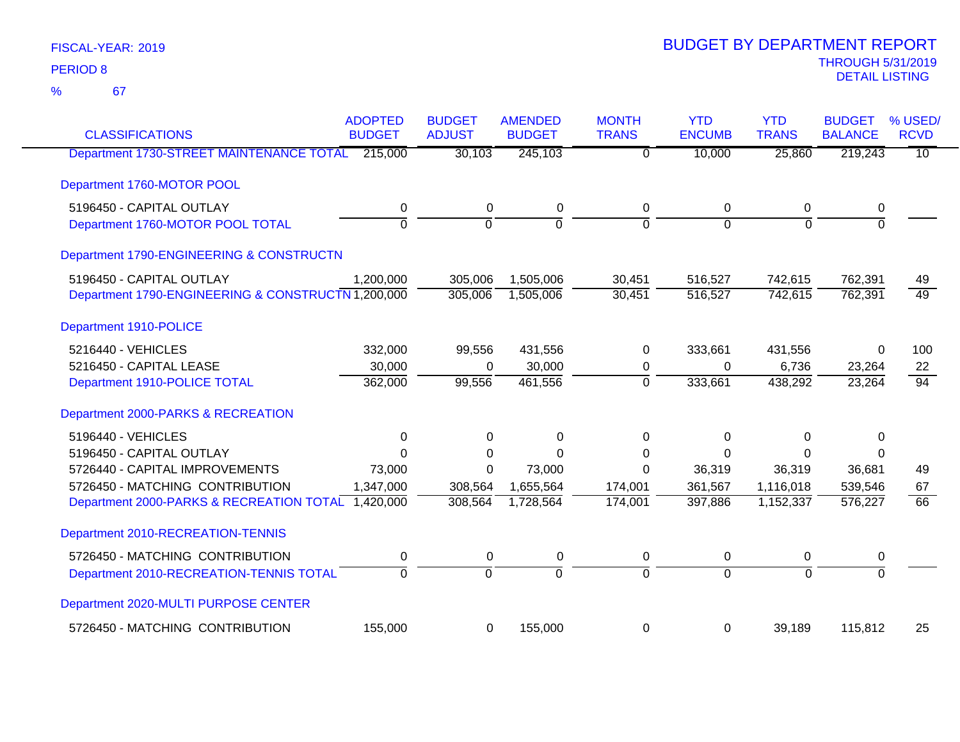| <b>CLASSIFICATIONS</b>                             | <b>ADOPTED</b><br><b>BUDGET</b> | <b>BUDGET</b><br><b>ADJUST</b> | <b>AMENDED</b><br><b>BUDGET</b> | <b>MONTH</b><br><b>TRANS</b> | <b>YTD</b><br><b>ENCUMB</b> | <b>YTD</b><br><b>TRANS</b> | <b>BUDGET</b><br><b>BALANCE</b> | % USED/<br><b>RCVD</b> |
|----------------------------------------------------|---------------------------------|--------------------------------|---------------------------------|------------------------------|-----------------------------|----------------------------|---------------------------------|------------------------|
| Department 1730-STREET MAINTENANCE TOTAL           | 215,000                         | 30,103                         | 245,103                         | 0                            | 10,000                      | 25,860                     | 219,243                         | $\overline{10}$        |
| Department 1760-MOTOR POOL                         |                                 |                                |                                 |                              |                             |                            |                                 |                        |
| 5196450 - CAPITAL OUTLAY                           | $\mathbf 0$                     | $\mathbf 0$                    | 0                               | 0                            | $\mathbf 0$                 | 0                          | $\pmb{0}$                       |                        |
| Department 1760-MOTOR POOL TOTAL                   | $\overline{0}$                  | $\overline{0}$                 | ō                               | $\overline{0}$               | $\overline{0}$              | $\Omega$                   | $\overline{0}$                  |                        |
| Department 1790-ENGINEERING & CONSTRUCTN           |                                 |                                |                                 |                              |                             |                            |                                 |                        |
| 5196450 - CAPITAL OUTLAY                           | 1,200,000                       | 305,006                        | 1,505,006                       | 30,451                       | 516,527                     | 742,615                    | 762,391                         | 49                     |
| Department 1790-ENGINEERING & CONSTRUCTN 1,200,000 |                                 | 305,006                        | 1,505,006                       | 30,451                       | 516,527                     | 742,615                    | 762,391                         | $\overline{49}$        |
| Department 1910-POLICE                             |                                 |                                |                                 |                              |                             |                            |                                 |                        |
| 5216440 - VEHICLES                                 | 332,000                         | 99,556                         | 431,556                         | 0                            | 333,661                     | 431,556                    | 0                               | 100                    |
| 5216450 - CAPITAL LEASE                            | 30,000                          | $\Omega$                       | 30,000                          | 0                            | 0                           | 6,736                      | 23,264                          | 22                     |
| Department 1910-POLICE TOTAL                       | 362,000                         | 99,556                         | 461,556                         | $\overline{0}$               | 333,661                     | 438,292                    | $\overline{2}3,264$             | $\overline{94}$        |
| Department 2000-PARKS & RECREATION                 |                                 |                                |                                 |                              |                             |                            |                                 |                        |
| 5196440 - VEHICLES                                 | 0                               | 0                              | 0                               | 0                            | 0                           | 0                          | 0                               |                        |
| 5196450 - CAPITAL OUTLAY                           | $\Omega$                        | $\Omega$                       | $\Omega$                        | 0                            | $\Omega$                    | $\Omega$                   | $\Omega$                        |                        |
| 5726440 - CAPITAL IMPROVEMENTS                     | 73,000                          | $\Omega$                       | 73,000                          | $\Omega$                     | 36,319                      | 36,319                     | 36,681                          | 49                     |
| 5726450 - MATCHING CONTRIBUTION                    | 1,347,000                       | 308,564                        | 1,655,564                       | 174,001                      | 361,567                     | 1,116,018                  | 539,546                         | 67                     |
| Department 2000-PARKS & RECREATION TOTAL 1,420,000 |                                 | 308,564                        | 1,728,564                       | 174,001                      | 397,886                     | 1,152,337                  | 576,227                         | 66                     |
| Department 2010-RECREATION-TENNIS                  |                                 |                                |                                 |                              |                             |                            |                                 |                        |
| 5726450 - MATCHING CONTRIBUTION                    | $\pmb{0}$                       | $\pmb{0}$                      | $\pmb{0}$                       | 0                            | $\pmb{0}$                   | 0                          | 0                               |                        |
| Department 2010-RECREATION-TENNIS TOTAL            | $\Omega$                        | $\overline{0}$                 | $\overline{0}$                  | $\overline{0}$               | $\overline{0}$              | $\overline{0}$             | $\overline{0}$                  |                        |
| Department 2020-MULTI PURPOSE CENTER               |                                 |                                |                                 |                              |                             |                            |                                 |                        |
| 5726450 - MATCHING CONTRIBUTION                    | 155,000                         | 0                              | 155,000                         | 0                            | 0                           | 39,189                     | 115,812                         | 25                     |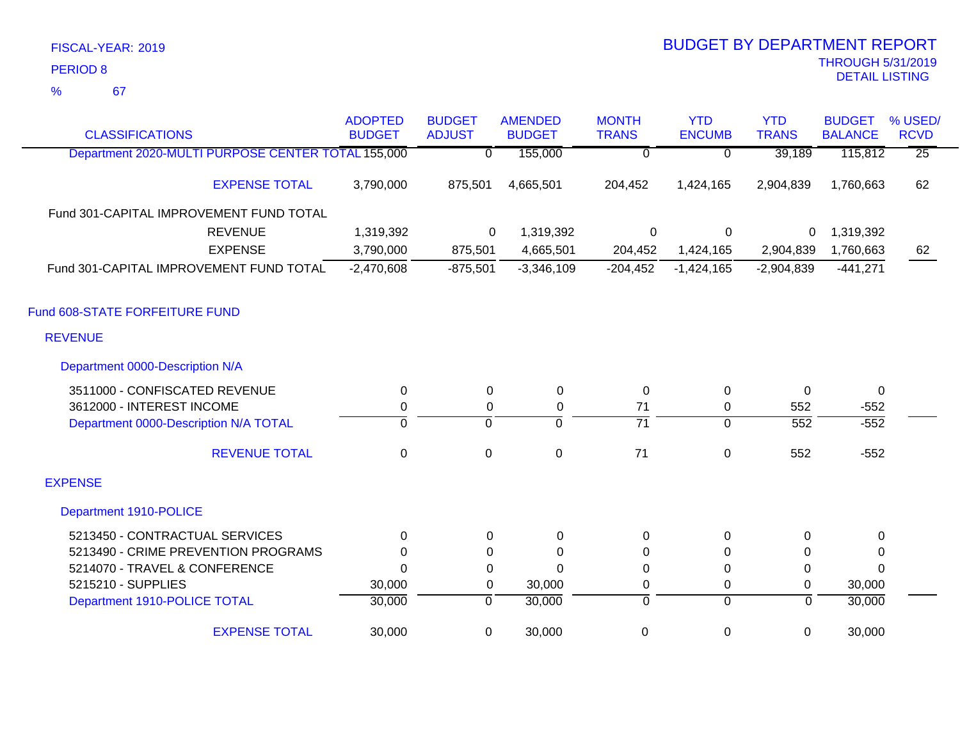| <b>CLASSIFICATIONS</b>                             | <b>ADOPTED</b><br><b>BUDGET</b> | <b>BUDGET</b><br><b>ADJUST</b> | <b>AMENDED</b><br><b>BUDGET</b> | <b>MONTH</b><br><b>TRANS</b> | <b>YTD</b><br><b>ENCUMB</b> | <b>YTD</b><br><b>TRANS</b> | <b>BUDGET</b><br><b>BALANCE</b> | % USED/<br><b>RCVD</b> |
|----------------------------------------------------|---------------------------------|--------------------------------|---------------------------------|------------------------------|-----------------------------|----------------------------|---------------------------------|------------------------|
| Department 2020-MULTI PURPOSE CENTER TOTAL 155,000 |                                 | $\Omega$                       | 155,000                         | 0                            | $\overline{0}$              | 39,189                     | 115,812                         | $\overline{25}$        |
| <b>EXPENSE TOTAL</b>                               | 3,790,000                       | 875,501                        | 4,665,501                       | 204,452                      | 1,424,165                   | 2,904,839                  | 1,760,663                       | 62                     |
| Fund 301-CAPITAL IMPROVEMENT FUND TOTAL            |                                 |                                |                                 |                              |                             |                            |                                 |                        |
| <b>REVENUE</b>                                     | 1,319,392                       | $\Omega$                       | 1,319,392                       | 0                            | $\mathbf{0}$                | 0                          | 1,319,392                       |                        |
| <b>EXPENSE</b>                                     | 3,790,000                       | 875,501                        | 4,665,501                       | 204,452                      | 1,424,165                   | 2,904,839                  | 1,760,663                       | 62                     |
| Fund 301-CAPITAL IMPROVEMENT FUND TOTAL            | $-2,470,608$                    | $-875,501$                     | $-3,346,109$                    | $-204,452$                   | $-1,424,165$                | $-2,904,839$               | $-441,271$                      |                        |
| Fund 608-STATE FORFEITURE FUND                     |                                 |                                |                                 |                              |                             |                            |                                 |                        |
| <b>REVENUE</b>                                     |                                 |                                |                                 |                              |                             |                            |                                 |                        |
| Department 0000-Description N/A                    |                                 |                                |                                 |                              |                             |                            |                                 |                        |
| 3511000 - CONFISCATED REVENUE                      | 0                               | $\Omega$                       | 0                               | 0                            | 0                           | $\Omega$                   | $\mathbf 0$                     |                        |
| 3612000 - INTEREST INCOME                          | $\mathbf 0$                     | 0                              | 0                               | 71                           | 0                           | 552                        | $-552$                          |                        |
| Department 0000-Description N/A TOTAL              | 0                               | $\overline{0}$                 | $\overline{0}$                  | $\overline{71}$              | $\overline{0}$              | $\overline{552}$           | $-552$                          |                        |
| <b>REVENUE TOTAL</b>                               | $\mathbf 0$                     | $\mathbf{0}$                   | $\mathbf 0$                     | 71                           | $\mathbf 0$                 | 552                        | $-552$                          |                        |
| <b>EXPENSE</b>                                     |                                 |                                |                                 |                              |                             |                            |                                 |                        |
| Department 1910-POLICE                             |                                 |                                |                                 |                              |                             |                            |                                 |                        |
| 5213450 - CONTRACTUAL SERVICES                     | 0                               | $\Omega$                       | 0                               | 0                            | $\mathbf 0$                 | 0                          | 0                               |                        |
| 5213490 - CRIME PREVENTION PROGRAMS                | $\Omega$                        | $\Omega$                       | $\Omega$                        | $\Omega$                     | $\Omega$                    | $\Omega$                   | 0                               |                        |
| 5214070 - TRAVEL & CONFERENCE                      | $\Omega$                        | 0                              | $\Omega$                        | 0                            | 0                           | $\Omega$                   | $\Omega$                        |                        |
| 5215210 - SUPPLIES                                 | 30,000                          | 0                              | 30,000                          | 0                            | 0                           | 0                          | 30,000                          |                        |
| Department 1910-POLICE TOTAL                       | 30,000                          | $\overline{0}$                 | 30,000                          | 0                            | $\overline{0}$              | $\overline{0}$             | 30,000                          |                        |
| <b>EXPENSE TOTAL</b>                               | 30,000                          | 0                              | 30,000                          | $\mathbf 0$                  | 0                           | 0                          | 30,000                          |                        |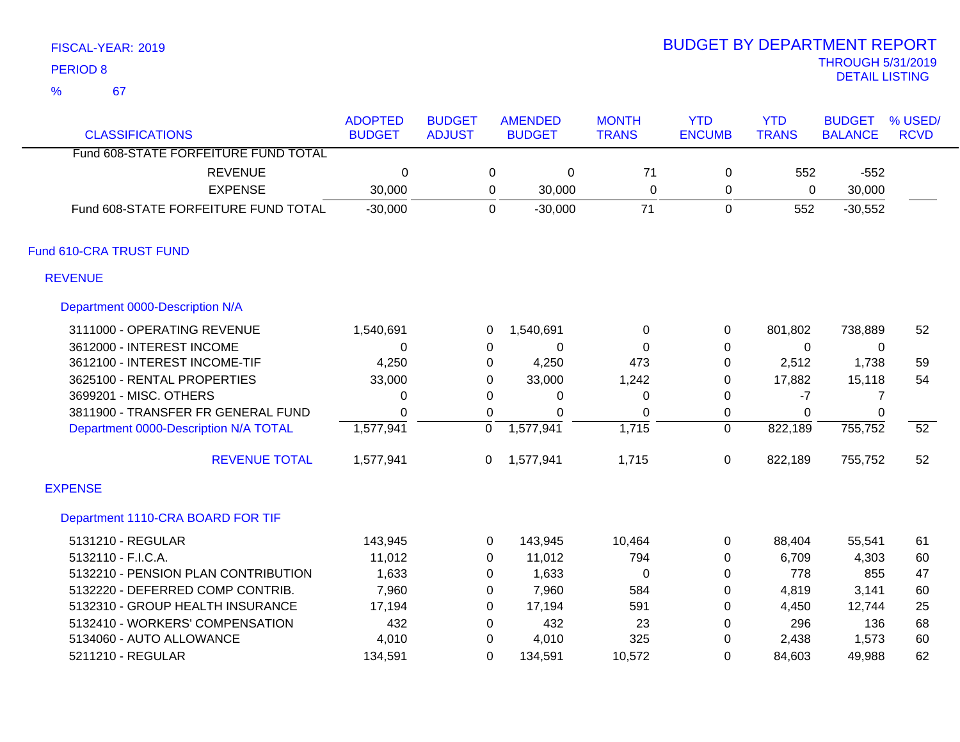67 %

| <b>CLASSIFICATIONS</b>                | <b>ADOPTED</b><br><b>BUDGET</b> | <b>BUDGET</b><br><b>ADJUST</b> |          | <b>AMENDED</b><br><b>BUDGET</b> | <b>MONTH</b><br><b>TRANS</b> | <b>YTD</b><br><b>ENCUMB</b> | <b>YTD</b><br><b>TRANS</b> | <b>BUDGET</b><br><b>BALANCE</b> | % USED/<br><b>RCVD</b> |
|---------------------------------------|---------------------------------|--------------------------------|----------|---------------------------------|------------------------------|-----------------------------|----------------------------|---------------------------------|------------------------|
| Fund 608-STATE FORFEITURE FUND TOTAL  |                                 |                                |          |                                 |                              |                             |                            |                                 |                        |
| <b>REVENUE</b>                        | 0                               |                                | 0        | 0                               | 71                           | 0                           | 552                        | $-552$                          |                        |
| <b>EXPENSE</b>                        | 30,000                          |                                | 0        | 30,000                          | $\mathbf 0$                  | 0                           | 0                          | 30,000                          |                        |
| Fund 608-STATE FORFEITURE FUND TOTAL  | $-30,000$                       |                                | 0        | $-30,000$                       | 71                           | $\mathbf 0$                 | 552                        | $-30,552$                       |                        |
| Fund 610-CRA TRUST FUND               |                                 |                                |          |                                 |                              |                             |                            |                                 |                        |
| <b>REVENUE</b>                        |                                 |                                |          |                                 |                              |                             |                            |                                 |                        |
| Department 0000-Description N/A       |                                 |                                |          |                                 |                              |                             |                            |                                 |                        |
| 3111000 - OPERATING REVENUE           | 1,540,691                       |                                | 0        | 1,540,691                       | 0                            | 0                           | 801,802                    | 738,889                         | 52                     |
| 3612000 - INTEREST INCOME             | 0                               |                                | 0        | 0                               | $\Omega$                     | 0                           | 0                          | 0                               |                        |
| 3612100 - INTEREST INCOME-TIF         | 4,250                           |                                | 0        | 4,250                           | 473                          | 0                           | 2,512                      | 1,738                           | 59                     |
| 3625100 - RENTAL PROPERTIES           | 33,000                          |                                | $\Omega$ | 33,000                          | 1,242                        | 0                           | 17,882                     | 15,118                          | 54                     |
| 3699201 - MISC. OTHERS                | $\Omega$                        |                                | $\Omega$ | 0                               | 0                            | $\Omega$                    | -7                         | 7                               |                        |
| 3811900 - TRANSFER FR GENERAL FUND    | $\Omega$                        |                                | $\Omega$ | 0                               | $\Omega$                     | $\mathbf 0$                 | $\Omega$                   | $\mathbf{0}$                    |                        |
| Department 0000-Description N/A TOTAL | 1,577,941                       |                                | 0        | 1,577,941                       | 1,715                        | $\mathbf 0$                 | 822,189                    | 755,752                         | $\overline{52}$        |
| <b>REVENUE TOTAL</b>                  | 1,577,941                       |                                | 0        | 1,577,941                       | 1,715                        | $\mathbf 0$                 | 822,189                    | 755,752                         | 52                     |
| <b>EXPENSE</b>                        |                                 |                                |          |                                 |                              |                             |                            |                                 |                        |
| Department 1110-CRA BOARD FOR TIF     |                                 |                                |          |                                 |                              |                             |                            |                                 |                        |
| 5131210 - REGULAR                     | 143,945                         |                                | 0        | 143,945                         | 10,464                       | 0                           | 88,404                     | 55,541                          | 61                     |
| 5132110 - F.I.C.A.                    | 11,012                          |                                | $\Omega$ | 11,012                          | 794                          | 0                           | 6,709                      | 4,303                           | 60                     |
| 5132210 - PENSION PLAN CONTRIBUTION   | 1,633                           |                                | $\Omega$ | 1,633                           | $\Omega$                     | $\mathbf 0$                 | 778                        | 855                             | 47                     |
| 5132220 - DEFERRED COMP CONTRIB.      | 7,960                           |                                | 0        | 7,960                           | 584                          | 0                           | 4,819                      | 3,141                           | 60                     |
| 5132310 - GROUP HEALTH INSURANCE      | 17,194                          |                                | $\Omega$ | 17,194                          | 591                          | $\Omega$                    | 4,450                      | 12,744                          | 25                     |
| 5132410 - WORKERS' COMPENSATION       | 432                             |                                | $\Omega$ | 432                             | 23                           | 0                           | 296                        | 136                             | 68                     |
| 5134060 - AUTO ALLOWANCE              | 4,010                           |                                | $\Omega$ | 4,010                           | 325                          | 0                           | 2,438                      | 1,573                           | 60                     |
| 5211210 - REGULAR                     | 134,591                         |                                | $\Omega$ | 134,591                         | 10,572                       | $\Omega$                    | 84,603                     | 49,988                          | 62                     |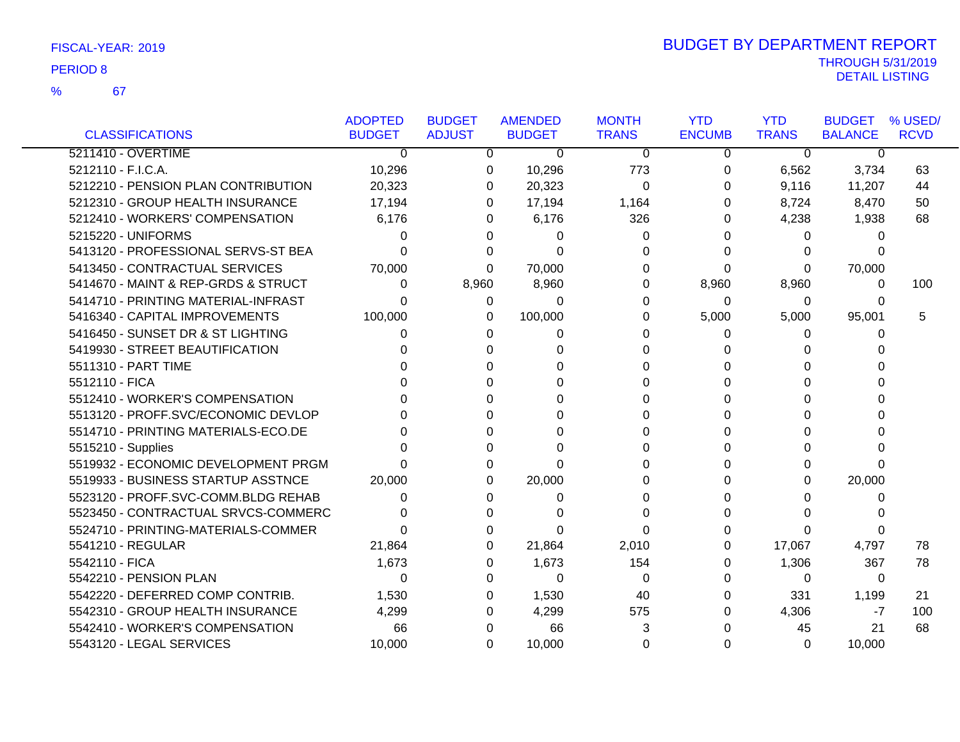### 67 %

|                                     | <b>ADOPTED</b> | <b>BUDGET</b> | <b>AMENDED</b> | <b>MONTH</b> | <b>YTD</b>    | <b>YTD</b>   | <b>BUDGET</b>  | % USED/     |
|-------------------------------------|----------------|---------------|----------------|--------------|---------------|--------------|----------------|-------------|
| <b>CLASSIFICATIONS</b>              | <b>BUDGET</b>  | <b>ADJUST</b> | <b>BUDGET</b>  | <b>TRANS</b> | <b>ENCUMB</b> | <b>TRANS</b> | <b>BALANCE</b> | <b>RCVD</b> |
| 5211410 - OVERTIME                  | $\mathbf 0$    | 0             | 0              | $\mathbf 0$  | $\mathbf 0$   | 0            | 0              |             |
| 5212110 - F.I.C.A.                  | 10,296         | 0             | 10,296         | 773          | 0             | 6,562        | 3,734          | 63          |
| 5212210 - PENSION PLAN CONTRIBUTION | 20,323         | 0             | 20,323         | 0            | 0             | 9,116        | 11,207         | 44          |
| 5212310 - GROUP HEALTH INSURANCE    | 17,194         | 0             | 17,194         | 1,164        | 0             | 8,724        | 8,470          | 50          |
| 5212410 - WORKERS' COMPENSATION     | 6,176          | 0             | 6,176          | 326          | 0             | 4,238        | 1,938          | 68          |
| 5215220 - UNIFORMS                  | 0              | 0             | 0              | 0            | 0             | 0            | 0              |             |
| 5413120 - PROFESSIONAL SERVS-ST BEA | 0              | 0             | 0              | 0            | 0             | 0            | 0              |             |
| 5413450 - CONTRACTUAL SERVICES      | 70,000         | $\Omega$      | 70,000         | 0            | $\Omega$      | $\Omega$     | 70,000         |             |
| 5414670 - MAINT & REP-GRDS & STRUCT | 0              | 8,960         | 8,960          | 0            | 8,960         | 8,960        | 0              | 100         |
| 5414710 - PRINTING MATERIAL-INFRAST | 0              | 0             | 0              | 0            | 0             | 0            | 0              |             |
| 5416340 - CAPITAL IMPROVEMENTS      | 100,000        | 0             | 100,000        | 0            | 5,000         | 5,000        | 95,001         | 5           |
| 5416450 - SUNSET DR & ST LIGHTING   | 0              | 0             | 0              | 0            | 0             | 0            | 0              |             |
| 5419930 - STREET BEAUTIFICATION     |                | 0             |                | 0            | 0             | 0            | 0              |             |
| 5511310 - PART TIME                 |                | 0             | U              | 0            | 0             | 0            | 0              |             |
| 5512110 - FICA                      |                | 0             | U              | 0            | 0             | 0            | 0              |             |
| 5512410 - WORKER'S COMPENSATION     |                | 0             |                | 0            | 0             | 0            | 0              |             |
| 5513120 - PROFF.SVC/ECONOMIC DEVLOP |                | 0             |                | 0            | 0             | 0            | ი              |             |
| 5514710 - PRINTING MATERIALS-ECO.DE |                | 0             |                | 0            | 0             | 0            | 0              |             |
| 5515210 - Supplies                  |                | 0             | ∩              | 0            | $\Omega$      | 0            | 0              |             |
| 5519932 - ECONOMIC DEVELOPMENT PRGM |                | 0             | U              | 0            | $\Omega$      | 0            | $\Omega$       |             |
| 5519933 - BUSINESS STARTUP ASSTNCE  | 20,000         | 0             | 20,000         | 0            | 0             | 0            | 20,000         |             |
| 5523120 - PROFF.SVC-COMM.BLDG REHAB | O              | 0             | 0              | 0            | 0             | 0            | 0              |             |
| 5523450 - CONTRACTUAL SRVCS-COMMERC |                | $\Omega$      | ∩              | 0            | $\Omega$      | 0            | 0              |             |
| 5524710 - PRINTING-MATERIALS-COMMER | 0              | 0             | O              | 0            | 0             | 0            | 0              |             |
| 5541210 - REGULAR                   | 21,864         | 0             | 21,864         | 2,010        | 0             | 17,067       | 4,797          | 78          |
| 5542110 - FICA                      | 1,673          | 0             | 1,673          | 154          | $\Omega$      | 1,306        | 367            | 78          |
| 5542210 - PENSION PLAN              | $\Omega$       | 0             | $\Omega$       | 0            | 0             | 0            | $\mathbf 0$    |             |
| 5542220 - DEFERRED COMP CONTRIB.    | 1,530          | 0             | 1,530          | 40           | 0             | 331          | 1,199          | 21          |
| 5542310 - GROUP HEALTH INSURANCE    | 4,299          | 0             | 4,299          | 575          | 0             | 4,306        | -7             | 100         |
| 5542410 - WORKER'S COMPENSATION     | 66             | 0             | 66             | 3            | 0             | 45           | 21             | 68          |
| 5543120 - LEGAL SERVICES            | 10,000         | 0             | 10,000         | 0            | $\Omega$      | 0            | 10,000         |             |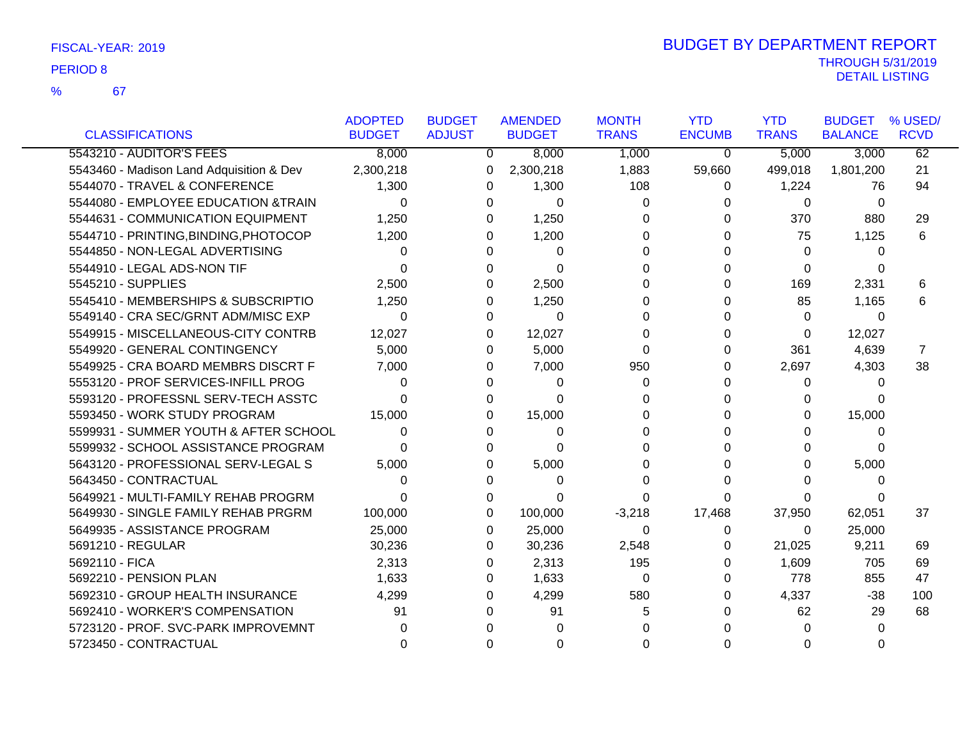67

|                                          | <b>ADOPTED</b> | <b>BUDGET</b> | <b>AMENDED</b> | <b>MONTH</b> | <b>YTD</b>    | <b>YTD</b>   | <b>BUDGET</b>  | % USED/     |
|------------------------------------------|----------------|---------------|----------------|--------------|---------------|--------------|----------------|-------------|
| <b>CLASSIFICATIONS</b>                   | <b>BUDGET</b>  | <b>ADJUST</b> | <b>BUDGET</b>  | <b>TRANS</b> | <b>ENCUMB</b> | <b>TRANS</b> | <b>BALANCE</b> | <b>RCVD</b> |
| 5543210 - AUDITOR'S FEES                 | 8,000          | 0             | 8,000          | 1,000        | $\mathbf 0$   | 5,000        | 3,000          | 62          |
| 5543460 - Madison Land Adquisition & Dev | 2,300,218      | 0             | 2,300,218      | 1,883        | 59,660        | 499,018      | 1,801,200      | 21          |
| 5544070 - TRAVEL & CONFERENCE            | 1,300          | 0             | 1,300          | 108          | 0             | 1,224        | 76             | 94          |
| 5544080 - EMPLOYEE EDUCATION &TRAIN      | $\Omega$       | 0             | 0              | 0            | O             | 0            | $\Omega$       |             |
| 5544631 - COMMUNICATION EQUIPMENT        | 1,250          | 0             | 1,250          | 0            | 0             | 370          | 880            | 29          |
| 5544710 - PRINTING, BINDING, PHOTOCOP    | 1,200          | 0             | 1,200          | $\Omega$     | <sup>0</sup>  | 75           | 1,125          | 6           |
| 5544850 - NON-LEGAL ADVERTISING          | 0              |               | $\Omega$       | $\Omega$     | 0             | $\Omega$     | 0              |             |
| 5544910 - LEGAL ADS-NON TIF              | $\Omega$       |               | $\Omega$       | 0            | U             | 0            | 0              |             |
| 5545210 - SUPPLIES                       | 2,500          | 0             | 2,500          | 0            | 0             | 169          | 2,331          | 6           |
| 5545410 - MEMBERSHIPS & SUBSCRIPTIO      | 1,250          |               | 1,250          | 0            | O             | 85           | 1,165          | 6           |
| 5549140 - CRA SEC/GRNT ADM/MISC EXP      | $\Omega$       | 0             | 0              | 0            |               | 0            | 0              |             |
| 5549915 - MISCELLANEOUS-CITY CONTRB      | 12,027         | 0             | 12,027         | $\Omega$     | 0             | 0            | 12,027         |             |
| 5549920 - GENERAL CONTINGENCY            | 5,000          | 0             | 5,000          | $\Omega$     | 0             | 361          | 4,639          | 7           |
| 5549925 - CRA BOARD MEMBRS DISCRT F      | 7,000          | 0             | 7,000          | 950          | 0             | 2,697        | 4,303          | 38          |
| 5553120 - PROF SERVICES-INFILL PROG      | 0              | O             | 0              | 0            | <sup>0</sup>  | 0            | $\Omega$       |             |
| 5593120 - PROFESSNL SERV-TECH ASSTC      | 0              |               | 0              | 0            |               | 0            | U              |             |
| 5593450 - WORK STUDY PROGRAM             | 15,000         |               | 15,000         | 0            |               | 0            | 15,000         |             |
| 5599931 - SUMMER YOUTH & AFTER SCHOOL    | 0              |               | 0              | 0            |               | 0            | 0              |             |
| 5599932 - SCHOOL ASSISTANCE PROGRAM      | U              | 0             | 0              | 0            |               | 0            | 0              |             |
| 5643120 - PROFESSIONAL SERV-LEGAL S      | 5,000          | 0             | 5,000          | 0            |               | 0            | 5,000          |             |
| 5643450 - CONTRACTUAL                    | 0              | 0             | 0              | 0            | O             | 0            | 0              |             |
| 5649921 - MULTI-FAMILY REHAB PROGRM      | 0              | 0             | 0              | 0            | O             | 0            |                |             |
| 5649930 - SINGLE FAMILY REHAB PRGRM      | 100,000        | 0             | 100,000        | $-3,218$     | 17,468        | 37,950       | 62,051         | 37          |
| 5649935 - ASSISTANCE PROGRAM             | 25,000         | 0             | 25,000         | 0            | 0             | $\Omega$     | 25,000         |             |
| 5691210 - REGULAR                        | 30,236         | 0             | 30,236         | 2,548        | 0             | 21,025       | 9,211          | 69          |
| 5692110 - FICA                           | 2,313          | 0             | 2,313          | 195          | 0             | 1,609        | 705            | 69          |
| 5692210 - PENSION PLAN                   | 1,633          | 0             | 1,633          | 0            | 0             | 778          | 855            | 47          |
| 5692310 - GROUP HEALTH INSURANCE         | 4,299          | 0             | 4,299          | 580          | 0             | 4,337        | $-38$          | 100         |
| 5692410 - WORKER'S COMPENSATION          | 91             | 0             | 91             | 5            |               | 62           | 29             | 68          |
| 5723120 - PROF. SVC-PARK IMPROVEMNT      |                |               |                | 0            |               | 0            | 0              |             |
| 5723450 - CONTRACTUAL                    | U              |               | O              | 0            |               | 0            |                |             |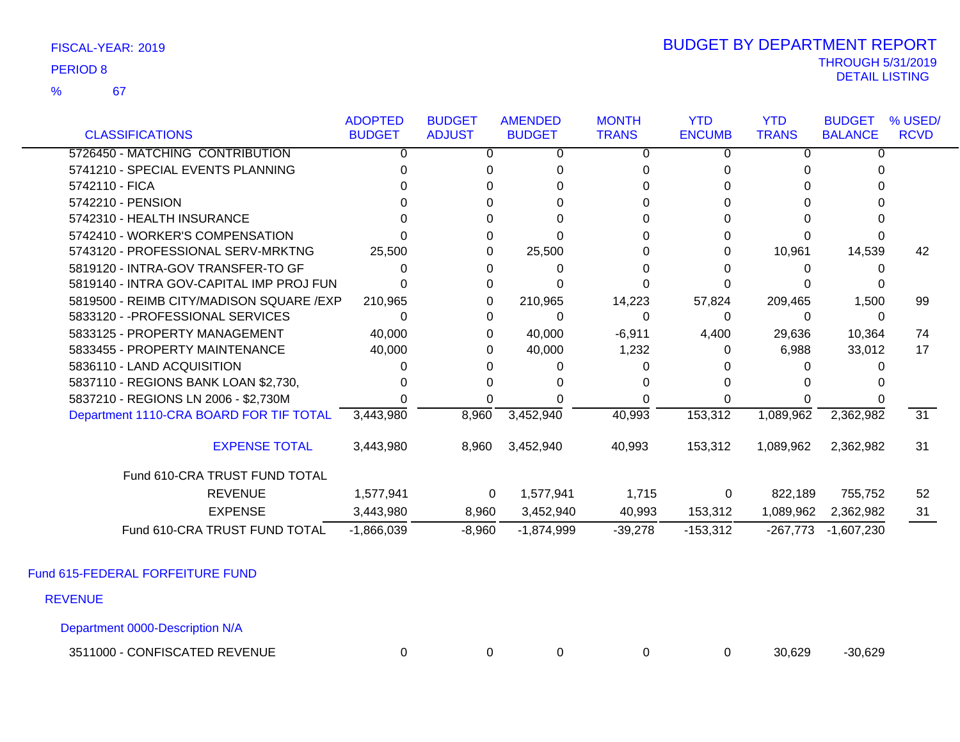67 %

### THROUGH 5/31/2019<br>DETAIL LISTING DETAIL LISTING PERIOD <sup>8</sup> BUDGET BY DEPARTMENT REPORT

|                                           | <b>ADOPTED</b> | <b>BUDGET</b> | <b>AMENDED</b> | <b>MONTH</b> | <b>YTD</b>    | <b>YTD</b>   | <b>BUDGET</b>  | % USED/     |
|-------------------------------------------|----------------|---------------|----------------|--------------|---------------|--------------|----------------|-------------|
| <b>CLASSIFICATIONS</b>                    | <b>BUDGET</b>  | <b>ADJUST</b> | <b>BUDGET</b>  | <b>TRANS</b> | <b>ENCUMB</b> | <b>TRANS</b> | <b>BALANCE</b> | <b>RCVD</b> |
| 5726450 - MATCHING CONTRIBUTION           | 0              | O             | 0              | 0            | 0             | 0            | <sup>0</sup>   |             |
| 5741210 - SPECIAL EVENTS PLANNING         |                |               |                | n            |               |              |                |             |
| 5742110 - FICA                            |                |               |                |              |               |              |                |             |
| 5742210 - PENSION                         |                |               |                |              |               |              |                |             |
| 5742310 - HEALTH INSURANCE                |                |               |                |              |               |              |                |             |
| 5742410 - WORKER'S COMPENSATION           |                |               |                |              |               |              |                |             |
| 5743120 - PROFESSIONAL SERV-MRKTNG        | 25,500         |               | 25,500         |              |               | 10,961       | 14,539         | 42          |
| 5819120 - INTRA-GOV TRANSFER-TO GF        |                |               | 0              |              |               | O            |                |             |
| 5819140 - INTRA GOV-CAPITAL IMP PROJ FUN  |                |               |                |              |               |              |                |             |
| 5819500 - REIMB CITY/MADISON SQUARE / EXP | 210.965        |               | 210,965        | 14,223       | 57,824        | 209,465      | 1,500          | 99          |
| 5833120 - - PROFESSIONAL SERVICES         |                |               | 0              |              | 0             | 0            |                |             |
| 5833125 - PROPERTY MANAGEMENT             | 40,000         | 0             | 40,000         | $-6,911$     | 4,400         | 29,636       | 10,364         | 74          |
| 5833455 - PROPERTY MAINTENANCE            | 40,000         |               | 40,000         | 1,232        | 0             | 6,988        | 33,012         | 17          |
| 5836110 - LAND ACQUISITION                |                |               |                |              |               |              |                |             |
| 5837110 - REGIONS BANK LOAN \$2,730,      |                |               |                |              |               |              |                |             |
| 5837210 - REGIONS LN 2006 - \$2,730M      |                |               |                |              |               |              |                |             |
| Department 1110-CRA BOARD FOR TIF TOTAL   | 3,443,980      | 8,960         | 3,452,940      | 40,993       | 153,312       | 1,089,962    | 2,362,982      | 31          |
| <b>EXPENSE TOTAL</b>                      | 3,443,980      | 8,960         | 3,452,940      | 40,993       | 153,312       | 1,089,962    | 2,362,982      | 31          |
| Fund 610-CRA TRUST FUND TOTAL             |                |               |                |              |               |              |                |             |
| <b>REVENUE</b>                            | 1,577,941      | 0             | 1,577,941      | 1,715        | 0             | 822,189      | 755,752        | 52          |
| <b>EXPENSE</b>                            | 3,443,980      | 8,960         | 3,452,940      | 40,993       | 153,312       | 1,089,962    | 2,362,982      | 31          |
| Fund 610-CRA TRUST FUND TOTAL             | $-1,866,039$   | $-8,960$      | $-1,874,999$   | $-39,278$    | $-153,312$    | $-267,773$   | -1,607,230     |             |

Fund 615-FEDERAL FORFEITURE FUND

REVENUE

Department 0000-Description N/A

3511000 - CONFISCATED REVENUE 0 0 0 0 0 30,629 -30,629